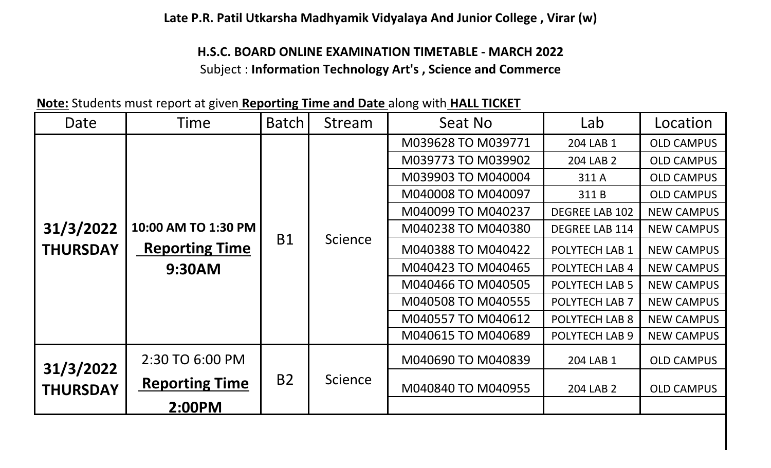**Late P.R. Patil Utkarsha Madhyamik Vidyalaya And Junior College , Virar (w)**

## **H.S.C. BOARD ONLINE EXAMINATION TIMETABLE - MARCH 2022** Subject : **Information Technology Art's , Science and Commerce**

**Note:** Students must report at given **Reporting Time and Date** along with **HALL TICKET**

| Date                         | Time                                                   | <b>Batch</b> | Stream         | Seat No            | Lab                   | Location          |
|------------------------------|--------------------------------------------------------|--------------|----------------|--------------------|-----------------------|-------------------|
|                              |                                                        |              |                | M039628 TO M039771 | 204 LAB 1             | <b>OLD CAMPUS</b> |
|                              |                                                        |              |                | M039773 TO M039902 | 204 LAB 2             | <b>OLD CAMPUS</b> |
|                              |                                                        |              |                | M039903 TO M040004 | 311 A                 | <b>OLD CAMPUS</b> |
|                              |                                                        |              |                | M040008 TO M040097 | 311B                  | <b>OLD CAMPUS</b> |
|                              |                                                        |              |                | M040099 TO M040237 | <b>DEGREE LAB 102</b> | <b>NEW CAMPUS</b> |
| 31/3/2022                    | 10:00 AM TO 1:30 PM<br><b>Reporting Time</b><br>9:30AM |              |                | M040238 TO M040380 | <b>DEGREE LAB 114</b> | <b>NEW CAMPUS</b> |
| <b>THURSDAY</b>              |                                                        | <b>B1</b>    | <b>Science</b> | M040388 TO M040422 | POLYTECH LAB 1        | <b>NEW CAMPUS</b> |
|                              |                                                        |              |                | M040423 TO M040465 | POLYTECH LAB 4        | <b>NEW CAMPUS</b> |
|                              |                                                        |              |                | M040466 TO M040505 | POLYTECH LAB 5        | <b>NEW CAMPUS</b> |
|                              |                                                        |              |                | M040508 TO M040555 | POLYTECH LAB 7        | <b>NEW CAMPUS</b> |
|                              |                                                        |              |                | M040557 TO M040612 | POLYTECH LAB 8        | <b>NEW CAMPUS</b> |
|                              |                                                        |              |                | M040615 TO M040689 | POLYTECH LAB 9        | <b>NEW CAMPUS</b> |
|                              | 2:30 TO 6:00 PM                                        |              |                | M040690 TO M040839 | 204 LAB 1             | <b>OLD CAMPUS</b> |
| 31/3/2022<br><b>THURSDAY</b> | <b>Reporting Time</b>                                  | <b>B2</b>    | <b>Science</b> | M040840 TO M040955 | 204 LAB 2             | <b>OLD CAMPUS</b> |
|                              | 2:00PM                                                 |              |                |                    |                       |                   |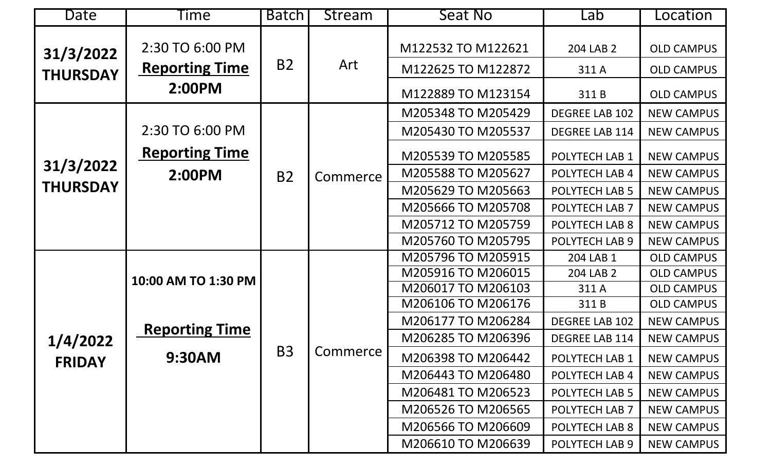| Date                         | Time                  | <b>Batch</b> | Stream   | Seat No            | Lab                   | Location          |
|------------------------------|-----------------------|--------------|----------|--------------------|-----------------------|-------------------|
| 31/3/2022                    | 2:30 TO 6:00 PM       |              |          | M122532 TO M122621 | 204 LAB 2             | <b>OLD CAMPUS</b> |
| <b>THURSDAY</b>              | <b>Reporting Time</b> | <b>B2</b>    | Art      | M122625 TO M122872 | 311 A                 | <b>OLD CAMPUS</b> |
|                              | 2:00PM                |              |          | M122889 TO M123154 | 311B                  | <b>OLD CAMPUS</b> |
|                              |                       |              | Commerce | M205348 TO M205429 | <b>DEGREE LAB 102</b> | <b>NEW CAMPUS</b> |
| 31/3/2022<br><b>THURSDAY</b> | 2:30 TO 6:00 PM       |              |          | M205430 TO M205537 | <b>DEGREE LAB 114</b> | <b>NEW CAMPUS</b> |
|                              | <b>Reporting Time</b> |              |          | M205539 TO M205585 | POLYTECH LAB 1        | <b>NEW CAMPUS</b> |
|                              | 2:00PM                | <b>B2</b>    |          | M205588 TO M205627 | POLYTECH LAB 4        | <b>NEW CAMPUS</b> |
|                              |                       |              |          | M205629 TO M205663 | POLYTECH LAB 5        | <b>NEW CAMPUS</b> |
|                              |                       |              |          | M205666 TO M205708 | POLYTECH LAB 7        | <b>NEW CAMPUS</b> |
|                              |                       |              |          | M205712 TO M205759 | POLYTECH LAB 8        | <b>NEW CAMPUS</b> |
|                              |                       |              |          | M205760 TO M205795 | POLYTECH LAB 9        | <b>NEW CAMPUS</b> |
|                              |                       |              |          | M205796 TO M205915 | 204 LAB 1             | <b>OLD CAMPUS</b> |
|                              | 10:00 AM TO 1:30 PM   |              |          | M205916 TO M206015 | 204 LAB 2             | <b>OLD CAMPUS</b> |
|                              |                       |              |          | M206017 TO M206103 | 311 A                 | <b>OLD CAMPUS</b> |
|                              |                       |              |          | M206106 TO M206176 | 311B                  | <b>OLD CAMPUS</b> |
|                              | <b>Reporting Time</b> |              |          | M206177 TO M206284 | DEGREE LAB 102        | <b>NEW CAMPUS</b> |
| 1/4/2022                     |                       |              |          | M206285 TO M206396 | <b>DEGREE LAB 114</b> | <b>NEW CAMPUS</b> |
| <b>FRIDAY</b>                | 9:30AM                | <b>B3</b>    | Commerce | M206398 TO M206442 | POLYTECH LAB 1        | <b>NEW CAMPUS</b> |
|                              |                       |              |          | M206443 TO M206480 | POLYTECH LAB 4        | <b>NEW CAMPUS</b> |
|                              |                       |              |          | M206481 TO M206523 | POLYTECH LAB 5        | <b>NEW CAMPUS</b> |
|                              |                       |              |          | M206526 TO M206565 | POLYTECH LAB 7        | <b>NEW CAMPUS</b> |
|                              |                       |              |          | M206566 TO M206609 | POLYTECH LAB 8        | NEW CAMPUS        |
|                              |                       |              |          | M206610 TO M206639 | POLYTECH LAB 9        | <b>NEW CAMPUS</b> |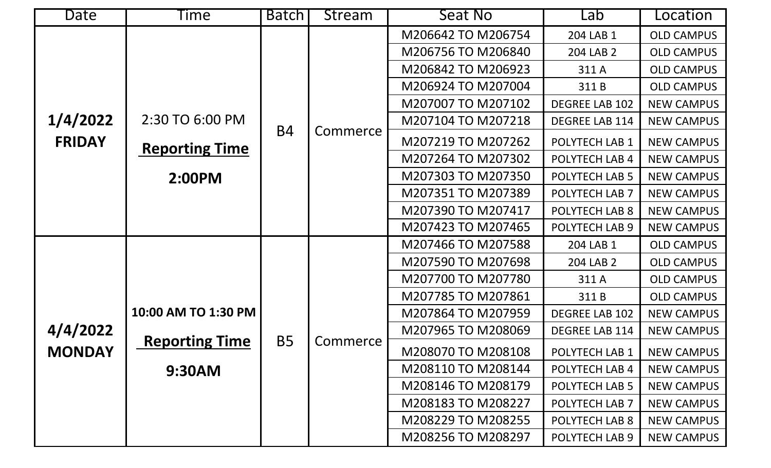| Date          | <u>lime</u>           | Batch     | <b>Stream</b> | Seat No            | Lab                   | Location          |
|---------------|-----------------------|-----------|---------------|--------------------|-----------------------|-------------------|
|               |                       |           |               | M206642 TO M206754 | 204 LAB 1             | <b>OLD CAMPUS</b> |
|               |                       |           |               | M206756 TO M206840 | 204 LAB 2             | <b>OLD CAMPUS</b> |
|               |                       |           |               | M206842 TO M206923 | 311 A                 | <b>OLD CAMPUS</b> |
|               |                       |           |               | M206924 TO M207004 | 311B                  | <b>OLD CAMPUS</b> |
|               |                       |           |               | M207007 TO M207102 | DEGREE LAB 102        | <b>NEW CAMPUS</b> |
| 1/4/2022      | 2:30 TO 6:00 PM       |           |               | M207104 TO M207218 | <b>DEGREE LAB 114</b> | <b>NEW CAMPUS</b> |
| <b>FRIDAY</b> | <b>Reporting Time</b> | <b>B4</b> | Commerce      | M207219 TO M207262 | POLYTECH LAB 1        | <b>NEW CAMPUS</b> |
|               |                       |           |               | M207264 TO M207302 | POLYTECH LAB 4        | <b>NEW CAMPUS</b> |
|               | 2:00PM                |           |               | M207303 TO M207350 | POLYTECH LAB 5        | <b>NEW CAMPUS</b> |
|               |                       |           |               | M207351 TO M207389 | POLYTECH LAB 7        | <b>NEW CAMPUS</b> |
|               |                       |           |               | M207390 TO M207417 | POLYTECH LAB 8        | <b>NEW CAMPUS</b> |
|               |                       |           |               | M207423 TO M207465 | POLYTECH LAB 9        | <b>NEW CAMPUS</b> |
|               |                       |           |               | M207466 TO M207588 | 204 LAB 1             | <b>OLD CAMPUS</b> |
|               |                       |           |               | M207590 TO M207698 | 204 LAB 2             | <b>OLD CAMPUS</b> |
|               |                       |           |               | M207700 TO M207780 | 311 A                 | <b>OLD CAMPUS</b> |
|               |                       |           |               | M207785 TO M207861 | 311B                  | <b>OLD CAMPUS</b> |
|               | 10:00 AM TO 1:30 PM   |           |               | M207864 TO M207959 | <b>DEGREE LAB 102</b> | <b>NEW CAMPUS</b> |
| 4/4/2022      |                       | <b>B5</b> |               | M207965 TO M208069 | DEGREE LAB 114        | <b>NEW CAMPUS</b> |
| <b>MONDAY</b> | <b>Reporting Time</b> |           | Commerce      | M208070 TO M208108 | POLYTECH LAB 1        | <b>NEW CAMPUS</b> |
|               | 9:30AM                |           |               | M208110 TO M208144 | POLYTECH LAB 4        | <b>NEW CAMPUS</b> |
|               |                       |           |               | M208146 TO M208179 | POLYTECH LAB 5        | <b>NEW CAMPUS</b> |
|               |                       |           |               | M208183 TO M208227 | POLYTECH LAB 7        | <b>NEW CAMPUS</b> |
|               |                       |           |               | M208229 TO M208255 | POLYTECH LAB 8        | <b>NEW CAMPUS</b> |
|               |                       |           |               | M208256 TO M208297 | POLYTECH LAB 9        | <b>NEW CAMPUS</b> |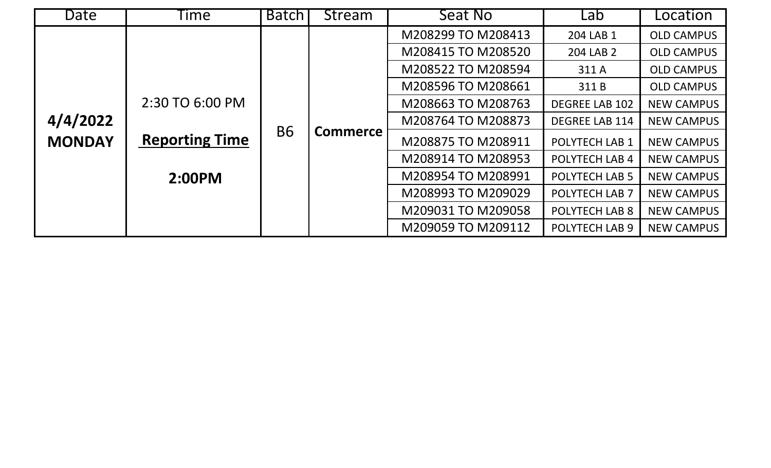| Date          | ime.                  | <b>Batch</b> | Stream          | Seat No            | Lab                   | Location          |
|---------------|-----------------------|--------------|-----------------|--------------------|-----------------------|-------------------|
|               |                       |              |                 | M208299 TO M208413 | 204 LAB 1             | <b>OLD CAMPUS</b> |
|               |                       |              |                 | M208415 TO M208520 | 204 LAB 2             | <b>OLD CAMPUS</b> |
|               |                       |              |                 | M208522 TO M208594 | 311 A                 | <b>OLD CAMPUS</b> |
|               |                       |              |                 | M208596 TO M208661 | 311B                  | <b>OLD CAMPUS</b> |
|               | 2:30 TO 6:00 PM       |              |                 | M208663 TO M208763 | <b>DEGREE LAB 102</b> | <b>NEW CAMPUS</b> |
| 4/4/2022      | <b>Reporting Time</b> |              | <b>Commerce</b> | M208764 TO M208873 | <b>DEGREE LAB 114</b> | <b>NEW CAMPUS</b> |
| <b>MONDAY</b> |                       | <b>B6</b>    |                 | M208875 TO M208911 | <b>POLYTECH LAB 1</b> | <b>NEW CAMPUS</b> |
|               |                       |              |                 | M208914 TO M208953 | <b>POLYTECH LAB 4</b> | <b>NEW CAMPUS</b> |
|               | 2:00PM                |              |                 | M208954 TO M208991 | <b>POLYTECH LAB 5</b> | <b>NEW CAMPUS</b> |
|               |                       |              |                 | M208993 TO M209029 | <b>POLYTECH LAB 7</b> | <b>NEW CAMPUS</b> |
|               |                       |              |                 | M209031 TO M209058 | <b>POLYTECH LAB 8</b> | <b>NEW CAMPUS</b> |
|               |                       |              |                 | M209059 TO M209112 | <b>POLYTECH LAB 9</b> | <b>NEW CAMPUS</b> |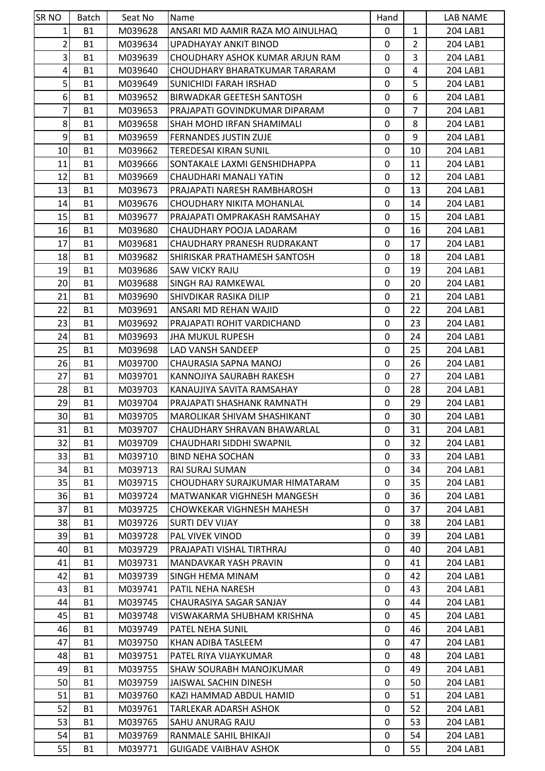| <b>SRNO</b>     | Batch     | Seat No | Name                               | Hand         |                | LAB NAME |
|-----------------|-----------|---------|------------------------------------|--------------|----------------|----------|
| $1\vert$        | <b>B1</b> | M039628 | ANSARI MD AAMIR RAZA MO AINULHAQ   | $\mathbf 0$  | $\mathbf{1}$   | 204 LAB1 |
| $\overline{2}$  | <b>B1</b> | M039634 | UPADHAYAY ANKIT BINOD              | 0            | $\overline{2}$ | 204 LAB1 |
| $\vert$ 3       | <b>B1</b> | M039639 | CHOUDHARY ASHOK KUMAR ARJUN RAM    | 0            | 3              | 204 LAB1 |
| $\vert 4 \vert$ | <b>B1</b> | M039640 | CHOUDHARY BHARATKUMAR TARARAM      | $\mathbf 0$  | 4              | 204 LAB1 |
| $\overline{5}$  | <b>B1</b> | M039649 | SUNICHIDI FARAH IRSHAD             | 0            | 5              | 204 LAB1 |
| $6 \mid$        | <b>B1</b> | M039652 | BIRWADKAR GEETESH SANTOSH          | $\mathbf{0}$ | 6              | 204 LAB1 |
| $\overline{7}$  | <b>B1</b> | M039653 | PRAJAPATI GOVINDKUMAR DIPARAM      | 0            | $\overline{7}$ | 204 LAB1 |
| 8 <sup>1</sup>  | <b>B1</b> | M039658 | SHAH MOHD IRFAN SHAMIMALI          | 0            | 8              | 204 LAB1 |
| $\overline{9}$  | <b>B1</b> | M039659 | <b>FERNANDES JUSTIN ZUJE</b>       | $\mathbf 0$  | 9              | 204 LAB1 |
| 10              | <b>B1</b> | M039662 | <b>TEREDESAI KIRAN SUNIL</b>       | 0            | 10             | 204 LAB1 |
| 11              | <b>B1</b> | M039666 | ISONTAKALE LAXMI GENSHIDHAPPA      | 0            | 11             | 204 LAB1 |
| 12              | <b>B1</b> | M039669 | CHAUDHARI MANALI YATIN             | 0            | 12             | 204 LAB1 |
| 13              | <b>B1</b> | M039673 | PRAJAPATI NARESH RAMBHAROSH        | $\mathbf 0$  | 13             | 204 LAB1 |
| 14              | <b>B1</b> | M039676 | CHOUDHARY NIKITA MOHANLAL          | 0            | 14             | 204 LAB1 |
| 15              | <b>B1</b> | M039677 | PRAJAPATI OMPRAKASH RAMSAHAY       | $\mathbf 0$  | 15             | 204 LAB1 |
| 16              | <b>B1</b> | M039680 | CHAUDHARY POOJA LADARAM            | $\mathbf 0$  | 16             | 204 LAB1 |
| 17              | <b>B1</b> | M039681 | CHAUDHARY PRANESH RUDRAKANT        | 0            | 17             | 204 LAB1 |
| 18              | <b>B1</b> | M039682 | SHIRISKAR PRATHAMESH SANTOSH       | 0            | 18             | 204 LAB1 |
| 19              | <b>B1</b> | M039686 | SAW VICKY RAJU                     | 0            | 19             | 204 LAB1 |
| 20              | <b>B1</b> | M039688 | <b>SINGH RAJ RAMKEWAL</b>          | $\mathbf 0$  | 20             | 204 LAB1 |
| 21              | <b>B1</b> | M039690 | SHIVDIKAR RASIKA DILIP             | $\mathbf 0$  | 21             | 204 LAB1 |
| 22              | <b>B1</b> | M039691 | ANSARI MD REHAN WAJID              | 0            | 22             | 204 LAB1 |
| 23              | <b>B1</b> | M039692 | PRAJAPATI ROHIT VARDICHAND         | $\mathbf 0$  | 23             | 204 LAB1 |
| 24              | <b>B1</b> | M039693 | <b>JHA MUKUL RUPESH</b>            | 0            | 24             | 204 LAB1 |
| 25              | <b>B1</b> | M039698 | LAD VANSH SANDEEP                  | $\mathbf 0$  | 25             | 204 LAB1 |
| 26              | <b>B1</b> | M039700 | CHAURASIA SAPNA MANOJ              | $\mathbf{0}$ | 26             | 204 LAB1 |
| 27              | <b>B1</b> | M039701 | KANNOJIYA SAURABH RAKESH           | 0            | 27             | 204 LAB1 |
| 28              | <b>B1</b> | M039703 | KANAUJIYA SAVITA RAMSAHAY          | 0            | 28             | 204 LAB1 |
| 29              | <b>B1</b> | M039704 | PRAJAPATI SHASHANK RAMNATH         | 0            | 29             | 204 LAB1 |
| 30 <sup>1</sup> | <b>B1</b> | M039705 | <b>MAROLIKAR SHIVAM SHASHIKANT</b> | $\mathbf 0$  | 30             | 204 LAB1 |
| 31              | B1        | M039707 | CHAUDHARY SHRAVAN BHAWARLAL        | 0            | 31             | 204 LAB1 |
| 32              | <b>B1</b> | M039709 | CHAUDHARI SIDDHI SWAPNIL           | $\mathbf{0}$ | 32             | 204 LAB1 |
| 33              | <b>B1</b> | M039710 | <b>BIND NEHA SOCHAN</b>            | 0            | 33             | 204 LAB1 |
| 34              | <b>B1</b> | M039713 | RAI SURAJ SUMAN                    | 0            | 34             | 204 LAB1 |
| 35              | <b>B1</b> | M039715 | CHOUDHARY SURAJKUMAR HIMATARAM     | 0            | 35             | 204 LAB1 |
| 36              | <b>B1</b> | M039724 | MATWANKAR VIGHNESH MANGESH         | 0            | 36             | 204 LAB1 |
| 37              | <b>B1</b> | M039725 | CHOWKEKAR VIGHNESH MAHESH          | 0            | 37             | 204 LAB1 |
| 38              | B1        | M039726 | <b>SURTI DEV VIJAY</b>             | 0            | 38             | 204 LAB1 |
| 39              | <b>B1</b> | M039728 | PAL VIVEK VINOD                    | 0            | 39             | 204 LAB1 |
| 40              | <b>B1</b> | M039729 | PRAJAPATI VISHAL TIRTHRAJ          | 0            | 40             | 204 LAB1 |
| 41              | <b>B1</b> | M039731 | MANDAVKAR YASH PRAVIN              | 0            | 41             | 204 LAB1 |
| 42              | <b>B1</b> | M039739 | ISINGH HEMA MINAM                  | $\mathbf 0$  | 42             | 204 LAB1 |
| 43              | <b>B1</b> | M039741 | PATIL NEHA NARESH                  | 0            | 43             | 204 LAB1 |
| 44              | <b>B1</b> | M039745 | CHAURASIYA SAGAR SANJAY            | 0            | 44             | 204 LAB1 |
| 45              | <b>B1</b> | M039748 | VISWAKARMA SHUBHAM KRISHNA         | 0            | 45             | 204 LAB1 |
| 46              | <b>B1</b> | M039749 | PATEL NEHA SUNIL                   | 0            | 46             | 204 LAB1 |
| 47              | <b>B1</b> | M039750 | KHAN ADIBA TASLEEM                 | 0            | 47             | 204 LAB1 |
| 48              | <b>B1</b> | M039751 | PATEL RIYA VIJAYKUMAR              | 0            | 48             | 204 LAB1 |
| 49              | <b>B1</b> | M039755 | SHAW SOURABH MANOJKUMAR            | 0            | 49             | 204 LAB1 |
| 50              | <b>B1</b> | M039759 | JAISWAL SACHIN DINESH              | 0            | 50             | 204 LAB1 |
| 51              | <b>B1</b> | M039760 | KAZI HAMMAD ABDUL HAMID            | 0            | 51             | 204 LAB1 |
| 52              | <b>B1</b> | M039761 | TARLEKAR ADARSH ASHOK              | 0            | 52             | 204 LAB1 |
| 53              | <b>B1</b> | M039765 | SAHU ANURAG RAJU                   | 0            | 53             | 204 LAB1 |
| 54              | <b>B1</b> |         |                                    | 0            | 54             |          |
|                 |           | M039769 | RANMALE SAHIL BHIKAJI              |              |                | 204 LAB1 |
| 55              | <b>B1</b> | M039771 | <b>GUIGADE VAIBHAV ASHOK</b>       | 0            | 55             | 204 LAB1 |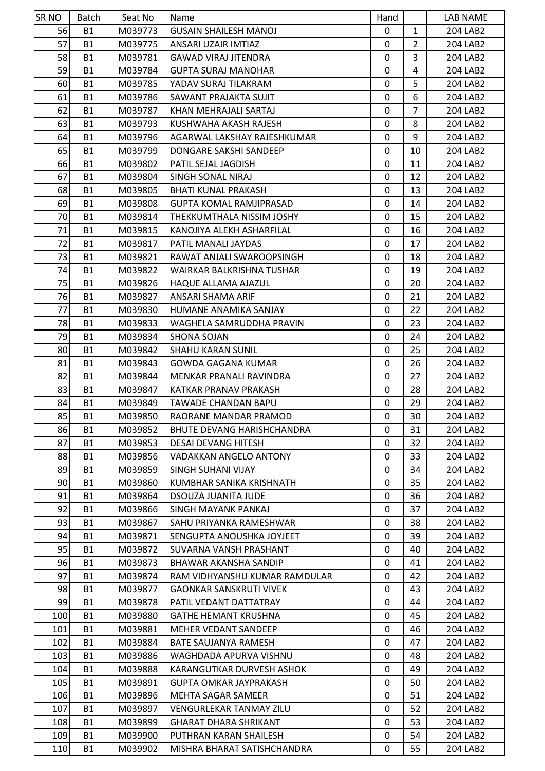| <b>SRNO</b> | Batch                  | Seat No | Name                              | Hand   |                | LAB NAME |
|-------------|------------------------|---------|-----------------------------------|--------|----------------|----------|
| 56          | <b>B1</b>              | M039773 | <b>GUSAIN SHAILESH MANOJ</b>      | 0      | $\mathbf{1}$   | 204 LAB2 |
| 57          | <b>B1</b>              | M039775 | ANSARI UZAIR IMTIAZ               | 0      | $\overline{2}$ | 204 LAB2 |
| 58          | <b>B1</b>              | M039781 | <b>GAWAD VIRAJ JITENDRA</b>       | 0      | 3              | 204 LAB2 |
| 59          | <b>B1</b>              | M039784 | <b>GUPTA SURAJ MANOHAR</b>        | 0      | 4              | 204 LAB2 |
| 60          | <b>B1</b>              | M039785 | YADAV SURAJ TILAKRAM              | 0      | 5              | 204 LAB2 |
| 61          | <b>B1</b>              | M039786 | <b>SAWANT PRAJAKTA SUJIT</b>      | 0      | 6              | 204 LAB2 |
| 62          | <b>B1</b>              | M039787 | KHAN MEHRAJALI SARTAJ             | 0      | $\overline{7}$ | 204 LAB2 |
| 63          | <b>B1</b>              | M039793 | KUSHWAHA AKASH RAJESH             | 0      | 8              | 204 LAB2 |
| 64          | <b>B1</b>              | M039796 | AGARWAL LAKSHAY RAJESHKUMAR       | 0      | 9              | 204 LAB2 |
| 65          | <b>B1</b>              | M039799 | DONGARE SAKSHI SANDEEP            | 0      | 10             | 204 LAB2 |
| 66          | <b>B1</b>              | M039802 | PATIL SEJAL JAGDISH               | 0      | 11             | 204 LAB2 |
| 67          | <b>B1</b>              | M039804 | SINGH SONAL NIRAJ                 | 0      | 12             | 204 LAB2 |
| 68          | <b>B1</b>              | M039805 | <b>BHATI KUNAL PRAKASH</b>        | 0      | 13             | 204 LAB2 |
| 69          | <b>B1</b>              | M039808 | <b>GUPTA KOMAL RAMJIPRASAD</b>    | 0      | 14             | 204 LAB2 |
| 70          | <b>B1</b>              | M039814 | THEKKUMTHALA NISSIM JOSHY         | 0      | 15             | 204 LAB2 |
| 71          | <b>B1</b>              | M039815 | KANOJIYA ALEKH ASHARFILAL         | 0      | 16             | 204 LAB2 |
| 72          | <b>B1</b>              | M039817 | PATIL MANALI JAYDAS               | 0      | 17             | 204 LAB2 |
| 73          | <b>B1</b>              | M039821 | RAWAT ANJALI SWAROOPSINGH         | 0      | 18             | 204 LAB2 |
| 74          | <b>B1</b>              | M039822 | WAIRKAR BALKRISHNA TUSHAR         | 0      | 19             | 204 LAB2 |
| 75          | <b>B1</b>              | M039826 | HAQUE ALLAMA AJAZUL               | 0      | 20             | 204 LAB2 |
| 76          | <b>B1</b>              | M039827 | ANSARI SHAMA ARIF                 | 0      | 21             | 204 LAB2 |
| 77          | <b>B1</b>              | M039830 | HUMANE ANAMIKA SANJAY             | 0      | 22             | 204 LAB2 |
| 78          | <b>B1</b>              | M039833 | WAGHELA SAMRUDDHA PRAVIN          | 0      | 23             | 204 LAB2 |
| 79          | <b>B1</b>              | M039834 | <b>SHONA SOJAN</b>                | 0      | 24             | 204 LAB2 |
| 80          | <b>B1</b>              | M039842 | <b>SHAHU KARAN SUNIL</b>          | 0      | 25             | 204 LAB2 |
| 81          | <b>B1</b>              | M039843 | <b>GOWDA GAGANA KUMAR</b>         | 0      | 26             | 204 LAB2 |
| 82          | <b>B1</b>              | M039844 | MENKAR PRANALI RAVINDRA           | 0      | 27             | 204 LAB2 |
| 83          | <b>B1</b>              | M039847 | KATKAR PRANAV PRAKASH             | 0      | 28             | 204 LAB2 |
| 84          | <b>B1</b>              | M039849 | TAWADE CHANDAN BAPU               | 0      | 29             | 204 LAB2 |
| 85          | <b>B1</b>              | M039850 | RAORANE MANDAR PRAMOD             | 0      | 30             | 204 LAB2 |
| 86          | <b>B1</b>              | M039852 | <b>BHUTE DEVANG HARISHCHANDRA</b> | 0      | 31             | 204 LAB2 |
| 87          | <b>B1</b>              | M039853 | <b>DESAI DEVANG HITESH</b>        | 0      | 32             | 204 LAB2 |
| 88          | <b>B1</b>              | M039856 | VADAKKAN ANGELO ANTONY            | 0      | 33             | 204 LAB2 |
| 89          | <b>B1</b>              | M039859 | <b>SINGH SUHANI VIJAY</b>         | 0      | 34             | 204 LAB2 |
| 90          | <b>B1</b>              | M039860 | KUMBHAR SANIKA KRISHNATH          | 0      | 35             | 204 LAB2 |
| 91          | <b>B1</b>              | M039864 | <b>DSOUZA JUANITA JUDE</b>        | 0      | 36             | 204 LAB2 |
| 92          | <b>B1</b>              | M039866 | SINGH MAYANK PANKAJ               | 0      | 37             | 204 LAB2 |
| 93          | <b>B1</b>              | M039867 | SAHU PRIYANKA RAMESHWAR           | 0      | 38             | 204 LAB2 |
| 94          | <b>B1</b>              | M039871 | SENGUPTA ANOUSHKA JOYJEET         | 0      | 39             | 204 LAB2 |
| 95          | <b>B1</b>              | M039872 | SUVARNA VANSH PRASHANT            | 0      | 40             | 204 LAB2 |
| 96          | <b>B1</b>              | M039873 | <b>BHAWAR AKANSHA SANDIP</b>      | 0      | 41             | 204 LAB2 |
| 97          | <b>B1</b>              | M039874 | RAM VIDHYANSHU KUMAR RAMDULAR     | 0      | 42             | 204 LAB2 |
| 98          | <b>B1</b>              | M039877 | <b>GAONKAR SANSKRUTI VIVEK</b>    | 0      | 43             | 204 LAB2 |
| 99          | <b>B1</b>              | M039878 | PATIL VEDANT DATTATRAY            | 0      | 44             | 204 LAB2 |
| 100         | <b>B1</b>              | M039880 | <b>GATHE HEMANT KRUSHNA</b>       | 0      | 45             | 204 LAB2 |
|             |                        |         |                                   |        |                |          |
| 101<br>102  | <b>B1</b><br><b>B1</b> | M039881 | <b>MEHER VEDANT SANDEEP</b>       | 0<br>0 | 46<br>47       | 204 LAB2 |
|             |                        | M039884 | <b>BATE SAUJANYA RAMESH</b>       |        |                | 204 LAB2 |
| 103         | <b>B1</b>              | M039886 | WAGHDADA APURVA VISHNU            | 0      | 48             | 204 LAB2 |
| 104         | <b>B1</b>              | M039888 | KARANGUTKAR DURVESH ASHOK         | 0      | 49             | 204 LAB2 |
| 105         | <b>B1</b>              | M039891 | <b>GUPTA OMKAR JAYPRAKASH</b>     | 0      | 50             | 204 LAB2 |
| 106         | <b>B1</b>              | M039896 | <b>MEHTA SAGAR SAMEER</b>         | 0      | 51             | 204 LAB2 |
| 107         | <b>B1</b>              | M039897 | <b>VENGURLEKAR TANMAY ZILU</b>    | 0      | 52             | 204 LAB2 |
| 108         | <b>B1</b>              | M039899 | <b>GHARAT DHARA SHRIKANT</b>      | 0      | 53             | 204 LAB2 |
| 109         | <b>B1</b>              | M039900 | PUTHRAN KARAN SHAILESH            | 0      | 54             | 204 LAB2 |
| 110         | <b>B1</b>              | M039902 | MISHRA BHARAT SATISHCHANDRA       | 0      | 55             | 204 LAB2 |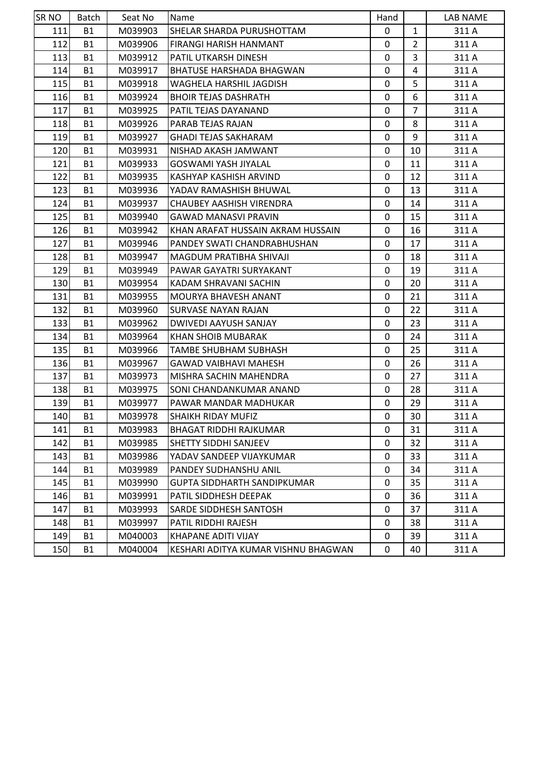| <b>SR NO</b> | <b>Batch</b> | Seat No | Name                                | Hand         |                | LAB NAME |
|--------------|--------------|---------|-------------------------------------|--------------|----------------|----------|
| 111          | <b>B1</b>    | M039903 | SHELAR SHARDA PURUSHOTTAM           | $\mathbf{0}$ | $\mathbf{1}$   | 311 A    |
| 112          | <b>B1</b>    | M039906 | <b>FIRANGI HARISH HANMANT</b>       | 0            | $\overline{2}$ | 311 A    |
| 113          | <b>B1</b>    | M039912 | <b>PATIL UTKARSH DINESH</b>         | $\Omega$     | 3              | 311 A    |
| 114I         | <b>B1</b>    | M039917 | BHATUSE HARSHADA BHAGWAN            | 0            | 4              | 311 A    |
| 115          | <b>B1</b>    | M039918 | WAGHELA HARSHIL JAGDISH             | $\mathbf{0}$ | 5              | 311 A    |
| 116          | <b>B1</b>    | M039924 | <b>BHOIR TEJAS DASHRATH</b>         | 0            | 6              | 311 A    |
| 117          | <b>B1</b>    | M039925 | PATIL TEJAS DAYANAND                | 0            | $\overline{7}$ | 311 A    |
| 118          | <b>B1</b>    | M039926 | <b>PARAB TEJAS RAJAN</b>            | $\mathbf 0$  | 8              | 311 A    |
| 119          | <b>B1</b>    | M039927 | <b>GHADI TEJAS SAKHARAM</b>         | 0            | 9              | 311 A    |
| 120          | <b>B1</b>    | M039931 | NISHAD AKASH JAMWANT                | $\Omega$     | 10             | 311 A    |
| 121          | <b>B1</b>    | M039933 | <b>GOSWAMI YASH JIYALAL</b>         | 0            | 11             | 311 A    |
| 122          | <b>B1</b>    | M039935 | KASHYAP KASHISH ARVIND              | 0            | 12             | 311 A    |
| 123          | <b>B1</b>    | M039936 | YADAV RAMASHISH BHUWAL              | 0            | 13             | 311 A    |
| 124          | <b>B1</b>    | M039937 | <b>CHAUBEY AASHISH VIRENDRA</b>     | 0            | 14             | 311 A    |
| 125          | <b>B1</b>    | M039940 | <b>GAWAD MANASVI PRAVIN</b>         | $\Omega$     | 15             | 311 A    |
| 126          | <b>B1</b>    | M039942 | KHAN ARAFAT HUSSAIN AKRAM HUSSAIN   | 0            | 16             | 311 A    |
| 127          | <b>B1</b>    | M039946 | PANDEY SWATI CHANDRABHUSHAN         | $\mathbf{0}$ | 17             | 311 A    |
| 128          | <b>B1</b>    | M039947 | <b>MAGDUM PRATIBHA SHIVAJI</b>      | 0            | 18             | 311 A    |
| 129          | <b>B1</b>    | M039949 | PAWAR GAYATRI SURYAKANT             | 0            | 19             | 311 A    |
| 130          | <b>B1</b>    | M039954 | KADAM SHRAVANI SACHIN               | $\mathbf{0}$ | 20             | 311 A    |
| 131          | <b>B1</b>    | M039955 | MOURYA BHAVESH ANANT                | 0            | 21             | 311 A    |
| 132          | <b>B1</b>    | M039960 | ISURVASE NAYAN RAJAN                | $\Omega$     | 22             | 311 A    |
| 133          | <b>B1</b>    | M039962 | DWIVEDI AAYUSH SANJAY               | 0            | 23             | 311 A    |
| 134          | <b>B1</b>    | M039964 | <b>KHAN SHOIB MUBARAK</b>           | 0            | 24             | 311 A    |
| 135          | <b>B1</b>    | M039966 | TAMBE SHUBHAM SUBHASH               | 0            | 25             | 311 A    |
| 136          | <b>B1</b>    | M039967 | <b>GAWAD VAIBHAVI MAHESH</b>        | 0            | 26             | 311 A    |
| 137          | <b>B1</b>    | M039973 | IMISHRA SACHIN MAHENDRA             | $\mathbf 0$  | 27             | 311 A    |
| 138          | <b>B1</b>    | M039975 | SONI CHANDANKUMAR ANAND             | 0            | 28             | 311 A    |
| 139          | <b>B1</b>    | M039977 | PAWAR MANDAR MADHUKAR               | $\Omega$     | 29             | 311 A    |
| 140          | <b>B1</b>    | M039978 | <b>SHAIKH RIDAY MUFIZ</b>           | $\Omega$     | 30             | 311 A    |
| 141          | <b>B1</b>    | M039983 | <b>BHAGAT RIDDHI RAJKUMAR</b>       | 0            | 31             | 311 A    |
| 142          | <b>B1</b>    | M039985 | <b>SHETTY SIDDHI SANJEEV</b>        | 0            | 32             | 311 A    |
| 143          | <b>B1</b>    | M039986 | YADAV SANDEEP VIJAYKUMAR            | 0            | 33             | 311 A    |
| 144          | <b>B1</b>    | M039989 | <b>PANDEY SUDHANSHU ANIL</b>        | 0            | 34             | 311 A    |
| 145          | <b>B1</b>    | M039990 | <b>GUPTA SIDDHARTH SANDIPKUMAR</b>  | 0            | 35             | 311 A    |
| 146          | <b>B1</b>    | M039991 | PATIL SIDDHESH DEEPAK               | 0            | 36             | 311 A    |
| 147          | <b>B1</b>    | M039993 | SARDE SIDDHESH SANTOSH              | 0            | 37             | 311 A    |
| 148          | <b>B1</b>    | M039997 | PATIL RIDDHI RAJESH                 | 0            | 38             | 311 A    |
| 149          | <b>B1</b>    | M040003 | <b>KHAPANE ADITI VIJAY</b>          | 0            | 39             | 311 A    |
| 150          | <b>B1</b>    | M040004 | KESHARI ADITYA KUMAR VISHNU BHAGWAN | 0            | 40             | 311 A    |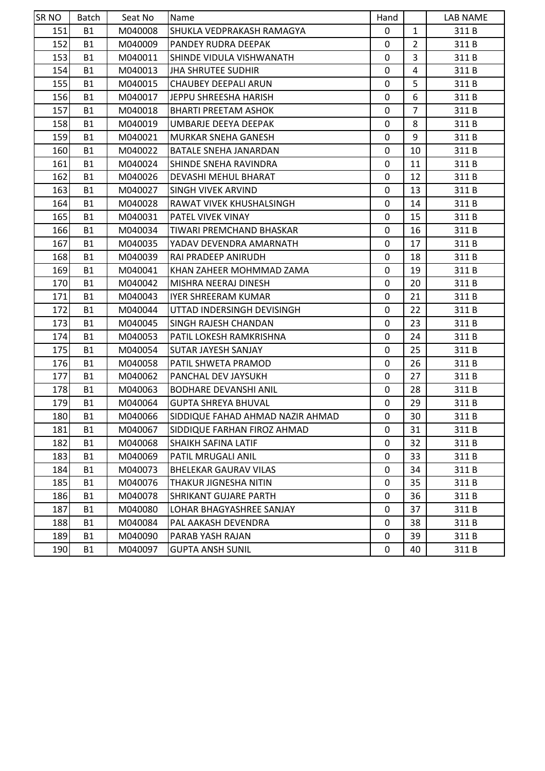| SR NO | Batch     | Seat No | Name                             | Hand         |                | LAB NAME |
|-------|-----------|---------|----------------------------------|--------------|----------------|----------|
| 151   | <b>B1</b> | M040008 | SHUKLA VEDPRAKASH RAMAGYA        | $\mathbf{0}$ | $\mathbf{1}$   | 311B     |
| 152   | <b>B1</b> | M040009 | PANDEY RUDRA DEEPAK              | 0            | $\overline{2}$ | 311B     |
| 153   | <b>B1</b> | M040011 | ISHINDE VIDULA VISHWANATH        | $\mathbf{0}$ | 3              | 311B     |
| 154   | <b>B1</b> | M040013 | <b>JHA SHRUTEE SUDHIR</b>        | 0            | 4              | 311 B    |
| 155   | <b>B1</b> | M040015 | <b>CHAUBEY DEEPALI ARUN</b>      | 0            | 5              | 311B     |
| 156   | <b>B1</b> | M040017 | JEPPU SHREESHA HARISH            | 0            | 6              | 311B     |
| 157   | <b>B1</b> | M040018 | <b>BHARTI PREETAM ASHOK</b>      | 0            | $\overline{7}$ | 311B     |
| 158   | <b>B1</b> | M040019 | UMBARJE DEEYA DEEPAK             | $\mathbf 0$  | 8              | 311 B    |
| 159   | <b>B1</b> | M040021 | <b>MURKAR SNEHA GANESH</b>       | 0            | 9              | 311B     |
| 160   | <b>B1</b> | M040022 | <b>BATALE SNEHA JANARDAN</b>     | 0            | 10             | 311B     |
| 161   | <b>B1</b> | M040024 | SHINDE SNEHA RAVINDRA            | 0            | 11             | 311B     |
| 162   | <b>B1</b> | M040026 | DEVASHI MEHUL BHARAT             | 0            | 12             | 311B     |
| 163   | <b>B1</b> | M040027 | ISINGH VIVEK ARVIND              | 0            | 13             | 311 B    |
| 164   | <b>B1</b> | M040028 | RAWAT VIVEK KHUSHALSINGH         | 0            | 14             | 311 B    |
| 165   | <b>B1</b> | M040031 | IPATEL VIVEK VINAY               | $\mathbf{0}$ | 15             | 311B     |
| 166   | <b>B1</b> | M040034 | TIWARI PREMCHAND BHASKAR         | 0            | 16             | 311 B    |
| 167   | <b>B1</b> | M040035 | YADAV DEVENDRA AMARNATH          | $\mathbf{0}$ | 17             | 311B     |
| 168   | <b>B1</b> | M040039 | RAI PRADEEP ANIRUDH              | 0            | 18             | 311B     |
| 169   | <b>B1</b> | M040041 | KHAN ZAHEER MOHMMAD ZAMA         | 0            | 19             | 311B     |
| 170   | <b>B1</b> | M040042 | MISHRA NEERAJ DINESH             | $\mathbf{0}$ | 20             | 311B     |
| 171   | <b>B1</b> | M040043 | <b>IYER SHREERAM KUMAR</b>       | 0            | 21             | 311 B    |
| 172   | <b>B1</b> | M040044 | UTTAD INDERSINGH DEVISINGH       | 0            | 22             | 311B     |
| 173   | <b>B1</b> | M040045 | SINGH RAJESH CHANDAN             | 0            | 23             | 311 B    |
| 174   | <b>B1</b> | M040053 | PATIL LOKESH RAMKRISHNA          | $\mathbf{0}$ | 24             | 311B     |
| 175   | <b>B1</b> | M040054 | SUTAR JAYESH SANJAY              | 0            | 25             | 311B     |
| 176   | <b>B1</b> | M040058 | PATIL SHWETA PRAMOD              | 0            | 26             | 311B     |
| 177   | <b>B1</b> | M040062 | <b>PANCHAL DEV JAYSUKH</b>       | $\mathbf 0$  | 27             | 311 B    |
| 178   | <b>B1</b> | M040063 | <b>BODHARE DEVANSHI ANIL</b>     | 0            | 28             | 311B     |
| 179   | <b>B1</b> | M040064 | <b>GUPTA SHREYA BHUVAL</b>       | $\mathbf{0}$ | 29             | 311B     |
| 180   | <b>B1</b> | M040066 | SIDDIQUE FAHAD AHMAD NAZIR AHMAD | 0            | 30             | 311B     |
| 181   | <b>B1</b> | M040067 | SIDDIQUE FARHAN FIROZ AHMAD      | 0            | 31             | 311B     |
| 182   | <b>B1</b> | M040068 | <b>SHAIKH SAFINA LATIF</b>       | 0            | 32             | 311 B    |
| 183   | <b>B1</b> | M040069 | PATIL MRUGALI ANIL               | 0            | 33             | 311B     |
| 184   | <b>B1</b> | M040073 | <b>BHELEKAR GAURAV VILAS</b>     | 0            | 34             | 311 B    |
| 185   | <b>B1</b> | M040076 | THAKUR JIGNESHA NITIN            | 0            | 35             | 311 B    |
| 186   | <b>B1</b> | M040078 | <b>SHRIKANT GUJARE PARTH</b>     | 0            | 36             | 311 B    |
| 187   | <b>B1</b> | M040080 | LOHAR BHAGYASHREE SANJAY         | 0            | 37             | 311B     |
| 188   | <b>B1</b> | M040084 | PAL AAKASH DEVENDRA              | 0            | 38             | 311 B    |
| 189   | <b>B1</b> | M040090 | PARAB YASH RAJAN                 | 0            | 39             | 311 B    |
| 190   | <b>B1</b> | M040097 | <b>GUPTA ANSH SUNIL</b>          | 0            | 40             | 311 B    |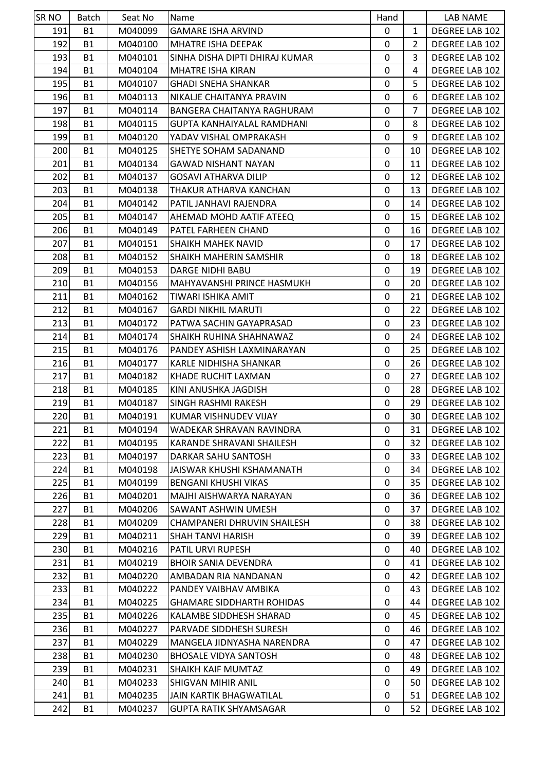| SR NO      | Batch     | Seat No            | Name                                                    | Hand         |                | LAB NAME       |
|------------|-----------|--------------------|---------------------------------------------------------|--------------|----------------|----------------|
| 191        | <b>B1</b> | M040099            | <b>GAMARE ISHA ARVIND</b>                               | 0            | $\mathbf{1}$   | DEGREE LAB 102 |
| 192        | <b>B1</b> | M040100            | MHATRE ISHA DEEPAK                                      | 0            | 2              | DEGREE LAB 102 |
| 193        | B1        | M040101            | SINHA DISHA DIPTI DHIRAJ KUMAR                          | 0            | 3              | DEGREE LAB 102 |
| 194        | <b>B1</b> | M040104            | <b>MHATRE ISHA KIRAN</b>                                | 0            | 4              | DEGREE LAB 102 |
| 195        | <b>B1</b> | M040107            | <b>GHADI SNEHA SHANKAR</b>                              | 0            | 5              | DEGREE LAB 102 |
| 196        | <b>B1</b> | M040113            | NIKALJE CHAITANYA PRAVIN                                | $\mathbf 0$  | 6              | DEGREE LAB 102 |
| 197        | <b>B1</b> | M040114            | BANGERA CHAITANYA RAGHURAM                              | 0            | $\overline{7}$ | DEGREE LAB 102 |
| 198        | <b>B1</b> | M040115            | GUPTA KANHAIYALAL RAMDHANI                              | 0            | 8              | DEGREE LAB 102 |
| 199        | <b>B1</b> | M040120            | YADAV VISHAL OMPRAKASH                                  | $\mathbf 0$  | 9              | DEGREE LAB 102 |
| 200        | <b>B1</b> | M040125            | SHETYE SOHAM SADANAND                                   | 0            | 10             | DEGREE LAB 102 |
| 201        | <b>B1</b> | M040134            | <b>GAWAD NISHANT NAYAN</b>                              | 0            | 11             | DEGREE LAB 102 |
| 202        | <b>B1</b> | M040137            | <b>GOSAVI ATHARVA DILIP</b>                             | 0            | 12             | DEGREE LAB 102 |
| 203        | <b>B1</b> | M040138            | THAKUR ATHARVA KANCHAN                                  | 0            | 13             | DEGREE LAB 102 |
| 204        | <b>B1</b> | M040142            | PATIL JANHAVI RAJENDRA                                  | 0            | 14             | DEGREE LAB 102 |
| 205        | <b>B1</b> | M040147            | AHEMAD MOHD AATIF ATEEQ                                 | 0            | 15             | DEGREE LAB 102 |
| 206        | <b>B1</b> | M040149            | <b>PATEL FARHEEN CHAND</b>                              | $\mathbf{0}$ | 16             | DEGREE LAB 102 |
| 207        | <b>B1</b> | M040151            | SHAIKH MAHEK NAVID                                      | 0            | 17             | DEGREE LAB 102 |
| 208        | <b>B1</b> | M040152            | SHAIKH MAHERIN SAMSHIR                                  | 0            | 18             | DEGREE LAB 102 |
| 209        | <b>B1</b> | M040153            | DARGE NIDHI BABU                                        | 0            | 19             | DEGREE LAB 102 |
| 210        | <b>B1</b> | M040156            | <b>MAHYAVANSHI PRINCE HASMUKH</b>                       | 0            | 20             | DEGREE LAB 102 |
| 211        | <b>B1</b> | M040162            | TIWARI ISHIKA AMIT                                      | 0            | 21             | DEGREE LAB 102 |
| 212        | B1        | M040167            | <b>GARDI NIKHIL MARUTI</b>                              | 0            | 22             | DEGREE LAB 102 |
| 213        | <b>B1</b> | M040172            | PATWA SACHIN GAYAPRASAD                                 | 0            | 23             | DEGREE LAB 102 |
| 214        | <b>B1</b> | M040174            | SHAIKH RUHINA SHAHNAWAZ                                 | 0            | 24             | DEGREE LAB 102 |
| 215        | <b>B1</b> | M040176            | PANDEY ASHISH LAXMINARAYAN                              | 0            | 25             | DEGREE LAB 102 |
| 216        | <b>B1</b> | M040177            | KARLE NIDHISHA SHANKAR                                  | 0            | 26             | DEGREE LAB 102 |
| 217        | <b>B1</b> | M040182            | KHADE RUCHIT LAXMAN                                     | 0            | 27             | DEGREE LAB 102 |
| 218        | <b>B1</b> | M040185            | KINI ANUSHKA JAGDISH                                    | $\mathbf 0$  | 28             | DEGREE LAB 102 |
| 219        | <b>B1</b> | M040187            | <b>SINGH RASHMI RAKESH</b>                              | 0            | 29             | DEGREE LAB 102 |
| 220        | <b>B1</b> | M040191            | KUMAR VISHNUDEV VIJAY                                   | 0            | 30             | DEGREE LAB 102 |
| 221        | B1        | M040194            | WADEKAR SHRAVAN RAVINDRA                                | 0            | 31             | DEGREE LAB 102 |
| 222        | <b>B1</b> | M040195            | KARANDE SHRAVANI SHAILESH                               | 0            | 32             | DEGREE LAB 102 |
| 223        | <b>B1</b> | M040197            | DARKAR SAHU SANTOSH                                     | 0            | 33             | DEGREE LAB 102 |
| 224        | <b>B1</b> | M040198            | JAISWAR KHUSHI KSHAMANATH                               | 0            | 34             | DEGREE LAB 102 |
| 225        | <b>B1</b> | M040199            | <b>BENGANI KHUSHI VIKAS</b>                             | $\mathbf{0}$ | 35             | DEGREE LAB 102 |
| 226        | <b>B1</b> | M040201            | MAJHI AISHWARYA NARAYAN                                 | 0            | 36             | DEGREE LAB 102 |
| 227        | <b>B1</b> | M040206            | SAWANT ASHWIN UMESH                                     | 0            | 37             | DEGREE LAB 102 |
|            | B1        |                    |                                                         |              |                | DEGREE LAB 102 |
| 228<br>229 | <b>B1</b> | M040209<br>M040211 | CHAMPANERI DHRUVIN SHAILESH<br><b>SHAH TANVI HARISH</b> | 0<br>0       | 38<br>39       | DEGREE LAB 102 |
|            |           |                    | PATIL URVI RUPESH                                       |              |                |                |
| 230        | <b>B1</b> | M040216            |                                                         | 0            | 40             | DEGREE LAB 102 |
| 231        | B1        | M040219            | <b>BHOIR SANIA DEVENDRA</b>                             | 0            | 41             | DEGREE LAB 102 |
| 232        | <b>B1</b> | M040220            | AMBADAN RIA NANDANAN                                    | 0            | 42             | DEGREE LAB 102 |
| 233        | <b>B1</b> | M040222            | PANDEY VAIBHAV AMBIKA                                   | 0            | 43             | DEGREE LAB 102 |
| 234        | <b>B1</b> | M040225            | <b>GHAMARE SIDDHARTH ROHIDAS</b>                        | 0            | 44             | DEGREE LAB 102 |
| 235        | <b>B1</b> | M040226            | KALAMBE SIDDHESH SHARAD                                 | 0            | 45             | DEGREE LAB 102 |
| 236        | <b>B1</b> | M040227            | PARVADE SIDDHESH SURESH                                 | 0            | 46             | DEGREE LAB 102 |
| 237        | <b>B1</b> | M040229            | MANGELA JIDNYASHA NARENDRA                              | 0            | 47             | DEGREE LAB 102 |
| 238        | <b>B1</b> | M040230            | <b>BHOSALE VIDYA SANTOSH</b>                            | 0            | 48             | DEGREE LAB 102 |
| 239        | <b>B1</b> | M040231            | <b>SHAIKH KAIF MUMTAZ</b>                               | 0            | 49             | DEGREE LAB 102 |
| 240        | <b>B1</b> | M040233            | SHIGVAN MIHIR ANIL                                      | 0            | 50             | DEGREE LAB 102 |
| 241        | <b>B1</b> | M040235            | <b>JAIN KARTIK BHAGWATILAL</b>                          | 0            | 51             | DEGREE LAB 102 |
| 242        | <b>B1</b> | M040237            | <b>GUPTA RATIK SHYAMSAGAR</b>                           | 0            | 52             | DEGREE LAB 102 |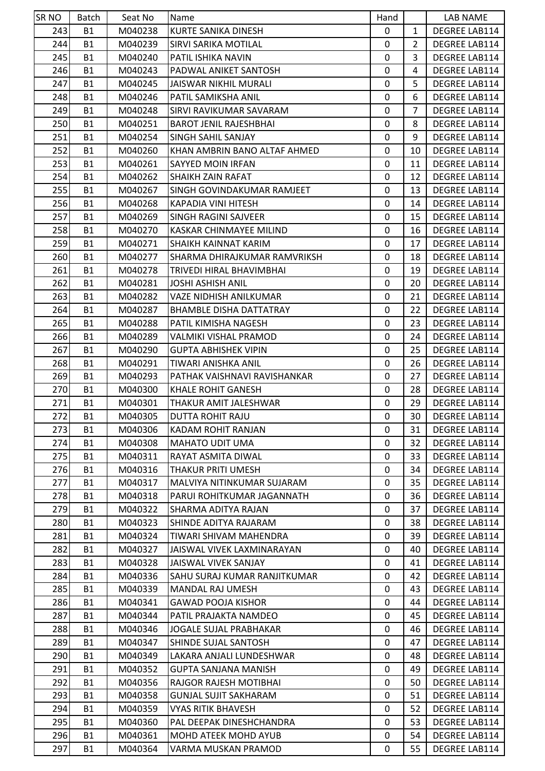| <b>SRNO</b> | Batch                  | Seat No | Name                                                  | Hand        |                | LAB NAME                       |
|-------------|------------------------|---------|-------------------------------------------------------|-------------|----------------|--------------------------------|
| 243         | <b>B1</b>              | M040238 | <b>KURTE SANIKA DINESH</b>                            | $\mathbf 0$ | $\mathbf{1}$   | DEGREE LAB114                  |
| 244         | <b>B1</b>              | M040239 | SIRVI SARIKA MOTILAL                                  | 0           | 2              | DEGREE LAB114                  |
| 245         | <b>B1</b>              | M040240 | PATIL ISHIKA NAVIN                                    | 0           | 3              | DEGREE LAB114                  |
| 246         | <b>B1</b>              | M040243 | PADWAL ANIKET SANTOSH                                 | $\mathbf 0$ | 4              | DEGREE LAB114                  |
| 247         | <b>B1</b>              | M040245 | JAISWAR NIKHIL MURALI                                 | 0           | 5              | DEGREE LAB114                  |
| 248         | <b>B1</b>              | M040246 | PATIL SAMIKSHA ANIL                                   | 0           | 6              | DEGREE LAB114                  |
| 249         | <b>B1</b>              | M040248 | SIRVI RAVIKUMAR SAVARAM                               | 0           | $\overline{7}$ | DEGREE LAB114                  |
| 250         | <b>B1</b>              | M040251 | <b>BAROT JENIL RAJESHBHAI</b>                         | 0           | 8              | DEGREE LAB114                  |
| 251         | <b>B1</b>              | M040254 | SINGH SAHIL SANJAY                                    | 0           | 9              | <b>DEGREE LAB114</b>           |
| 252         | <b>B1</b>              | M040260 | KHAN AMBRIN BANO ALTAF AHMED                          | 0           | 10             | DEGREE LAB114                  |
| 253         | <b>B1</b>              | M040261 | SAYYED MOIN IRFAN                                     | 0           | 11             | <b>DEGREE LAB114</b>           |
| 254         | <b>B1</b>              | M040262 | <b>SHAIKH ZAIN RAFAT</b>                              | 0           | 12             | DEGREE LAB114                  |
| 255         | <b>B1</b>              | M040267 | SINGH GOVINDAKUMAR RAMJEET                            | $\mathbf 0$ | 13             | DEGREE LAB114                  |
| 256         | <b>B1</b>              | M040268 | KAPADIA VINI HITESH                                   | 0           | 14             | DEGREE LAB114                  |
| 257         | <b>B1</b>              | M040269 | <b>SINGH RAGINI SAJVEER</b>                           | 0           | 15             | DEGREE LAB114                  |
| 258         | <b>B1</b>              | M040270 | <b>KASKAR CHINMAYEE MILIND</b>                        | 0           | 16             | DEGREE LAB114                  |
| 259         | <b>B1</b>              | M040271 | SHAIKH KAINNAT KARIM                                  | 0           | 17             | <b>DEGREE LAB114</b>           |
| 260         | <b>B1</b>              | M040277 | SHARMA DHIRAJKUMAR RAMVRIKSH                          | 0           | 18             | DEGREE LAB114                  |
| 261         | <b>B1</b>              | M040278 | TRIVEDI HIRAL BHAVIMBHAI                              | 0           | 19             | DEGREE LAB114                  |
| 262         | <b>B1</b>              | M040281 | <b>JOSHI ASHISH ANIL</b>                              | 0           | 20             | DEGREE LAB114                  |
| 263         | <b>B1</b>              | M040282 | VAZE NIDHISH ANILKUMAR                                | 0           | 21             | DEGREE LAB114                  |
| 264         | <b>B1</b>              | M040287 | <b>BHAMBLE DISHA DATTATRAY</b>                        | 0           | 22             | DEGREE LAB114                  |
| 265         | <b>B1</b>              | M040288 | PATIL KIMISHA NAGESH                                  | 0           | 23             | DEGREE LAB114                  |
| 266         | <b>B1</b>              | M040289 | VALMIKI VISHAL PRAMOD                                 | 0           | 24             | DEGREE LAB114                  |
| 267         | <b>B1</b>              | M040290 | <b>GUPTA ABHISHEK VIPIN</b>                           | 0           | 25             | <b>DEGREE LAB114</b>           |
| 268         | <b>B1</b>              | M040291 | TIWARI ANISHKA ANIL                                   | 0           | 26             | DEGREE LAB114                  |
| 269         | <b>B1</b>              | M040293 | PATHAK VAISHNAVI RAVISHANKAR                          | 0           | 27             | DEGREE LAB114                  |
| 270         | <b>B1</b>              | M040300 | <b>KHALE ROHIT GANESH</b>                             | 0           | 28             | <b>DEGREE LAB114</b>           |
| 271         | <b>B1</b>              | M040301 | THAKUR AMIT JALESHWAR                                 | 0           | 29             | DEGREE LAB114                  |
| 272         | <b>B1</b>              | M040305 | <b>DUTTA ROHIT RAJU</b>                               | 0           | 30             | DEGREE LAB114                  |
| 273         | <b>B1</b>              | M040306 | KADAM ROHIT RANJAN                                    | 0           | 31             | DEGREE LAB114                  |
| 274         | <b>B1</b>              | M040308 | <b>MAHATO UDIT UMA</b>                                | 0           | 32             | DEGREE LAB114                  |
| 275         | <b>B1</b>              | M040311 | RAYAT ASMITA DIWAL                                    | 0           | 33             | DEGREE LAB114                  |
| 276         | <b>B1</b>              | M040316 | THAKUR PRITI UMESH                                    | 0           | 34             | DEGREE LAB114                  |
| 277         | <b>B1</b>              | M040317 | MALVIYA NITINKUMAR SUJARAM                            | 0           | 35             | DEGREE LAB114                  |
| 278         | <b>B1</b>              | M040318 | PARUI ROHITKUMAR JAGANNATH                            | 0           | 36             | DEGREE LAB114                  |
| 279         | <b>B1</b>              | M040322 | SHARMA ADITYA RAJAN                                   | 0           | 37             | DEGREE LAB114                  |
| 280         | <b>B1</b>              | M040323 | SHINDE ADITYA RAJARAM                                 | 0           | 38             | DEGREE LAB114                  |
| 281         | <b>B1</b>              | M040324 | TIWARI SHIVAM MAHENDRA                                | 0           | 39             | DEGREE LAB114                  |
| 282         | <b>B1</b>              | M040327 | JAISWAL VIVEK LAXMINARAYAN                            | 0           | 40             | DEGREE LAB114                  |
| 283         | <b>B1</b>              | M040328 | JAISWAL VIVEK SANJAY                                  | 0           | 41             | DEGREE LAB114                  |
| 284         | <b>B1</b>              | M040336 | SAHU SURAJ KUMAR RANJITKUMAR                          | 0           | 42             | DEGREE LAB114                  |
| 285         | <b>B1</b>              | M040339 | <b>MANDAL RAJ UMESH</b>                               | 0           | 43             | DEGREE LAB114                  |
| 286         | <b>B1</b>              | M040341 | <b>GAWAD POOJA KISHOR</b>                             | 0           | 44             | DEGREE LAB114                  |
| 287         | <b>B1</b>              | M040344 | PATIL PRAJAKTA NAMDEO                                 | 0           | 45             | DEGREE LAB114                  |
| 288         | <b>B1</b>              | M040346 | JOGALE SUJAL PRABHAKAR                                | 0           | 46             | DEGREE LAB114                  |
| 289         | <b>B1</b>              | M040347 | SHINDE SUJAL SANTOSH                                  | 0           | 47             | DEGREE LAB114                  |
| 290         | <b>B1</b>              | M040349 | LAKARA ANJALI LUNDESHWAR                              | 0           | 48             | DEGREE LAB114                  |
|             |                        |         |                                                       | 0           |                |                                |
| 291<br>292  | <b>B1</b>              | M040352 | <b>GUPTA SANJANA MANISH</b><br>RAJGOR RAJESH MOTIBHAI |             | 49             | DEGREE LAB114<br>DEGREE LAB114 |
|             | <b>B1</b><br><b>B1</b> | M040356 |                                                       | 0<br>0      | 50<br>51       |                                |
| 293         |                        | M040358 | <b>GUNJAL SUJIT SAKHARAM</b>                          |             |                | DEGREE LAB114                  |
| 294         | <b>B1</b>              | M040359 | VYAS RITIK BHAVESH                                    | 0           | 52             | DEGREE LAB114                  |
| 295         | <b>B1</b>              | M040360 | PAL DEEPAK DINESHCHANDRA                              | 0           | 53             | DEGREE LAB114                  |
| 296         | <b>B1</b>              | M040361 | MOHD ATEEK MOHD AYUB                                  | 0           | 54             | DEGREE LAB114                  |
| 297         | <b>B1</b>              | M040364 | VARMA MUSKAN PRAMOD                                   | 0           | 55             | DEGREE LAB114                  |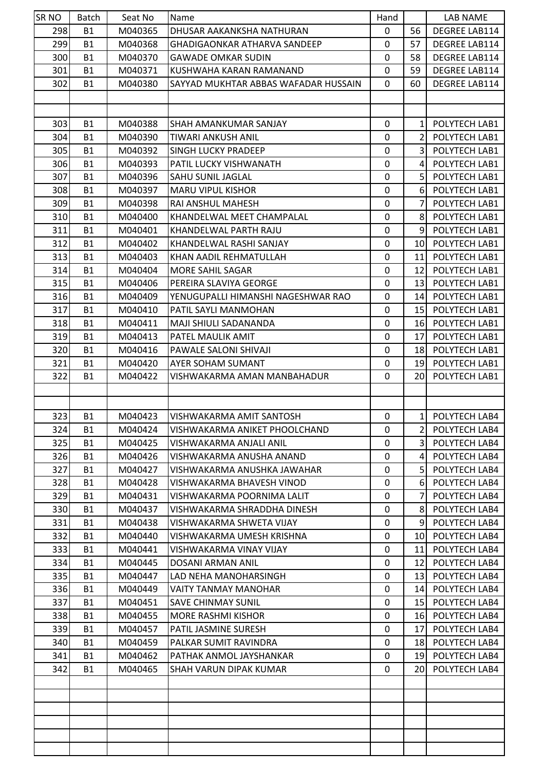| SR <sub>NO</sub> | <b>Batch</b> | Seat No | Name                                 | Hand         |                 | <b>LAB NAME</b>      |
|------------------|--------------|---------|--------------------------------------|--------------|-----------------|----------------------|
| 298              | <b>B1</b>    | M040365 | DHUSAR AAKANKSHA NATHURAN            | 0            | 56              | DEGREE LAB114        |
| 299              | <b>B1</b>    | M040368 | <b>GHADIGAONKAR ATHARVA SANDEEP</b>  | 0            | 57              | <b>DEGREE LAB114</b> |
| 300              | <b>B1</b>    | M040370 | <b>GAWADE OMKAR SUDIN</b>            | 0            | 58              | DEGREE LAB114        |
| 301              | <b>B1</b>    | M040371 | KUSHWAHA KARAN RAMANAND              | 0            | 59              | <b>DEGREE LAB114</b> |
| 302              | <b>B1</b>    | M040380 | SAYYAD MUKHTAR ABBAS WAFADAR HUSSAIN | 0            | 60              | DEGREE LAB114        |
|                  |              |         |                                      |              |                 |                      |
|                  |              |         |                                      |              |                 |                      |
| 303              | <b>B1</b>    | M040388 | ISHAH AMANKUMAR SANJAY               | $\Omega$     | 1               | POLYTECH LAB1        |
| 304              | <b>B1</b>    | M040390 | TIWARI ANKUSH ANIL                   | 0            | 2               | POLYTECH LAB1        |
| 305              | <b>B1</b>    | M040392 | <b>SINGH LUCKY PRADEEP</b>           | 0            | 3               | POLYTECH LAB1        |
| 306              | <b>B1</b>    | M040393 | PATIL LUCKY VISHWANATH               | 0            | 4               | POLYTECH LAB1        |
| 307              | <b>B1</b>    | M040396 | <b>SAHU SUNIL JAGLAL</b>             | 0            | 5               | POLYTECH LAB1        |
| 308              | <b>B1</b>    | M040397 | <b>MARU VIPUL KISHOR</b>             | 0            | 6               | POLYTECH LAB1        |
| 309              | <b>B1</b>    | M040398 | <b>RAI ANSHUL MAHESH</b>             | 0            | 7               | POLYTECH LAB1        |
|                  |              |         |                                      |              |                 |                      |
| 310              | <b>B1</b>    | M040400 | KHANDELWAL MEET CHAMPALAL            | 0            | 8 <sup>1</sup>  | POLYTECH LAB1        |
| 311              | <b>B1</b>    | M040401 | KHANDELWAL PARTH RAJU                | 0            | 9               | POLYTECH LAB1        |
| 312              | <b>B1</b>    | M040402 | KHANDELWAL RASHI SANJAY              | 0            | 10              | POLYTECH LAB1        |
| 313              | <b>B1</b>    | M040403 | KHAN AADIL REHMATULLAH               | 0            | 11              | POLYTECH LAB1        |
| 314              | <b>B1</b>    | M040404 | <b>MORE SAHIL SAGAR</b>              | 0            | 12              | POLYTECH LAB1        |
| 315              | <b>B1</b>    | M040406 | PEREIRA SLAVIYA GEORGE               | 0            | 13              | POLYTECH LAB1        |
| 316              | B1           | M040409 | YENUGUPALLI HIMANSHI NAGESHWAR RAO   | 0            | 14              | POLYTECH LAB1        |
| 317              | <b>B1</b>    | M040410 | PATIL SAYLI MANMOHAN                 | 0            | 15              | POLYTECH LAB1        |
| 318              | <b>B1</b>    | M040411 | MAJI SHIULI SADANANDA                | 0            | 16              | POLYTECH LAB1        |
| 319              | <b>B1</b>    | M040413 | <b>PATEL MAULIK AMIT</b>             | 0            | 17              | POLYTECH LAB1        |
| 320              | <b>B1</b>    | M040416 | PAWALE SALONI SHIVAJI                | 0            | 18              | POLYTECH LAB1        |
| 321              | <b>B1</b>    | M040420 | AYER SOHAM SUMANT                    | 0            | 19 <sup>1</sup> | POLYTECH LAB1        |
| 322              | <b>B1</b>    | M040422 | VISHWAKARMA AMAN MANBAHADUR          | 0            | 20              | POLYTECH LAB1        |
|                  |              |         |                                      |              |                 |                      |
|                  |              |         |                                      |              |                 |                      |
| 323              | B1           | M040423 | VISHWAKARMA AMIT SANTOSH             | 0            |                 | 1 POLYTECH LAB4      |
| 324              | B1           | M040424 | VISHWAKARMA ANIKET PHOOLCHAND        | 0            | $\overline{2}$  | POLYTECH LAB4        |
| 325              | <b>B1</b>    | M040425 | VISHWAKARMA ANJALI ANIL              | 0            | 3 <sup>l</sup>  | POLYTECH LAB4        |
| 326              | <b>B1</b>    | M040426 | VISHWAKARMA ANUSHA ANAND             | 0            | 4               | POLYTECH LAB4        |
| 327              | <b>B1</b>    | M040427 | VISHWAKARMA ANUSHKA JAWAHAR          | 0            | 5               | POLYTECH LAB4        |
| 328              | <b>B1</b>    | M040428 | VISHWAKARMA BHAVESH VINOD            | 0            | 61              | POLYTECH LAB4        |
| 329              | <b>B1</b>    | M040431 | VISHWAKARMA POORNIMA LALIT           | 0            | 7               | POLYTECH LAB4        |
| 330              | B1           | M040437 | VISHWAKARMA SHRADDHA DINESH          | 0            | 81              | POLYTECH LAB4        |
| 331              | <b>B1</b>    | M040438 | VISHWAKARMA SHWETA VIJAY             | 0            | 9               | POLYTECH LAB4        |
| 332              | <b>B1</b>    | M040440 | VISHWAKARMA UMESH KRISHNA            | 0            | 10 I            | POLYTECH LAB4        |
| 333              | B1           | M040441 | VISHWAKARMA VINAY VIJAY              | 0            | 111             | POLYTECH LAB4        |
| 334              | <b>B1</b>    | M040445 | DOSANI ARMAN ANIL                    | $\mathbf{0}$ | 12 <sub>l</sub> | POLYTECH LAB4        |
| 335              | <b>B1</b>    | M040447 | LAD NEHA MANOHARSINGH                | 0            | 13 <sup>l</sup> | POLYTECH LAB4        |
| 336              | <b>B1</b>    | M040449 | VAITY TANMAY MANOHAR                 | 0            | 14 <sub>l</sub> | POLYTECH LAB4        |
| 337              | <b>B1</b>    | M040451 | ISAVE CHINMAY SUNIL                  | 0            | 15 <sup>1</sup> | POLYTECH LAB4        |
| 338              | <b>B1</b>    | M040455 | <b>MORE RASHMI KISHOR</b>            | 0            | 16 I            | POLYTECH LAB4        |
| 339              | <b>B1</b>    | M040457 | PATIL JASMINE SURESH                 | 0            | 17 <sup>1</sup> | POLYTECH LAB4        |
| 340              | B1           | M040459 | PALKAR SUMIT RAVINDRA                | 0            | 18 I            | POLYTECH LAB4        |
| 341              | <b>B1</b>    | M040462 | PATHAK ANMOL JAYSHANKAR              | 0            |                 | 19 POLYTECH LAB4     |
| 342              | <b>B1</b>    | M040465 | SHAH VARUN DIPAK KUMAR               | 0            | 20I             | POLYTECH LAB4        |
|                  |              |         |                                      |              |                 |                      |
|                  |              |         |                                      |              |                 |                      |
|                  |              |         |                                      |              |                 |                      |
|                  |              |         |                                      |              |                 |                      |
|                  |              |         |                                      |              |                 |                      |
|                  |              |         |                                      |              |                 |                      |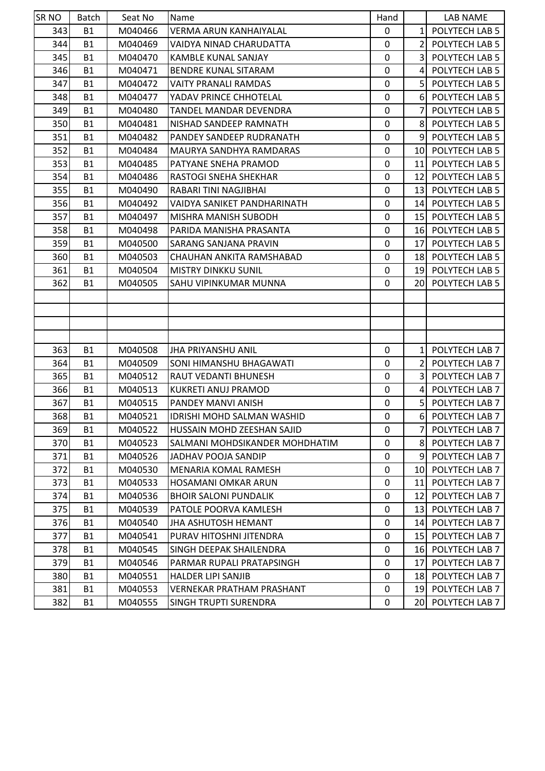| SR <sub>NO</sub> | <b>Batch</b> | Seat No | Name                              | Hand        |                 | LAB NAME          |
|------------------|--------------|---------|-----------------------------------|-------------|-----------------|-------------------|
| 343              | <b>B1</b>    | M040466 | VERMA ARUN KANHAIYALAL            | 0           | 1               | POLYTECH LAB 5    |
| 344              | <b>B1</b>    | M040469 | VAIDYA NINAD CHARUDATTA           | 0           | 2               | POLYTECH LAB 5    |
| 345              | <b>B1</b>    | M040470 | <b>KAMBLE KUNAL SANJAY</b>        | $\mathbf 0$ | 3               | POLYTECH LAB 5    |
| 346              | <b>B1</b>    | M040471 | <b>BENDRE KUNAL SITARAM</b>       | 0           | 4               | POLYTECH LAB 5    |
| 347              | <b>B1</b>    | M040472 | VAITY PRANALI RAMDAS              | 0           | 5               | POLYTECH LAB 5    |
| 348              | <b>B1</b>    | M040477 | YADAV PRINCE CHHOTELAL            | $\mathbf 0$ | 6               | POLYTECH LAB 5    |
| 349              | <b>B1</b>    | M040480 | TANDEL MANDAR DEVENDRA            | 0           | 7               | POLYTECH LAB 5    |
| 350              | <b>B1</b>    | M040481 | NISHAD SANDEEP RAMNATH            | 0           | 8               | POLYTECH LAB 5    |
| 351              | <b>B1</b>    | M040482 | PANDEY SANDEEP RUDRANATH          | 0           | 9               | POLYTECH LAB 5    |
| 352              | <b>B1</b>    | M040484 | MAURYA SANDHYA RAMDARAS           | 0           | 10              | POLYTECH LAB 5    |
| 353              | <b>B1</b>    | M040485 | PATYANE SNEHA PRAMOD              | 0           | 11              | POLYTECH LAB 5    |
| 354              | <b>B1</b>    | M040486 | RASTOGI SNEHA SHEKHAR             | 0           | 12 <sub>l</sub> | POLYTECH LAB 5    |
| 355              | <b>B1</b>    | M040490 | <b>RABARI TINI NAGJIBHAI</b>      | 0           | 13              | POLYTECH LAB 5    |
| 356              | <b>B1</b>    | M040492 | VAIDYA SANIKET PANDHARINATH       | 0           | 14 <sub>l</sub> | POLYTECH LAB 5    |
| 357              | <b>B1</b>    | M040497 | <b>MISHRA MANISH SUBODH</b>       | $\mathbf 0$ | 15              | POLYTECH LAB 5    |
| 358              | <b>B1</b>    | M040498 | PARIDA MANISHA PRASANTA           | 0           | 16              | POLYTECH LAB 5    |
| 359              | <b>B1</b>    | M040500 | <b>SARANG SANJANA PRAVIN</b>      | 0           | 17              | POLYTECH LAB 5    |
| 360              | <b>B1</b>    | M040503 | CHAUHAN ANKITA RAMSHABAD          | $\mathbf 0$ | 18              | POLYTECH LAB 5    |
| 361              | <b>B1</b>    | M040504 | <b>MISTRY DINKKU SUNIL</b>        | 0           | 19 <sup>°</sup> | POLYTECH LAB 5    |
| 362              | <b>B1</b>    | M040505 | <b>SAHU VIPINKUMAR MUNNA</b>      | 0           | 20              | POLYTECH LAB 5    |
|                  |              |         |                                   |             |                 |                   |
|                  |              |         |                                   |             |                 |                   |
|                  |              |         |                                   |             |                 |                   |
|                  |              |         |                                   |             |                 |                   |
| 363              | <b>B1</b>    | M040508 | JHA PRIYANSHU ANIL                | 0           | $\mathbf{1}$    | POLYTECH LAB 7    |
| 364              | <b>B1</b>    | M040509 | <b>SONI HIMANSHU BHAGAWATI</b>    | 0           | 2               | POLYTECH LAB 7    |
| 365              | <b>B1</b>    | M040512 | <b>RAUT VEDANTI BHUNESH</b>       | 0           | 3               | POLYTECH LAB 7    |
| 366              | <b>B1</b>    | M040513 | <b>KUKRETI ANUJ PRAMOD</b>        | 0           | 4               | POLYTECH LAB 7    |
| 367              | <b>B1</b>    | M040515 | PANDEY MANVI ANISH                | 0           | 5               | POLYTECH LAB 7    |
| 368              | <b>B1</b>    | M040521 | <b>IDRISHI MOHD SALMAN WASHID</b> | 0           | $6 \mid$        | POLYTECH LAB 7    |
| 369              | <b>B1</b>    | M040522 | HUSSAIN MOHD ZEESHAN SAJID        | 0           | 7               | POLYTECH LAB 7    |
| 370              | <b>B1</b>    | M040523 | SALMANI MOHDSIKANDER MOHDHATIM    | 0           | 81              | POLYTECH LAB 7    |
| 371              | <b>B1</b>    | M040526 | JADHAV POOJA SANDIP               | 0           | 91              | POLYTECH LAB 7    |
| 372              | <b>B1</b>    | M040530 | <b>MENARIA KOMAL RAMESH</b>       | 0           | 10I             | POLYTECH LAB 7    |
| 373              | <b>B1</b>    | M040533 | <b>HOSAMANI OMKAR ARUN</b>        | 0           | 11              | POLYTECH LAB 7    |
| 374              | <b>B1</b>    | M040536 | <b>BHOIR SALONI PUNDALIK</b>      | 0           | 12 <sub>l</sub> | POLYTECH LAB 7    |
| 375              | <b>B1</b>    | M040539 | PATOLE POORVA KAMLESH             | 0           |                 | 13 POLYTECH LAB 7 |
| 376              | <b>B1</b>    | M040540 | <b>JHA ASHUTOSH HEMANT</b>        | 0           | 14 I            | POLYTECH LAB 7    |
| 377              | <b>B1</b>    | M040541 | PURAV HITOSHNI JITENDRA           | 0           | 15 <sub>l</sub> | POLYTECH LAB 7    |
| 378              | <b>B1</b>    | M040545 | SINGH DEEPAK SHAILENDRA           | 0           |                 | 16 POLYTECH LAB 7 |
| 379              | <b>B1</b>    | M040546 | PARMAR RUPALI PRATAPSINGH         | 0           | 17              | POLYTECH LAB 7    |
| 380              | <b>B1</b>    | M040551 | <b>HALDER LIPI SANJIB</b>         | 0           | 18 I            | POLYTECH LAB 7    |
| 381              | <b>B1</b>    | M040553 | VERNEKAR PRATHAM PRASHANT         | 0           | <b>19</b>       | POLYTECH LAB 7    |
| 382              | <b>B1</b>    | M040555 | <b>SINGH TRUPTI SURENDRA</b>      | 0           | <b>20</b>       | POLYTECH LAB 7    |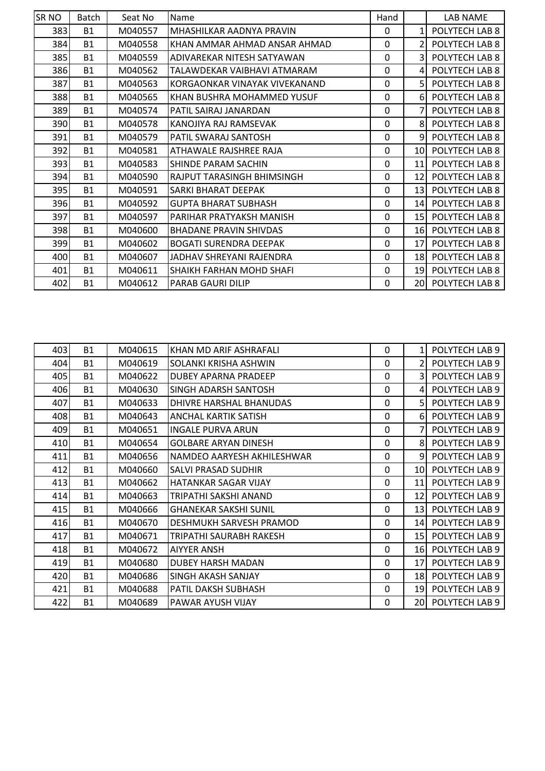| <b>SRNO</b> | Batch     | Seat No | Name                          | Hand        |                 | LAB NAME       |
|-------------|-----------|---------|-------------------------------|-------------|-----------------|----------------|
| 383         | <b>B1</b> | M040557 | MHASHILKAR AADNYA PRAVIN      | 0           | 1               | POLYTECH LAB 8 |
| 384         | <b>B1</b> | M040558 | IKHAN AMMAR AHMAD ANSAR AHMAD | 0           | $\mathcal{P}$   | POLYTECH LAB 8 |
| 385         | <b>B1</b> | M040559 | ADIVAREKAR NITESH SATYAWAN    | 0           | 3               | POLYTECH LAB 8 |
| 386         | <b>B1</b> | M040562 | TALAWDEKAR VAIBHAVI ATMARAM   | 0           | 4               | POLYTECH LAB 8 |
| 387         | <b>B1</b> | M040563 | KORGAONKAR VINAYAK VIVEKANAND | 0           | 5               | POLYTECH LAB 8 |
| 388         | <b>B1</b> | M040565 | KHAN BUSHRA MOHAMMED YUSUF    | 0           | 6               | POLYTECH LAB 8 |
| 389         | <b>B1</b> | M040574 | PATIL SAIRAJ JANARDAN         | 0           | 7               | POLYTECH LAB 8 |
| 390I        | <b>B1</b> | M040578 | IKANOJIYA RAJ RAMSEVAK        | 0           | 8               | POLYTECH LAB 8 |
| 391         | <b>B1</b> | M040579 | <b>PATIL SWARAJ SANTOSH</b>   | 0           | 9               | POLYTECH LAB 8 |
| 392         | <b>B1</b> | M040581 | ATHAWALE RAJSHREE RAJA        | 0           | 10              | POLYTECH LAB 8 |
| 393         | <b>B1</b> | M040583 | SHINDE PARAM SACHIN           | 0           | 11              | POLYTECH LAB 8 |
| 394         | <b>B1</b> | M040590 | RAJPUT TARASINGH BHIMSINGH    | 0           | 12              | POLYTECH LAB 8 |
| 395         | <b>B1</b> | M040591 | <b>SARKI BHARAT DEEPAK</b>    | 0           | 13 <sup>1</sup> | POLYTECH LAB 8 |
| 396         | <b>B1</b> | M040592 | <b>GUPTA BHARAT SUBHASH</b>   | $\mathbf 0$ | 14              | POLYTECH LAB 8 |
| 397         | <b>B1</b> | M040597 | PARIHAR PRATYAKSH MANISH      | 0           | 15              | POLYTECH LAB 8 |
| 398         | <b>B1</b> | M040600 | <b>BHADANE PRAVIN SHIVDAS</b> | 0           | 16              | POLYTECH LAB 8 |
| 399         | <b>B1</b> | M040602 | <b>BOGATI SURENDRA DEEPAK</b> | 0           | 17              | POLYTECH LAB 8 |
| 400         | <b>B1</b> | M040607 | JADHAV SHREYANI RAJENDRA      | 0           | 18              | POLYTECH LAB 8 |
| 401         | <b>B1</b> | M040611 | SHAIKH FARHAN MOHD SHAFI      | 0           | 19              | POLYTECH LAB 8 |
| 402         | <b>B1</b> | M040612 | <b>PARAB GAURI DILIP</b>      | 0           | 20              | POLYTECH LAB 8 |

| 403  | <b>B1</b> | M040615 | KHAN MD ARIF ASHRAFALI       | 0           | $\mathbf{1}$    | POLYTECH LAB 9 |
|------|-----------|---------|------------------------------|-------------|-----------------|----------------|
| 404  | <b>B1</b> | M040619 | SOLANKI KRISHA ASHWIN        | $\mathbf 0$ | $\mathfrak{p}$  | POLYTECH LAB 9 |
| 405  | <b>B1</b> | M040622 | <b>DUBEY APARNA PRADEEP</b>  | 0           | 3               | POLYTECH LAB 9 |
| 406l | <b>B1</b> | M040630 | <b>SINGH ADARSH SANTOSH</b>  | 0           | $\overline{4}$  | POLYTECH LAB 9 |
| 407  | <b>B1</b> | M040633 | DHIVRE HARSHAL BHANUDAS      | 0           | 5               | POLYTECH LAB 9 |
| 408  | <b>B1</b> | M040643 | <b>ANCHAL KARTIK SATISH</b>  | 0           | 6               | POLYTECH LAB 9 |
| 409  | <b>B1</b> | M040651 | <b>INGALE PURVA ARUN</b>     | 0           | $\overline{7}$  | POLYTECH LAB 9 |
| 410  | <b>B1</b> | M040654 | <b>GOLBARE ARYAN DINESH</b>  | 0           | 8               | POLYTECH LAB 9 |
| 411  | <b>B1</b> | M040656 | NAMDEO AARYESH AKHILESHWAR   | 0           | 9               | POLYTECH LAB 9 |
| 412  | <b>B1</b> | M040660 | <b>SALVI PRASAD SUDHIR</b>   | 0           | 10I             | POLYTECH LAB 9 |
| 413  | <b>B1</b> | M040662 | <b>HATANKAR SAGAR VIJAY</b>  | 0           | 11              | POLYTECH LAB 9 |
| 414  | <b>B1</b> | M040663 | TRIPATHI SAKSHI ANAND        | 0           | 12              | POLYTECH LAB 9 |
| 415  | <b>B1</b> | M040666 | <b>GHANEKAR SAKSHI SUNIL</b> | 0           | 13              | POLYTECH LAB 9 |
| 416  | <b>B1</b> | M040670 | DESHMUKH SARVESH PRAMOD      | 0           | 14 <sup>1</sup> | POLYTECH LAB 9 |
| 417  | <b>B1</b> | M040671 | TRIPATHI SAURABH RAKESH      | 0           | 15              | POLYTECH LAB 9 |
| 418  | <b>B1</b> | M040672 | <b>AIYYER ANSH</b>           | 0           | 16              | POLYTECH LAB 9 |
| 419  | <b>B1</b> | M040680 | <b>DUBEY HARSH MADAN</b>     | 0           | 17              | POLYTECH LAB 9 |
| 420  | <b>B1</b> | M040686 | <b>SINGH AKASH SANJAY</b>    | 0           | 18              | POLYTECH LAB 9 |
| 421  | <b>B1</b> | M040688 | PATIL DAKSH SUBHASH          | 0           | 19              | POLYTECH LAB 9 |
| 422  | <b>B1</b> | M040689 | PAWAR AYUSH VIJAY            | 0           | 20              | POLYTECH LAB 9 |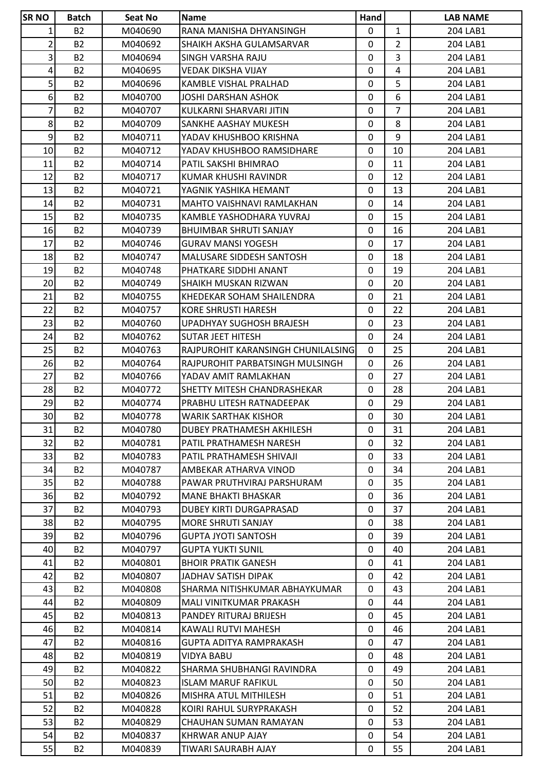| <b>SR NO</b>            | <b>Batch</b>   | Seat No            | <b>Name</b>                                              | Hand         |                | <b>LAB NAME</b>      |
|-------------------------|----------------|--------------------|----------------------------------------------------------|--------------|----------------|----------------------|
| 1                       | <b>B2</b>      | M040690            | RANA MANISHA DHYANSINGH                                  | $\mathbf{0}$ | $\mathbf{1}$   | 204 LAB1             |
| $\overline{2}$          | <b>B2</b>      | M040692            | SHAIKH AKSHA GULAMSARVAR                                 | 0            | $\overline{2}$ | 204 LAB1             |
| $\overline{\mathbf{3}}$ | <b>B2</b>      | M040694            | SINGH VARSHA RAJU                                        | $\mathbf{0}$ | 3              | 204 LAB1             |
| $\overline{4}$          | <b>B2</b>      | M040695            | <b>VEDAK DIKSHA VIJAY</b>                                | $\mathbf{0}$ | 4              | 204 LAB1             |
| $\overline{5}$          | <b>B2</b>      | M040696            | KAMBLE VISHAL PRALHAD                                    | 0            | 5              | 204 LAB1             |
| $6 \mid$                | <b>B2</b>      | M040700            | <b>JOSHI DARSHAN ASHOK</b>                               | 0            | 6              | 204 LAB1             |
| $\overline{7}$          | <b>B2</b>      | M040707            | KULKARNI SHARVARI JITIN                                  | 0            | $\overline{7}$ | 204 LAB1             |
| 8                       | <b>B2</b>      | M040709            | SANKHE AASHAY MUKESH                                     | 0            | 8              | 204 LAB1             |
| $9\,$                   | <b>B2</b>      | M040711            | YADAV KHUSHBOO KRISHNA                                   | 0            | 9              | 204 LAB1             |
| 10 <sup>1</sup>         | <b>B2</b>      | M040712            | YADAV KHUSHBOO RAMSIDHARE                                | 0            | 10             | 204 LAB1             |
| 11                      | <b>B2</b>      | M040714            | PATIL SAKSHI BHIMRAO                                     | $\mathbf 0$  | 11             | 204 LAB1             |
| 12                      | <b>B2</b>      | M040717            | KUMAR KHUSHI RAVINDR                                     | 0            | 12             | 204 LAB1             |
| 13                      | <b>B2</b>      | M040721            | YAGNIK YASHIKA HEMANT                                    | $\mathbf{0}$ | 13             | 204 LAB1             |
| 14                      | <b>B2</b>      | M040731            | MAHTO VAISHNAVI RAMLAKHAN                                | $\mathbf{0}$ | 14             | 204 LAB1             |
| 15                      | <b>B2</b>      | M040735            | KAMBLE YASHODHARA YUVRAJ                                 | 0            | 15             | 204 LAB1             |
| 16                      | <b>B2</b>      | M040739            | BHUIMBAR SHRUTI SANJAY                                   | 0            | 16             | 204 LAB1             |
| 17                      | <b>B2</b>      | M040746            | <b>GURAV MANSI YOGESH</b>                                | 0            | 17             | 204 LAB1             |
| 18                      | <b>B2</b>      | M040747            | <b>MALUSARE SIDDESH SANTOSH</b>                          | 0            | 18             | 204 LAB1             |
| 19                      | <b>B2</b>      | M040748            | PHATKARE SIDDHI ANANT                                    | 0            | 19             | 204 LAB1             |
| 20                      | <b>B2</b>      | M040749            | SHAIKH MUSKAN RIZWAN                                     | 0            | 20             | 204 LAB1             |
| 21                      | <b>B2</b>      | M040755            | KHEDEKAR SOHAM SHAILENDRA                                | 0            | 21             | 204 LAB1             |
| 22                      | <b>B2</b>      | M040757            | KORE SHRUSTI HARESH                                      | 0            | 22             | 204 LAB1             |
| 23                      | <b>B2</b>      | M040760            | UPADHYAY SUGHOSH BRAJESH                                 | $\mathbf{0}$ | 23             | 204 LAB1             |
| 24                      | <b>B2</b>      | M040762            | SUTAR JEET HITESH                                        | 0            | 24             | 204 LAB1             |
| 25                      | <b>B2</b>      | M040763            | RAJPUROHIT KARANSINGH CHUNILALSING                       | $\mathbf{0}$ | 25             | 204 LAB1             |
| 26                      | <b>B2</b>      | M040764            | RAJPUROHIT PARBATSINGH MULSINGH                          | 0            | 26             | 204 LAB1             |
| 27                      | <b>B2</b>      | M040766            | YADAV AMIT RAMLAKHAN                                     | 0            | 27             | 204 LAB1             |
| 28                      | <b>B2</b>      | M040772            | SHETTY MITESH CHANDRASHEKAR                              | 0            | 28             | 204 LAB1             |
| 29                      | <b>B2</b>      |                    | PRABHU LITESH RATNADEEPAK                                | 0            | 29             |                      |
| 30 <sup>1</sup>         | <b>B2</b>      | M040774            |                                                          | $\mathbf 0$  | 30             | 204 LAB1             |
| 31                      | <b>B2</b>      | M040778<br>M040780 | <b>WARIK SARTHAK KISHOR</b><br>DUBEY PRATHAMESH AKHILESH | 0            |                | 204 LAB1<br>204 LAB1 |
| 32                      | <b>B2</b>      | M040781            | PATIL PRATHAMESH NARESH                                  | 0            | 31<br>32       | 204 LAB1             |
|                         |                |                    |                                                          |              |                |                      |
| 33                      | <b>B2</b>      | M040783            | PATIL PRATHAMESH SHIVAJI                                 | 0            | 33             | 204 LAB1             |
| 34                      | <b>B2</b>      | M040787            | AMBEKAR ATHARVA VINOD                                    | 0            | 34             | 204 LAB1             |
| 35                      | <b>B2</b>      | M040788            | PAWAR PRUTHVIRAJ PARSHURAM                               | 0            | 35             | 204 LAB1             |
| 36                      | B <sub>2</sub> | M040792            | MANE BHAKTI BHASKAR                                      | 0            | 36             | 204 LAB1             |
| 37                      | <b>B2</b>      | M040793            | DUBEY KIRTI DURGAPRASAD                                  | 0            | 37             | 204 LAB1             |
| 38                      | <b>B2</b>      | M040795            | <b>MORE SHRUTI SANJAY</b>                                | 0            | 38             | 204 LAB1             |
| 39                      | <b>B2</b>      | M040796            | <b>GUPTA JYOTI SANTOSH</b>                               | 0            | 39             | 204 LAB1             |
| 40                      | <b>B2</b>      | M040797            | <b>GUPTA YUKTI SUNIL</b>                                 | 0            | 40             | 204 LAB1             |
| 41                      | <b>B2</b>      | M040801            | <b>BHOIR PRATIK GANESH</b>                               | 0            | 41             | 204 LAB1             |
| 42                      | <b>B2</b>      | M040807            | JADHAV SATISH DIPAK                                      | 0            | 42             | 204 LAB1             |
| 43                      | <b>B2</b>      | M040808            | SHARMA NITISHKUMAR ABHAYKUMAR                            | 0            | 43             | 204 LAB1             |
| 44                      | <b>B2</b>      | M040809            | MALI VINITKUMAR PRAKASH                                  | 0            | 44             | 204 LAB1             |
| 45                      | <b>B2</b>      | M040813            | PANDEY RITURAJ BRIJESH                                   | 0            | 45             | 204 LAB1             |
| 46                      | <b>B2</b>      | M040814            | KAWALI RUTVI MAHESH                                      | 0            | 46             | 204 LAB1             |
| 47                      | <b>B2</b>      | M040816            | GUPTA ADITYA RAMPRAKASH                                  | 0            | 47             | 204 LAB1             |
| 48                      | B <sub>2</sub> | M040819            | <b>VIDYA BABU</b>                                        | 0            | 48             | 204 LAB1             |
| 49                      | <b>B2</b>      | M040822            | SHARMA SHUBHANGI RAVINDRA                                | 0            | 49             | 204 LAB1             |
| 50                      | <b>B2</b>      | M040823            | <b>ISLAM MARUF RAFIKUL</b>                               | 0            | 50             | 204 LAB1             |
| 51                      | <b>B2</b>      | M040826            | MISHRA ATUL MITHILESH                                    | 0            | 51             | 204 LAB1             |
| 52                      | <b>B2</b>      | M040828            | KOIRI RAHUL SURYPRAKASH                                  | $\mathbf{0}$ | 52             | 204 LAB1             |
| 53                      | <b>B2</b>      | M040829            | CHAUHAN SUMAN RAMAYAN                                    | 0            | 53             | 204 LAB1             |
| 54                      | <b>B2</b>      | M040837            | KHRWAR ANUP AJAY                                         | 0            | 54             | 204 LAB1             |
| 55                      | <b>B2</b>      | M040839            | TIWARI SAURABH AJAY                                      | 0            | 55             | 204 LAB1             |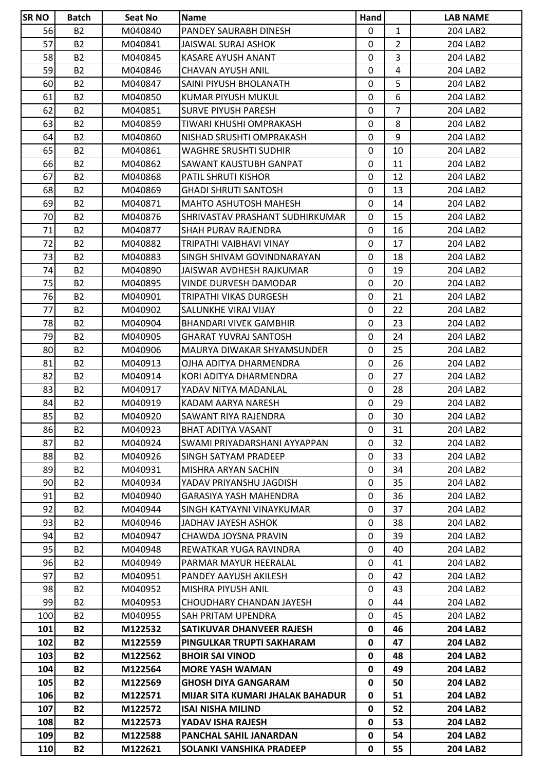| <b>SR NO</b> | <b>Batch</b>   | Seat No | <b>Name</b>                      | Hand         |                | <b>LAB NAME</b> |
|--------------|----------------|---------|----------------------------------|--------------|----------------|-----------------|
| 56           | <b>B2</b>      | M040840 | PANDEY SAURABH DINESH            | $\mathbf{0}$ | $\mathbf{1}$   | 204 LAB2        |
| 57           | <b>B2</b>      | M040841 | JAISWAL SURAJ ASHOK              | 0            | $\overline{2}$ | 204 LAB2        |
| 58           | <b>B2</b>      | M040845 | KASARE AYUSH ANANT               | $\mathbf{0}$ | 3              | 204 LAB2        |
| 59           | <b>B2</b>      | M040846 | CHAVAN AYUSH ANIL                | $\mathbf{0}$ | 4              | 204 LAB2        |
| 60           | <b>B2</b>      | M040847 | SAINI PIYUSH BHOLANATH           | 0            | 5              | 204 LAB2        |
| 61           | <b>B2</b>      | M040850 | KUMAR PIYUSH MUKUL               | 0            | 6              | 204 LAB2        |
| 62           | <b>B2</b>      | M040851 | <b>SURVE PIYUSH PARESH</b>       | 0            | $\overline{7}$ | 204 LAB2        |
| 63           | <b>B2</b>      | M040859 | TIWARI KHUSHI OMPRAKASH          | 0            | 8              | 204 LAB2        |
| 64           | <b>B2</b>      | M040860 | NISHAD SRUSHTI OMPRAKASH         | 0            | 9              | 204 LAB2        |
| 65           | <b>B2</b>      | M040861 | WAGHRE SRUSHTI SUDHIR            | 0            | 10             | 204 LAB2        |
| 66           | <b>B2</b>      | M040862 | SAWANT KAUSTUBH GANPAT           | $\mathbf 0$  | 11             | 204 LAB2        |
| 67           | <b>B2</b>      | M040868 | PATIL SHRUTI KISHOR              | 0            | 12             | 204 LAB2        |
| 68           | <b>B2</b>      | M040869 | <b>GHADI SHRUTI SANTOSH</b>      | $\mathbf{0}$ | 13             | 204 LAB2        |
| 69           | <b>B2</b>      | M040871 | <b>MAHTO ASHUTOSH MAHESH</b>     | $\mathbf{0}$ | 14             | 204 LAB2        |
| 70           | <b>B2</b>      | M040876 | SHRIVASTAV PRASHANT SUDHIRKUMAR  | $\mathbf{0}$ | 15             | 204 LAB2        |
| 71           | <b>B2</b>      | M040877 | <b>SHAH PURAV RAJENDRA</b>       | $\mathbf{0}$ | 16             | 204 LAB2        |
| 72           | <b>B2</b>      | M040882 | TRIPATHI VAIBHAVI VINAY          | 0            | 17             | 204 LAB2        |
| 73           | <b>B2</b>      | M040883 | SINGH SHIVAM GOVINDNARAYAN       | 0            | 18             | 204 LAB2        |
| 74           | <b>B2</b>      | M040890 | JAISWAR AVDHESH RAJKUMAR         | 0            | 19             | 204 LAB2        |
| 75           | <b>B2</b>      | M040895 | VINDE DURVESH DAMODAR            | 0            | 20             | 204 LAB2        |
| 76           | <b>B2</b>      | M040901 | TRIPATHI VIKAS DURGESH           | 0            | 21             | 204 LAB2        |
| 77           | <b>B2</b>      | M040902 | SALUNKHE VIRAJ VIJAY             | $\mathbf{0}$ | 22             | 204 LAB2        |
| 78           | <b>B2</b>      | M040904 | <b>BHANDARI VIVEK GAMBHIR</b>    | $\mathbf{0}$ | 23             | 204 LAB2        |
| 79           | <b>B2</b>      | M040905 | <b>GHARAT YUVRAJ SANTOSH</b>     | 0            | 24             | 204 LAB2        |
| 80           | <b>B2</b>      | M040906 | MAURYA DIWAKAR SHYAMSUNDER       | 0            | 25             | 204 LAB2        |
| 81           | <b>B2</b>      | M040913 | OJHA ADITYA DHARMENDRA           | $\mathbf{0}$ | 26             | 204 LAB2        |
| 82           | <b>B2</b>      | M040914 | KORI ADITYA DHARMENDRA           | 0            | 27             | 204 LAB2        |
| 83           | <b>B2</b>      | M040917 | YADAV NITYA MADANLAL             | 0            | 28             | 204 LAB2        |
| 84           | <b>B2</b>      | M040919 | KADAM AARYA NARESH               | 0            | 29             | 204 LAB2        |
| 85           | <b>B2</b>      | M040920 | SAWANT RIYA RAJENDRA             | $\mathbf 0$  | 30             | 204 LAB2        |
| 86           | <b>B2</b>      | M040923 | <b>BHAT ADITYA VASANT</b>        | 0            | 31             | 204 LAB2        |
| 87           | <b>B2</b>      | M040924 | SWAMI PRIYADARSHANI AYYAPPAN     | 0            | 32             | 204 LAB2        |
| 88           | B <sub>2</sub> | M040926 | SINGH SATYAM PRADEEP             | 0            | 33             | 204 LAB2        |
| 89           | <b>B2</b>      | M040931 | MISHRA ARYAN SACHIN              | 0            | 34             | 204 LAB2        |
| 90           | <b>B2</b>      | M040934 | YADAV PRIYANSHU JAGDISH          | 0            | 35             | 204 LAB2        |
| 91           | B <sub>2</sub> | M040940 | GARASIYA YASH MAHENDRA           | 0            | 36             | 204 LAB2        |
| 92           | <b>B2</b>      | M040944 | SINGH KATYAYNI VINAYKUMAR        | 0            | 37             | 204 LAB2        |
| 93           | <b>B2</b>      | M040946 | JADHAV JAYESH ASHOK              | 0            | 38             | 204 LAB2        |
| 94           | <b>B2</b>      | M040947 | CHAWDA JOYSNA PRAVIN             | 0            | 39             | 204 LAB2        |
| 95           | <b>B2</b>      | M040948 | REWATKAR YUGA RAVINDRA           | 0            | 40             | 204 LAB2        |
| 96           | <b>B2</b>      | M040949 | PARMAR MAYUR HEERALAL            | 0            | 41             | 204 LAB2        |
| 97           | <b>B2</b>      | M040951 | PANDEY AAYUSH AKILESH            | 0            | 42             | 204 LAB2        |
| 98           | <b>B2</b>      | M040952 | MISHRA PIYUSH ANIL               | 0            | 43             | 204 LAB2        |
| 99           | <b>B2</b>      | M040953 | CHOUDHARY CHANDAN JAYESH         | 0            | 44             | 204 LAB2        |
| 100          | B <sub>2</sub> | M040955 | SAH PRITAM UPENDRA               | 0            | 45             | 204 LAB2        |
| 101          | <b>B2</b>      | M122532 | SATIKUVAR DHANVEER RAJESH        | 0            | 46             | <b>204 LAB2</b> |
| 102          | <b>B2</b>      | M122559 | <b>PINGULKAR TRUPTI SAKHARAM</b> | 0            | 47             | <b>204 LAB2</b> |
| 103          | <b>B2</b>      | M122562 | <b>BHOIR SAI VINOD</b>           | 0            | 48             | 204 LAB2        |
| 104          | <b>B2</b>      | M122564 | <b>MORE YASH WAMAN</b>           | 0            | 49             | <b>204 LAB2</b> |
| 105          | <b>B2</b>      | M122569 | <b>GHOSH DIYA GANGARAM</b>       | 0            | 50             | <b>204 LAB2</b> |
| 106          | <b>B2</b>      | M122571 | MIJAR SITA KUMARI JHALAK BAHADUR | 0            | 51             | <b>204 LAB2</b> |
| 107          | <b>B2</b>      | M122572 | <b>ISAI NISHA MILIND</b>         | 0            | 52             | <b>204 LAB2</b> |
| 108          | <b>B2</b>      | M122573 | YADAV ISHA RAJESH                | 0            | 53             | 204 LAB2        |
| 109          | <b>B2</b>      | M122588 | <b>PANCHAL SAHIL JANARDAN</b>    | 0            | 54             | <b>204 LAB2</b> |
| 110          | <b>B2</b>      | M122621 | SOLANKI VANSHIKA PRADEEP         | 0            | 55             | <b>204 LAB2</b> |
|              |                |         |                                  |              |                |                 |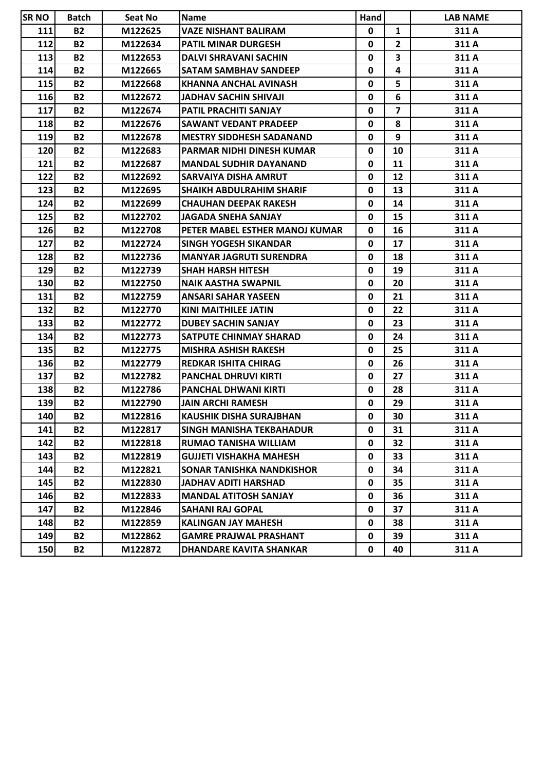| <b>SR NO</b> | <b>Batch</b> | Seat No | <b>Name</b>                     | Hand         |                         | <b>LAB NAME</b> |
|--------------|--------------|---------|---------------------------------|--------------|-------------------------|-----------------|
| 111          | <b>B2</b>    | M122625 | <b>VAZE NISHANT BALIRAM</b>     | 0            | $\mathbf{1}$            | 311 A           |
| 112          | <b>B2</b>    | M122634 | <b>PATIL MINAR DURGESH</b>      | 0            | $\mathbf{2}$            | 311 A           |
| 113          | <b>B2</b>    | M122653 | <b>DALVI SHRAVANI SACHIN</b>    | 0            | $\overline{\mathbf{3}}$ | 311 A           |
| 114          | <b>B2</b>    | M122665 | <b>SATAM SAMBHAV SANDEEP</b>    | 0            | 4                       | 311 A           |
| 115          | <b>B2</b>    | M122668 | KHANNA ANCHAL AVINASH           | 0            | 5                       | 311 A           |
| 116          | <b>B2</b>    | M122672 | JADHAV SACHIN SHIVAJI           | 0            | 6                       | 311 A           |
| 117          | <b>B2</b>    | M122674 | PATIL PRACHITI SANJAY           | 0            | $\overline{7}$          | 311 A           |
| 118          | <b>B2</b>    | M122676 | <b>SAWANT VEDANT PRADEEP</b>    | 0            | 8                       | 311 A           |
| 119          | <b>B2</b>    | M122678 | <b>MESTRY SIDDHESH SADANAND</b> | 0            | 9                       | 311 A           |
| 120          | <b>B2</b>    | M122683 | PARMAR NIDHI DINESH KUMAR       | 0            | 10                      | 311 A           |
| 121          | <b>B2</b>    | M122687 | <b>MANDAL SUDHIR DAYANAND</b>   | 0            | 11                      | 311 A           |
| 122          | <b>B2</b>    | M122692 | SARVAIYA DISHA AMRUT            | 0            | 12                      | 311 A           |
| 123          | <b>B2</b>    | M122695 | <b>SHAIKH ABDULRAHIM SHARIF</b> | 0            | 13                      | 311 A           |
| 124          | <b>B2</b>    | M122699 | <b>CHAUHAN DEEPAK RAKESH</b>    | 0            | 14                      | 311A            |
| 125          | <b>B2</b>    | M122702 | <b>JAGADA SNEHA SANJAY</b>      | 0            | 15                      | 311 A           |
| 126          | <b>B2</b>    | M122708 | PETER MABEL ESTHER MANOJ KUMAR  | 0            | 16                      | 311 A           |
| 127          | <b>B2</b>    | M122724 | <b>SINGH YOGESH SIKANDAR</b>    | 0            | 17                      | 311 A           |
| 128          | <b>B2</b>    | M122736 | <b>MANYAR JAGRUTI SURENDRA</b>  | 0            | 18                      | 311 A           |
| 129          | <b>B2</b>    | M122739 | <b>SHAH HARSH HITESH</b>        | 0            | 19                      | 311 A           |
| 130          | <b>B2</b>    | M122750 | <b>NAIK AASTHA SWAPNIL</b>      | 0            | 20                      | 311 A           |
| 131          | <b>B2</b>    | M122759 | <b>ANSARI SAHAR YASEEN</b>      | 0            | 21                      | 311 A           |
| 132          | <b>B2</b>    | M122770 | <b>KINI MAITHILEE JATIN</b>     | 0            | 22                      | 311 A           |
| 133          | <b>B2</b>    | M122772 | <b>DUBEY SACHIN SANJAY</b>      | 0            | 23                      | 311 A           |
| 134          | <b>B2</b>    | M122773 | SATPUTE CHINMAY SHARAD          | 0            | 24                      | 311 A           |
| 135          | <b>B2</b>    | M122775 | <b>MISHRA ASHISH RAKESH</b>     | 0            | 25                      | 311 A           |
| 136          | <b>B2</b>    | M122779 | <b>REDKAR ISHITA CHIRAG</b>     | 0            | 26                      | 311 A           |
| 137          | <b>B2</b>    | M122782 | <b>PANCHAL DHRUVI KIRTI</b>     | 0            | 27                      | 311 A           |
| 138          | <b>B2</b>    | M122786 | <b>PANCHAL DHWANI KIRTI</b>     | 0            | 28                      | 311 A           |
| 139          | <b>B2</b>    | M122790 | <b>JAIN ARCHI RAMESH</b>        | 0            | 29                      | 311 A           |
| 140          | <b>B2</b>    | M122816 | <b>KAUSHIK DISHA SURAJBHAN</b>  | $\mathbf{0}$ | 30                      | 311 A           |
| 141          | <b>B2</b>    | M122817 | <b>SINGH MANISHA TEKBAHADUR</b> | 0            | 31                      | 311 A           |
| 142          | <b>B2</b>    | M122818 | <b>RUMAO TANISHA WILLIAM</b>    | 0            | 32                      | 311 A           |
| 143          | <b>B2</b>    | M122819 | <b>GUJJETI VISHAKHA MAHESH</b>  | 0            | 33                      | 311 A           |
| 144          | <b>B2</b>    | M122821 | SONAR TANISHKA NANDKISHOR       | 0            | 34                      | 311 A           |
| 145          | <b>B2</b>    | M122830 | JADHAV ADITI HARSHAD            | 0            | 35                      | 311 A           |
| 146          | <b>B2</b>    | M122833 | <b>MANDAL ATITOSH SANJAY</b>    | 0            | 36                      | 311 A           |
| 147          | <b>B2</b>    | M122846 | SAHANI RAJ GOPAL                | 0            | 37                      | 311 A           |
| 148          | <b>B2</b>    | M122859 | <b>KALINGAN JAY MAHESH</b>      | 0            | 38                      | 311 A           |
| 149          | <b>B2</b>    | M122862 | <b>GAMRE PRAJWAL PRASHANT</b>   | 0            | 39                      | 311 A           |
| 150          | <b>B2</b>    | M122872 | DHANDARE KAVITA SHANKAR         | 0            | 40                      | 311 A           |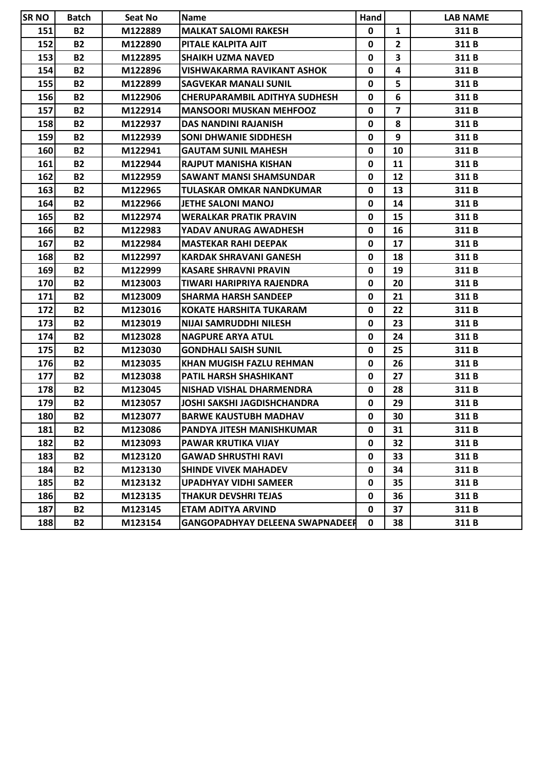| <b>SR NO</b> | <b>Batch</b> | Seat No | Name                                   | Hand        |                         | <b>LAB NAME</b> |
|--------------|--------------|---------|----------------------------------------|-------------|-------------------------|-----------------|
| 151          | <b>B2</b>    | M122889 | IMALKAT SALOMI RAKESH                  | 0           | $\mathbf{1}$            | 311B            |
| 152          | <b>B2</b>    | M122890 | PITALE KALPITA AJIT                    | 0           | $\mathbf{2}$            | 311 B           |
| 153          | <b>B2</b>    | M122895 | <b>SHAIKH UZMA NAVED</b>               | $\mathbf 0$ | $\overline{\mathbf{3}}$ | 311B            |
| 154          | <b>B2</b>    | M122896 | <b>VISHWAKARMA RAVIKANT ASHOK</b>      | 0           | 4                       | 311B            |
| 155          | <b>B2</b>    | M122899 | <b>SAGVEKAR MANALI SUNIL</b>           | 0           | 5                       | 311B            |
| 156          | <b>B2</b>    | M122906 | <b>CHERUPARAMBIL ADITHYA SUDHESH</b>   | 0           | 6                       | 311B            |
| 157          | <b>B2</b>    | M122914 | <b>MANSOORI MUSKAN MEHFOOZ</b>         | 0           | $\overline{7}$          | 311 B           |
| 158          | <b>B2</b>    | M122937 | <b>DAS NANDINI RAJANISH</b>            | 0           | 8                       | 311B            |
| 159          | <b>B2</b>    | M122939 | <b>SONI DHWANIE SIDDHESH</b>           | 0           | 9                       | 311 B           |
| 160          | <b>B2</b>    | M122941 | <b>GAUTAM SUNIL MAHESH</b>             | 0           | 10                      | 311B            |
| 161          | <b>B2</b>    | M122944 | <b>RAJPUT MANISHA KISHAN</b>           | 0           | 11                      | 311B            |
| 162          | <b>B2</b>    | M122959 | <b>SAWANT MANSI SHAMSUNDAR</b>         | 0           | 12                      | 311B            |
| 163          | <b>B2</b>    | M122965 | ITULASKAR OMKAR NANDKUMAR              | 0           | 13                      | 311 B           |
| 164          | <b>B2</b>    | M122966 | <b>JETHE SALONI MANOJ</b>              | 0           | 14                      | 311B            |
| 165          | <b>B2</b>    | M122974 | <b>WERALKAR PRATIK PRAVIN</b>          | 0           | 15                      | 311B            |
| 166          | <b>B2</b>    | M122983 | YADAV ANURAG AWADHESH                  | 0           | 16                      | 311B            |
| 167          | <b>B2</b>    | M122984 | <b>MASTEKAR RAHI DEEPAK</b>            | 0           | 17                      | 311B            |
| 168          | <b>B2</b>    | M122997 | KARDAK SHRAVANI GANESH                 | 0           | 18                      | 311B            |
| 169          | <b>B2</b>    | M122999 | <b>KASARE SHRAVNI PRAVIN</b>           | 0           | 19                      | 311B            |
| 170          | <b>B2</b>    | M123003 | ITIWARI HARIPRIYA RAJENDRA             | 0           | 20                      | 311B            |
| 171          | <b>B2</b>    | M123009 | ISHARMA HARSH SANDEEP                  | 0           | 21                      | 311 B           |
| 172          | <b>B2</b>    | M123016 | <b>KOKATE HARSHITA TUKARAM</b>         | 0           | 22                      | 311B            |
| 173          | <b>B2</b>    | M123019 | NIJAI SAMRUDDHI NILESH                 | 0           | 23                      | 311B            |
| 174          | <b>B2</b>    | M123028 | <b>NAGPURE ARYA ATUL</b>               | 0           | 24                      | 311B            |
| 175          | <b>B2</b>    | M123030 | <b>GONDHALI SAISH SUNIL</b>            | 0           | 25                      | 311B            |
| 176          | <b>B2</b>    | M123035 | <b>KHAN MUGISH FAZLU REHMAN</b>        | 0           | 26                      | 311B            |
| 177          | <b>B2</b>    | M123038 | IPATIL HARSH SHASHIKANT                | 0           | 27                      | 311 B           |
| 178          | <b>B2</b>    | M123045 | <b>NISHAD VISHAL DHARMENDRA</b>        | 0           | 28                      | 311B            |
| 179          | <b>B2</b>    | M123057 | JOSHI SAKSHI JAGDISHCHANDRA            | 0           | 29                      | 311B            |
| 180          | <b>B2</b>    | M123077 | <b>BARWE KAUSTUBH MADHAV</b>           | 0           | 30                      | 311B            |
| 181          | <b>B2</b>    | M123086 | <b>PANDYA JITESH MANISHKUMAR</b>       | 0           | 31                      | 311 B           |
| 182          | <b>B2</b>    | M123093 | <b>PAWAR KRUTIKA VIJAY</b>             | 0           | 32                      | 311B            |
| 183          | <b>B2</b>    | M123120 | <b>GAWAD SHRUSTHI RAVI</b>             | 0           | 33                      | 311B            |
| 184          | <b>B2</b>    | M123130 | ISHINDE VIVEK MAHADEV                  | 0           | 34                      | 311 B           |
| 185          | <b>B2</b>    | M123132 | <b>UPADHYAY VIDHI SAMEER</b>           | 0           | 35                      | 311B            |
| 186          | <b>B2</b>    | M123135 | <b>THAKUR DEVSHRI TEJAS</b>            | 0           | 36                      | 311B            |
| 187          | <b>B2</b>    | M123145 | ETAM ADITYA ARVIND                     | 0           | 37                      | 311 B           |
| 188          | <b>B2</b>    | M123154 | <b>GANGOPADHYAY DELEENA SWAPNADEER</b> | 0           | 38                      | 311B            |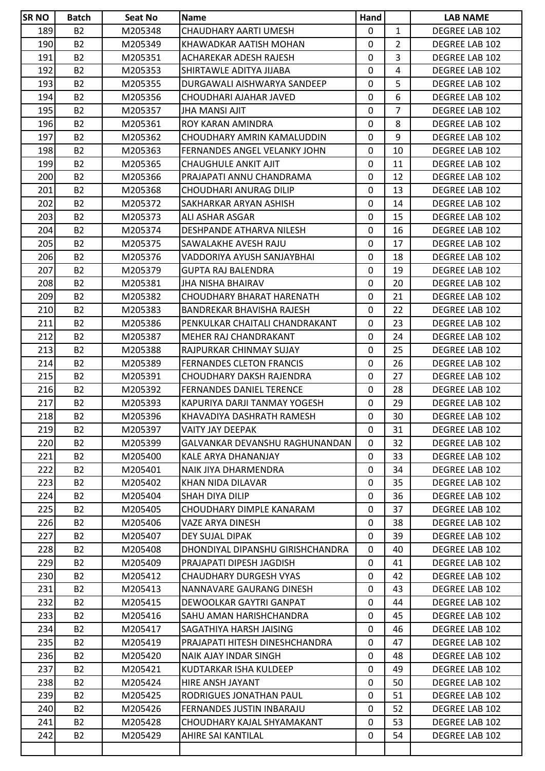| <b>SR NO</b> | <b>Batch</b>   | Seat No | <b>Name</b>                      | Hand         |                | <b>LAB NAME</b>       |
|--------------|----------------|---------|----------------------------------|--------------|----------------|-----------------------|
| 189          | <b>B2</b>      | M205348 | CHAUDHARY AARTI UMESH            | $\mathbf{0}$ | $\mathbf{1}$   | DEGREE LAB 102        |
| 190          | <b>B2</b>      | M205349 | KHAWADKAR AATISH MOHAN           | $\mathbf 0$  | $\overline{2}$ | DEGREE LAB 102        |
| 191          | <b>B2</b>      | M205351 | ACHAREKAR ADESH RAJESH           | 0            | 3.             | DEGREE LAB 102        |
| 192          | <b>B2</b>      | M205353 | SHIRTAWLE ADITYA JIJABA          | 0            | 4              | DEGREE LAB 102        |
| 193          | <b>B2</b>      | M205355 | DURGAWALI AISHWARYA SANDEEP      | $\mathbf 0$  | 5              | DEGREE LAB 102        |
| 194          | <b>B2</b>      | M205356 | CHOUDHARI AJAHAR JAVED           | 0            | 6              | DEGREE LAB 102        |
| 195          | <b>B2</b>      | M205357 | JHA MANSI AJIT                   | 0            | $\overline{7}$ | DEGREE LAB 102        |
| 196          | <b>B2</b>      | M205361 | ROY KARAN AMINDRA                | 0            | 8              | DEGREE LAB 102        |
| 197          | <b>B2</b>      | M205362 | CHOUDHARY AMRIN KAMALUDDIN       | $\mathbf{0}$ | 9              | <b>DEGREE LAB 102</b> |
| 198          | B <sub>2</sub> | M205363 | FERNANDES ANGEL VELANKY JOHN     | 0            | 10             | DEGREE LAB 102        |
| 199          | <b>B2</b>      | M205365 | CHAUGHULE ANKIT AJIT             | 0            | 11             | DEGREE LAB 102        |
| 200          | <b>B2</b>      | M205366 | PRAJAPATI ANNU CHANDRAMA         | $\mathbf 0$  | 12             | DEGREE LAB 102        |
| 201          | <b>B2</b>      | M205368 | CHOUDHARI ANURAG DILIP           | 0            | 13             | DEGREE LAB 102        |
| 202          | <b>B2</b>      | M205372 | SAKHARKAR ARYAN ASHISH           | 0            | 14             | <b>DEGREE LAB 102</b> |
| 203          | <b>B2</b>      | M205373 | ALI ASHAR ASGAR                  | 0            | 15             | DEGREE LAB 102        |
| 204          | <b>B2</b>      | M205374 | DESHPANDE ATHARVA NILESH         | 0            | 16             | DEGREE LAB 102        |
| 205          | <b>B2</b>      | M205375 | SAWALAKHE AVESH RAJU             | 0            | 17             | DEGREE LAB 102        |
| 206          | <b>B2</b>      | M205376 | VADDORIYA AYUSH SANJAYBHAI       | 0            | 18             | DEGREE LAB 102        |
| 207          | <b>B2</b>      | M205379 | <b>GUPTA RAJ BALENDRA</b>        | 0            | 19             | DEGREE LAB 102        |
| 208          | <b>B2</b>      | M205381 | JHA NISHA BHAIRAV                | 0            | 20             | DEGREE LAB 102        |
| 209          | <b>B2</b>      | M205382 | CHOUDHARY BHARAT HARENATH        | $\mathbf 0$  | 21             | DEGREE LAB 102        |
| 210          | <b>B2</b>      | M205383 | BANDREKAR BHAVISHA RAJESH        | 0            | 22             | DEGREE LAB 102        |
| 211          | <b>B2</b>      | M205386 | PENKULKAR CHAITALI CHANDRAKANT   | 0            | 23             | DEGREE LAB 102        |
| 212          | <b>B2</b>      | M205387 | MEHER RAJ CHANDRAKANT            | 0            | 24             | DEGREE LAB 102        |
| 213          | <b>B2</b>      | M205388 | RAJPURKAR CHINMAY SUJAY          | 0            | 25             | DEGREE LAB 102        |
| 214          | <b>B2</b>      | M205389 | <b>FERNANDES CLETON FRANCIS</b>  | $\mathbf 0$  | 26             | DEGREE LAB 102        |
| 215          | <b>B2</b>      | M205391 | CHOUDHARY DAKSH RAJENDRA         | 0            | 27             | DEGREE LAB 102        |
| 216          | <b>B2</b>      | M205392 | <b>FERNANDES DANIEL TERENCE</b>  | 0            | 28             | DEGREE LAB 102        |
| 217          | <b>B2</b>      | M205393 | KAPURIYA DARJI TANMAY YOGESH     | 0            | 29             | DEGREE LAB 102        |
| 218          | <b>B2</b>      | M205396 | KHAVADIYA DASHRATH RAMESH        | $\mathbf 0$  | 30             | DEGREE LAB 102        |
| 219          | B <sub>2</sub> | M205397 | VAITY JAY DEEPAK                 | 0            | 31             | DEGREE LAB 102        |
| 220          | <b>B2</b>      | M205399 | GALVANKAR DEVANSHU RAGHUNANDAN   | 0            | 32             | DEGREE LAB 102        |
| 221          | <b>B2</b>      | M205400 | KALE ARYA DHANANJAY              | $\mathbf 0$  | 33             | DEGREE LAB 102        |
| 222          | <b>B2</b>      | M205401 | NAIK JIYA DHARMENDRA             | 0            | 34             | DEGREE LAB 102        |
| 223          | <b>B2</b>      | M205402 | KHAN NIDA DILAVAR                | $\mathbf{0}$ | 35             | DEGREE LAB 102        |
| 224          | <b>B2</b>      | M205404 | SHAH DIYA DILIP                  | 0            | 36             | DEGREE LAB 102        |
| 225          | <b>B2</b>      | M205405 | CHOUDHARY DIMPLE KANARAM         | $\mathbf 0$  | 37             | DEGREE LAB 102        |
| 226          | <b>B2</b>      | M205406 | VAZE ARYA DINESH                 | 0            | 38             | DEGREE LAB 102        |
| 227          | <b>B2</b>      | M205407 | DEY SUJAL DIPAK                  | 0            | 39             | DEGREE LAB 102        |
| 228          | <b>B2</b>      | M205408 | DHONDIYAL DIPANSHU GIRISHCHANDRA | $\mathbf{0}$ | 40             | DEGREE LAB 102        |
| 229          | <b>B2</b>      | M205409 | PRAJAPATI DIPESH JAGDISH         | 0            | 41             | DEGREE LAB 102        |
| 230          | <b>B2</b>      | M205412 | CHAUDHARY DURGESH VYAS           | 0            | 42             | DEGREE LAB 102        |
| 231          | <b>B2</b>      | M205413 | NANNAVARE GAURANG DINESH         | $\mathbf 0$  | 43             | DEGREE LAB 102        |
| 232          | <b>B2</b>      | M205415 | DEWOOLKAR GAYTRI GANPAT          | 0            | 44             | DEGREE LAB 102        |
| 233          | <b>B2</b>      | M205416 | SAHU AMAN HARISHCHANDRA          | 0            | 45             | DEGREE LAB 102        |
| 234          | <b>B2</b>      | M205417 | SAGATHIYA HARSH JAISING          | 0            |                |                       |
|              |                |         |                                  | $\mathbf{0}$ | 46             | DEGREE LAB 102        |
| 235          | <b>B2</b>      | M205419 | PRAJAPATI HITESH DINESHCHANDRA   |              | 47             | DEGREE LAB 102        |
| 236          | <b>B2</b>      | M205420 | NAIK AJAY INDAR SINGH            | 0            | 48             | DEGREE LAB 102        |
| 237          | <b>B2</b>      | M205421 | KUDTARKAR ISHA KULDEEP           | 0            | 49             | DEGREE LAB 102        |
| 238          | <b>B2</b>      | M205424 | HIRE ANSH JAYANT                 | 0            | 50             | DEGREE LAB 102        |
| 239          | <b>B2</b>      | M205425 | RODRIGUES JONATHAN PAUL          | 0            | 51             | DEGREE LAB 102        |
| 240          | <b>B2</b>      | M205426 | FERNANDES JUSTIN INBARAJU        | $\mathbf{0}$ | 52             | DEGREE LAB 102        |
| 241          | <b>B2</b>      | M205428 | CHOUDHARY KAJAL SHYAMAKANT       | 0            | 53             | DEGREE LAB 102        |
| 242          | <b>B2</b>      | M205429 | AHIRE SAI KANTILAL               | 0            | 54             | DEGREE LAB 102        |
|              |                |         |                                  |              |                |                       |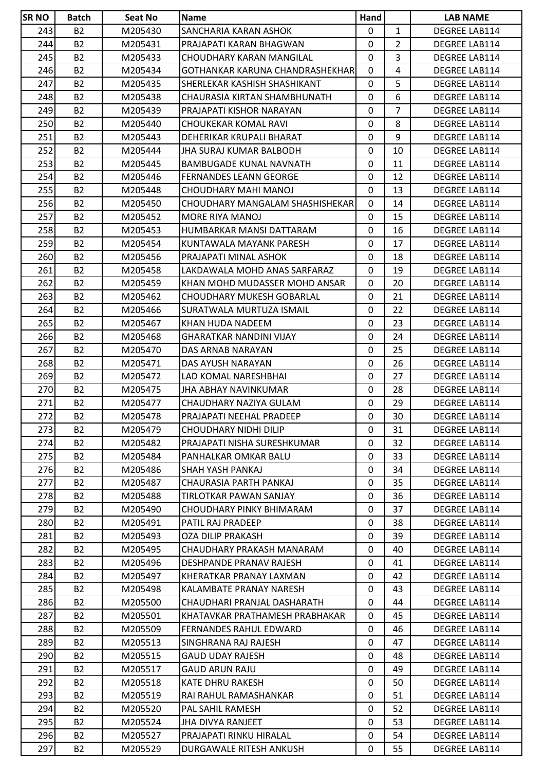| <b>SR NO</b> | <b>Batch</b>   | Seat No | <b>Name</b>                      | Hand         |                | <b>LAB NAME</b>      |
|--------------|----------------|---------|----------------------------------|--------------|----------------|----------------------|
| 243          | <b>B2</b>      | M205430 | SANCHARIA KARAN ASHOK            | $\mathbf{0}$ | $\mathbf{1}$   | DEGREE LAB114        |
| 244          | <b>B2</b>      | M205431 | PRAJAPATI KARAN BHAGWAN          | 0            | $\overline{2}$ | DEGREE LAB114        |
| 245          | <b>B2</b>      | M205433 | CHOUDHARY KARAN MANGILAL         | 0            | 3              | DEGREE LAB114        |
| 246          | <b>B2</b>      | M205434 | GOTHANKAR KARUNA CHANDRASHEKHAR  | $\mathbf{0}$ | 4              | DEGREE LAB114        |
| 247          | B <sub>2</sub> | M205435 | SHERLEKAR KASHISH SHASHIKANT     | 0            | 5              | DEGREE LAB114        |
| 248          | <b>B2</b>      | M205438 | CHAURASIA KIRTAN SHAMBHUNATH     | 0            | 6              | DEGREE LAB114        |
| 249          | <b>B2</b>      | M205439 | PRAJAPATI KISHOR NARAYAN         | 0            | $\overline{7}$ | DEGREE LAB114        |
| 250          | <b>B2</b>      | M205440 | CHOUKEKAR KOMAL RAVI             | 0            | 8              | DEGREE LAB114        |
| 251          | <b>B2</b>      | M205443 | DEHERIKAR KRUPALI BHARAT         | 0            | 9              | DEGREE LAB114        |
| 252          | <b>B2</b>      | M205444 | JHA SURAJ KUMAR BALBODH          | 0            | 10             | <b>DEGREE LAB114</b> |
| 253          | <b>B2</b>      | M205445 | <b>BAMBUGADE KUNAL NAVNATH</b>   | $\mathbf{0}$ | 11             | DEGREE LAB114        |
| 254          | <b>B2</b>      | M205446 | <b>FERNANDES LEANN GEORGE</b>    | 0            | 12             | DEGREE LAB114        |
| 255          | <b>B2</b>      | M205448 | CHOUDHARY MAHI MANOJ             | 0            | 13             | DEGREE LAB114        |
| 256          | <b>B2</b>      | M205450 | CHOUDHARY MANGALAM SHASHISHEKAR  | $\mathbf{0}$ | 14             | <b>DEGREE LAB114</b> |
| 257          | <b>B2</b>      | M205452 | MORE RIYA MANOJ                  | 0            | 15             | DEGREE LAB114        |
| 258          | <b>B2</b>      | M205453 | HUMBARKAR MANSI DATTARAM         | 0            | 16             | <b>DEGREE LAB114</b> |
| 259          | <b>B2</b>      | M205454 | KUNTAWALA MAYANK PARESH          | $\mathbf{0}$ | 17             | DEGREE LAB114        |
| 260          | <b>B2</b>      | M205456 | PRAJAPATI MINAL ASHOK            | 0            | 18             | <b>DEGREE LAB114</b> |
| 261          | <b>B2</b>      | M205458 | LAKDAWALA MOHD ANAS SARFARAZ     | 0            | 19             | DEGREE LAB114        |
| 262          | <b>B2</b>      | M205459 | KHAN MOHD MUDASSER MOHD ANSAR    | 0            | 20             | DEGREE LAB114        |
| 263          | <b>B2</b>      | M205462 | <b>CHOUDHARY MUKESH GOBARLAL</b> | 0            | 21             | DEGREE LAB114        |
| 264          | <b>B2</b>      | M205466 | SURATWALA MURTUZA ISMAIL         | 0            | 22             | DEGREE LAB114        |
| 265          | <b>B2</b>      | M205467 | KHAN HUDA NADEEM                 | 0            | 23             | DEGREE LAB114        |
| 266          | <b>B2</b>      | M205468 | GHARATKAR NANDINI VIJAY          | 0            | 24             | DEGREE LAB114        |
| 267          | <b>B2</b>      | M205470 | DAS ARNAB NARAYAN                | 0            | 25             | DEGREE LAB114        |
| 268          | <b>B2</b>      | M205471 | DAS AYUSH NARAYAN                | 0            | 26             | DEGREE LAB114        |
| 269          | <b>B2</b>      | M205472 | LAD KOMAL NARESHBHAI             | 0            | 27             | DEGREE LAB114        |
| 270          | <b>B2</b>      | M205475 | JHA ABHAY NAVINKUMAR             | 0            | 28             | DEGREE LAB114        |
| 271          | <b>B2</b>      | M205477 | CHAUDHARY NAZIYA GULAM           | 0            | 29             | <b>DEGREE LAB114</b> |
| 272          | <b>B2</b>      | M205478 | PRAJAPATI NEEHAL PRADEEP         | $\mathbf 0$  | 30             | <b>DEGREE LAB114</b> |
| 273          | <b>B2</b>      | M205479 | <b>CHOUDHARY NIDHI DILIP</b>     | 0            | 31             | DEGREE LAB114        |
| 274          | <b>B2</b>      | M205482 | PRAJAPATI NISHA SURESHKUMAR      | 0            | 32             | DEGREE LAB114        |
| 275          | <b>B2</b>      | M205484 | PANHALKAR OMKAR BALU             | 0            | 33             | DEGREE LAB114        |
| 276          | <b>B2</b>      | M205486 | SHAH YASH PANKAJ                 | 0            | 34             | <b>DEGREE LAB114</b> |
| 277          | <b>B2</b>      | M205487 | CHAURASIA PARTH PANKAJ           | 0            | 35             | DEGREE LAB114        |
| 278          | <b>B2</b>      | M205488 | TIRLOTKAR PAWAN SANJAY           | 0            | 36             | DEGREE LAB114        |
| 279          | <b>B2</b>      | M205490 | CHOUDHARY PINKY BHIMARAM         | 0            | 37             | DEGREE LAB114        |
| 280          | <b>B2</b>      | M205491 | PATIL RAJ PRADEEP                | 0            | 38             | DEGREE LAB114        |
| 281          | <b>B2</b>      | M205493 | <b>OZA DILIP PRAKASH</b>         | 0            | 39             | DEGREE LAB114        |
| 282          | <b>B2</b>      | M205495 | CHAUDHARY PRAKASH MANARAM        | 0            | 40             | <b>DEGREE LAB114</b> |
| 283          | <b>B2</b>      | M205496 | DESHPANDE PRANAV RAJESH          | 0            | 41             | DEGREE LAB114        |
| 284          | <b>B2</b>      | M205497 | KHERATKAR PRANAY LAXMAN          | 0            | 42             | DEGREE LAB114        |
| 285          | <b>B2</b>      | M205498 | KALAMBATE PRANAY NARESH          | 0            | 43             | DEGREE LAB114        |
| 286          | <b>B2</b>      | M205500 | CHAUDHARI PRANJAL DASHARATH      | 0            | 44             | DEGREE LAB114        |
| 287          | <b>B2</b>      | M205501 | KHATAVKAR PRATHAMESH PRABHAKAR   | 0            | 45             | DEGREE LAB114        |
| 288          | <b>B2</b>      | M205509 | FERNANDES RAHUL EDWARD           | 0            |                | DEGREE LAB114        |
| 289          | <b>B2</b>      | M205513 | SINGHRANA RAJ RAJESH             | 0            | 46<br>47       | DEGREE LAB114        |
| 290          |                |         |                                  | 0            | 48             |                      |
|              | B2             | M205515 | <b>GAUD UDAY RAJESH</b>          |              |                | DEGREE LAB114        |
| 291          | <b>B2</b>      | M205517 | <b>GAUD ARUN RAJU</b>            | $\mathbf{0}$ | 49             | DEGREE LAB114        |
| 292          | <b>B2</b>      | M205518 | <b>KATE DHRU RAKESH</b>          | 0            | 50             | DEGREE LAB114        |
| 293          | <b>B2</b>      | M205519 | RAI RAHUL RAMASHANKAR            | 0            | 51             | DEGREE LAB114        |
| 294          | <b>B2</b>      | M205520 | PAL SAHIL RAMESH                 | $\mathbf{0}$ | 52             | DEGREE LAB114        |
| 295          | <b>B2</b>      | M205524 | <b>JHA DIVYA RANJEET</b>         | 0            | 53             | DEGREE LAB114        |
| 296          | <b>B2</b>      | M205527 | PRAJAPATI RINKU HIRALAL          | 0            | 54             | DEGREE LAB114        |
| 297          | <b>B2</b>      | M205529 | DURGAWALE RITESH ANKUSH          | 0            | 55             | DEGREE LAB114        |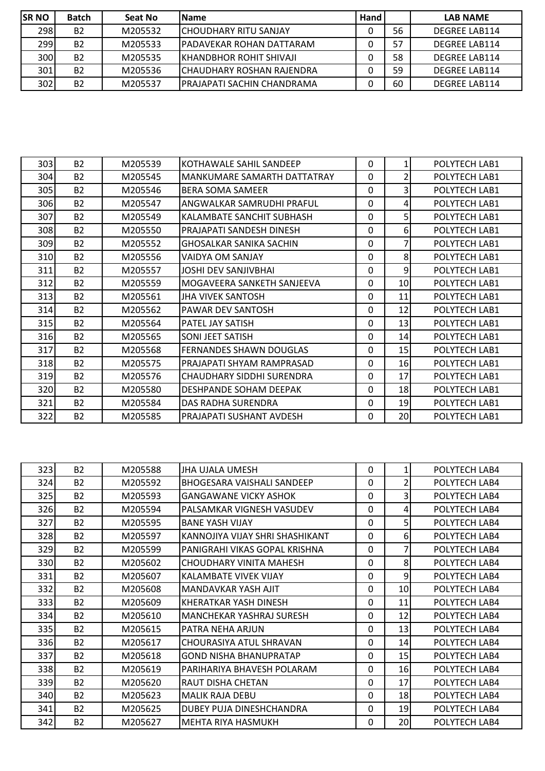| <b>SR NO</b>     | Batch     | Seat No | <b>IName</b>                  | Hand |    | <b>LAB NAME</b>      |
|------------------|-----------|---------|-------------------------------|------|----|----------------------|
| 298 <sub>1</sub> | <b>B2</b> | M205532 | <b>ICHOUDHARY RITU SANJAY</b> |      | 56 | <b>DEGREE LAB114</b> |
| 299              | <b>B2</b> | M205533 | IPADAVEKAR ROHAN DATTARAM     |      | 57 | DEGREE LAB114        |
| 300              | <b>B2</b> | M205535 | IKHANDBHOR ROHIT SHIVAJI      |      | 58 | DEGREE LAB114        |
| 301              | <b>B2</b> | M205536 | ICHAUDHARY ROSHAN RAJENDRA    |      | 59 | DEGREE LAB114        |
| 302              | <b>B2</b> | M205537 | IPRAJAPATI SACHIN CHANDRAMA   |      | 60 | <b>DEGREE LAB114</b> |

| 303 | <b>B2</b> | M205539 | KOTHAWALE SAHIL SANDEEP        | $\mathbf{0}$ | $1\vert$        | POLYTECH LAB1        |
|-----|-----------|---------|--------------------------------|--------------|-----------------|----------------------|
| 304 | <b>B2</b> | M205545 | MANKUMARE SAMARTH DATTATRAY    | 0            | $\overline{2}$  | POLYTECH LAB1        |
| 305 | <b>B2</b> | M205546 | <b>BERA SOMA SAMEER</b>        | $\Omega$     | $\overline{3}$  | POLYTECH LAB1        |
| 306 | <b>B2</b> | M205547 | ANGWALKAR SAMRUDHI PRAFUL      | $\mathbf{0}$ | 4               | POLYTECH LAB1        |
| 307 | <b>B2</b> | M205549 | KALAMBATE SANCHIT SUBHASH      | $\mathbf{0}$ | 5 <sup>1</sup>  | POLYTECH LAB1        |
| 308 | <b>B2</b> | M205550 | PRAJAPATI SANDESH DINESH       | 0            | 6 <sup>1</sup>  | <b>POLYTECH LAB1</b> |
| 309 | <b>B2</b> | M205552 | <b>GHOSALKAR SANIKA SACHIN</b> | $\Omega$     | $\overline{7}$  | POLYTECH LAB1        |
| 310 | <b>B2</b> | M205556 | VAIDYA OM SANJAY               | $\Omega$     | 8               | POLYTECH LAB1        |
| 311 | <b>B2</b> | M205557 | JOSHI DEV SANJIVBHAI           | $\mathbf{0}$ | $\overline{9}$  | POLYTECH LAB1        |
| 312 | <b>B2</b> | M205559 | MOGAVEERA SANKETH SANJEEVA     | 0            | 10 <sup>1</sup> | POLYTECH LAB1        |
| 313 | <b>B2</b> | M205561 | JHA VIVEK SANTOSH              | $\Omega$     | 11              | POLYTECH LAB1        |
| 314 | <b>B2</b> | M205562 | PAWAR DEV SANTOSH              | 0            | 12              | POLYTECH LAB1        |
| 315 | <b>B2</b> | M205564 | PATEL JAY SATISH               | 0            | 13              | POLYTECH LAB1        |
| 316 | <b>B2</b> | M205565 | SONI JEET SATISH               | 0            | 14              | POLYTECH LAB1        |
| 317 | <b>B2</b> | M205568 | <b>FERNANDES SHAWN DOUGLAS</b> | $\Omega$     | 15 <sup>1</sup> | POLYTECH LAB1        |
| 318 | <b>B2</b> | M205575 | PRAJAPATI SHYAM RAMPRASAD      | $\Omega$     | 16 <sup>1</sup> | POLYTECH LAB1        |
| 319 | <b>B2</b> | M205576 | CHAUDHARY SIDDHI SURENDRA      | $\Omega$     | 17              | POLYTECH LAB1        |
| 320 | <b>B2</b> | M205580 | DESHPANDE SOHAM DEEPAK         | 0            | 18              | POLYTECH LAB1        |
| 321 | <b>B2</b> | M205584 | DAS RADHA SURENDRA             | $\Omega$     | <b>19</b>       | POLYTECH LAB1        |
| 322 | <b>B2</b> | M205585 | PRAJAPATI SUSHANT AVDESH       | 0            | 20I             | POLYTECH LAB1        |

| 323 | <b>B2</b> | M205588 | <b>JHA UJALA UMESH</b>            | $\Omega$     | 1  | POLYTECH LAB4 |
|-----|-----------|---------|-----------------------------------|--------------|----|---------------|
| 324 | <b>B2</b> | M205592 | <b>BHOGESARA VAISHALI SANDEEP</b> | $\Omega$     | 2  | POLYTECH LAB4 |
| 325 | <b>B2</b> | M205593 | <b>GANGAWANE VICKY ASHOK</b>      | $\Omega$     | 3  | POLYTECH LAB4 |
| 326 | <b>B2</b> | M205594 | PALSAMKAR VIGNESH VASUDEV         | $\Omega$     | 4  | POLYTECH LAB4 |
| 327 | <b>B2</b> | M205595 | <b>BANE YASH VIJAY</b>            | $\Omega$     | 5  | POLYTECH LAB4 |
| 328 | <b>B2</b> | M205597 | KANNOJIYA VIJAY SHRI SHASHIKANT   | $\Omega$     | 6  | POLYTECH LAB4 |
| 329 | <b>B2</b> | M205599 | PANIGRAHI VIKAS GOPAL KRISHNA     | $\Omega$     | 7  | POLYTECH LAB4 |
| 330 | <b>B2</b> | M205602 | CHOUDHARY VINITA MAHESH           | $\Omega$     | 8  | POLYTECH LAB4 |
| 331 | <b>B2</b> | M205607 | KALAMBATE VIVEK VIJAY             | $\Omega$     | 9  | POLYTECH LAB4 |
| 332 | <b>B2</b> | M205608 | MANDAVKAR YASH AJIT               | $\Omega$     | 10 | POLYTECH LAB4 |
| 333 | <b>B2</b> | M205609 | <b>KHERATKAR YASH DINESH</b>      | $\mathbf{0}$ | 11 | POLYTECH LAB4 |
| 334 | <b>B2</b> | M205610 | MANCHEKAR YASHRAJ SURESH          | $\Omega$     | 12 | POLYTECH LAB4 |
| 335 | <b>B2</b> | M205615 | PATRA NEHA ARJUN                  | $\Omega$     | 13 | POLYTECH LAB4 |
| 336 | <b>B2</b> | M205617 | CHOURASIYA ATUL SHRAVAN           | $\Omega$     | 14 | POLYTECH LAB4 |
| 337 | <b>B2</b> | M205618 | <b>GOND NISHA BHANUPRATAP</b>     | $\Omega$     | 15 | POLYTECH LAB4 |
| 338 | <b>B2</b> | M205619 | PARIHARIYA BHAVESH POLARAM        | $\Omega$     | 16 | POLYTECH LAB4 |
| 339 | <b>B2</b> | M205620 | <b>RAUT DISHA CHETAN</b>          | $\Omega$     | 17 | POLYTECH LAB4 |
| 340 | <b>B2</b> | M205623 | <b>MALIK RAJA DEBU</b>            | $\Omega$     | 18 | POLYTECH LAB4 |
| 341 | <b>B2</b> | M205625 | DUBEY PUJA DINESHCHANDRA          | $\Omega$     | 19 | POLYTECH LAB4 |
| 342 | <b>B2</b> | M205627 | <b>MEHTA RIYA HASMUKH</b>         | $\mathbf{0}$ | 20 | POLYTECH LAB4 |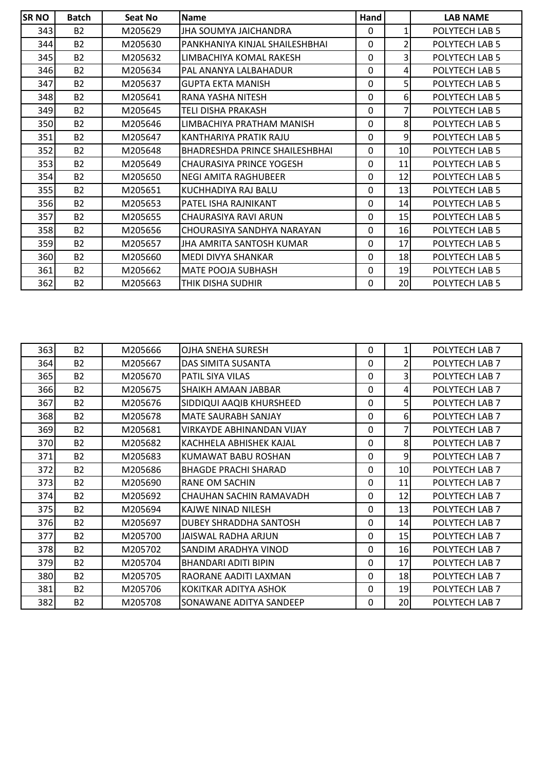| <b>SR NO</b> | <b>Batch</b> | Seat No | <b>Name</b>                           | Hand         |              | <b>LAB NAME</b> |
|--------------|--------------|---------|---------------------------------------|--------------|--------------|-----------------|
| 343          | <b>B2</b>    | M205629 | JHA SOUMYA JAICHANDRA                 | 0            | $\mathbf{1}$ | POLYTECH LAB 5  |
| 344          | <b>B2</b>    | M205630 | PANKHANIYA KINJAL SHAILESHBHAI        | $\mathbf{0}$ | 2            | POLYTECH LAB 5  |
| 345          | <b>B2</b>    | M205632 | LIMBACHIYA KOMAL RAKESH               | 0            | 3            | POLYTECH LAB 5  |
| 346          | <b>B2</b>    | M205634 | PAL ANANYA LALBAHADUR                 | $\mathbf{0}$ | 4            | POLYTECH LAB 5  |
| 347          | <b>B2</b>    | M205637 | <b>GUPTA EKTA MANISH</b>              | $\mathbf{0}$ | 5            | POLYTECH LAB 5  |
| 348          | <b>B2</b>    | M205641 | RANA YASHA NITESH                     | $\mathbf{0}$ | 6            | POLYTECH LAB 5  |
| 349          | <b>B2</b>    | M205645 | TELI DISHA PRAKASH                    | $\mathbf{0}$ | 7            | POLYTECH LAB 5  |
| 350          | <b>B2</b>    | M205646 | LIMBACHIYA PRATHAM MANISH             | $\mathbf{0}$ | 8            | POLYTECH LAB 5  |
| 351          | <b>B2</b>    | M205647 | KANTHARIYA PRATIK RAJU                | $\mathbf{0}$ | 9            | POLYTECH LAB 5  |
| 352          | <b>B2</b>    | M205648 | <b>BHADRESHDA PRINCE SHAILESHBHAI</b> | 0            | 10           | POLYTECH LAB 5  |
| 353          | <b>B2</b>    | M205649 | CHAURASIYA PRINCE YOGESH              | 0            | 11           | POLYTECH LAB 5  |
| 354          | <b>B2</b>    | M205650 | NEGI AMITA RAGHUBEER                  | $\mathbf{0}$ | 12           | POLYTECH LAB 5  |
| 355          | <b>B2</b>    | M205651 | KUCHHADIYA RAJ BALU                   | $\mathbf{0}$ | 13           | POLYTECH LAB 5  |
| 356          | <b>B2</b>    | M205653 | PATEL ISHA RAJNIKANT                  | $\mathbf{0}$ | 14           | POLYTECH LAB 5  |
| 357          | <b>B2</b>    | M205655 | CHAURASIYA RAVI ARUN                  | 0            | 15           | POLYTECH LAB 5  |
| 358          | <b>B2</b>    | M205656 | CHOURASIYA SANDHYA NARAYAN            | 0            | 16           | POLYTECH LAB 5  |
| 359          | <b>B2</b>    | M205657 | JHA AMRITA SANTOSH KUMAR              | $\mathbf{0}$ | 17           | POLYTECH LAB 5  |
| 360          | <b>B2</b>    | M205660 | MEDI DIVYA SHANKAR                    | $\Omega$     | 18           | POLYTECH LAB 5  |
| 361          | <b>B2</b>    | M205662 | MATE POOJA SUBHASH                    | 0            | 19           | POLYTECH LAB 5  |
| 362          | <b>B2</b>    | M205663 | THIK DISHA SUDHIR                     | 0            | 20           | POLYTECH LAB 5  |

| 363 | <b>B2</b> | M205666 | OJHA SNEHA SURESH                | $\Omega$     | 1              | POLYTECH LAB 7 |
|-----|-----------|---------|----------------------------------|--------------|----------------|----------------|
| 364 | <b>B2</b> | M205667 | DAS SIMITA SUSANTA               | $\Omega$     | 2              | POLYTECH LAB 7 |
| 365 | <b>B2</b> | M205670 | <b>PATIL SIYA VILAS</b>          | $\mathbf{0}$ | 3              | POLYTECH LAB 7 |
| 366 | <b>B2</b> | M205675 | SHAIKH AMAAN JABBAR              | 0            | 4              | POLYTECH LAB 7 |
| 367 | <b>B2</b> | M205676 | SIDDIQUI AAQIB KHURSHEED         | $\Omega$     | 5              | POLYTECH LAB 7 |
| 368 | <b>B2</b> | M205678 | <b>MATE SAURABH SANJAY</b>       | $\Omega$     | 6              | POLYTECH LAB 7 |
| 369 | <b>B2</b> | M205681 | <b>VIRKAYDE ABHINANDAN VIJAY</b> | 0            | 7              | POLYTECH LAB 7 |
| 370 | <b>B2</b> | M205682 | KACHHELA ABHISHEK KAJAL          | $\Omega$     | 8 <sup>1</sup> | POLYTECH LAB 7 |
| 371 | <b>B2</b> | M205683 | KUMAWAT BABU ROSHAN              | $\Omega$     | 9              | POLYTECH LAB 7 |
| 372 | <b>B2</b> | M205686 | <b>BHAGDE PRACHI SHARAD</b>      | $\Omega$     | 10             | POLYTECH LAB 7 |
| 373 | <b>B2</b> | M205690 | RANE OM SACHIN                   | 0            | 11             | POLYTECH LAB 7 |
| 374 | <b>B2</b> | M205692 | CHAUHAN SACHIN RAMAVADH          | 0            | 12             | POLYTECH LAB 7 |
| 375 | <b>B2</b> | M205694 | KAJWE NINAD NILESH               | $\Omega$     | 13             | POLYTECH LAB 7 |
| 376 | <b>B2</b> | M205697 | DUBEY SHRADDHA SANTOSH           | 0            | 14             | POLYTECH LAB 7 |
| 377 | <b>B2</b> | M205700 | JAISWAL RADHA ARIUN              | $\Omega$     | 15             | POLYTECH LAB 7 |
| 378 | <b>B2</b> | M205702 | SANDIM ARADHYA VINOD             | $\mathbf{0}$ | 16             | POLYTECH LAB 7 |
| 379 | <b>B2</b> | M205704 | <b>BHANDARI ADITI BIPIN</b>      | $\mathbf{0}$ | 17             | POLYTECH LAB 7 |
| 380 | <b>B2</b> | M205705 | RAORANE AADITI LAXMAN            | $\Omega$     | 18             | POLYTECH LAB 7 |
| 381 | <b>B2</b> | M205706 | KOKITKAR ADITYA ASHOK            | $\mathbf{0}$ | 19             | POLYTECH LAB 7 |
| 382 | <b>B2</b> | M205708 | SONAWANE ADITYA SANDEEP          | 0            | 20             | POLYTECH LAB 7 |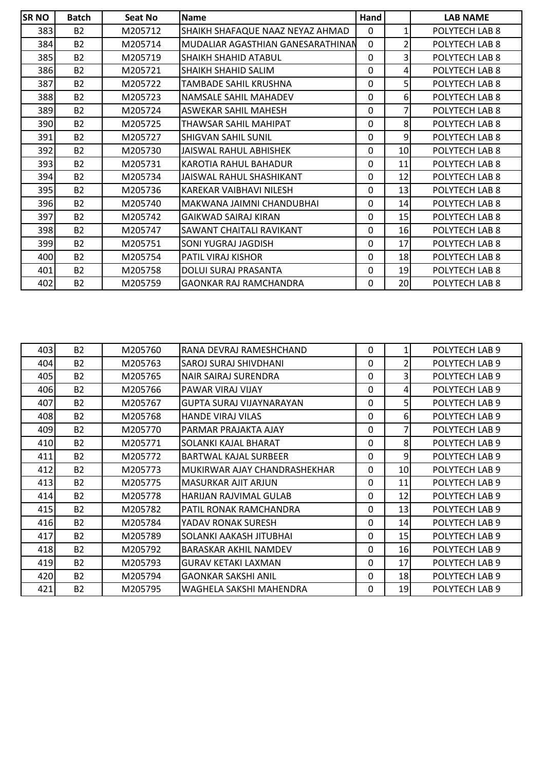| <b>SRNO</b> | <b>Batch</b> | Seat No | <b>Name</b>                       | Hand         |                | <b>LAB NAME</b> |
|-------------|--------------|---------|-----------------------------------|--------------|----------------|-----------------|
| 383         | <b>B2</b>    | M205712 | SHAIKH SHAFAQUE NAAZ NEYAZ AHMAD  | 0            | 1              | POLYTECH LAB 8  |
| 384         | <b>B2</b>    | M205714 | MUDALIAR AGASTHIAN GANESARATHINAN | $\mathbf 0$  | $\overline{2}$ | POLYTECH LAB 8  |
| 385         | <b>B2</b>    | M205719 | <b>SHAIKH SHAHID ATABUL</b>       | $\mathbf{0}$ | 3              | POLYTECH LAB 8  |
| 386         | <b>B2</b>    | M205721 | <b>SHAIKH SHAHID SALIM</b>        | 0            | 4              | POLYTECH LAB 8  |
| 387         | <b>B2</b>    | M205722 | <b>TAMBADE SAHIL KRUSHNA</b>      | $\mathbf{0}$ | 5              | POLYTECH LAB 8  |
| 388         | <b>B2</b>    | M205723 | NAMSALE SAHIL MAHADEV             | 0            | 6              | POLYTECH LAB 8  |
| 389         | <b>B2</b>    | M205724 | <b>ASWEKAR SAHIL MAHESH</b>       | 0            | 7              | POLYTECH LAB 8  |
| 390         | <b>B2</b>    | M205725 | THAWSAR SAHIL MAHIPAT             | 0            | 8              | POLYTECH LAB 8  |
| 391         | <b>B2</b>    | M205727 | <b>SHIGVAN SAHIL SUNIL</b>        | $\mathbf{0}$ | 9              | POLYTECH LAB 8  |
| 392         | <b>B2</b>    | M205730 | JAISWAL RAHUL ABHISHEK            | 0            | 10             | POLYTECH LAB 8  |
| 393         | <b>B2</b>    | M205731 | <b>KAROTIA RAHUL BAHADUR</b>      | 0            | 11             | POLYTECH LAB 8  |
| 394         | <b>B2</b>    | M205734 | JAISWAL RAHUL SHASHIKANT          | 0            | 12             | POLYTECH LAB 8  |
| 395         | <b>B2</b>    | M205736 | KAREKAR VAIBHAVI NILESH           | 0            | 13             | POLYTECH LAB 8  |
| 396         | <b>B2</b>    | M205740 | lMAKWANA JAIMNI CHANDUBHAI        | 0            | 14             | POLYTECH LAB 8  |
| 397         | <b>B2</b>    | M205742 | <b>GAIKWAD SAIRAJ KIRAN</b>       | 0            | 15             | POLYTECH LAB 8  |
| 398         | <b>B2</b>    | M205747 | SAWANT CHAITALI RAVIKANT          | 0            | 16             | POLYTECH LAB 8  |
| 399         | <b>B2</b>    | M205751 | SONI YUGRAJ JAGDISH               | 0            | 17             | POLYTECH LAB 8  |
| 400         | <b>B2</b>    | M205754 | <b>PATIL VIRAJ KISHOR</b>         | $\mathbf{0}$ | 18             | POLYTECH LAB 8  |
| 401         | <b>B2</b>    | M205758 | <b>DOLUI SURAJ PRASANTA</b>       | 0            | 19             | POLYTECH LAB 8  |
| 402         | <b>B2</b>    | M205759 | <b>GAONKAR RAJ RAMCHANDRA</b>     | 0            | 20             | POLYTECH LAB 8  |

| 403 | <b>B2</b> | M205760 | RANA DEVRAJ RAMESHCHAND         | 0        | 1               | POLYTECH LAB 9 |
|-----|-----------|---------|---------------------------------|----------|-----------------|----------------|
| 404 | <b>B2</b> | M205763 | SAROJ SURAJ SHIVDHANI           | $\Omega$ | $\overline{2}$  | POLYTECH LAB 9 |
| 405 | <b>B2</b> | M205765 | NAIR SAIRAJ SURENDRA            | $\Omega$ | 3               | POLYTECH LAB 9 |
| 406 | <b>B2</b> | M205766 | PAWAR VIRAJ VIJAY               | $\Omega$ | 4               | POLYTECH LAB 9 |
| 407 | <b>B2</b> | M205767 | <b>GUPTA SURAJ VIJAYNARAYAN</b> | $\Omega$ | 5               | POLYTECH LAB 9 |
| 408 | <b>B2</b> | M205768 | <b>HANDE VIRAJ VILAS</b>        | $\Omega$ | 6               | POLYTECH LAB 9 |
| 409 | <b>B2</b> | M205770 | PARMAR PRAJAKTA AJAY            | $\Omega$ |                 | POLYTECH LAB 9 |
| 410 | <b>B2</b> | M205771 | SOLANKI KAJAL BHARAT            | $\Omega$ | 8               | POLYTECH LAB 9 |
| 411 | <b>B2</b> | M205772 | <b>BARTWAL KAJAL SURBEER</b>    | $\Omega$ | 9               | POLYTECH LAB 9 |
| 412 | <b>B2</b> | M205773 | MUKIRWAR AJAY CHANDRASHEKHAR    | 0        | 10 <sup>1</sup> | POLYTECH LAB 9 |
| 413 | <b>B2</b> | M205775 | <b>MASURKAR AJIT ARJUN</b>      | $\Omega$ | 11              | POLYTECH LAB 9 |
| 414 | <b>B2</b> | M205778 | HARIJAN RAJVIMAL GULAB          | 0        | 12              | POLYTECH LAB 9 |
| 415 | <b>B2</b> | M205782 | PATIL RONAK RAMCHANDRA          | 0        | 13              | POLYTECH LAB 9 |
| 416 | <b>B2</b> | M205784 | YADAV RONAK SURESH              | 0        | 14              | POLYTECH LAB 9 |
| 417 | <b>B2</b> | M205789 | SOLANKI AAKASH JITUBHAI         | 0        | 15 <sub>l</sub> | POLYTECH LAB 9 |
| 418 | <b>B2</b> | M205792 | BARASKAR AKHIL NAMDEV           | $\Omega$ | <b>16</b>       | POLYTECH LAB 9 |
| 419 | <b>B2</b> | M205793 | <b>GURAV KETAKI LAXMAN</b>      | $\Omega$ | 17              | POLYTECH LAB 9 |
| 420 | <b>B2</b> | M205794 | <b>GAONKAR SAKSHI ANIL</b>      | 0        | 18              | POLYTECH LAB 9 |
| 421 | <b>B2</b> | M205795 | WAGHELA SAKSHI MAHENDRA         | 0        | 19              | POLYTECH LAB 9 |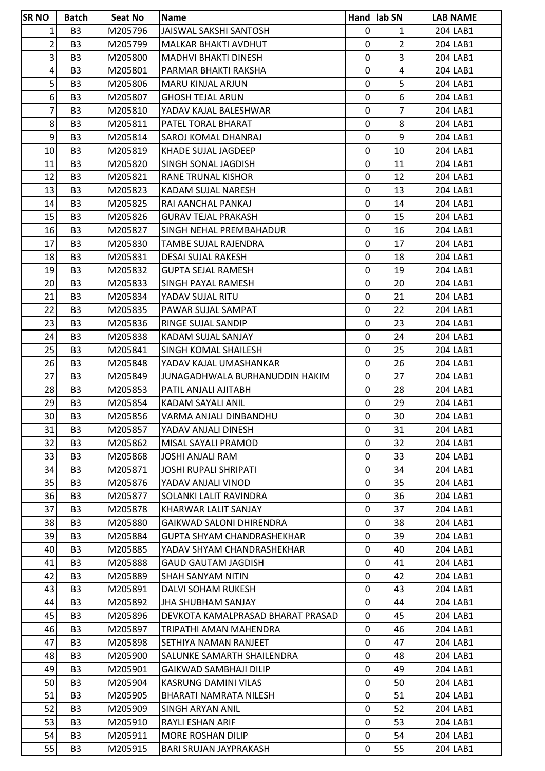| <b>SRNO</b>    | <b>Batch</b>   | Seat No | <b>Name</b>                       |                | Hand lab SN     | <b>LAB NAME</b> |
|----------------|----------------|---------|-----------------------------------|----------------|-----------------|-----------------|
| 1              | B <sub>3</sub> | M205796 | JAISWAL SAKSHI SANTOSH            | $\mathbf 0$    | 1               | 204 LAB1        |
| 2              | B <sub>3</sub> | M205799 | MALKAR BHAKTI AVDHUT              | $\mathbf 0$    | $\overline{2}$  | 204 LAB1        |
| 3              | B <sub>3</sub> | M205800 | <b>MADHVI BHAKTI DINESH</b>       | 0              | $\overline{3}$  | 204 LAB1        |
| 4              | B <sub>3</sub> | M205801 | PARMAR BHAKTI RAKSHA              | $\mathbf 0$    | $\overline{a}$  | 204 LAB1        |
| 5              | B <sub>3</sub> | M205806 | <b>MARU KINJAL ARJUN</b>          | 0              | 5 <sup>1</sup>  | 204 LAB1        |
| 6 <sup>1</sup> | B <sub>3</sub> | M205807 | <b>GHOSH TEJAL ARUN</b>           | $\mathbf 0$    | 6 <sup>1</sup>  | 204 LAB1        |
| 7              | B <sub>3</sub> | M205810 | YADAV KAJAL BALESHWAR             | 0              | 7               | 204 LAB1        |
| 8              | B <sub>3</sub> | M205811 | PATEL TORAL BHARAT                | $\pmb{0}$      | 8               | 204 LAB1        |
| 9              | B <sub>3</sub> | M205814 | SAROJ KOMAL DHANRAJ               | $\pmb{0}$      | $\overline{9}$  | 204 LAB1        |
| 10             | B <sub>3</sub> | M205819 | KHADE SUJAL JAGDEEP               | 0              | 10              | 204 LAB1        |
| 11             | B <sub>3</sub> | M205820 | SINGH SONAL JAGDISH               | $\mathbf 0$    | 11              | 204 LAB1        |
| 12             | B <sub>3</sub> | M205821 | RANE TRUNAL KISHOR                | 0              | 12              | 204 LAB1        |
| 13             | B <sub>3</sub> | M205823 | KADAM SUJAL NARESH                | $\mathbf 0$    | 13              | 204 LAB1        |
| 14             | B <sub>3</sub> | M205825 | RAI AANCHAL PANKAJ                | 0              | 14              | 204 LAB1        |
| 15             | B <sub>3</sub> | M205826 | <b>GURAV TEJAL PRAKASH</b>        | $\pmb{0}$      | 15              | 204 LAB1        |
| 16             | B <sub>3</sub> | M205827 | SINGH NEHAL PREMBAHADUR           | $\pmb{0}$      | 16              | 204 LAB1        |
| 17             | B <sub>3</sub> | M205830 | TAMBE SUJAL RAJENDRA              | 0              | 17              | 204 LAB1        |
| 18             | B <sub>3</sub> | M205831 | <b>DESAI SUJAL RAKESH</b>         | 0              | 18              | 204 LAB1        |
| 19             | B <sub>3</sub> | M205832 | <b>GUPTA SEJAL RAMESH</b>         | 0              | 19              | 204 LAB1        |
| 20             | B <sub>3</sub> | M205833 | <b>SINGH PAYAL RAMESH</b>         | $\mathbf 0$    | 20              | 204 LAB1        |
| 21             | B <sub>3</sub> | M205834 | YADAV SUJAL RITU                  | 0              | 21              | 204 LAB1        |
| 22             | B <sub>3</sub> | M205835 | PAWAR SUJAL SAMPAT                | 0              | 22              | 204 LAB1        |
| 23             | B <sub>3</sub> | M205836 | <b>RINGE SUJAL SANDIP</b>         | $\mathbf 0$    | 23              | 204 LAB1        |
| 24             | B <sub>3</sub> | M205838 | KADAM SUJAL SANJAY                | 0              | 24              | 204 LAB1        |
| 25             | B <sub>3</sub> | M205841 | SINGH KOMAL SHAILESH              | $\mathbf 0$    | 25              | 204 LAB1        |
| 26             | B <sub>3</sub> | M205848 | YADAV KAJAL UMASHANKAR            | 0              | 26              | 204 LAB1        |
| 27             | B <sub>3</sub> | M205849 | JUNAGADHWALA BURHANUDDIN HAKIM    | $\mathbf 0$    | 27              | 204 LAB1        |
| 28             | B <sub>3</sub> | M205853 | PATIL ANJALI AJITABH              | $\pmb{0}$      | 28              | 204 LAB1        |
| 29             | B <sub>3</sub> | M205854 | KADAM SAYALI ANIL                 | 0              | 29              | 204 LAB1        |
| 30             | B <sub>3</sub> | M205856 | VARMA ANJALI DINBANDHU            | $\overline{0}$ | 30 <sup>1</sup> | 204 LAB1        |
| 31             | B <sub>3</sub> | M205857 | YADAV ANJALI DINESH               | $\overline{0}$ | 31              | 204 LAB1        |
| 32             | B <sub>3</sub> | M205862 | MISAL SAYALI PRAMOD               | $\mathbf 0$    | 32              | 204 LAB1        |
| 33             | B <sub>3</sub> | M205868 | <b>JOSHI ANJALI RAM</b>           | $\mathbf 0$    | 33              | 204 LAB1        |
| 34             | B <sub>3</sub> | M205871 | <b>JOSHI RUPALI SHRIPATI</b>      | 0              | 34              | 204 LAB1        |
| 35             | B <sub>3</sub> | M205876 | YADAV ANJALI VINOD                | $\mathbf 0$    | 35              | 204 LAB1        |
| 36             | B <sub>3</sub> | M205877 | SOLANKI LALIT RAVINDRA            | 0              | 36              | 204 LAB1        |
| 37             | B <sub>3</sub> | M205878 | KHARWAR LALIT SANJAY              | $\mathbf 0$    | 37              | 204 LAB1        |
| 38             | B <sub>3</sub> | M205880 | <b>GAIKWAD SALONI DHIRENDRA</b>   | 0              | 38              | 204 LAB1        |
| 39             | B <sub>3</sub> | M205884 | GUPTA SHYAM CHANDRASHEKHAR        | 0              | 39              | 204 LAB1        |
| 40             | B <sub>3</sub> | M205885 | YADAV SHYAM CHANDRASHEKHAR        | $\mathbf 0$    | 40              | 204 LAB1        |
| 41             | B <sub>3</sub> | M205888 | <b>GAUD GAUTAM JAGDISH</b>        | $\mathbf 0$    | 41              | 204 LAB1        |
| 42             | B <sub>3</sub> | M205889 | SHAH SANYAM NITIN                 | $\mathbf 0$    | 42              | 204 LAB1        |
| 43             | B <sub>3</sub> | M205891 | DALVI SOHAM RUKESH                | $\mathbf 0$    | 43              | 204 LAB1        |
| 44             | B <sub>3</sub> | M205892 | <b>JHA SHUBHAM SANJAY</b>         | $\mathbf 0$    | 44              | 204 LAB1        |
| 45             | B <sub>3</sub> | M205896 | DEVKOTA KAMALPRASAD BHARAT PRASAD | $\mathbf 0$    | 45              | 204 LAB1        |
| 46             | B <sub>3</sub> | M205897 | TRIPATHI AMAN MAHENDRA            | $\mathbf 0$    | 46              | 204 LAB1        |
| 47             | B <sub>3</sub> | M205898 | SETHIYA NAMAN RANJEET             | $\mathbf 0$    | 47              | 204 LAB1        |
| 48             | B <sub>3</sub> | M205900 | SALUNKE SAMARTH SHAILENDRA        | $\pmb{0}$      | 48              | 204 LAB1        |
| 49             | B <sub>3</sub> | M205901 | GAIKWAD SAMBHAJI DILIP            | $\mathbf 0$    | 49              | 204 LAB1        |
| 50             | B <sub>3</sub> | M205904 | KASRUNG DAMINI VILAS              | 0              | 50              | 204 LAB1        |
| 51             | B <sub>3</sub> | M205905 | BHARATI NAMRATA NILESH            | $\mathbf 0$    | 51              | 204 LAB1        |
| 52             | B <sub>3</sub> | M205909 | SINGH ARYAN ANIL                  | 0              | 52              | 204 LAB1        |
| 53             | B <sub>3</sub> | M205910 | <b>RAYLI ESHAN ARIF</b>           | 0              | 53              | 204 LAB1        |
| 54             | B <sub>3</sub> | M205911 | <b>MORE ROSHAN DILIP</b>          | $\mathbf 0$    | 54              | 204 LAB1        |
| 55             | B <sub>3</sub> | M205915 | <b>BARI SRUJAN JAYPRAKASH</b>     | 0              | 55              | 204 LAB1        |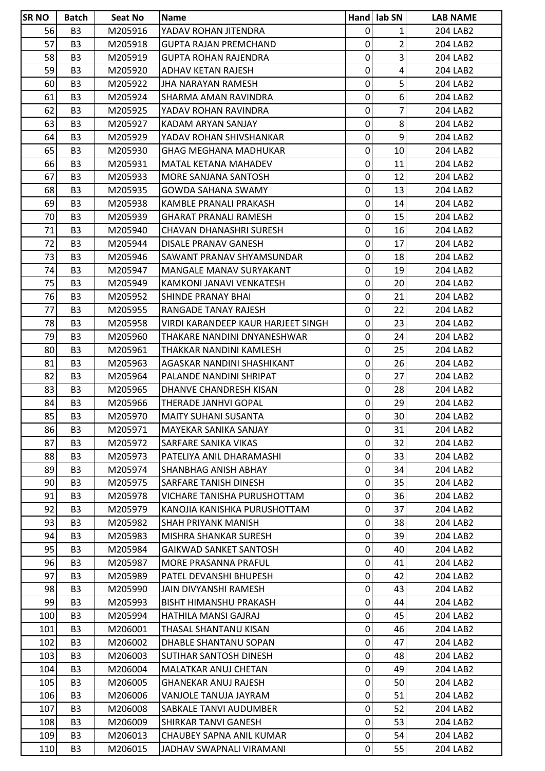| <b>ISR NO</b> | <b>Batch</b>   | Seat No | <b>Name</b>                        |                | Hand lab SN             | <b>LAB NAME</b> |
|---------------|----------------|---------|------------------------------------|----------------|-------------------------|-----------------|
| 56            | B <sub>3</sub> | M205916 | YADAV ROHAN JITENDRA               | $\mathbf 0$    | 1                       | 204 LAB2        |
| 57            | B <sub>3</sub> | M205918 | <b>GUPTA RAJAN PREMCHAND</b>       | $\pmb{0}$      | $\overline{2}$          | 204 LAB2        |
| 58            | B <sub>3</sub> | M205919 | <b>GUPTA ROHAN RAJENDRA</b>        | 0              | 3                       | 204 LAB2        |
| 59            | B <sub>3</sub> | M205920 | ADHAV KETAN RAJESH                 | 0              | $\overline{\mathbf{4}}$ | 204 LAB2        |
| 60            | B <sub>3</sub> | M205922 | JHA NARAYAN RAMESH                 | 0              | 5                       | 204 LAB2        |
| 61            | B <sub>3</sub> | M205924 | SHARMA AMAN RAVINDRA               | 0              | 6 <sup>1</sup>          | 204 LAB2        |
| 62            | B <sub>3</sub> | M205925 | YADAV ROHAN RAVINDRA               | 0              | 7                       | 204 LAB2        |
| 63            | B <sub>3</sub> | M205927 | KADAM ARYAN SANJAY                 | 0              | 8                       | 204 LAB2        |
| 64            | B <sub>3</sub> | M205929 | YADAV ROHAN SHIVSHANKAR            | 0              | $\overline{9}$          | 204 LAB2        |
| 65            | B <sub>3</sub> | M205930 | <b>GHAG MEGHANA MADHUKAR</b>       | 0              | 10                      | 204 LAB2        |
| 66            | B <sub>3</sub> | M205931 | <b>MATAL KETANA MAHADEV</b>        | 0              | 11                      | 204 LAB2        |
| 67            | B <sub>3</sub> | M205933 | MORE SANJANA SANTOSH               | 0              | 12                      | 204 LAB2        |
| 68            | B <sub>3</sub> | M205935 | <b>GOWDA SAHANA SWAMY</b>          | 0              | 13                      | 204 LAB2        |
| 69            | B <sub>3</sub> | M205938 | KAMBLE PRANALI PRAKASH             | 0              | 14                      | 204 LAB2        |
| 70            | B <sub>3</sub> | M205939 | <b>GHARAT PRANALI RAMESH</b>       | 0              | 15                      | 204 LAB2        |
| 71            | B <sub>3</sub> | M205940 | CHAVAN DHANASHRI SURESH            | 0              | 16                      | 204 LAB2        |
| 72            | B <sub>3</sub> | M205944 | DISALE PRANAV GANESH               | 0              | 17                      | 204 LAB2        |
| 73            | B <sub>3</sub> | M205946 | SAWANT PRANAV SHYAMSUNDAR          | 0              | 18                      | 204 LAB2        |
| 74            | B <sub>3</sub> | M205947 | <b>MANGALE MANAV SURYAKANT</b>     | 0              | 19                      | 204 LAB2        |
| 75            | B <sub>3</sub> | M205949 | KAMKONI JANAVI VENKATESH           | 0              | 20                      | 204 LAB2        |
| 76            | B <sub>3</sub> | M205952 | <b>SHINDE PRANAY BHAI</b>          | 0              | 21                      | 204 LAB2        |
| 77            | B <sub>3</sub> | M205955 | RANGADE TANAY RAJESH               | 0              | 22                      | 204 LAB2        |
| 78            | B <sub>3</sub> | M205958 | VIRDI KARANDEEP KAUR HARJEET SINGH | 0              | 23                      | 204 LAB2        |
| 79            | B <sub>3</sub> | M205960 | THAKARE NANDINI DNYANESHWAR        | 0              | 24                      | 204 LAB2        |
| 80            | B <sub>3</sub> | M205961 | THAKKAR NANDINI KAMLESH            | 0              | 25                      | 204 LAB2        |
| 81            | B <sub>3</sub> | M205963 | AGASKAR NANDINI SHASHIKANT         | 0              | 26                      | 204 LAB2        |
| 82            | B <sub>3</sub> | M205964 | PALANDE NANDINI SHRIPAT            | 0              | 27                      | 204 LAB2        |
| 83            | B <sub>3</sub> | M205965 | DHANVE CHANDRESH KISAN             | $\pmb{0}$      | 28                      | 204 LAB2        |
| 84            | B <sub>3</sub> | M205966 | THERADE JANHVI GOPAL               | $\mathbf 0$    | 29                      | 204 LAB2        |
| 85            | B <sub>3</sub> | M205970 | MAITY SUHANI SUSANTA               | $\overline{0}$ | 30 <sup>1</sup>         | 204 LAB2        |
| 86            | B <sub>3</sub> | M205971 | <b>MAYEKAR SANIKA SANJAY</b>       | 0              | 31                      | 204 LAB2        |
| 87            | B <sub>3</sub> | M205972 | <b>SARFARE SANIKA VIKAS</b>        | 0              | 32                      | 204 LAB2        |
| 88            | B <sub>3</sub> | M205973 | PATELIYA ANIL DHARAMASHI           | 0              | 33                      | 204 LAB2        |
| 89            | B <sub>3</sub> | M205974 | <b>SHANBHAG ANISH ABHAY</b>        | 0              | 34                      | 204 LAB2        |
| 90            | B <sub>3</sub> | M205975 | SARFARE TANISH DINESH              | 0              | 35                      | 204 LAB2        |
| 91            | B <sub>3</sub> | M205978 | VICHARE TANISHA PURUSHOTTAM        | 0              | 36                      | 204 LAB2        |
| 92            | B <sub>3</sub> | M205979 | KANOJIA KANISHKA PURUSHOTTAM       | 0              | 37                      | 204 LAB2        |
| 93            | B <sub>3</sub> | M205982 | <b>SHAH PRIYANK MANISH</b>         | 0              | 38                      | 204 LAB2        |
| 94            | B <sub>3</sub> | M205983 | <b>MISHRA SHANKAR SURESH</b>       | 0              | 39                      | 204 LAB2        |
| 95            | B <sub>3</sub> | M205984 | <b>GAIKWAD SANKET SANTOSH</b>      | 0              | 40                      | 204 LAB2        |
| 96            | B <sub>3</sub> | M205987 | MORE PRASANNA PRAFUL               | 0              | 41                      | 204 LAB2        |
| 97            | B <sub>3</sub> | M205989 | PATEL DEVANSHI BHUPESH             | 0              | 42                      | 204 LAB2        |
| 98            | B <sub>3</sub> | M205990 | JAIN DIVYANSHI RAMESH              | 0              | 43                      | 204 LAB2        |
| 99            | B <sub>3</sub> | M205993 | <b>BISHT HIMANSHU PRAKASH</b>      | 0              | 44                      | 204 LAB2        |
| 100           | B <sub>3</sub> | M205994 | HATHILA MANSI GAJRAJ               | 0              | 45                      | 204 LAB2        |
| 101           | B <sub>3</sub> | M206001 | THASAL SHANTANU KISAN              | 0              | 46                      | 204 LAB2        |
| 102           | B3             | M206002 | DHABLE SHANTANU SOPAN              | 0              | 47                      | 204 LAB2        |
| 103           | B <sub>3</sub> | M206003 | <b>SUTIHAR SANTOSH DINESH</b>      | 0              | 48                      | 204 LAB2        |
| 104           | B <sub>3</sub> | M206004 | <b>MALATKAR ANUJ CHETAN</b>        | 0              | 49                      | 204 LAB2        |
| 105           | B <sub>3</sub> | M206005 | <b>GHANEKAR ANUJ RAJESH</b>        | 0              | 50                      | 204 LAB2        |
| 106           | B <sub>3</sub> | M206006 | VANJOLE TANUJA JAYRAM              | 0              | 51                      | 204 LAB2        |
| 107           | B <sub>3</sub> | M206008 | SABKALE TANVI AUDUMBER             | 0              | 52                      | 204 LAB2        |
| 108           | B <sub>3</sub> | M206009 | <b>SHIRKAR TANVI GANESH</b>        | 0              | 53                      | 204 LAB2        |
| 109           | B <sub>3</sub> | M206013 | <b>CHAUBEY SAPNA ANIL KUMAR</b>    | 0              | 54                      | 204 LAB2        |
| 110           | B <sub>3</sub> | M206015 | JADHAV SWAPNALI VIRAMANI           | $\pmb{0}$      | 55                      | 204 LAB2        |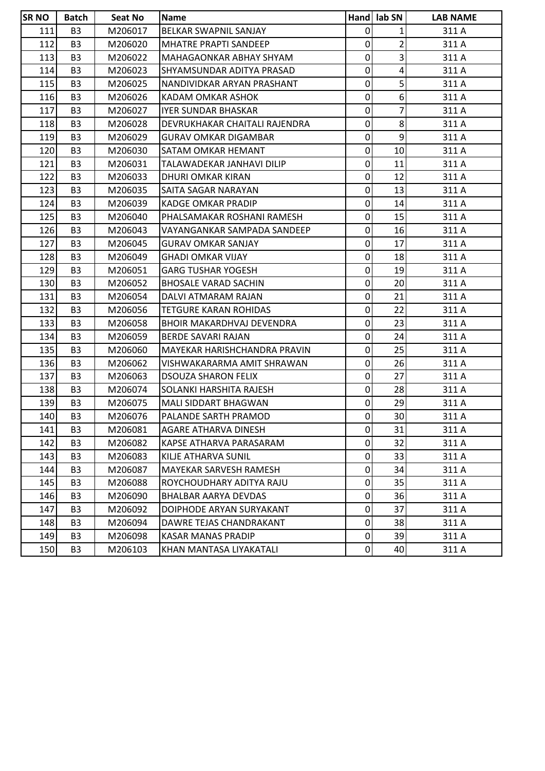| <b>SRNO</b> | <b>Batch</b>   | Seat No | <b>Name</b>                      |             | Hand lab SN     | <b>LAB NAME</b> |
|-------------|----------------|---------|----------------------------------|-------------|-----------------|-----------------|
| 111         | B <sub>3</sub> | M206017 | BELKAR SWAPNIL SANJAY            | 0           | $\mathbf 1$     | 311 A           |
| 112         | B <sub>3</sub> | M206020 | <b>MHATRE PRAPTI SANDEEP</b>     | 0           | $\overline{2}$  | 311 A           |
| 113         | B <sub>3</sub> | M206022 | <b>MAHAGAONKAR ABHAY SHYAM</b>   | 0           | 3               | 311 A           |
| 114         | B <sub>3</sub> | M206023 | SHYAMSUNDAR ADITYA PRASAD        | 0           | 4               | 311 A           |
| 115         | B <sub>3</sub> | M206025 | NANDIVIDKAR ARYAN PRASHANT       | $\mathbf 0$ | 5               | 311 A           |
| 116         | B <sub>3</sub> | M206026 | KADAM OMKAR ASHOK                | $\mathbf 0$ | 6               | 311 A           |
| 117         | B <sub>3</sub> | M206027 | <b>IYER SUNDAR BHASKAR</b>       | 0           | 7               | 311 A           |
| 118         | B <sub>3</sub> | M206028 | DEVRUKHAKAR CHAITALI RAJENDRA    | 0           | 8 <sup>1</sup>  | 311 A           |
| 119         | B <sub>3</sub> | M206029 | <b>GURAV OMKAR DIGAMBAR</b>      | 0           | 9               | 311 A           |
| 120         | B <sub>3</sub> | M206030 | <b>SATAM OMKAR HEMANT</b>        | $\mathbf 0$ | 10              | 311 A           |
| 121         | B <sub>3</sub> | M206031 | TALAWADEKAR JANHAVI DILIP        | 0           | 11              | 311 A           |
| 122         | B <sub>3</sub> | M206033 | DHURI OMKAR KIRAN                | 0           | 12              | 311 A           |
| 123         | B <sub>3</sub> | M206035 | SAITA SAGAR NARAYAN              | 0           | 13              | 311 A           |
| 124         | B <sub>3</sub> | M206039 | <b>KADGE OMKAR PRADIP</b>        | 0           | 14              | 311 A           |
| 125         | B <sub>3</sub> | M206040 | PHALSAMAKAR ROSHANI RAMESH       | 0           | 15              | 311 A           |
| 126         | B <sub>3</sub> | M206043 | VAYANGANKAR SAMPADA SANDEEP      | 0           | 16              | 311 A           |
| 127         | B <sub>3</sub> | M206045 | <b>GURAV OMKAR SANJAY</b>        | $\mathbf 0$ | 17              | 311 A           |
| 128         | B <sub>3</sub> | M206049 | <b>GHADI OMKAR VIJAY</b>         | 0           | 18              | 311 A           |
| 129         | B <sub>3</sub> | M206051 | <b>GARG TUSHAR YOGESH</b>        | 0           | 19              | 311 A           |
| 130         | B <sub>3</sub> | M206052 | <b>BHOSALE VARAD SACHIN</b>      | 0           | 20              | 311 A           |
| 131         | B <sub>3</sub> | M206054 | DALVI ATMARAM RAJAN              | 0           | 21              | 311 A           |
| 132         | B <sub>3</sub> | M206056 | <b>TETGURE KARAN ROHIDAS</b>     | 0           | 22              | 311 A           |
| 133         | B <sub>3</sub> | M206058 | <b>BHOIR MAKARDHVAJ DEVENDRA</b> | $\mathbf 0$ | 23              | 311 A           |
| 134         | B <sub>3</sub> | M206059 | BERDE SAVARI RAJAN               | $\mathbf 0$ | 24              | 311 A           |
| 135         | B <sub>3</sub> | M206060 | MAYEKAR HARISHCHANDRA PRAVIN     | 0           | 25              | 311 A           |
| 136         | B <sub>3</sub> | M206062 | VISHWAKARARMA AMIT SHRAWAN       | 0           | 26              | 311 A           |
| 137         | B <sub>3</sub> | M206063 | <b>DSOUZA SHARON FELIX</b>       | 0           | 27              | 311 A           |
| 138         | B <sub>3</sub> | M206074 | SOLANKI HARSHITA RAJESH          | 0           | 28              | 311 A           |
| 139         | B <sub>3</sub> | M206075 | <b>MALI SIDDART BHAGWAN</b>      | 0           | 29              | 311 A           |
| 140         | B <sub>3</sub> | M206076 | PALANDE SARTH PRAMOD             | $\Omega$    | 30 <sup>1</sup> | 311 A           |
| 141         | B <sub>3</sub> | M206081 | AGARE ATHARVA DINESH             | 0           | 31              | 311 A           |
| 142         | B <sub>3</sub> | M206082 | KAPSE ATHARVA PARASARAM          | 0           | 32              | 311 A           |
| 143         | B <sub>3</sub> | M206083 | KILJE ATHARVA SUNIL              | 0           | 33              | 311 A           |
| 144         | B <sub>3</sub> | M206087 | MAYEKAR SARVESH RAMESH           | 0           | 34              | 311 A           |
| 145         | B <sub>3</sub> | M206088 | ROYCHOUDHARY ADITYA RAJU         | 0           | 35              | 311 A           |
| 146         | B <sub>3</sub> | M206090 | <b>BHALBAR AARYA DEVDAS</b>      | 0           | 36              | 311 A           |
| 147         | B <sub>3</sub> | M206092 | DOIPHODE ARYAN SURYAKANT         | 0           | 37              | 311 A           |
| 148         | B <sub>3</sub> | M206094 | DAWRE TEJAS CHANDRAKANT          | 0           | 38              | 311 A           |
| 149         | B <sub>3</sub> | M206098 | <b>KASAR MANAS PRADIP</b>        | 0           | 39              | 311 A           |
| 150         | B <sub>3</sub> | M206103 | KHAN MANTASA LIYAKATALI          | 0           | 40              | 311 A           |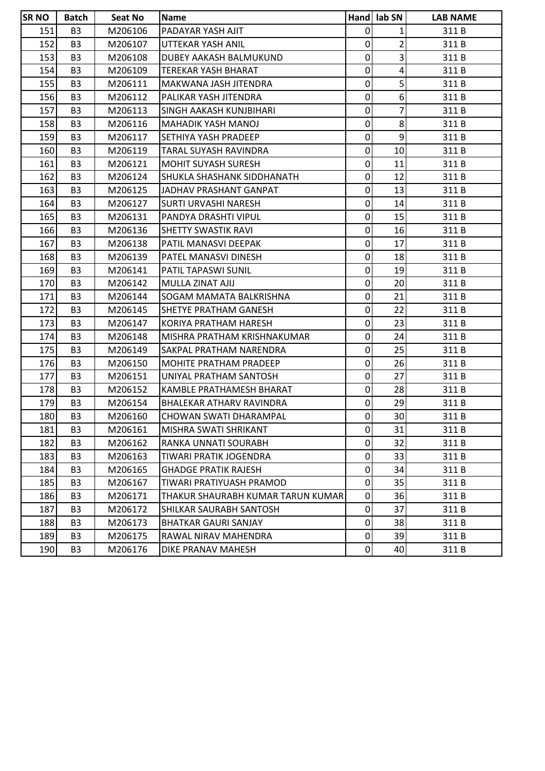| <b>SR NO</b> | <b>Batch</b>   | Seat No | <b>Name</b>                       |                | Hand lab SN     | <b>LAB NAME</b> |
|--------------|----------------|---------|-----------------------------------|----------------|-----------------|-----------------|
| 151          | B <sub>3</sub> | M206106 | PADAYAR YASH AJIT                 | 0              | 1               | 311 B           |
| 152          | B <sub>3</sub> | M206107 | UTTEKAR YASH ANIL                 | 0              | $\overline{2}$  | 311B            |
| 153          | B <sub>3</sub> | M206108 | DUBEY AAKASH BALMUKUND            | 0              | 3               | 311B            |
| 154          | B <sub>3</sub> | M206109 | <b>TEREKAR YASH BHARAT</b>        | 0              | 4               | 311B            |
| 155          | B <sub>3</sub> | M206111 | MAKWANA JASH JITENDRA             | $\mathbf 0$    | 5               | 311 B           |
| 156          | B <sub>3</sub> | M206112 | PALIKAR YASH JITENDRA             | 0              | 6               | 311B            |
| 157          | B <sub>3</sub> | M206113 | SINGH AAKASH KUNJBIHARI           | 0              | 7               | 311B            |
| 158          | B <sub>3</sub> | M206116 | <b>MAHADIK YASH MANOJ</b>         | 0              | 8               | 311B            |
| 159          | B <sub>3</sub> | M206117 | SETHIYA YASH PRADEEP              | 0              | $\overline{9}$  | 311B            |
| 160          | B <sub>3</sub> | M206119 | TARAL SUYASH RAVINDRA             | $\mathbf 0$    | 10              | 311B            |
| 161          | B <sub>3</sub> | M206121 | <b>MOHIT SUYASH SURESH</b>        | 0              | 11              | 311 B           |
| 162          | B <sub>3</sub> | M206124 | <b>SHUKLA SHASHANK SIDDHANATH</b> | 0              | 12              | 311B            |
| 163          | B <sub>3</sub> | M206125 | JADHAV PRASHANT GANPAT            | 0              | 13              | 311 B           |
| 164          | B <sub>3</sub> | M206127 | <b>SURTI URVASHI NARESH</b>       | 0              | 14              | 311B            |
| 165          | B <sub>3</sub> | M206131 | <b>PANDYA DRASHTI VIPUL</b>       | 0              | 15              | 311B            |
| 166          | B <sub>3</sub> | M206136 | SHETTY SWASTIK RAVI               | 0              | 16              | 311 B           |
| 167          | B <sub>3</sub> | M206138 | PATIL MANASVI DEEPAK              | 0              | 17              | 311 B           |
| 168          | B <sub>3</sub> | M206139 | PATEL MANASVI DINESH              | 0              | 18              | 311 B           |
| 169          | B <sub>3</sub> | M206141 | PATIL TAPASWI SUNIL               | 0              | 19              | 311 B           |
| 170          | B <sub>3</sub> | M206142 | MULLA ZINAT AJIJ                  | 0              | 20              | 311B            |
| 171          | B <sub>3</sub> | M206144 | SOGAM MAMATA BALKRISHNA           | 0              | 21              | 311 B           |
| 172          | B <sub>3</sub> | M206145 | SHETYE PRATHAM GANESH             | $\mathbf 0$    | 22              | 311B            |
| 173          | B <sub>3</sub> | M206147 | KORIYA PRATHAM HARESH             | 0              | 23              | 311B            |
| 174          | B <sub>3</sub> | M206148 | MISHRA PRATHAM KRISHNAKUMAR       | 0              | 24              | 311 B           |
| 175          | B <sub>3</sub> | M206149 | SAKPAL PRATHAM NARENDRA           | 0              | 25              | 311B            |
| 176          | B <sub>3</sub> | M206150 | MOHITE PRATHAM PRADEEP            | 0              | 26              | 311B            |
| 177          | B <sub>3</sub> | M206151 | UNIYAL PRATHAM SANTOSH            | 0              | 27              | 311B            |
| 178          | B <sub>3</sub> | M206152 | KAMBLE PRATHAMESH BHARAT          | 0              | 28              | 311B            |
| 179          | B <sub>3</sub> | M206154 | BHALEKAR ATHARV RAVINDRA          | 0              | 29              | 311B            |
| 180          | B <sub>3</sub> | M206160 | CHOWAN SWATI DHARAMPAL            | $\overline{0}$ | 30 <sup>1</sup> | 311B            |
| 181          | B <sub>3</sub> | M206161 | MISHRA SWATI SHRIKANT             | 0              | 31              | 311B            |
| 182          | B <sub>3</sub> | M206162 | RANKA UNNATI SOURABH              | 0              | 32              | 311B            |
| 183          | B <sub>3</sub> | M206163 | TIWARI PRATIK JOGENDRA            | 0              | 33              | 311B            |
| 184          | B <sub>3</sub> | M206165 | <b>GHADGE PRATIK RAJESH</b>       | 0              | 34              | 311B            |
| 185          | B <sub>3</sub> | M206167 | TIWARI PRATIYUASH PRAMOD          | 0              | 35              | 311B            |
| 186          | B <sub>3</sub> | M206171 | THAKUR SHAURABH KUMAR TARUN KUMAR | 0              | 36              | 311 B           |
| 187          | B <sub>3</sub> | M206172 | SHILKAR SAURABH SANTOSH           | 0              | 37              | 311 B           |
| 188          | B <sub>3</sub> | M206173 | <b>BHATKAR GAURI SANJAY</b>       | 0              | 38              | 311B            |
| 189          | B <sub>3</sub> | M206175 | RAWAL NIRAV MAHENDRA              | 0              | 39              | 311 B           |
| 190          | B <sub>3</sub> | M206176 | DIKE PRANAV MAHESH                | 0              | 40              | 311B            |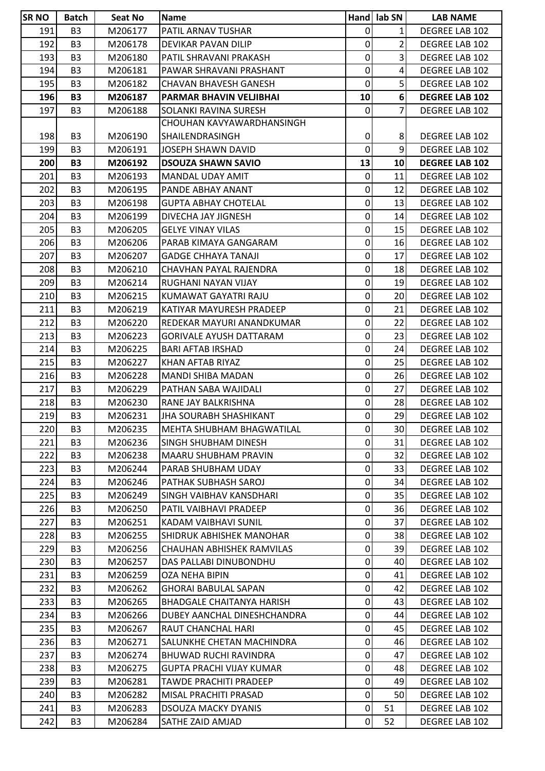| <b>SR NO</b> | <b>Batch</b>   | Seat No | <b>Name</b>                      |                | Hand lab SN     | <b>LAB NAME</b>       |
|--------------|----------------|---------|----------------------------------|----------------|-----------------|-----------------------|
| 191          | B <sub>3</sub> | M206177 | PATIL ARNAV TUSHAR               | $\mathbf 0$    | 1               | DEGREE LAB 102        |
| 192          | B <sub>3</sub> | M206178 | DEVIKAR PAVAN DILIP              | $\pmb{0}$      | $\overline{2}$  | DEGREE LAB 102        |
| 193          | B <sub>3</sub> | M206180 | PATIL SHRAVANI PRAKASH           | 0              | $\overline{3}$  | DEGREE LAB 102        |
| 194          | B <sub>3</sub> | M206181 | PAWAR SHRAVANI PRASHANT          | 0              | 4               | DEGREE LAB 102        |
| 195          | B <sub>3</sub> | M206182 | CHAVAN BHAVESH GANESH            | 0              | 5               | DEGREE LAB 102        |
| 196          | <b>B3</b>      | M206187 | PARMAR BHAVIN VELJIBHAI          | 10             | 6 <sup>1</sup>  | <b>DEGREE LAB 102</b> |
| 197          | B <sub>3</sub> | M206188 | SOLANKI RAVINA SURESH            | 0              | 7               | DEGREE LAB 102        |
|              |                |         | CHOUHAN KAVYAWARDHANSINGH        |                |                 |                       |
| 198          | B <sub>3</sub> | M206190 | SHAILENDRASINGH                  | $\pmb{0}$      | 8               | <b>DEGREE LAB 102</b> |
| 199          | B <sub>3</sub> | M206191 | JOSEPH SHAWN DAVID               | $\mathbf 0$    | 9 <sup>1</sup>  | DEGREE LAB 102        |
| 200          | <b>B3</b>      | M206192 | <b>DSOUZA SHAWN SAVIO</b>        | 13             | 10              | <b>DEGREE LAB 102</b> |
| 201          | B <sub>3</sub> | M206193 | MANDAL UDAY AMIT                 | 0              | 11              | DEGREE LAB 102        |
| 202          | B <sub>3</sub> | M206195 | PANDE ABHAY ANANT                | 0              | 12              | DEGREE LAB 102        |
| 203          | B <sub>3</sub> | M206198 | <b>GUPTA ABHAY CHOTELAL</b>      | $\mathbf 0$    | 13              | DEGREE LAB 102        |
| 204          | B <sub>3</sub> | M206199 | DIVECHA JAY JIGNESH              | 0              | 14              | DEGREE LAB 102        |
| 205          | B <sub>3</sub> | M206205 | <b>GELYE VINAY VILAS</b>         | 0              | 15              | DEGREE LAB 102        |
| 206          | B <sub>3</sub> | M206206 | PARAB KIMAYA GANGARAM            | 0              | 16              | DEGREE LAB 102        |
| 207          | B <sub>3</sub> | M206207 | <b>GADGE CHHAYA TANAJI</b>       | $\pmb{0}$      | 17              | DEGREE LAB 102        |
| 208          | B <sub>3</sub> | M206210 | CHAVHAN PAYAL RAJENDRA           | 0              | 18              | DEGREE LAB 102        |
| 209          | B <sub>3</sub> | M206214 | RUGHANI NAYAN VIJAY              | 0              | 19              | DEGREE LAB 102        |
| 210          | B <sub>3</sub> | M206215 | KUMAWAT GAYATRI RAJU             | 0              | 20              | DEGREE LAB 102        |
| 211          | B <sub>3</sub> | M206219 | KATIYAR MAYURESH PRADEEP         | 0              | 21              | DEGREE LAB 102        |
| 212          | B <sub>3</sub> | M206220 | REDEKAR MAYURI ANANDKUMAR        | $\pmb{0}$      | 22              | DEGREE LAB 102        |
| 213          | B <sub>3</sub> | M206223 | <b>GORIVALE AYUSH DATTARAM</b>   | 0              | 23              | DEGREE LAB 102        |
| 214          | B <sub>3</sub> | M206225 | <b>BARI AFTAB IRSHAD</b>         | $\pmb{0}$      | 24              | DEGREE LAB 102        |
| 215          | B <sub>3</sub> | M206227 | KHAN AFTAB RIYAZ                 | 0              | 25              | DEGREE LAB 102        |
| 216          | B <sub>3</sub> | M206228 | <b>MANDI SHIBA MADAN</b>         | 0              | 26              | DEGREE LAB 102        |
| 217          | B <sub>3</sub> | M206229 | PATHAN SABA WAJIDALI             | 0              | 27              | DEGREE LAB 102        |
| 218          | B <sub>3</sub> | M206230 | RANE JAY BALKRISHNA              | 0              | 28              | DEGREE LAB 102        |
| 219          | B <sub>3</sub> | M206231 | <b>JHA SOURABH SHASHIKANT</b>    | $\overline{0}$ | 29              | DEGREE LAB 102        |
| 220          | B <sub>3</sub> | M206235 | <b>MEHTA SHUBHAM BHAGWATILAL</b> | $\mathbf 0$    | 30              | DEGREE LAB 102        |
| 221          | B <sub>3</sub> | M206236 | SINGH SHUBHAM DINESH             | $\pmb{0}$      | 31              | DEGREE LAB 102        |
| 2221         | B <sub>3</sub> | M206238 | MAARU SHUBHAM PRAVIN             | $\mathbf 0$    | 32 <sub>l</sub> | DEGREE LAB 102        |
| 223          | B <sub>3</sub> | M206244 | PARAB SHUBHAM UDAY               | 0              | 33              | DEGREE LAB 102        |
| 224          | B <sub>3</sub> | M206246 | PATHAK SUBHASH SAROJ             | $\mathbf 0$    | 34              | DEGREE LAB 102        |
| 225          | B <sub>3</sub> | M206249 | SINGH VAIBHAV KANSDHARI          | 0              | 35              | DEGREE LAB 102        |
| 226          | B <sub>3</sub> | M206250 | PATIL VAIBHAVI PRADEEP           | 0              | 36              | DEGREE LAB 102        |
| 227          | B <sub>3</sub> | M206251 | KADAM VAIBHAVI SUNIL             | 0              | 37              | DEGREE LAB 102        |
| 228          | B <sub>3</sub> | M206255 | SHIDRUK ABHISHEK MANOHAR         | 0              | 38              | DEGREE LAB 102        |
| 229          | B <sub>3</sub> | M206256 | CHAUHAN ABHISHEK RAMVILAS        | $\mathbf 0$    | 39              | DEGREE LAB 102        |
| 230          | B <sub>3</sub> | M206257 | DAS PALLABI DINUBONDHU           | $\mathbf 0$    | 40              | DEGREE LAB 102        |
| 231          | B <sub>3</sub> | M206259 | OZA NEHA BIPIN                   | $\mathbf 0$    | 41              | DEGREE LAB 102        |
| 232          | B <sub>3</sub> | M206262 | <b>GHORAI BABULAL SAPAN</b>      | $\pmb{0}$      | 42              | DEGREE LAB 102        |
| 233          | B <sub>3</sub> | M206265 | <b>BHADGALE CHAITANYA HARISH</b> | $\pmb{0}$      | 43              | DEGREE LAB 102        |
| 234          | B <sub>3</sub> | M206266 | DUBEY AANCHAL DINESHCHANDRA      | $\pmb{0}$      | 44              | DEGREE LAB 102        |
| 235          | B <sub>3</sub> | M206267 | RAUT CHANCHAL HARI               | 0              | 45              | DEGREE LAB 102        |
| 236          | B <sub>3</sub> | M206271 | SALUNKHE CHETAN MACHINDRA        | $\mathbf 0$    | 46              | DEGREE LAB 102        |
| 237          | B <sub>3</sub> | M206274 | <b>BHUWAD RUCHI RAVINDRA</b>     | 0              | 47              | DEGREE LAB 102        |
| 238          | B <sub>3</sub> | M206275 | <b>GUPTA PRACHI VIJAY KUMAR</b>  | $\pmb{0}$      | 48              | DEGREE LAB 102        |
| 239          | B <sub>3</sub> | M206281 | <b>TAWDE PRACHITI PRADEEP</b>    | $\pmb{0}$      | 49              | DEGREE LAB 102        |
| 240          | B <sub>3</sub> | M206282 | MISAL PRACHITI PRASAD            | $\pmb{0}$      | 50              | DEGREE LAB 102        |
| 241          | B <sub>3</sub> | M206283 | <b>DSOUZA MACKY DYANIS</b>       | 0              | 51              | DEGREE LAB 102        |
| 242          | B <sub>3</sub> | M206284 | SATHE ZAID AMJAD                 | $\mathbf 0$    | 52              | DEGREE LAB 102        |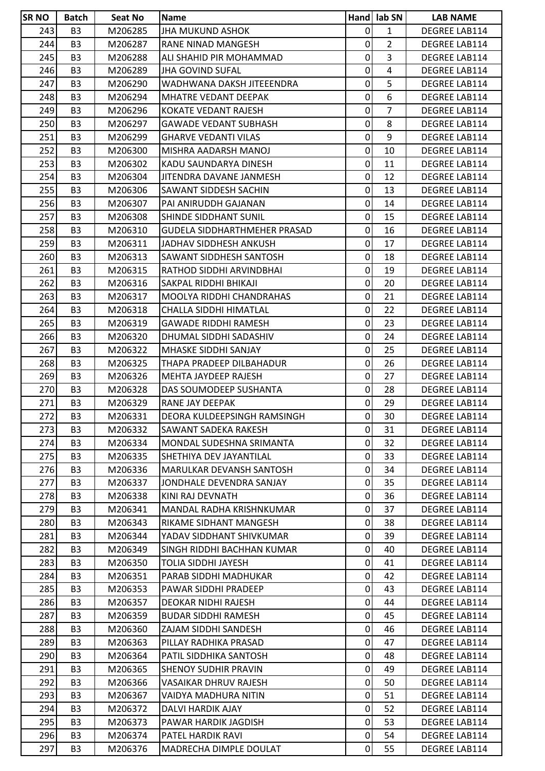| <b>SRNO</b> | <b>Batch</b>   | <b>Seat No</b>     | <b>Name</b>                         |                | Hand lab SN             | <b>LAB NAME</b>      |
|-------------|----------------|--------------------|-------------------------------------|----------------|-------------------------|----------------------|
| 243         | B <sub>3</sub> | M206285            | <b>JHA MUKUND ASHOK</b>             | $\mathbf 0$    | $\mathbf{1}$            | <b>DEGREE LAB114</b> |
| 244         | B <sub>3</sub> | M206287            | RANE NINAD MANGESH                  | $\pmb{0}$      | $\overline{2}$          | <b>DEGREE LAB114</b> |
| 245         | B <sub>3</sub> | M206288            | ALI SHAHID PIR MOHAMMAD             | $\pmb{0}$      | 3                       | <b>DEGREE LAB114</b> |
| 246         | B <sub>3</sub> | M206289            | <b>JHA GOVIND SUFAL</b>             | 0              | $\overline{\mathbf{4}}$ | <b>DEGREE LAB114</b> |
| 247         | B <sub>3</sub> | M206290            | WADHWANA DAKSH JITEEENDRA           | 0              | 5                       | DEGREE LAB114        |
| 248         | B <sub>3</sub> | M206294            | MHATRE VEDANT DEEPAK                | $\pmb{0}$      | 6                       | DEGREE LAB114        |
| 249         | B <sub>3</sub> | M206296            | KOKATE VEDANT RAJESH                | 0              | $\overline{7}$          | <b>DEGREE LAB114</b> |
| 250         | B <sub>3</sub> | M206297            | <b>GAWADE VEDANT SUBHASH</b>        | $\pmb{0}$      | 8                       | DEGREE LAB114        |
| 251         | B <sub>3</sub> | M206299            | <b>GHARVE VEDANTI VILAS</b>         | $\pmb{0}$      | 9                       | DEGREE LAB114        |
| 252         | B <sub>3</sub> | M206300            | MISHRA AADARSH MANOJ                | 0              | 10                      | <b>DEGREE LAB114</b> |
| 253         | B <sub>3</sub> | M206302            | KADU SAUNDARYA DINESH               | $\pmb{0}$      | 11                      | DEGREE LAB114        |
| 254         | B <sub>3</sub> | M206304            | JITENDRA DAVANE JANMESH             | 0              | 12                      | DEGREE LAB114        |
| 255         | B <sub>3</sub> | M206306            | SAWANT SIDDESH SACHIN               | 0              | 13                      | DEGREE LAB114        |
| 256         | B <sub>3</sub> | M206307            | PAI ANIRUDDH GAJANAN                | $\pmb{0}$      | 14                      | <b>DEGREE LAB114</b> |
| 257         | B <sub>3</sub> | M206308            | SHINDE SIDDHANT SUNIL               | $\pmb{0}$      | 15                      | DEGREE LAB114        |
| 258         | B <sub>3</sub> | M206310            | <b>GUDELA SIDDHARTHMEHER PRASAD</b> | $\pmb{0}$      | 16                      | <b>DEGREE LAB114</b> |
| 259         | B <sub>3</sub> | M206311            | JADHAV SIDDHESH ANKUSH              | 0              | 17                      | <b>DEGREE LAB114</b> |
| 260         | B <sub>3</sub> | M206313            | SAWANT SIDDHESH SANTOSH             | $\pmb{0}$      | 18                      | DEGREE LAB114        |
| 261         | B <sub>3</sub> | M206315            | RATHOD SIDDHI ARVINDBHAI            | $\pmb{0}$      | 19                      | DEGREE LAB114        |
| 262         | B <sub>3</sub> | M206316            | SAKPAL RIDDHI BHIKAJI               | $\pmb{0}$      | 20                      | DEGREE LAB114        |
| 263         | B <sub>3</sub> | M206317            | MOOLYA RIDDHI CHANDRAHAS            | $\pmb{0}$      | 21                      | DEGREE LAB114        |
| 264         | B <sub>3</sub> | M206318            | CHALLA SIDDHI HIMATLAL              | $\pmb{0}$      | 22                      | <b>DEGREE LAB114</b> |
| 265         | B <sub>3</sub> | M206319            | <b>GAWADE RIDDHI RAMESH</b>         | $\pmb{0}$      | 23                      | <b>DEGREE LAB114</b> |
| 266         | B <sub>3</sub> | M206320            | DHUMAL SIDDHI SADASHIV              | 0              | 24                      | DEGREE LAB114        |
| 267         | B <sub>3</sub> | M206322            | MHASKE SIDDHI SANJAY                | $\pmb{0}$      | 25                      | DEGREE LAB114        |
| 268         | B <sub>3</sub> | M206325            | THAPA PRADEEP DILBAHADUR            | 0              | 26                      | <b>DEGREE LAB114</b> |
| 269         | B <sub>3</sub> | M206326            | MEHTA JAYDEEP RAJESH                | $\pmb{0}$      | 27                      | DEGREE LAB114        |
| 270         | B <sub>3</sub> | M206328            | DAS SOUMODEEP SUSHANTA              | 0              | 28                      | DEGREE LAB114        |
| 271         | B <sub>3</sub> | M206329            | RANE JAY DEEPAK                     | 0              | 29                      | <b>DEGREE LAB114</b> |
| 272         | B <sub>3</sub> | M206331            | DEORA KULDEEPSINGH RAMSINGH         | $\overline{0}$ | 30                      | <b>DEGREE LAB114</b> |
| 273         | B <sub>3</sub> | M206332            | <b>SAWANT SADEKA RAKESH</b>         | $\Omega$       | 31                      | DEGREE LAB114        |
| 274         | B <sub>3</sub> | M206334            | MONDAL SUDESHNA SRIMANTA            | $\pmb{0}$      | 32                      | <b>DEGREE LAB114</b> |
| 275         | B <sub>3</sub> | M206335            | SHETHIYA DEV JAYANTILAL             | $\pmb{0}$      | 33                      | <b>DEGREE LAB114</b> |
| 276         | B <sub>3</sub> | M206336            | MARULKAR DEVANSH SANTOSH            | $\pmb{0}$      | 34                      | <b>DEGREE LAB114</b> |
| 277         | B <sub>3</sub> | M206337            | JONDHALE DEVENDRA SANJAY            | $\pmb{0}$      | 35                      | DEGREE LAB114        |
| 278         | B <sub>3</sub> | M206338            | KINI RAJ DEVNATH                    | 0              | 36                      | DEGREE LAB114        |
| 279         | B <sub>3</sub> | M206341            | MANDAL RADHA KRISHNKUMAR            | $\pmb{0}$      | 37                      | DEGREE LAB114        |
| 280         | B <sub>3</sub> | M206343            | RIKAME SIDHANT MANGESH              | 0              | 38                      | <b>DEGREE LAB114</b> |
| 281         | B <sub>3</sub> | M206344            | YADAV SIDDHANT SHIVKUMAR            | $\pmb{0}$      | 39                      | DEGREE LAB114        |
| 282         | B <sub>3</sub> | M206349            | SINGH RIDDHI BACHHAN KUMAR          | $\pmb{0}$      | 40                      | DEGREE LAB114        |
| 283         | B <sub>3</sub> | M206350            | TOLIA SIDDHI JAYESH                 | $\pmb{0}$      | 41                      | <b>DEGREE LAB114</b> |
| 284         | B <sub>3</sub> | M206351            | PARAB SIDDHI MADHUKAR               | 0              | 42                      | <b>DEGREE LAB114</b> |
| 285         | B <sub>3</sub> | M206353            | PAWAR SIDDHI PRADEEP                | 0              | 43                      | <b>DEGREE LAB114</b> |
| 286         | B <sub>3</sub> | M206357            | <b>DEOKAR NIDHI RAJESH</b>          | $\mathbf 0$    | 44                      | DEGREE LAB114        |
| 287         | B <sub>3</sub> | M206359            | <b>BUDAR SIDDHI RAMESH</b>          | 0              | 45                      | <b>DEGREE LAB114</b> |
| 288         | B <sub>3</sub> | M206360            | ZAJAM SIDDHI SANDESH                | $\pmb{0}$      | 46                      | <b>DEGREE LAB114</b> |
| 289         | B <sub>3</sub> | M206363            | PILLAY RADHIKA PRASAD               | $\pmb{0}$      | 47                      | DEGREE LAB114        |
| 290         | B <sub>3</sub> | M206364            | PATIL SIDDHIKA SANTOSH              | 0              | 48                      | <b>DEGREE LAB114</b> |
| 291         | B <sub>3</sub> | M206365            | SHENOY SUDHIR PRAVIN                | $\pmb{0}$      | 49                      | <b>DEGREE LAB114</b> |
| 292         | B <sub>3</sub> | M206366            | VASAIKAR DHRUV RAJESH               | 0              | 50                      | DEGREE LAB114        |
| 293         | B <sub>3</sub> | M206367            | VAIDYA MADHURA NITIN                | $\pmb{0}$      | 51                      | DEGREE LAB114        |
| 294         | B <sub>3</sub> |                    | DALVI HARDIK AJAY                   | $\pmb{0}$      | 52                      | DEGREE LAB114        |
|             |                | M206372<br>M206373 |                                     | $\pmb{0}$      | 53                      | DEGREE LAB114        |
| 295         | B <sub>3</sub> |                    | PAWAR HARDIK JAGDISH                |                |                         |                      |
| 296         | B <sub>3</sub> | M206374            | PATEL HARDIK RAVI                   | 0              | 54                      | DEGREE LAB114        |
| 297         | B <sub>3</sub> | M206376            | MADRECHA DIMPLE DOULAT              | $\overline{0}$ | 55                      | DEGREE LAB114        |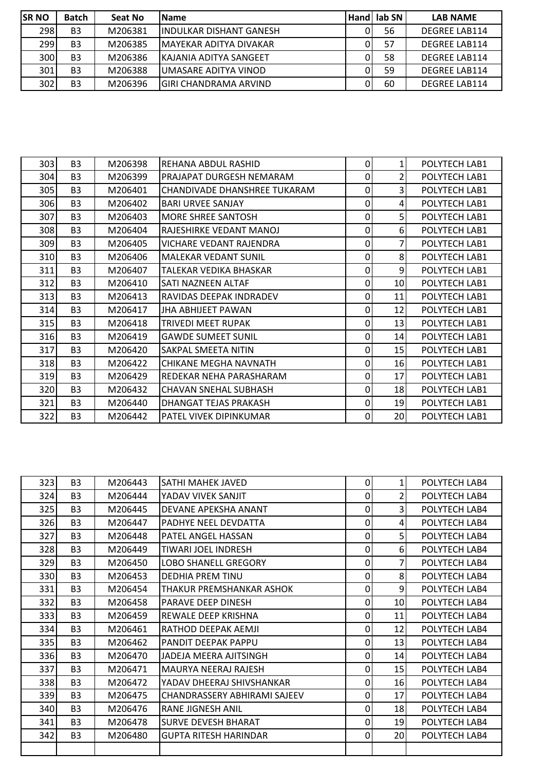| <b>ISR NO</b> | <b>Batch</b>   | Seat No | <b>IName</b>                  |          | Hand lab SN | <b>LAB NAME</b>      |
|---------------|----------------|---------|-------------------------------|----------|-------------|----------------------|
| 298           | <b>B3</b>      | M206381 | lINDULKAR DISHANT GANESH      |          | 56          | <b>DEGREE LAB114</b> |
| 299           | B <sub>3</sub> | M206385 | <b>MAYEKAR ADITYA DIVAKAR</b> |          | 57          | <b>DEGREE LAB114</b> |
| 300           | B <sub>3</sub> | M206386 | IKAJANIA ADITYA SANGEET       | $\Omega$ | 58          | <b>DEGREE LAB114</b> |
| 301           | B <sub>3</sub> | M206388 | <b>JUMASARE ADITYA VINOD</b>  | $\Omega$ | 59          | <b>DEGREE LAB114</b> |
| 302           | B <sub>3</sub> | M206396 | İGIRI CHANDRAMA ARVIND        |          | 60          | <b>DEGREE LAB114</b> |

| 303  | B <sub>3</sub> | M206398 | REHANA ABDUL RASHID          | 0              | 1              | POLYTECH LAB1 |
|------|----------------|---------|------------------------------|----------------|----------------|---------------|
| 304  | B <sub>3</sub> | M206399 | PRAJAPAT DURGESH NEMARAM     | 0              | $\overline{2}$ | POLYTECH LAB1 |
| 305  | B <sub>3</sub> | M206401 | CHANDIVADE DHANSHREE TUKARAM | 0              | $\overline{3}$ | POLYTECH LAB1 |
| 306  | B <sub>3</sub> | M206402 | <b>BARI URVEE SANJAY</b>     | 0              | $\overline{a}$ | POLYTECH LAB1 |
| 307  | B <sub>3</sub> | M206403 | MORE SHREE SANTOSH           | 0              | 5              | POLYTECH LAB1 |
| 308  | B <sub>3</sub> | M206404 | RAJESHIRKE VEDANT MANOJ      | 0              | 6              | POLYTECH LAB1 |
| 309l | B <sub>3</sub> | M206405 | VICHARE VEDANT RAJENDRA      | 0              | 7              | POLYTECH LAB1 |
| 310  | B <sub>3</sub> | M206406 | MALEKAR VEDANT SUNIL         | 0              | 8 <sup>1</sup> | POLYTECH LAB1 |
| 311  | B <sub>3</sub> | M206407 | TALEKAR VEDIKA BHASKAR       | 0              | 9              | POLYTECH LAB1 |
| 312  | B <sub>3</sub> | M206410 | SATI NAZNEEN ALTAF           | 0              | 10             | POLYTECH LAB1 |
| 313I | B <sub>3</sub> | M206413 | RAVIDAS DEEPAK INDRADEV      | 0              | 11             | POLYTECH LAB1 |
| 314  | B <sub>3</sub> | M206417 | JHA ABHIJEET PAWAN           | 0              | 12             | POLYTECH LAB1 |
| 315  | B <sub>3</sub> | M206418 | TRIVEDI MEET RUPAK           | 0              | 13             | POLYTECH LAB1 |
| 316  | B <sub>3</sub> | M206419 | <b>GAWDE SUMEET SUNIL</b>    | 0              | 14             | POLYTECH LAB1 |
| 317  | B <sub>3</sub> | M206420 | SAKPAL SMEETA NITIN          | 0              | 15             | POLYTECH LAB1 |
| 318  | B <sub>3</sub> | M206422 | CHIKANE MEGHA NAVNATH        | 0              | 16             | POLYTECH LAB1 |
| 319  | B <sub>3</sub> | M206429 | REDEKAR NEHA PARASHARAM      | 0              | 17             | POLYTECH LAB1 |
| 320  | B <sub>3</sub> | M206432 | CHAVAN SNEHAL SUBHASH        | 0              | 18             | POLYTECH LAB1 |
| 321  | B <sub>3</sub> | M206440 | DHANGAT TEJAS PRAKASH        | $\overline{0}$ | 19             | POLYTECH LAB1 |
| 322  | B <sub>3</sub> | M206442 | PATEL VIVEK DIPINKUMAR       | $\Omega$       | 20             | POLYTECH LAB1 |
|      |                |         |                              |                |                |               |

| 323 | B <sub>3</sub> | M206443 | SATHI MAHEK JAVED            | 0           | $\mathbf{1}$    | POLYTECH LAB4 |
|-----|----------------|---------|------------------------------|-------------|-----------------|---------------|
| 324 | B <sub>3</sub> | M206444 | YADAV VIVEK SANJIT           | 0           | $\overline{2}$  | POLYTECH LAB4 |
| 325 | B <sub>3</sub> | M206445 | DEVANE APEKSHA ANANT         | 0           | 3               | POLYTECH LAB4 |
| 326 | B <sub>3</sub> | M206447 | <b>PADHYE NEEL DEVDATTA</b>  | 0           | $\overline{4}$  | POLYTECH LAB4 |
| 327 | B <sub>3</sub> | M206448 | <b>PATEL ANGEL HASSAN</b>    | 0           | 5 <sup>1</sup>  | POLYTECH LAB4 |
| 328 | B <sub>3</sub> | M206449 | TIWARI JOEL INDRESH          | $\mathbf 0$ | 61              | POLYTECH LAB4 |
| 329 | B <sub>3</sub> | M206450 | <b>LOBO SHANELL GREGORY</b>  | 0           | 7               | POLYTECH LAB4 |
| 330 | B <sub>3</sub> | M206453 | DEDHIA PREM TINU             | 0           | 8               | POLYTECH LAB4 |
| 331 | B <sub>3</sub> | M206454 | THAKUR PREMSHANKAR ASHOK     | 0           | 9               | POLYTECH LAB4 |
| 332 | B <sub>3</sub> | M206458 | <b>PARAVE DEEP DINESH</b>    | $\mathbf 0$ | 10              | POLYTECH LAB4 |
| 333 | B <sub>3</sub> | M206459 | <b>REWALE DEEP KRISHNA</b>   | $\mathbf 0$ | 11              | POLYTECH LAB4 |
| 334 | B <sub>3</sub> | M206461 | RATHOD DEEPAK AEMJI          | 0           | 12              | POLYTECH LAB4 |
| 335 | B <sub>3</sub> | M206462 | PANDIT DEEPAK PAPPU          | 0           | 13              | POLYTECH LAB4 |
| 336 | B <sub>3</sub> | M206470 | JADEJA MEERA AJITSINGH       | 0           | 14              | POLYTECH LAB4 |
| 337 | B <sub>3</sub> | M206471 | <b>MAURYA NEERAJ RAJESH</b>  | 0           | 15 <sup>1</sup> | POLYTECH LAB4 |
| 338 | B <sub>3</sub> | M206472 | YADAV DHEERAJ SHIVSHANKAR    | 0           | 16              | POLYTECH LAB4 |
| 339 | B <sub>3</sub> | M206475 | CHANDRASSERY ABHIRAMI SAJEEV | 0           | 17              | POLYTECH LAB4 |
| 340 | B <sub>3</sub> | M206476 | <b>RANE JIGNESH ANIL</b>     | 0           | 18              | POLYTECH LAB4 |
| 341 | B <sub>3</sub> | M206478 | <b>SURVE DEVESH BHARAT</b>   | 0           | 19              | POLYTECH LAB4 |
| 342 | B <sub>3</sub> | M206480 | <b>GUPTA RITESH HARINDAR</b> | 0           | 20              | POLYTECH LAB4 |
|     |                |         |                              |             |                 |               |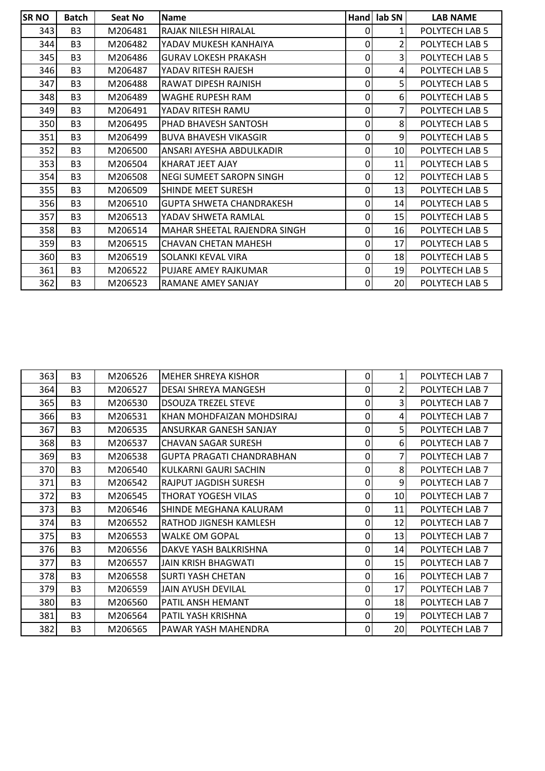| SR <sub>NO</sub> | <b>Batch</b>   | Seat No | <b>Name</b>                     |             | Hand lab SN     | <b>LAB NAME</b> |
|------------------|----------------|---------|---------------------------------|-------------|-----------------|-----------------|
| 343              | B <sub>3</sub> | M206481 | RAJAK NILESH HIRALAL            | 0           |                 | POLYTECH LAB 5  |
| 344              | B <sub>3</sub> | M206482 | YADAV MUKESH KANHAIYA           | $\Omega$    | 2               | POLYTECH LAB 5  |
| 345              | B <sub>3</sub> | M206486 | <b>GURAV LOKESH PRAKASH</b>     | 0           | 3               | POLYTECH LAB 5  |
| 346I             | B <sub>3</sub> | M206487 | YADAV RITESH RAJESH             | $\mathbf 0$ | $\vert$         | POLYTECH LAB 5  |
| 347              | B <sub>3</sub> | M206488 | RAWAT DIPESH RAJNISH            | $\pmb{0}$   | 5               | POLYTECH LAB 5  |
| 348              | B <sub>3</sub> | M206489 | WAGHE RUPESH RAM                | 0           | 6               | POLYTECH LAB 5  |
| 349              | B <sub>3</sub> | M206491 | YADAV RITESH RAMU               | 0           | 7               | POLYTECH LAB 5  |
| 350              | B <sub>3</sub> | M206495 | PHAD BHAVESH SANTOSH            | 0           | 8 <sup>1</sup>  | POLYTECH LAB 5  |
| 351              | B <sub>3</sub> | M206499 | <b>BUVA BHAVESH VIKASGIR</b>    | $\mathbf 0$ | 9               | POLYTECH LAB 5  |
| 352              | B <sub>3</sub> | M206500 | ANSARI AYESHA ABDULKADIR        | 0           | 10              | POLYTECH LAB 5  |
| 353              | B <sub>3</sub> | M206504 | KHARAT JEET AJAY                | $\Omega$    | 11              | POLYTECH LAB 5  |
| 354              | B <sub>3</sub> | M206508 | NEGI SUMEET SAROPN SINGH        | 0           | 12              | POLYTECH LAB 5  |
| 355              | B <sub>3</sub> | M206509 | SHINDE MEET SURESH              | $\mathbf 0$ | 13              | POLYTECH LAB 5  |
| 356l             | B <sub>3</sub> | M206510 | <b>GUPTA SHWETA CHANDRAKESH</b> | 0           | 14              | POLYTECH LAB 5  |
| 357              | B <sub>3</sub> | M206513 | YADAV SHWETA RAMLAL             | 0           | 15 <sup>1</sup> | POLYTECH LAB 5  |
| 358              | B <sub>3</sub> | M206514 | MAHAR SHEETAL RAJENDRA SINGH    | 0           | 16              | POLYTECH LAB 5  |
| 359              | B <sub>3</sub> | M206515 | <b>CHAVAN CHETAN MAHESH</b>     | 0           | 17              | POLYTECH LAB 5  |
| 360              | B <sub>3</sub> | M206519 | SOLANKI KEVAL VIRA              | $\Omega$    | 18              | POLYTECH LAB 5  |
| 361              | B <sub>3</sub> | M206522 | PUJARE AMEY RAJKUMAR            | 19<br>0     |                 | POLYTECH LAB 5  |
| 362              | B <sub>3</sub> | M206523 | RAMANE AMEY SANJAY              | $\mathbf 0$ | 20              | POLYTECH LAB 5  |

| 363 | B <sub>3</sub> | M206526 | <b>MEHER SHREYA KISHOR</b>       | 0           |    | POLYTECH LAB 7 |
|-----|----------------|---------|----------------------------------|-------------|----|----------------|
| 364 | B <sub>3</sub> | M206527 | DESAI SHREYA MANGESH             | $\mathbf 0$ | 2  | POLYTECH LAB 7 |
| 365 | B <sub>3</sub> | M206530 | <b>DSOUZA TREZEL STEVE</b>       | 0           | 3  | POLYTECH LAB 7 |
| 366 | B <sub>3</sub> | M206531 | KHAN MOHDFAIZAN MOHDSIRAJ        | 0           | 4  | POLYTECH LAB 7 |
| 367 | B <sub>3</sub> | M206535 | ANSURKAR GANESH SANJAY           | 0           | 5  | POLYTECH LAB 7 |
| 368 | B <sub>3</sub> | M206537 | <b>CHAVAN SAGAR SURESH</b>       | 0           | 6  | POLYTECH LAB 7 |
| 369 | B <sub>3</sub> | M206538 | <b>GUPTA PRAGATI CHANDRABHAN</b> | 0           | 7  | POLYTECH LAB 7 |
| 370 | B <sub>3</sub> | M206540 | KULKARNI GAURI SACHIN            | 0           | 8  | POLYTECH LAB 7 |
| 371 | B <sub>3</sub> | M206542 | RAJPUT JAGDISH SURESH            | $\mathbf 0$ | 9  | POLYTECH LAB 7 |
| 372 | B <sub>3</sub> | M206545 | THORAT YOGESH VILAS              | 0           | 10 | POLYTECH LAB 7 |
| 373 | B <sub>3</sub> | M206546 | SHINDE MEGHANA KALURAM           | 0           | 11 | POLYTECH LAB 7 |
| 374 | B <sub>3</sub> | M206552 | RATHOD JIGNESH KAMLESH           | 0           | 12 | POLYTECH LAB 7 |
| 375 | B <sub>3</sub> | M206553 | <b>WALKE OM GOPAL</b>            | 0           | 13 | POLYTECH LAB 7 |
| 376 | B <sub>3</sub> | M206556 | DAKVE YASH BALKRISHNA            | 0           | 14 | POLYTECH LAB 7 |
| 377 | B <sub>3</sub> | M206557 | JAIN KRISH BHAGWATI              | 0           | 15 | POLYTECH LAB 7 |
| 378 | B <sub>3</sub> | M206558 | <b>SURTI YASH CHETAN</b>         | 0           | 16 | POLYTECH LAB 7 |
| 379 | B <sub>3</sub> | M206559 | JAIN AYUSH DEVILAL               | 0           | 17 | POLYTECH LAB 7 |
| 380 | B <sub>3</sub> | M206560 | PATIL ANSH HEMANT                | 0           | 18 | POLYTECH LAB 7 |
| 381 | B <sub>3</sub> | M206564 | PATIL YASH KRISHNA               | 0           | 19 | POLYTECH LAB 7 |
| 382 | B <sub>3</sub> | M206565 | PAWAR YASH MAHENDRA              | 0           | 20 | POLYTECH LAB 7 |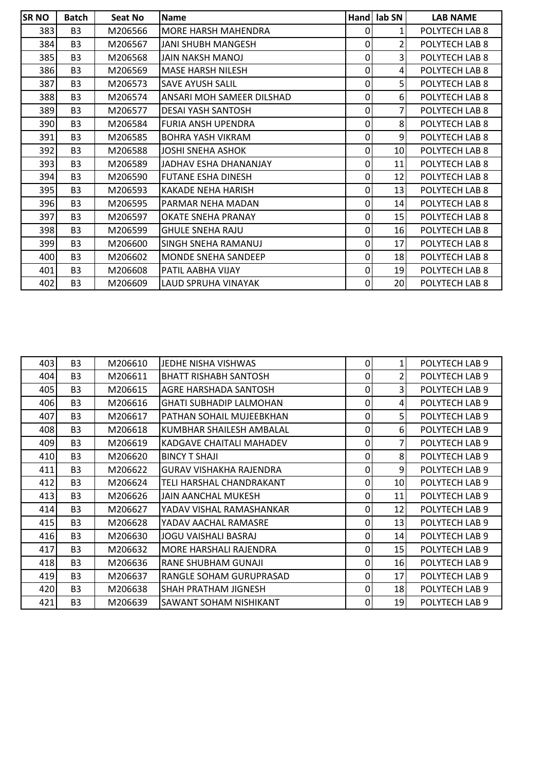| <b>SR NO</b> | <b>Batch</b>   | Seat No | <b>Name</b>                | Hand | lab SN         | <b>LAB NAME</b> |
|--------------|----------------|---------|----------------------------|------|----------------|-----------------|
| 383          | B <sub>3</sub> | M206566 | <b>MORE HARSH MAHENDRA</b> | 0    | $1\vert$       | POLYTECH LAB 8  |
| 384          | B <sub>3</sub> | M206567 | JANI SHUBH MANGESH         | 0    | 2              | POLYTECH LAB 8  |
| 385          | B <sub>3</sub> | M206568 | JAIN NAKSH MANOJ           | 0    | 3              | POLYTECH LAB 8  |
| 386          | B <sub>3</sub> | M206569 | <b>MASE HARSH NILESH</b>   | 0    | $\overline{4}$ | POLYTECH LAB 8  |
| 387          | B <sub>3</sub> | M206573 | <b>SAVE AYUSH SALIL</b>    | 0    | 5              | POLYTECH LAB 8  |
| 388          | B <sub>3</sub> | M206574 | ANSARI MOH SAMEER DILSHAD  | 0    | 6              | POLYTECH LAB 8  |
| 389          | B <sub>3</sub> | M206577 | <b>DESAI YASH SANTOSH</b>  | 0    | 7              | POLYTECH LAB 8  |
| 390          | B <sub>3</sub> | M206584 | <b>FURIA ANSH UPENDRA</b>  | 0    | 8              | POLYTECH LAB 8  |
| 391          | B <sub>3</sub> | M206585 | <b>BOHRA YASH VIKRAM</b>   | 0    | 9              | POLYTECH LAB 8  |
| 392          | B <sub>3</sub> | M206588 | <b>JOSHI SNEHA ASHOK</b>   | 0    | 10             | POLYTECH LAB 8  |
| 393          | B <sub>3</sub> | M206589 | JADHAV ESHA DHANANJAY      | 0    | 11             | POLYTECH LAB 8  |
| 394          | B <sub>3</sub> | M206590 | <b>FUTANE ESHA DINESH</b>  | 0    | 12             | POLYTECH LAB 8  |
| 395          | B <sub>3</sub> | M206593 | <b>KAKADE NEHA HARISH</b>  | 0    | 13             | POLYTECH LAB 8  |
| 396          | B <sub>3</sub> | M206595 | PARMAR NEHA MADAN          | 0    | 14             | POLYTECH LAB 8  |
| 397          | B <sub>3</sub> | M206597 | OKATE SNEHA PRANAY         | 0    | 15             | POLYTECH LAB 8  |
| 398          | B <sub>3</sub> | M206599 | <b>GHULE SNEHA RAJU</b>    | 0    | 16             | POLYTECH LAB 8  |
| 399          | B <sub>3</sub> | M206600 | SINGH SNEHA RAMANUJ        | 0    | 17             | POLYTECH LAB 8  |
| 400          | B <sub>3</sub> | M206602 | <b>MONDE SNEHA SANDEEP</b> | 0    | 18             | POLYTECH LAB 8  |
| 401          | B <sub>3</sub> | M206608 | PATIL AABHA VIJAY          | 0    | 19             | POLYTECH LAB 8  |
| 402          | B <sub>3</sub> | M206609 | LAUD SPRUHA VINAYAK        | 0    | 20             | POLYTECH LAB 8  |

| 403 | B <sub>3</sub> | M206610 | JEDHE NISHA VISHWAS            | $\mathbf 0$  |    | POLYTECH LAB 9 |
|-----|----------------|---------|--------------------------------|--------------|----|----------------|
| 404 | B <sub>3</sub> | M206611 | BHATT RISHABH SANTOSH          | 0            | 2  | POLYTECH LAB 9 |
| 405 | B <sub>3</sub> | M206615 | AGRE HARSHADA SANTOSH          | $\mathbf 0$  | 3  | POLYTECH LAB 9 |
| 406 | B <sub>3</sub> | M206616 | <b>GHATI SUBHADIP LALMOHAN</b> | 0            | 4  | POLYTECH LAB 9 |
| 407 | B <sub>3</sub> | M206617 | PATHAN SOHAIL MUJEEBKHAN       | 0            | 5  | POLYTECH LAB 9 |
| 408 | B <sub>3</sub> | M206618 | KUMBHAR SHAILESH AMBALAL       | 0            | 6  | POLYTECH LAB 9 |
| 409 | B <sub>3</sub> | M206619 | KADGAVE CHAITALI MAHADEV       | $\mathbf 0$  | 7  | POLYTECH LAB 9 |
| 410 | B <sub>3</sub> | M206620 | <b>BINCY T SHAJI</b>           | $\Omega$     | 8  | POLYTECH LAB 9 |
| 411 | B <sub>3</sub> | M206622 | <b>GURAV VISHAKHA RAJENDRA</b> | $\mathbf 0$  | 9  | POLYTECH LAB 9 |
| 412 | B <sub>3</sub> | M206624 | TELI HARSHAL CHANDRAKANT       | 0            | 10 | POLYTECH LAB 9 |
| 413 | B <sub>3</sub> | M206626 | <b>JAIN AANCHAL MUKESH</b>     | 0            | 11 | POLYTECH LAB 9 |
| 414 | B <sub>3</sub> | M206627 | YADAV VISHAL RAMASHANKAR       | 0            | 12 | POLYTECH LAB 9 |
| 415 | B <sub>3</sub> | M206628 | YADAV AACHAL RAMASRE           | 0            | 13 | POLYTECH LAB 9 |
| 416 | B <sub>3</sub> | M206630 | <b>JOGU VAISHALI BASRAJ</b>    | 0            | 14 | POLYTECH LAB 9 |
| 417 | B <sub>3</sub> | M206632 | MORE HARSHALI RAJENDRA         | 0            | 15 | POLYTECH LAB 9 |
| 418 | B <sub>3</sub> | M206636 | RANE SHUBHAM GUNAJI            | 0            | 16 | POLYTECH LAB 9 |
| 419 | B <sub>3</sub> | M206637 | RANGLE SOHAM GURUPRASAD        | 0            | 17 | POLYTECH LAB 9 |
| 420 | B <sub>3</sub> | M206638 | SHAH PRATHAM JIGNESH           | $\mathbf{0}$ | 18 | POLYTECH LAB 9 |
| 421 | B <sub>3</sub> | M206639 | SAWANT SOHAM NISHIKANT         | $\mathbf{0}$ | 19 | POLYTECH LAB 9 |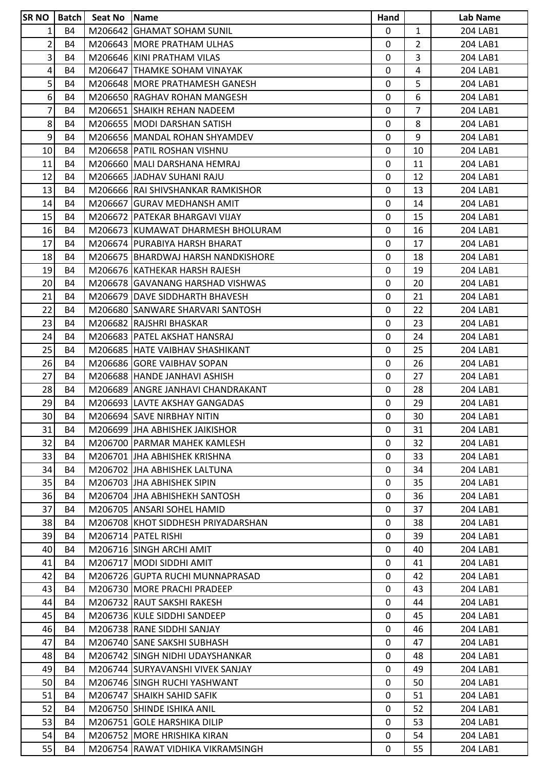| <b>SRNO</b>     | l Batch l | Seat No Name |                                    | Hand         |                | Lab Name |
|-----------------|-----------|--------------|------------------------------------|--------------|----------------|----------|
| $1\vert$        | <b>B4</b> |              | M206642 GHAMAT SOHAM SUNIL         | 0            | $\mathbf{1}$   | 204 LAB1 |
| $\overline{2}$  | <b>B4</b> |              | M206643 MORE PRATHAM ULHAS         | 0            | 2              | 204 LAB1 |
| $\vert 3 \vert$ | <b>B4</b> |              | M206646 KINI PRATHAM VILAS         | $\mathbf{0}$ | 3              | 204 LAB1 |
| $\vert 4 \vert$ | <b>B4</b> |              | M206647 THAMKE SOHAM VINAYAK       | 0            | $\overline{4}$ | 204 LAB1 |
| 5 <sup>1</sup>  | <b>B4</b> |              | M206648 MORE PRATHAMESH GANESH     | 0            | 5              | 204 LAB1 |
| 6 <sup>1</sup>  | <b>B4</b> |              | M206650 RAGHAV ROHAN MANGESH       | $\mathbf{0}$ | 6              | 204 LAB1 |
| $\overline{7}$  | B4        |              | M206651 ISHAIKH REHAN NADEEM       | 0            | 7              | 204 LAB1 |
| 8 <sup>1</sup>  | <b>B4</b> |              | M206655 MODI DARSHAN SATISH        | $\mathbf 0$  | 8              | 204 LAB1 |
| $\mathsf{g}$    | <b>B4</b> |              | M206656 MANDAL ROHAN SHYAMDEV      | 0            | 9              | 204 LAB1 |
| 10 <sup>1</sup> | <b>B4</b> |              | M206658 PATIL ROSHAN VISHNU        | 0            | 10             | 204 LAB1 |
| 11              | <b>B4</b> |              | M206660 MALI DARSHANA HEMRAJ       | $\mathbf{0}$ | 11             | 204 LAB1 |
| 12              | <b>B4</b> |              | M206665 JJADHAV SUHANI RAJU        | 0            | 12             | 204 LAB1 |
| 13              | <b>B4</b> |              | M206666 RAI SHIVSHANKAR RAMKISHOR  | $\mathbf{0}$ | 13             | 204 LAB1 |
| 14              | <b>B4</b> |              | M206667 GURAV MEDHANSH AMIT        | $\mathbf{0}$ | 14             | 204 LAB1 |
| 15              | <b>B4</b> |              | M206672   PATEKAR BHARGAVI VIJAY   | $\mathbf 0$  | 15             | 204 LAB1 |
| 16              | <b>B4</b> |              | M206673 KUMAWAT DHARMESH BHOLURAM  | $\mathbf{0}$ | 16             | 204 LAB1 |
| 17              | <b>B4</b> |              | M206674 PURABIYA HARSH BHARAT      | $\mathbf{0}$ | 17             | 204 LAB1 |
| 18              | <b>B4</b> |              | M206675 BHARDWAJ HARSH NANDKISHORE | $\mathbf 0$  | 18             | 204 LAB1 |
| 19              | <b>B4</b> |              | M206676 KATHEKAR HARSH RAJESH      | 0            | 19             | 204 LAB1 |
| 20 <sup>1</sup> | B4        |              | M206678 GAVANANG HARSHAD VISHWAS   | $\mathbf 0$  | 20             | 204 LAB1 |
| 21              | <b>B4</b> |              | M206679 DAVE SIDDHARTH BHAVESH     | 0            | 21             | 204 LAB1 |
| 22              | <b>B4</b> |              | M206680 SANWARE SHARVARI SANTOSH   | 0            | 22             | 204 LAB1 |
| 23              | <b>B4</b> |              | M206682 RAJSHRI BHASKAR            | 0            | 23             | 204 LAB1 |
| 24              | <b>B4</b> |              | M206683 PATEL AKSHAT HANSRAJ       | $\mathbf{0}$ | 24             | 204 LAB1 |
| 25              | <b>B4</b> |              | M206685   HATE VAIBHAV SHASHIKANT  | $\mathbf{0}$ | 25             | 204 LAB1 |
| 26              | B4        |              | M206686 GORE VAIBHAV SOPAN         | 0            | 26             | 204 LAB1 |
| 27              | <b>B4</b> |              | M206688 HANDE JANHAVI ASHISH       | $\mathbf 0$  | 27             | 204 LAB1 |
| 28              | <b>B4</b> |              | M206689 ANGRE JANHAVI CHANDRAKANT  | 0            | 28             | 204 LAB1 |
| 29              | <b>B4</b> |              | M206693 LAVTE AKSHAY GANGADAS      | 0            | 29             | 204 LAB1 |
| 30 <sup>1</sup> | <b>B4</b> |              | M206694 SAVE NIRBHAY NITIN         | $\mathbf 0$  | 30             | 204 LAB1 |
| 31              | <b>B4</b> |              | M206699 JHA ABHISHEK JAIKISHOR     | 0            | 31             | 204 LAB1 |
| 32              | <b>B4</b> |              | M206700   PARMAR MAHEK KAMLESH     | $\mathbf{0}$ | 32             | 204 LAB1 |
| 33              | <b>B4</b> |              | M206701 JJHA ABHISHEK KRISHNA      | 0            | 33             | 204 LAB1 |
| 34              | <b>B4</b> |              | M206702 JHA ABHISHEK LALTUNA       | $\mathbf 0$  | 34             | 204 LAB1 |
| 35              | <b>B4</b> |              | M206703 JHA ABHISHEK SIPIN         | 0            | 35             | 204 LAB1 |
| 36              | <b>B4</b> |              | M206704 JHA ABHISHEKH SANTOSH      | 0            | 36             | 204 LAB1 |
| 37              | <b>B4</b> |              | M206705 ANSARI SOHEL HAMID         | 0            | 37             | 204 LAB1 |
| 38              | <b>B4</b> |              | M206708 KHOT SIDDHESH PRIYADARSHAN | 0            | 38             | 204 LAB1 |
| 39              | <b>B4</b> |              | M206714 PATEL RISHI                | $\mathbf{0}$ | 39             | 204 LAB1 |
| 40 <sub>1</sub> | <b>B4</b> |              | M206716 SINGH ARCHI AMIT           | 0            | 40             | 204 LAB1 |
| 41              | <b>B4</b> |              | M206717 MODI SIDDHI AMIT           | 0            | 41             | 204 LAB1 |
| 42              | <b>B4</b> |              | M206726 GUPTA RUCHI MUNNAPRASAD    | 0            | 42             | 204 LAB1 |
| 43              | <b>B4</b> |              | M206730 MORE PRACHI PRADEEP        | $\mathbf{0}$ | 43             | 204 LAB1 |
| 44              | <b>B4</b> |              | M206732 RAUT SAKSHI RAKESH         | $\mathbf{0}$ | 44             | 204 LAB1 |
| 45              | <b>B4</b> |              | M206736 KULE SIDDHI SANDEEP        | 0            | 45             | 204 LAB1 |
| 46              | <b>B4</b> |              | M206738 RANE SIDDHI SANJAY         | $\mathbf 0$  | 46             | 204 LAB1 |
| 47              | <b>B4</b> |              | M206740 SANE SAKSHI SUBHASH        | 0            | 47             | 204 LAB1 |
| 48              | <b>B4</b> |              | M206742 SINGH NIDHI UDAYSHANKAR    | 0            | 48             | 204 LAB1 |
| 49              | <b>B4</b> |              | M206744 SURYAVANSHI VIVEK SANJAY   | $\mathbf 0$  | 49             | 204 LAB1 |
| 50              | <b>B4</b> |              | M206746 SINGH RUCHI YASHWANT       | 0            | 50             | 204 LAB1 |
| 51              | <b>B4</b> |              | M206747 SHAIKH SAHID SAFIK         | $\mathbf{0}$ | 51             | 204 LAB1 |
| 52              | <b>B4</b> |              | M206750 SHINDE ISHIKA ANIL         | $\mathbf{0}$ | 52             | 204 LAB1 |
| 53              | <b>B4</b> |              | M206751 GOLE HARSHIKA DILIP        | $\mathbf{0}$ | 53             | 204 LAB1 |
| 54              | <b>B4</b> |              | M206752 MORE HRISHIKA KIRAN        | 0            | 54             | 204 LAB1 |
| 55              | <b>B4</b> |              | M206754 RAWAT VIDHIKA VIKRAMSINGH  | 0            | 55             | 204 LAB1 |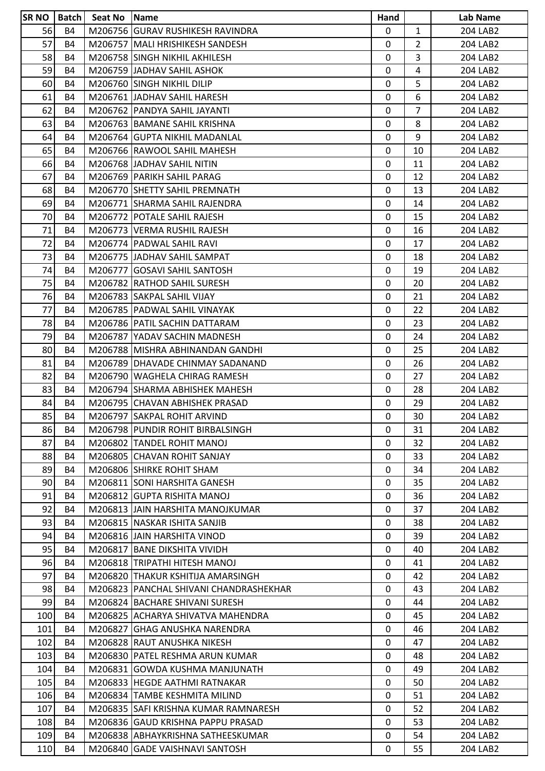| <b>SR NO   Batch  </b> |           | Seat No Name |                                        | Hand         |                | Lab Name |
|------------------------|-----------|--------------|----------------------------------------|--------------|----------------|----------|
| 56                     | <b>B4</b> |              | M206756 GURAV RUSHIKESH RAVINDRA       | 0            | $\mathbf{1}$   | 204 LAB2 |
| 57                     | <b>B4</b> |              | M206757 MALI HRISHIKESH SANDESH        | 0            | 2              | 204 LAB2 |
| 58                     | <b>B4</b> |              | M206758 SINGH NIKHIL AKHILESH          | $\mathbf{0}$ | 3              | 204 LAB2 |
| 59                     | <b>B4</b> |              | M206759 JADHAV SAHIL ASHOK             | 0            | $\overline{4}$ | 204 LAB2 |
| 60                     | <b>B4</b> |              | M206760 SINGH NIKHIL DILIP             | 0            | 5              | 204 LAB2 |
| 61                     | <b>B4</b> |              | M206761 JADHAV SAHIL HARESH            | $\mathbf{0}$ | 6              | 204 LAB2 |
| 62                     | <b>B4</b> |              | M206762 IPANDYA SAHIL JAYANTI          | 0            | 7              | 204 LAB2 |
| 63                     | <b>B4</b> |              | M206763 BAMANE SAHIL KRISHNA           | $\mathbf 0$  | 8              | 204 LAB2 |
| 64                     | <b>B4</b> |              | M206764 GUPTA NIKHIL MADANLAL          | 0            | 9              | 204 LAB2 |
| 65                     | <b>B4</b> |              | M206766 RAWOOL SAHIL MAHESH            | 0            | 10             | 204 LAB2 |
| 66                     | <b>B4</b> |              | M206768 JJADHAV SAHIL NITIN            | $\mathbf{0}$ | 11             | 204 LAB2 |
| 67                     | <b>B4</b> |              | M206769 PARIKH SAHIL PARAG             | 0            | 12             | 204 LAB2 |
| 68                     | <b>B4</b> |              | M206770 SHETTY SAHIL PREMNATH          | $\mathbf 0$  | 13             | 204 LAB2 |
| 69                     | <b>B4</b> |              | M206771 SHARMA SAHIL RAJENDRA          | $\mathbf{0}$ | 14             | 204 LAB2 |
| 70                     | <b>B4</b> |              | M206772 POTALE SAHIL RAJESH            | $\mathbf 0$  | 15             | 204 LAB2 |
| 71                     | <b>B4</b> |              | M206773 VERMA RUSHIL RAJESH            | 0            | 16             | 204 LAB2 |
| 72                     | <b>B4</b> |              | M206774   PADWAL SAHIL RAVI            | 0            | 17             | 204 LAB2 |
| 73                     | <b>B4</b> |              | M206775 JADHAV SAHIL SAMPAT            | 0            | 18             | 204 LAB2 |
| 74                     | <b>B4</b> |              | M206777 GOSAVI SAHIL SANTOSH           | 0            | 19             | 204 LAB2 |
| 75                     | <b>B4</b> |              | M206782 RATHOD SAHIL SURESH            | $\Omega$     | 20             | 204 LAB2 |
| 76                     | <b>B4</b> |              | M206783 SAKPAL SAHIL VIJAY             | 0            | 21             | 204 LAB2 |
| 77                     | <b>B4</b> |              | M206785 PADWAL SAHIL VINAYAK           | 0            | 22             | 204 LAB2 |
| 78                     | <b>B4</b> |              | M206786 PATIL SACHIN DATTARAM          | 0            | 23             | 204 LAB2 |
| 79                     | <b>B4</b> |              | M206787 YADAV SACHIN MADNESH           | 0            | 24             | 204 LAB2 |
| 80                     | <b>B4</b> |              | M206788 MISHRA ABHINANDAN GANDHI       | $\mathbf{0}$ | 25             | 204 LAB2 |
| 81                     | <b>B4</b> |              | M206789 IDHAVADE CHINMAY SADANAND      | 0            | 26             | 204 LAB2 |
| 82                     | <b>B4</b> |              | M206790 WAGHELA CHIRAG RAMESH          | $\mathbf 0$  | 27             | 204 LAB2 |
| 83                     | <b>B4</b> |              | M206794 SHARMA ABHISHEK MAHESH         | 0            | 28             | 204 LAB2 |
| 84                     | <b>B4</b> |              | M206795 CHAVAN ABHISHEK PRASAD         | 0            | 29             | 204 LAB2 |
| 85                     | <b>B4</b> |              | M206797 SAKPAL ROHIT ARVIND            | 0            | 30             | 204 LAB2 |
| 86                     | <b>B4</b> |              | M206798 PUNDIR ROHIT BIRBALSINGH       | 0            | 31             | 204 LAB2 |
| 87                     | <b>B4</b> |              | M206802 TANDEL ROHIT MANOJ             | 0            | 32             | 204 LAB2 |
| 88                     | <b>B4</b> |              | M206805 CHAVAN ROHIT SANJAY            | 0            | 33             | 204 LAB2 |
| 89                     | <b>B4</b> |              | M206806 SHIRKE ROHIT SHAM              | 0            | 34             | 204 LAB2 |
| 90                     | <b>B4</b> |              | M206811 SONI HARSHITA GANESH           | 0            | 35             | 204 LAB2 |
| 91                     | <b>B4</b> |              | M206812 GUPTA RISHITA MANOJ            | 0            | 36             | 204 LAB2 |
| 92                     | <b>B4</b> |              | M206813 JJAIN HARSHITA MANOJKUMAR      | 0            | 37             | 204 LAB2 |
| 93                     | <b>B4</b> |              | M206815 NASKAR ISHITA SANJIB           | 0            | 38             | 204 LAB2 |
| 94                     | <b>B4</b> |              | M206816 JAIN HARSHITA VINOD            | $\Omega$     | 39             | 204 LAB2 |
| 95                     | <b>B4</b> |              | M206817 BANE DIKSHITA VIVIDH           | 0            | 40             | 204 LAB2 |
| 96                     | <b>B4</b> |              | M206818 TRIPATHI HITESH MANOJ          | 0            | 41             | 204 LAB2 |
| 97                     | <b>B4</b> |              | M206820 THAKUR KSHITIJA AMARSINGH      | 0            | 42             | 204 LAB2 |
| 98                     | <b>B4</b> |              | M206823 PANCHAL SHIVANI CHANDRASHEKHAR | 0            | 43             | 204 LAB2 |
| 99                     | <b>B4</b> |              | M206824 BACHARE SHIVANI SURESH         | 0            | 44             | 204 LAB2 |
| 100                    | <b>B4</b> |              | M206825 ACHARYA SHIVATVA MAHENDRA      | 0            | 45             | 204 LAB2 |
| 101                    | <b>B4</b> |              | M206827 GHAG ANUSHKA NARENDRA          | 0            | 46             | 204 LAB2 |
| 102                    | <b>B4</b> |              | M206828 RAUT ANUSHKA NIKESH            | 0            | 47             | 204 LAB2 |
| 103                    | <b>B4</b> |              | M206830   PATEL RESHMA ARUN KUMAR      | 0            | 48             | 204 LAB2 |
| 104                    | <b>B4</b> |              | M206831 GOWDA KUSHMA MANJUNATH         | 0            | 49             | 204 LAB2 |
| 105                    | <b>B4</b> |              | M206833 HEGDE AATHMI RATNAKAR          | 0            | 50             | 204 LAB2 |
| 106                    | <b>B4</b> |              | M206834   TAMBE KESHMITA MILIND        | 0            | 51             | 204 LAB2 |
| 107                    | <b>B4</b> |              | M206835 SAFI KRISHNA KUMAR RAMNARESH   | $\Omega$     | 52             | 204 LAB2 |
| 108                    | <b>B4</b> |              | M206836 GAUD KRISHNA PAPPU PRASAD      | $\Omega$     | 53             | 204 LAB2 |
| 109                    | <b>B4</b> |              | M206838 ABHAYKRISHNA SATHEESKUMAR      | 0            | 54             | 204 LAB2 |
| 110                    | <b>B4</b> |              | M206840 GADE VAISHNAVI SANTOSH         | 0            | 55             | 204 LAB2 |
|                        |           |              |                                        |              |                |          |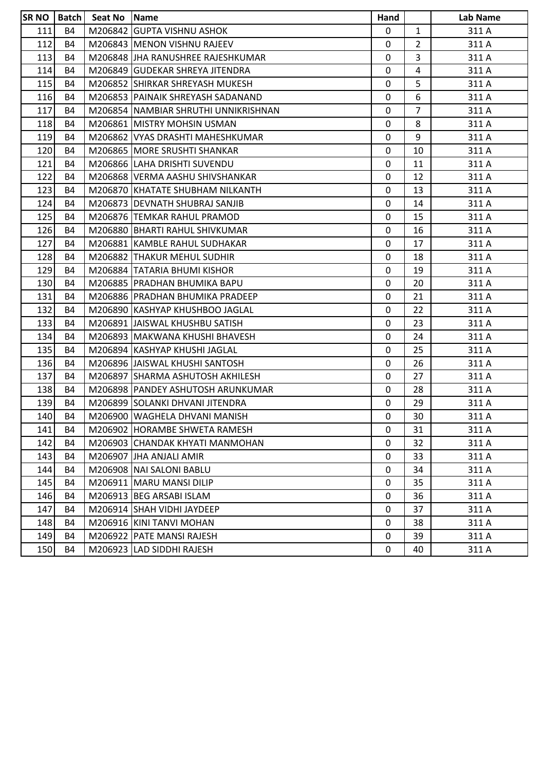| SR <sub>NO</sub> |           | Batch   Seat No   Name |                                      | Hand |                | Lab Name |
|------------------|-----------|------------------------|--------------------------------------|------|----------------|----------|
| 111              | <b>B4</b> |                        | M206842 GUPTA VISHNU ASHOK           | 0    | $\mathbf{1}$   | 311 A    |
| 112              | <b>B4</b> |                        | M206843 MENON VISHNU RAJEEV          | 0    | $\overline{2}$ | 311 A    |
| 113              | <b>B4</b> |                        | M206848 JHA RANUSHREE RAJESHKUMAR    | 0    | 3              | 311 A    |
| 114              | B4        |                        | M206849 GUDEKAR SHREYA JITENDRA      | 0    | 4              | 311 A    |
| 115              | <b>B4</b> |                        | M206852 SHIRKAR SHREYASH MUKESH      | 0    | 5              | 311 A    |
| 116              | <b>B4</b> |                        | M206853 PAINAIK SHREYASH SADANAND    | 0    | 6              | 311 A    |
| 117              | B4        |                        | M206854 NAMBIAR SHRUTHI UNNIKRISHNAN | 0    | $\overline{7}$ | 311 A    |
| 118              | <b>B4</b> |                        | M206861 MISTRY MOHSIN USMAN          | 0    | 8              | 311 A    |
| 119              | <b>B4</b> |                        | M206862 VYAS DRASHTI MAHESHKUMAR     | 0    | 9              | 311 A    |
| 120              | <b>B4</b> |                        | M206865 MORE SRUSHTI SHANKAR         | 0    | 10             | 311 A    |
| 121              | <b>B4</b> |                        | M206866 LAHA DRISHTI SUVENDU         | 0    | 11             | 311 A    |
| 122              | <b>B4</b> |                        | M206868 VERMA AASHU SHIVSHANKAR      | 0    | 12             | 311 A    |
| 123              | B4        |                        | M206870 KHATATE SHUBHAM NILKANTH     | 0    | 13             | 311 A    |
| 124              | <b>B4</b> |                        | M206873 DEVNATH SHUBRAJ SANJIB       | 0    | 14             | 311 A    |
| 125              | <b>B4</b> |                        | M206876 TEMKAR RAHUL PRAMOD          | 0    | 15             | 311 A    |
| 126              | <b>B4</b> |                        | M206880 BHARTI RAHUL SHIVKUMAR       | 0    | 16             | 311 A    |
| 127              | <b>B4</b> |                        | M206881 KAMBLE RAHUL SUDHAKAR        | 0    | 17             | 311 A    |
| 128              | <b>B4</b> |                        | M206882 THAKUR MEHUL SUDHIR          | 0    | 18             | 311 A    |
| 129              | <b>B4</b> |                        | M206884 TATARIA BHUMI KISHOR         | 0    | 19             | 311 A    |
| 130              | <b>B4</b> |                        | M206885 PRADHAN BHUMIKA BAPU         | 0    | 20             | 311 A    |
| 131              | <b>B4</b> |                        | M206886 PRADHAN BHUMIKA PRADEEP      | 0    | 21             | 311 A    |
| 132              | <b>B4</b> |                        | M206890 KASHYAP KHUSHBOO JAGLAL      | 0    | 22             | 311 A    |
| 133              | <b>B4</b> |                        | M206891 JAISWAL KHUSHBU SATISH       | 0    | 23             | 311 A    |
| 134              | <b>B4</b> |                        | M206893   MAKWANA KHUSHI BHAVESH     | 0    | 24             | 311 A    |
| 135              | <b>B4</b> |                        | M206894 KASHYAP KHUSHI JAGLAL        | 0    | 25             | 311 A    |
| 136              | <b>B4</b> |                        | M206896 JJAISWAL KHUSHI SANTOSH      | 0    | 26             | 311 A    |
| 137              | <b>B4</b> |                        | M206897 SHARMA ASHUTOSH AKHILESH     | 0    | 27             | 311 A    |
| 138              | <b>B4</b> |                        | M206898 PANDEY ASHUTOSH ARUNKUMAR    | 0    | 28             | 311 A    |
| 139              | <b>B4</b> |                        | M206899 SOLANKI DHVANI JITENDRA      | 0    | 29             | 311 A    |
| 140              | <b>B4</b> |                        | M206900 WAGHELA DHVANI MANISH        | 0    | 30             | 311 A    |
| 141              | <b>B4</b> |                        | M206902 HORAMBE SHWETA RAMESH        | 0    | 31             | 311 A    |
| 142              | <b>B4</b> |                        | M206903 CHANDAK KHYATI MANMOHAN      | 0    | 32             | 311 A    |
| 143              | <b>B4</b> |                        | M206907 JHA ANJALI AMIR              | 0    | 33             | 311 A    |
| 144              | <b>B4</b> |                        | M206908 NAI SALONI BABLU             | 0    | 34             | 311 A    |
| 145              | <b>B4</b> |                        | M206911 MARU MANSI DILIP             | 0    | 35             | 311 A    |
| 146              | <b>B4</b> |                        | M206913 BEG ARSABI ISLAM             | 0    | 36             | 311 A    |
| 147              | <b>B4</b> |                        | M206914 SHAH VIDHI JAYDEEP           | 0    | 37             | 311 A    |
| 148              | <b>B4</b> |                        | M206916 KINI TANVI MOHAN             | 0    | 38             | 311 A    |
| 149              | B4        |                        | M206922   PATE MANSI RAJESH          | 0    | 39             | 311 A    |
| 150              | B4        |                        | M206923 LAD SIDDHI RAJESH            | 0    | 40             | 311 A    |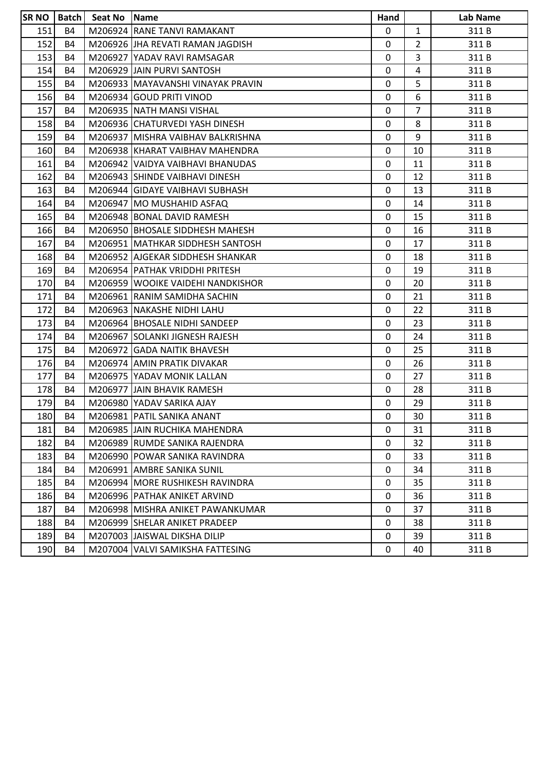| <b>SRNO</b> |           | Batch   Seat No   Name |                                   | Hand         |                | Lab Name |
|-------------|-----------|------------------------|-----------------------------------|--------------|----------------|----------|
| 151         | <b>B4</b> |                        | M206924 RANE TANVI RAMAKANT       | $\mathbf{0}$ | $\mathbf{1}$   | 311 B    |
| 152         | <b>B4</b> |                        | M206926 JHA REVATI RAMAN JAGDISH  | 0            | $\overline{2}$ | 311 B    |
| 153         | <b>B4</b> |                        | M206927 YADAV RAVI RAMSAGAR       | 0            | 3              | 311 B    |
| 154         | B4        |                        | M206929 JJAIN PURVI SANTOSH       | 0            | 4              | 311 B    |
| 155         | <b>B4</b> |                        | M206933 MAYAVANSHI VINAYAK PRAVIN | 0            | 5              | 311B     |
| 156         | <b>B4</b> |                        | M206934 GOUD PRITI VINOD          | 0            | 6              | 311 B    |
| 157         | <b>B4</b> |                        | M206935 NATH MANSI VISHAL         | 0            | $\overline{7}$ | 311 B    |
| 158         | <b>B4</b> |                        | M206936 CHATURVEDI YASH DINESH    | 0            | 8              | 311 B    |
| 159         | B4        |                        | M206937 MISHRA VAIBHAV BALKRISHNA | 0            | 9              | 311 B    |
| 160         | <b>B4</b> |                        | M206938 KHARAT VAIBHAV MAHENDRA   | 0            | 10             | 311 B    |
| 161         | <b>B4</b> |                        | M206942 VAIDYA VAIBHAVI BHANUDAS  | 0            | 11             | 311 B    |
| 162         | <b>B4</b> |                        | M206943 SHINDE VAIBHAVI DINESH    | 0            | 12             | 311 B    |
| 163         | <b>B4</b> |                        | M206944 GIDAYE VAIBHAVI SUBHASH   | 0            | 13             | 311 B    |
| 164         | <b>B4</b> |                        | M206947 MO MUSHAHID ASFAQ         | 0            | 14             | 311 B    |
| 165         | <b>B4</b> |                        | M206948 BONAL DAVID RAMESH        | 0            | 15             | 311 B    |
| 166         | B4        |                        | M206950 BHOSALE SIDDHESH MAHESH   | 0            | 16             | 311 B    |
| 167         | <b>B4</b> |                        | M206951 MATHKAR SIDDHESH SANTOSH  | 0            | 17             | 311 B    |
| 168         | B4        |                        | M206952 AJGEKAR SIDDHESH SHANKAR  | 0            | 18             | 311 B    |
| 169         | <b>B4</b> |                        | M206954   PATHAK VRIDDHI PRITESH  | 0            | 19             | 311 B    |
| 170         | <b>B4</b> |                        | M206959 WOOIKE VAIDEHI NANDKISHOR | 0            | 20             | 311 B    |
| 171         | <b>B4</b> |                        | M206961 RANIM SAMIDHA SACHIN      | 0            | 21             | 311 B    |
| 172         | <b>B4</b> |                        | M206963 NAKASHE NIDHI LAHU        | 0            | 22             | 311 B    |
| 173         | B4        |                        | M206964 BHOSALE NIDHI SANDEEP     | 0            | 23             | 311 B    |
| 174         | <b>B4</b> |                        | M206967 SOLANKI JIGNESH RAJESH    | 0            | 24             | 311 B    |
| 175         | <b>B4</b> |                        | M206972 GADA NAITIK BHAVESH       | 0            | 25             | 311B     |
| 176         | <b>B4</b> |                        | M206974 AMIN PRATIK DIVAKAR       | 0            | 26             | 311 B    |
| 177         | <b>B4</b> |                        | M206975 YADAV MONIK LALLAN        | 0            | 27             | 311 B    |
| 178         | <b>B4</b> |                        | M206977 JAIN BHAVIK RAMESH        | 0            | 28             | 311 B    |
| 179         | <b>B4</b> |                        | M206980 YADAV SARIKA AJAY         | 0            | 29             | 311 B    |
| 180         | <b>B4</b> |                        | M206981 PATIL SANIKA ANANT        | 0            | 30             | 311B     |
| 181         | <b>B4</b> |                        | M206985 JJAIN RUCHIKA MAHENDRA    | 0            | 31             | 311B     |
| 182         | B4        |                        | M206989 RUMDE SANIKA RAJENDRA     | 0            | 32             | 311 B    |
| 183         | B4        |                        | M206990 POWAR SANIKA RAVINDRA     | 0            | 33             | 311 B    |
| 184         | <b>B4</b> |                        | M206991 AMBRE SANIKA SUNIL        | 0            | 34             | 311 B    |
| 185         | B4        |                        | M206994   MORE RUSHIKESH RAVINDRA | 0            | 35             | 311B     |
| 186         | B4        |                        | M206996   PATHAK ANIKET ARVIND    | 0            | 36             | 311 B    |
| 187         | <b>B4</b> |                        | M206998 MISHRA ANIKET PAWANKUMAR  | 0            | 37             | 311B     |
| 188         | <b>B4</b> |                        | M206999 SHELAR ANIKET PRADEEP     | 0            | 38             | 311 B    |
| 189         | <b>B4</b> |                        | M207003 JJAISWAL DIKSHA DILIP     | 0            | 39             | 311 B    |
| 190         | B4        |                        | M207004 VALVI SAMIKSHA FATTESING  | 0            | 40             | 311 B    |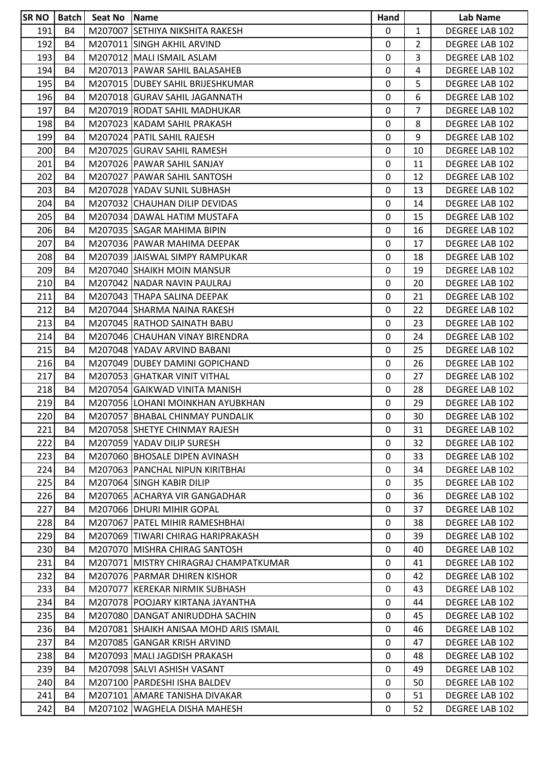| <b>SR NO</b> | Batch     | Seat No | Name                                   | Hand      |                | Lab Name              |
|--------------|-----------|---------|----------------------------------------|-----------|----------------|-----------------------|
| 191          | <b>B4</b> |         | M207007 SETHIYA NIKSHITA RAKESH        | 0         | $\mathbf{1}$   | DEGREE LAB 102        |
| 192          | <b>B4</b> |         | M207011 SINGH AKHIL ARVIND             | 0         | $\overline{2}$ | DEGREE LAB 102        |
| 193          | <b>B4</b> |         | M207012 MALI ISMAIL ASLAM              | 0         | $\overline{3}$ | DEGREE LAB 102        |
| 194          | <b>B4</b> |         | M207013   PAWAR SAHIL BALASAHEB        | 0         | 4              | DEGREE LAB 102        |
| 195          | <b>B4</b> |         | M207015   DUBEY SAHIL BRIJESHKUMAR     | 0         | 5.             | DEGREE LAB 102        |
| 196          | <b>B4</b> |         | M207018 GURAV SAHIL JAGANNATH          | 0         | 6              | DEGREE LAB 102        |
| 197          | <b>B4</b> |         | M207019 RODAT SAHIL MADHUKAR           | 0         | 7              | DEGREE LAB 102        |
| 198          | <b>B4</b> |         | M207023 KADAM SAHIL PRAKASH            | 0         | 8              | <b>DEGREE LAB 102</b> |
| 199          | <b>B4</b> |         | M207024   PATIL SAHIL RAJESH           | 0         | 9              | <b>DEGREE LAB 102</b> |
| 200          | <b>B4</b> |         | M207025 GURAV SAHIL RAMESH             | 0         | 10             | DEGREE LAB 102        |
| 201          | <b>B4</b> |         | M207026 PAWAR SAHIL SANJAY             | 0         | 11             | DEGREE LAB 102        |
| 202          | <b>B4</b> |         | M207027 PAWAR SAHIL SANTOSH            | 0         | 12             | DEGREE LAB 102        |
| 203          | <b>B4</b> |         | M207028 YADAV SUNIL SUBHASH            | 0         | 13             | DEGREE LAB 102        |
| 204          | <b>B4</b> |         | M207032 CHAUHAN DILIP DEVIDAS          | 0         | 14             | DEGREE LAB 102        |
| 205          | <b>B4</b> |         | M207034 DAWAL HATIM MUSTAFA            | 0         | 15             | DEGREE LAB 102        |
| 206          | <b>B4</b> |         | M207035 SAGAR MAHIMA BIPIN             | 0         | 16             | DEGREE LAB 102        |
| 207          | <b>B4</b> |         | M207036   PAWAR MAHIMA DEEPAK          | 0         | 17             | DEGREE LAB 102        |
| 208          | <b>B4</b> |         | M207039 JAISWAL SIMPY RAMPUKAR         | 0         | 18             | <b>DEGREE LAB 102</b> |
| 209          | <b>B4</b> |         | M207040 SHAIKH MOIN MANSUR             | 0         | 19             | DEGREE LAB 102        |
| 210          | <b>B4</b> |         | M207042 NADAR NAVIN PAULRAJ            | 0         | 20             | DEGREE LAB 102        |
| 211          | <b>B4</b> |         | M207043 THAPA SALINA DEEPAK            | 0         | 21             | DEGREE LAB 102        |
| 212          | <b>B4</b> |         | M207044 SHARMA NAINA RAKESH            | 0         | 22             | DEGREE LAB 102        |
| 213          | <b>B4</b> |         | M207045 RATHOD SAINATH BABU            | 0         | 23             | DEGREE LAB 102        |
| 214          | <b>B4</b> |         | M207046 CHAUHAN VINAY BIRENDRA         | 0         | 24             | DEGREE LAB 102        |
| 215          | <b>B4</b> |         | M207048 YADAV ARVIND BABANI            | 0         | 25             | DEGREE LAB 102        |
| 216          | <b>B4</b> |         | M207049 DUBEY DAMINI GOPICHAND         | 0         | 26             | DEGREE LAB 102        |
| 217          | <b>B4</b> |         | M207053 GHATKAR VINIT VITHAL           | 0         | 27             | DEGREE LAB 102        |
| 218          | <b>B4</b> |         | M207054 GAIKWAD VINITA MANISH          | 0         | 28             | <b>DEGREE LAB 102</b> |
| 219          | <b>B4</b> |         | M207056 LOHANI MOINKHAN AYUBKHAN       | 0         | 29             | DEGREE LAB 102        |
| 220          | <b>B4</b> |         | M207057 BHABAL CHINMAY PUNDALIK        | $\pmb{0}$ | 30             | DEGREE LAB 102        |
| 221          | <b>B4</b> |         | M207058 SHETYE CHINMAY RAJESH          | 0         | 31             | DEGREE LAB 102        |
| 222          | <b>B4</b> |         | M207059 YADAV DILIP SURESH             | 0         | 32             | DEGREE LAB 102        |
| 223          | <b>B4</b> |         | M207060 BHOSALE DIPEN AVINASH          | 0         | 33             | DEGREE LAB 102        |
| 224          | B4        |         | M207063 PANCHAL NIPUN KIRITBHAI        | 0         | 34             | DEGREE LAB 102        |
| 225          | <b>B4</b> |         | M207064 SINGH KABIR DILIP              | 0         | 35             | DEGREE LAB 102        |
| 226          | <b>B4</b> |         | M207065 ACHARYA VIR GANGADHAR          | 0         | 36             | DEGREE LAB 102        |
| 227          | <b>B4</b> |         | M207066 DHURI MIHIR GOPAL              | 0         | 37             | DEGREE LAB 102        |
| 228          | <b>B4</b> |         | M207067 PATEL MIHIR RAMESHBHAI         | 0         | 38             | DEGREE LAB 102        |
| 229          | <b>B4</b> |         | M207069 TIWARI CHIRAG HARIPRAKASH      | 0         | 39             | DEGREE LAB 102        |
| 230          | <b>B4</b> |         | M207070 IMISHRA CHIRAG SANTOSH         | 0         | 40             | DEGREE LAB 102        |
| 231          | <b>B4</b> |         | M207071 MISTRY CHIRAGRAJ CHAMPATKUMAR  | 0         | 41             | DEGREE LAB 102        |
| 232          | <b>B4</b> |         | M207076 PARMAR DHIREN KISHOR           | 0         | 42             | DEGREE LAB 102        |
| 233          | <b>B4</b> |         | M207077 KEREKAR NIRMIK SUBHASH         | 0         | 43             | DEGREE LAB 102        |
| 234          | <b>B4</b> |         | M207078 POOJARY KIRTANA JAYANTHA       | 0         | 44             | DEGREE LAB 102        |
| 235          | <b>B4</b> |         | M207080 DANGAT ANIRUDDHA SACHIN        | 0         | 45             | DEGREE LAB 102        |
| 236          | <b>B4</b> |         | M207081 SHAIKH ANISAA MOHD ARIS ISMAIL | 0         | 46             | DEGREE LAB 102        |
| 237          | B4        |         | M207085 GANGAR KRISH ARVIND            | 0         | 47             | DEGREE LAB 102        |
| 238          | <b>B4</b> |         | M207093 MALI JAGDISH PRAKASH           | 0         | 48             | DEGREE LAB 102        |
| 239          | <b>B4</b> |         | M207098 SALVI ASHISH VASANT            | 0         | 49             | DEGREE LAB 102        |
| 240          | <b>B4</b> |         | M207100 PARDESHI ISHA BALDEV           | 0         | 50             | DEGREE LAB 102        |
| 241          | <b>B4</b> |         | M207101 AMARE TANISHA DIVAKAR          | 0         | 51             | DEGREE LAB 102        |
| 242          | <b>B4</b> |         | M207102 WAGHELA DISHA MAHESH           | 0         | 52             | DEGREE LAB 102        |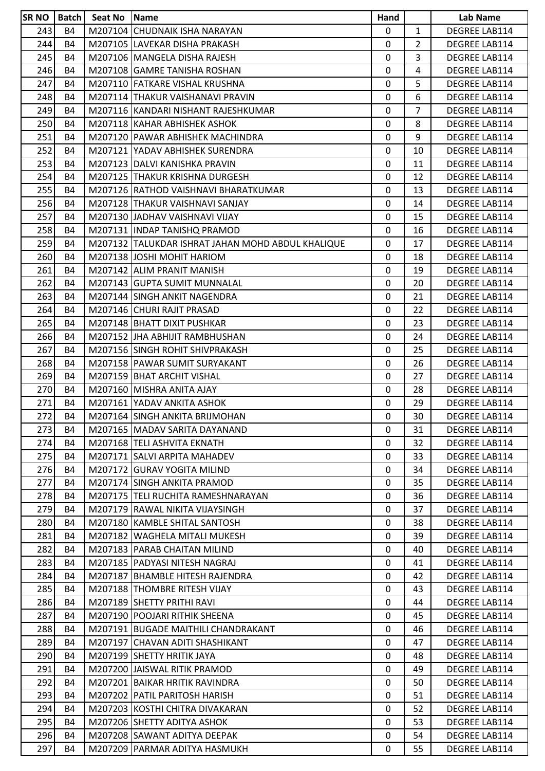| SR <sub>NO</sub> | <b>Batch</b> | Seat No Name |                                                   | Hand        |                | <b>Lab Name</b>      |
|------------------|--------------|--------------|---------------------------------------------------|-------------|----------------|----------------------|
| 243              | <b>B4</b>    |              | M207104 CHUDNAIK ISHA NARAYAN                     | 0           | $\mathbf{1}$   | DEGREE LAB114        |
| 244              | <b>B4</b>    |              | M207105 LAVEKAR DISHA PRAKASH                     | 0           | $\overline{2}$ | DEGREE LAB114        |
| 245              | <b>B4</b>    |              | M207106 MANGELA DISHA RAJESH                      | 0           | 3              | DEGREE LAB114        |
| 246              | <b>B4</b>    |              | M207108 GAMRE TANISHA ROSHAN                      | 0           | 4              | DEGREE LAB114        |
| 247              | <b>B4</b>    |              | M207110 FATKARE VISHAL KRUSHNA                    | 0           | 5              | DEGREE LAB114        |
| 248              | <b>B4</b>    |              | M207114 THAKUR VAISHANAVI PRAVIN                  | $\mathbf 0$ | 6              | DEGREE LAB114        |
| 249              | <b>B4</b>    |              | M207116 KANDARI NISHANT RAJESHKUMAR               | 0           | 7              | DEGREE LAB114        |
| 250              | <b>B4</b>    |              | M207118 KAHAR ABHISHEK ASHOK                      | 0           | 8              | DEGREE LAB114        |
| 251              | <b>B4</b>    |              | M207120 PAWAR ABHISHEK MACHINDRA                  | 0           | 9              | DEGREE LAB114        |
| 252              | <b>B4</b>    |              | M207121 YADAV ABHISHEK SURENDRA                   | 0           | 10             | DEGREE LAB114        |
| 253              | <b>B4</b>    |              | M207123 DALVI KANISHKA PRAVIN                     | 0           | 11             | DEGREE LAB114        |
| 254              | <b>B4</b>    |              | M207125 THAKUR KRISHNA DURGESH                    | 0           | 12             | DEGREE LAB114        |
| 255              | <b>B4</b>    |              | M207126 RATHOD VAISHNAVI BHARATKUMAR              | $\mathbf 0$ | 13             | DEGREE LAB114        |
| 256              | <b>B4</b>    |              | M207128 THAKUR VAISHNAVI SANJAY                   | 0           | 14             | DEGREE LAB114        |
| 257              | <b>B4</b>    |              | M207130 JJADHAV VAISHNAVI VIJAY                   | 0           | 15             | DEGREE LAB114        |
| 258              | <b>B4</b>    |              | M207131   INDAP TANISHQ PRAMOD                    | $\mathbf 0$ | 16             | DEGREE LAB114        |
| 259              | <b>B4</b>    |              | M207132 TALUKDAR ISHRAT JAHAN MOHD ABDUL KHALIQUE | 0           | 17             | DEGREE LAB114        |
| 260              | <b>B4</b>    |              | M207138 JOSHI MOHIT HARIOM                        | 0           | 18             | DEGREE LAB114        |
| 261              | <b>B4</b>    |              | M207142 ALIM PRANIT MANISH                        | 0           | 19             | DEGREE LAB114        |
| 262              | <b>B4</b>    |              | M207143 GUPTA SUMIT MUNNALAL                      | 0           | 20             | DEGREE LAB114        |
| 263              | <b>B4</b>    |              | M207144 SINGH ANKIT NAGENDRA                      | $\mathbf 0$ | 21             | DEGREE LAB114        |
| 264              | <b>B4</b>    |              | M207146 CHURI RAJIT PRASAD                        | 0           | 22             | DEGREE LAB114        |
| 265              | <b>B4</b>    |              | M207148 BHATT DIXIT PUSHKAR                       | $\mathbf 0$ | 23             | DEGREE LAB114        |
| 266              | <b>B4</b>    |              | M207152 JHA ABHIJIT RAMBHUSHAN                    | 0           | 24             | DEGREE LAB114        |
| 267              | <b>B4</b>    |              | M207156 SINGH ROHIT SHIVPRAKASH                   | $\mathbf 0$ | 25             | DEGREE LAB114        |
| 268              | <b>B4</b>    |              | M207158   PAWAR SUMIT SURYAKANT                   | 0           | 26             | DEGREE LAB114        |
| 269              | <b>B4</b>    |              | M207159 BHAT ARCHIT VISHAL                        | 0           | 27             | DEGREE LAB114        |
| 270              | <b>B4</b>    |              | M207160 MISHRA ANITA AJAY                         | 0           | 28             | DEGREE LAB114        |
| 271              | <b>B4</b>    |              | M207161 YADAV ANKITA ASHOK                        | $\mathbf 0$ | 29             | DEGREE LAB114        |
| 272              | <b>B4</b>    |              | M207164 SINGH ANKITA BRIJMOHAN                    | 0           | 30             | <b>DEGREE LAB114</b> |
| 273              | <b>B4</b>    |              | M207165   MADAV SARITA DAYANAND                   | 0           | 31             | DEGREE LAB114        |
| 274              | <b>B4</b>    |              | M207168 TELI ASHVITA EKNATH                       | $\mathbf 0$ | 32             | DEGREE LAB114        |
| 275              | <b>B4</b>    |              | M207171 SALVI ARPITA MAHADEV                      | 0           | 33             | DEGREE LAB114        |
| 276              | <b>B4</b>    |              | M207172 GURAV YOGITA MILIND                       | 0           | 34             | DEGREE LAB114        |
| 277              | <b>B4</b>    |              | M207174 SINGH ANKITA PRAMOD                       | $\Omega$    | 35             | DEGREE LAB114        |
| 278              | <b>B4</b>    |              | M207175 TELI RUCHITA RAMESHNARAYAN                | 0           | 36             | DEGREE LAB114        |
| 279              | <b>B4</b>    |              | M207179 RAWAL NIKITA VIJAYSINGH                   | 0           | 37             | DEGREE LAB114        |
| 280              | <b>B4</b>    |              | M207180 KAMBLE SHITAL SANTOSH                     | 0           | 38             | DEGREE LAB114        |
| 281              | <b>B4</b>    |              | M207182 WAGHELA MITALI MUKESH                     | 0           | 39             | DEGREE LAB114        |
| 282              | <b>B4</b>    |              | M207183   PARAB CHAITAN MILIND                    | 0           | 40             | DEGREE LAB114        |
| 283              | <b>B4</b>    |              | M207185 PADYASI NITESH NAGRAJ                     | 0           | 41             | DEGREE LAB114        |
| 284              | <b>B4</b>    |              | M207187 BHAMBLE HITESH RAJENDRA                   | 0           | 42             | DEGREE LAB114        |
| 285              | <b>B4</b>    |              | M207188 THOMBRE RITESH VIJAY                      | 0           | 43             | DEGREE LAB114        |
| 286              | <b>B4</b>    |              | M207189 SHETTY PRITHI RAVI                        | $\mathbf 0$ | 44             | DEGREE LAB114        |
| 287              | <b>B4</b>    |              | M207190 POOJARI RITHIK SHEENA                     | 0           | 45             | DEGREE LAB114        |
| 288              | <b>B4</b>    |              | M207191 BUGADE MAITHILI CHANDRAKANT               | 0           | 46             | DEGREE LAB114        |
| 289              | <b>B4</b>    |              | M207197 CHAVAN ADITI SHASHIKANT                   | 0           | 47             | DEGREE LAB114        |
| 290              | <b>B4</b>    |              | M207199 SHETTY HRITIK JAYA                        | 0           | 48             | DEGREE LAB114        |
| 291              | <b>B4</b>    |              | M207200 JAISWAL RITIK PRAMOD                      | 0           | 49             | DEGREE LAB114        |
| 292              | <b>B4</b>    |              | M207201 BAIKAR HRITIK RAVINDRA                    | 0           | 50             | DEGREE LAB114        |
| 293              | <b>B4</b>    |              | M207202 PATIL PARITOSH HARISH                     | $\mathbf 0$ | 51             | DEGREE LAB114        |
| 294              | <b>B4</b>    |              | M207203 KOSTHI CHITRA DIVAKARAN                   | 0           | 52             | DEGREE LAB114        |
| 295              | <b>B4</b>    |              | M207206 SHETTY ADITYA ASHOK                       | 0           | 53             | DEGREE LAB114        |
| 296              | <b>B4</b>    |              | M207208 SAWANT ADITYA DEEPAK                      | 0           | 54             | DEGREE LAB114        |
| 297              | <b>B4</b>    |              | M207209   PARMAR ADITYA HASMUKH                   | 0           | 55             | DEGREE LAB114        |
|                  |              |              |                                                   |             |                |                      |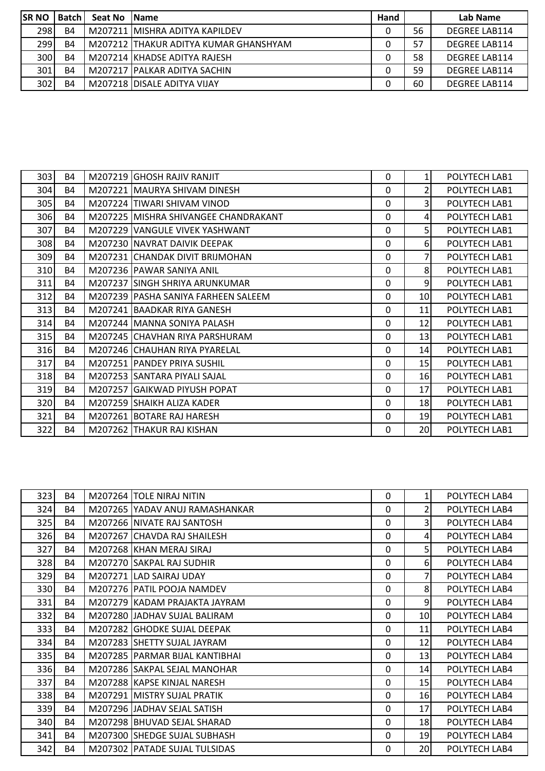| <b>ISR NO</b> | <b>Batch</b> | Seat No | <b>IName</b>                          | Hand |    | Lab Name             |
|---------------|--------------|---------|---------------------------------------|------|----|----------------------|
| 298           | <b>B4</b>    |         | M207211 MISHRA ADITYA KAPILDEV        | 0    | 56 | <b>DEGREE LAB114</b> |
| 299           | B4           |         | M207212 THAKUR ADITYA KUMAR GHANSHYAM |      | 57 | <b>DEGREE LAB114</b> |
| 300           | B4           |         | M207214 KHADSE ADITYA RAJESH          | 0    | 58 | <b>DEGREE LAB114</b> |
| 301           | <b>B4</b>    |         | M207217   PALKAR ADITYA SACHIN        | 0    | 59 | <b>DEGREE LAB114</b> |
| 302           | <b>B4</b>    |         | M207218 DISALE ADITYA VIJAY           | 0    | 60 | <b>DEGREE LAB114</b> |

| 303  | <b>B4</b> | M207219 GHOSH RAJIV RANJIT            | 0            | 1              | POLYTECH LAB1 |
|------|-----------|---------------------------------------|--------------|----------------|---------------|
| 304  | <b>B4</b> | M207221 MAURYA SHIVAM DINESH          | 0            | $\overline{2}$ | POLYTECH LAB1 |
| 305  | B4        | M207224 TIWARI SHIVAM VINOD           | 0            | 3              | POLYTECH LAB1 |
| 306  | <b>B4</b> | M207225 MISHRA SHIVANGEE CHANDRAKANT  | 0            | $\overline{4}$ | POLYTECH LAB1 |
| 307  | B4        | M207229 VANGULE VIVEK YASHWANT        | 0            | 5 <sup>1</sup> | POLYTECH LAB1 |
| 308  | <b>B4</b> | M207230 NAVRAT DAIVIK DEEPAK          | 0            | $6 \mid$       | POLYTECH LAB1 |
| 309  | B4        | M207231 CHANDAK DIVIT BRIJMOHAN       | 0            | $\overline{7}$ | POLYTECH LAB1 |
| 310  | <b>B4</b> | M207236 PAWAR SANIYA ANIL             | $\mathbf 0$  | 8              | POLYTECH LAB1 |
| 311  | <b>B4</b> | M207237 SINGH SHRIYA ARUNKUMAR        | 0            | 9              | POLYTECH LAB1 |
| 312  | <b>B4</b> | M207239   PASHA SANIYA FARHEEN SALEEM | 0            | 10             | POLYTECH LAB1 |
| 313  | <b>B4</b> | M207241 BAADKAR RIYA GANESH           | 0            | 11             | POLYTECH LAB1 |
| 314  | <b>B4</b> | M207244 MANNA SONIYA PALASH           | 0            | 12             | POLYTECH LAB1 |
| 315  | <b>B4</b> | M207245 CHAVHAN RIYA PARSHURAM        | 0            | 13             | POLYTECH LAB1 |
| 316  | <b>B4</b> | M207246 CHAUHAN RIYA PYARELAL         | 0            | 14             | POLYTECH LAB1 |
| 317  | <b>B4</b> | M207251 PANDEY PRIYA SUSHIL           | $\mathbf{0}$ | 15             | POLYTECH LAB1 |
| 318  | B4        | M207253 SANTARA PIYALI SAJAL          | $\mathbf{0}$ | <b>16</b>      | POLYTECH LAB1 |
| 319  | <b>B4</b> | M207257 GAIKWAD PIYUSH POPAT          | 0            | 17             | POLYTECH LAB1 |
| 320I | B4        | M207259 SHAIKH ALIZA KADER            | 0            | 18             | POLYTECH LAB1 |
| 321  | <b>B4</b> | M207261 BOTARE RAJ HARESH             | 0            | 19             | POLYTECH LAB1 |
| 322  | B4        | M207262 THAKUR RAJ KISHAN             | 0            | 20             | POLYTECH LAB1 |

| 323 | B4        | M207264 TOLE NIRAJ NITIN         | 0            | $\mathbf{1}$ | POLYTECH LAB4 |
|-----|-----------|----------------------------------|--------------|--------------|---------------|
| 324 | B4        | M207265 YADAV ANUJ RAMASHANKAR   | $\Omega$     | 2            | POLYTECH LAB4 |
| 325 | <b>B4</b> | M207266 NIVATE RAJ SANTOSH       | $\Omega$     | 3            | POLYTECH LAB4 |
| 326 | <b>B4</b> | M207267 CHAVDA RAJ SHAILESH      | $\Omega$     | 4            | POLYTECH LAB4 |
| 327 | <b>B4</b> | M207268 KHAN MERAJ SIRAJ         | $\mathbf{0}$ | 5            | POLYTECH LAB4 |
| 328 | B4        | M207270 SAKPAL RAJ SUDHIR        | $\Omega$     | $6 \mid$     | POLYTECH LAB4 |
| 329 | <b>B4</b> | M207271 LAD SAIRAJ UDAY          | $\Omega$     |              | POLYTECH LAB4 |
| 330 | B4        | M207276   PATIL POOJA NAMDEV     | $\Omega$     | 8            | POLYTECH LAB4 |
| 331 | <b>B4</b> | M207279 KADAM PRAJAKTA JAYRAM    | $\mathbf 0$  | 9            | POLYTECH LAB4 |
| 332 | B4        | M207280 JADHAV SUJAL BALIRAM     | $\mathbf{0}$ | 10           | POLYTECH LAB4 |
| 333 | B4        | M207282 GHODKE SUJAL DEEPAK      | $\Omega$     | 11           | POLYTECH LAB4 |
| 334 | <b>B4</b> | M207283 SHETTY SUJAL JAYRAM      | $\Omega$     | 12           | POLYTECH LAB4 |
| 335 | <b>B4</b> | M207285   PARMAR BIJAL KANTIBHAI | $\mathbf{0}$ | 13           | POLYTECH LAB4 |
| 336 | <b>B4</b> | M207286 SAKPAL SEJAL MANOHAR     | $\mathbf{0}$ | 14           | POLYTECH LAB4 |
| 337 | B4        | M207288 KAPSE KINJAL NARESH      | $\Omega$     | 15           | POLYTECH LAB4 |
| 338 | B4        | M207291 MISTRY SUJAL PRATIK      | $\Omega$     | 16           | POLYTECH LAB4 |
| 339 | <b>B4</b> | M207296 JADHAV SEJAL SATISH      | $\mathbf 0$  | 17           | POLYTECH LAB4 |
| 340 | B4        | M207298 BHUVAD SEJAL SHARAD      | $\mathbf{0}$ | 18           | POLYTECH LAB4 |
| 341 | B4        | M207300 SHEDGE SUJAL SUBHASH     | $\Omega$     | 19           | POLYTECH LAB4 |
| 342 | B4        | M207302 PATADE SUJAL TULSIDAS    | $\Omega$     | 20           | POLYTECH LAB4 |
|     |           |                                  |              |              |               |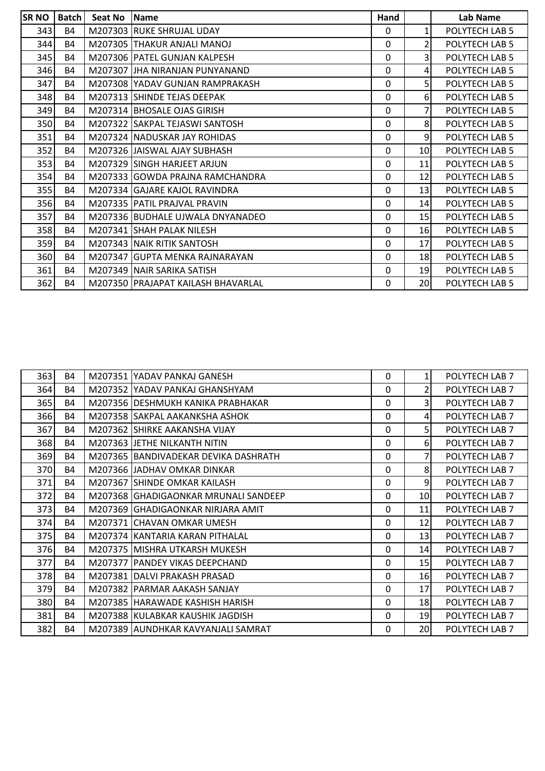| <b>SRNO</b> | Batch     | Seat No | <b>Name</b>                        | Hand         |                | Lab Name       |
|-------------|-----------|---------|------------------------------------|--------------|----------------|----------------|
| 343         | <b>B4</b> |         | M207303 RUKE SHRUJAL UDAY          | 0            | 1              | POLYTECH LAB 5 |
| 344         | <b>B4</b> |         | M207305 THAKUR ANJALI MANOJ        | $\mathbf 0$  | $\overline{2}$ | POLYTECH LAB 5 |
| 345         | <b>B4</b> |         | M207306 PATEL GUNJAN KALPESH       | 0            | 3              | POLYTECH LAB 5 |
| 346         | <b>B4</b> |         | M207307 JJHA NIRANJAN PUNYANAND    | 0            | 4              | POLYTECH LAB 5 |
| 347         | <b>B4</b> |         | M207308 YADAV GUNJAN RAMPRAKASH    | 0            | 5 <sup>1</sup> | POLYTECH LAB 5 |
| 348         | <b>B4</b> |         | M207313 SHINDE TEJAS DEEPAK        | 0            | 61             | POLYTECH LAB 5 |
| 349         | <b>B4</b> |         | M207314 BHOSALE OJAS GIRISH        | 0            | 7              | POLYTECH LAB 5 |
| 350         | <b>B4</b> |         | M207322 SAKPAL TEJASWI SANTOSH     | 0            | 8              | POLYTECH LAB 5 |
| 351         | <b>B4</b> |         | M207324 NADUSKAR JAY ROHIDAS       | 0            | 9              | POLYTECH LAB 5 |
| 352         | <b>B4</b> |         | M207326 JJAISWAL AJAY SUBHASH      | 0            | 10             | POLYTECH LAB 5 |
| 353         | <b>B4</b> |         | M207329 SINGH HARJEET ARJUN        | 0            | 11             | POLYTECH LAB 5 |
| 354         | <b>B4</b> |         | M207333 GOWDA PRAJNA RAMCHANDRA    | 0            | 12             | POLYTECH LAB 5 |
| 355         | <b>B4</b> |         | M207334 GAJARE KAJOL RAVINDRA      | 0            | 13             | POLYTECH LAB 5 |
| 356         | <b>B4</b> |         | M207335   PATIL PRAJVAL PRAVIN     | 0            | 14             | POLYTECH LAB 5 |
| 357         | <b>B4</b> |         | M207336 BUDHALE UJWALA DNYANADEO   | $\mathbf{0}$ | 15             | POLYTECH LAB 5 |
| 358         | <b>B4</b> |         | M207341 SHAH PALAK NILESH          | 0            | 16             | POLYTECH LAB 5 |
| 359         | <b>B4</b> |         | M207343 NAIK RITIK SANTOSH         | 0            | 17             | POLYTECH LAB 5 |
| 360         | <b>B4</b> |         | M207347 GUPTA MENKA RAJNARAYAN     | 0            | 18             | POLYTECH LAB 5 |
| 361         | <b>B4</b> |         | M207349 NAIR SARIKA SATISH         | $\mathbf{0}$ | 19             | POLYTECH LAB 5 |
| 362         | <b>B4</b> |         | M207350 PRAJAPAT KAILASH BHAVARLAL | 0            | 20             | POLYTECH LAB 5 |

| 363 l | <b>B4</b> | M207351 YADAV PANKAJ GANESH          | 0            | $1\vert$       | POLYTECH LAB 7 |
|-------|-----------|--------------------------------------|--------------|----------------|----------------|
| 364   | <b>B4</b> | M207352 YADAV PANKAJ GHANSHYAM       | 0            | 2              | POLYTECH LAB 7 |
| 365   | <b>B4</b> | M207356 DESHMUKH KANIKA PRABHAKAR    | 0            | 3              | POLYTECH LAB 7 |
| 366   | <b>B4</b> | M207358 SAKPAL AAKANKSHA ASHOK       | 0            | 4              | POLYTECH LAB 7 |
| 367   | <b>B4</b> | M207362 SHIRKE AAKANSHA VIJAY        | 0            | 5 <sup>1</sup> | POLYTECH LAB 7 |
| 368   | B4        | M207363 JJETHE NILKANTH NITIN        | 0            | 6I             | POLYTECH LAB 7 |
| 369   | <b>B4</b> | M207365 BANDIVADEKAR DEVIKA DASHRATH | 0            | $\overline{7}$ | POLYTECH LAB 7 |
| 370   | B4        | M207366 JADHAV OMKAR DINKAR          | 0            | 8              | POLYTECH LAB 7 |
| 371   | <b>B4</b> | M207367 SHINDE OMKAR KAILASH         | 0            | 9              | POLYTECH LAB 7 |
| 372   | <b>B4</b> | M207368 GHADIGAONKAR MRUNALI SANDEEP | $\mathbf{0}$ | 10             | POLYTECH LAB 7 |
| 373   | B4        | M207369 GHADIGAONKAR NIRJARA AMIT    | 0            | 11             | POLYTECH LAB 7 |
| 374   | <b>B4</b> | M207371 CHAVAN OMKAR UMESH           | 0            | 12             | POLYTECH LAB 7 |
| 375   | <b>B4</b> | M207374 KANTARIA KARAN PITHALAL      | 0            | 13             | POLYTECH LAB 7 |
| 376   | <b>B4</b> | M207375 MISHRA UTKARSH MUKESH        | 0            | 14             | POLYTECH LAB 7 |
| 377   | <b>B4</b> | M207377   PANDEY VIKAS DEEPCHAND     | 0            | 15             | POLYTECH LAB 7 |
| 378   | <b>B4</b> | M207381 DALVI PRAKASH PRASAD         | 0            | <b>16</b>      | POLYTECH LAB 7 |
| 379   | <b>B4</b> | M207382 PARMAR AAKASH SANJAY         | $\mathbf{0}$ | 17             | POLYTECH LAB 7 |
| 380   | <b>B4</b> | M207385 HARAWADE KASHISH HARISH      | $\mathbf{0}$ | 18             | POLYTECH LAB 7 |
| 381   | B4        | M207388 KULABKAR KAUSHIK JAGDISH     | 0            | 19             | POLYTECH LAB 7 |
| 382   | <b>B4</b> | M207389 AUNDHKAR KAVYANJALI SAMRAT   | 0            | 20             | POLYTECH LAB 7 |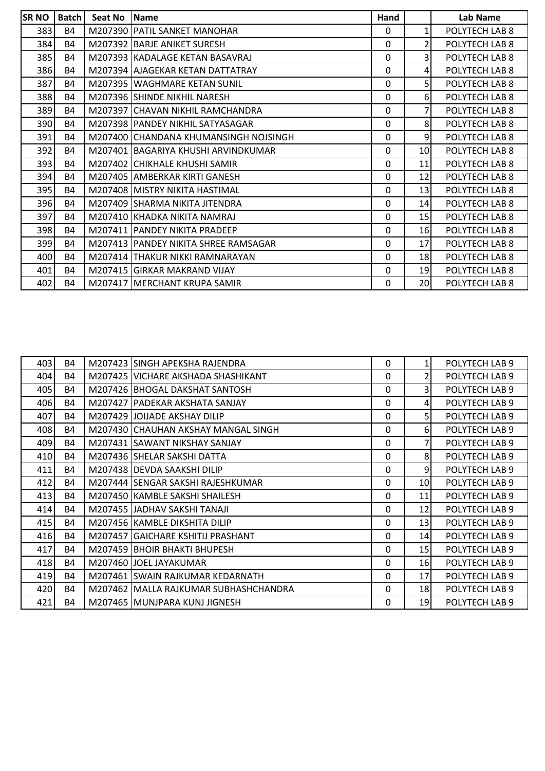| <b>SR NO</b> | Batch     | <b>Seat No</b> | <b>Name</b>                            | Hand        |                | Lab Name       |
|--------------|-----------|----------------|----------------------------------------|-------------|----------------|----------------|
| 383          | <b>B4</b> |                | M207390 PATIL SANKET MANOHAR           | $\Omega$    | $\mathbf{1}$   | POLYTECH LAB 8 |
| 384          | <b>B4</b> |                | M207392 BARJE ANIKET SURESH            | 0           | $\overline{2}$ | POLYTECH LAB 8 |
| 385          | <b>B4</b> |                | M207393 KADALAGE KETAN BASAVRAJ        | 0           | 3              | POLYTECH LAB 8 |
| 386          | <b>B4</b> |                | M207394 AJAGEKAR KETAN DATTATRAY       | $\mathbf 0$ | 4              | POLYTECH LAB 8 |
| 387          | <b>B4</b> |                | M207395 WAGHMARE KETAN SUNIL           | 0           | 5              | POLYTECH LAB 8 |
| 388          | <b>B4</b> |                | M207396 SHINDE NIKHIL NARESH           | 0           | 6 <sup>1</sup> | POLYTECH LAB 8 |
| 389          | <b>B4</b> |                | M207397 CHAVAN NIKHIL RAMCHANDRA       | 0           | 7              | POLYTECH LAB 8 |
| 390          | <b>B4</b> |                | M207398 PANDEY NIKHIL SATYASAGAR       | 0           | 8              | POLYTECH LAB 8 |
| 391          | <b>B4</b> |                | M207400 CHANDANA KHUMANSINGH NOJSINGH  | $\Omega$    | 9              | POLYTECH LAB 8 |
| 392          | <b>B4</b> |                | M207401 BAGARIYA KHUSHI ARVINDKUMAR    | 0           | 10             | POLYTECH LAB 8 |
| 393          | <b>B4</b> |                | M207402 CHIKHALE KHUSHI SAMIR          | 0           | 11             | POLYTECH LAB 8 |
| 394          | <b>B4</b> |                | M207405 AMBERKAR KIRTI GANESH          | 0           | 12             | POLYTECH LAB 8 |
| 395          | <b>B4</b> |                | M207408 MISTRY NIKITA HASTIMAL         | 0           | 13             | POLYTECH LAB 8 |
| 396          | <b>B4</b> |                | M207409 SHARMA NIKITA JITENDRA         | 0           | 14             | POLYTECH LAB 8 |
| 397          | <b>B4</b> |                | M207410 KHADKA NIKITA NAMRAJ           | 0           | 15             | POLYTECH LAB 8 |
| 398          | <b>B4</b> |                | M207411 PANDEY NIKITA PRADEEP          | 0           | <b>16</b>      | POLYTECH LAB 8 |
| 399          | <b>B4</b> |                | M207413   PANDEY NIKITA SHREE RAMSAGAR | 0           | 17             | POLYTECH LAB 8 |
| 400          | <b>B4</b> |                | M207414 THAKUR NIKKI RAMNARAYAN        | 0           | 18             | POLYTECH LAB 8 |
| 401          | <b>B4</b> |                | M207415 GIRKAR MAKRAND VIJAY           | 0           | 19             | POLYTECH LAB 8 |
| 402          | <b>B4</b> |                | M207417 MERCHANT KRUPA SAMIR           | 0           | 20             | POLYTECH LAB 8 |

| 403 | B4        | M207423 SINGH APEKSHA RAJENDRA        | 0 |                 | POLYTECH LAB 9 |
|-----|-----------|---------------------------------------|---|-----------------|----------------|
| 404 | B4        | M207425 VICHARE AKSHADA SHASHIKANT    | 0 | $\overline{2}$  | POLYTECH LAB 9 |
| 405 | B4        | M207426 BHOGAL DAKSHAT SANTOSH        | 0 | $\overline{3}$  | POLYTECH LAB 9 |
| 406 | <b>B4</b> | M207427   PADEKAR AKSHATA SANJAY      | 0 | $\overline{4}$  | POLYTECH LAB 9 |
| 407 | <b>B4</b> | M207429 JOIJADE AKSHAY DILIP          | 0 | 5               | POLYTECH LAB 9 |
| 408 | B4        | M207430 CHAUHAN AKSHAY MANGAL SINGH   | 0 | $6 \mid$        | POLYTECH LAB 9 |
| 409 | <b>B4</b> | M207431 SAWANT NIKSHAY SANJAY         | 0 |                 | POLYTECH LAB 9 |
| 410 | <b>B4</b> | M207436 SHELAR SAKSHI DATTA           | 0 | 8               | POLYTECH LAB 9 |
| 411 | <b>B4</b> | M207438 DEVDA SAAKSHI DILIP           | 0 | 9               | POLYTECH LAB 9 |
| 412 | <b>B4</b> | M207444 SENGAR SAKSHI RAJESHKUMAR     | 0 | 10 <sup>1</sup> | POLYTECH LAB 9 |
| 413 | B4        | M207450 KAMBLE SAKSHI SHAILESH        | 0 | 11              | POLYTECH LAB 9 |
| 414 | <b>B4</b> | M207455 JADHAV SAKSHI TANAJI          | 0 | 12              | POLYTECH LAB 9 |
| 415 | <b>B4</b> | M207456 KAMBLE DIKSHITA DILIP         | 0 | 13              | POLYTECH LAB 9 |
| 416 | <b>B4</b> | M207457 GAICHARE KSHITIJ PRASHANT     | 0 | 14              | POLYTECH LAB 9 |
| 417 | B4        | M207459 BHOIR BHAKTI BHUPESH          | 0 | 15              | POLYTECH LAB 9 |
| 418 | <b>B4</b> | M207460 JJOEL JAYAKUMAR               | 0 | 16              | POLYTECH LAB 9 |
| 419 | <b>B4</b> | M207461 SWAIN RAJKUMAR KEDARNATH      | 0 | 17              | POLYTECH LAB 9 |
| 420 | <b>B4</b> | M207462 MALLA RAJKUMAR SUBHASHCHANDRA | 0 | 18              | POLYTECH LAB 9 |
| 421 | B4        | M207465 MUNJPARA KUNJ JIGNESH         | 0 | 19              | POLYTECH LAB 9 |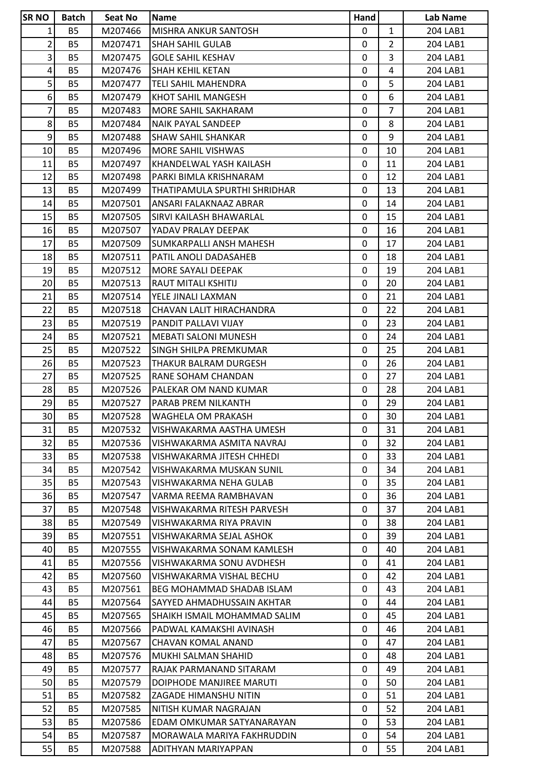| <b>SR NO</b>    | Batch                  | Seat No            | <b>Name</b>                               | Hand         |                | Lab Name             |
|-----------------|------------------------|--------------------|-------------------------------------------|--------------|----------------|----------------------|
| 1               | <b>B5</b>              | M207466            | <b>MISHRA ANKUR SANTOSH</b>               | $\mathbf{0}$ | $\mathbf{1}$   | 204 LAB1             |
| 2               | <b>B5</b>              | M207471            | <b>SHAH SAHIL GULAB</b>                   | 0            | $\overline{2}$ | 204 LAB1             |
| $\overline{3}$  | <b>B5</b>              | M207475            | <b>GOLE SAHIL KESHAV</b>                  | $\mathbf 0$  | $\overline{3}$ | 204 LAB1             |
| 4               | <b>B5</b>              | M207476            | SHAH KEHIL KETAN                          | 0            | 4              | 204 LAB1             |
| 5 <sup>1</sup>  | <b>B5</b>              | M207477            | <b>TELI SAHIL MAHENDRA</b>                | $\mathbf 0$  | 5              | 204 LAB1             |
| 6 <sup>1</sup>  | <b>B5</b>              | M207479            | KHOT SAHIL MANGESH                        | $\mathbf{0}$ | 6              | 204 LAB1             |
| 7               | <b>B5</b>              | M207483            | MORE SAHIL SAKHARAM                       | 0            | $\overline{7}$ | 204 LAB1             |
| 8 <sup>1</sup>  | <b>B5</b>              | M207484            | <b>NAIK PAYAL SANDEEP</b>                 | $\mathbf{0}$ | 8              | 204 LAB1             |
| $\mathsf{g}$    | <b>B5</b>              | M207488            | <b>SHAW SAHIL SHANKAR</b>                 | 0            | 9              | 204 LAB1             |
| 10              | <b>B5</b>              | M207496            | MORE SAHIL VISHWAS                        | 0            | 10             | 204 LAB1             |
| 11              | <b>B5</b>              | M207497            | KHANDELWAL YASH KAILASH                   | 0            | 11             | 204 LAB1             |
| 12              | <b>B5</b>              | M207498            | PARKI BIMLA KRISHNARAM                    | 0            | 12             | 204 LAB1             |
| 13              | <b>B5</b>              | M207499            | THATIPAMULA SPURTHI SHRIDHAR              | $\mathbf{0}$ | 13             | 204 LAB1             |
| 14              | <b>B5</b>              | M207501            | ANSARI FALAKNAAZ ABRAR                    | 0            | 14             | 204 LAB1             |
| 15              | <b>B5</b>              | M207505            | SIRVI KAILASH BHAWARLAL                   | 0            | 15             | 204 LAB1             |
| 16              | <b>B5</b>              | M207507            | YADAV PRALAY DEEPAK                       | 0            | 16             | 204 LAB1             |
| 17              | <b>B5</b>              | M207509            | SUMKARPALLI ANSH MAHESH                   | 0            | 17             | 204 LAB1             |
| 18              | <b>B5</b>              | M207511            | PATIL ANOLI DADASAHEB                     | 0            | 18             | 204 LAB1             |
| 19              | <b>B5</b>              | M207512            | MORE SAYALI DEEPAK                        | 0            | 19             | 204 LAB1             |
| 20              | <b>B5</b>              | M207513            | RAUT MITALI KSHITIJ                       | $\mathbf{0}$ | 20             | 204 LAB1             |
| 21              | <b>B5</b>              | M207514            | YELE JINALI LAXMAN                        | 0            | 21             | 204 LAB1             |
| 22              | <b>B5</b>              | M207518            | CHAVAN LALIT HIRACHANDRA                  | $\mathbf 0$  | 22             | 204 LAB1             |
| 23              | <b>B5</b>              | M207519            | PANDIT PALLAVI VIJAY                      | 0            | 23             | 204 LAB1             |
| 24              | <b>B5</b>              | M207521            | <b>MEBATI SALONI MUNESH</b>               | $\mathbf 0$  | 24             | 204 LAB1             |
| 25              | <b>B5</b>              | M207522            | ISINGH SHILPA PREMKUMAR                   | $\mathbf{0}$ | 25             | 204 LAB1             |
| 26              | <b>B5</b>              | M207523            | THAKUR BALRAM DURGESH                     | 0            | 26             | 204 LAB1             |
| 27              | <b>B5</b>              | M207525            | RANE SOHAM CHANDAN                        | $\mathbf{0}$ | 27             | 204 LAB1             |
| 28              | <b>B5</b>              | M207526            | PALEKAR OM NAND KUMAR                     | 0            | 28             | 204 LAB1             |
| 29              | <b>B5</b>              | M207527            | PARAB PREM NILKANTH                       | 0            | 29             | 204 LAB1             |
| 30 <sup>1</sup> | <b>B5</b>              | M207528            | WAGHELA OM PRAKASH                        | $\mathbf{0}$ | 30             | 204 LAB1             |
| 31              | <b>B5</b>              | M207532            | VISHWAKARMA AASTHA UMESH                  | 0            | 31             | 204 LAB1             |
| 32              | <b>B5</b>              | M207536            | VISHWAKARMA ASMITA NAVRAJ                 | $\mathbf{0}$ | 32             | 204 LAB1             |
| 33              | <b>B5</b>              | M207538            | VISHWAKARMA JITESH CHHEDI                 | 0            | 33             | 204 LAB1             |
| 34              | <b>B5</b>              | M207542            | VISHWAKARMA MUSKAN SUNIL                  | $\mathbf{0}$ | 34             | 204 LAB1             |
| 35              | <b>B5</b>              | M207543            | VISHWAKARMA NEHA GULAB                    | 0            | 35             | 204 LAB1             |
| 36              | <b>B5</b>              | M207547            | VARMA REEMA RAMBHAVAN                     | 0            | 36             | 204 LAB1             |
| 37              | <b>B5</b>              | M207548            | VISHWAKARMA RITESH PARVESH                | 0            | 37             | 204 LAB1             |
| 38              | <b>B5</b>              | M207549            | VISHWAKARMA RIYA PRAVIN                   | 0            | 38             | 204 LAB1             |
| 39              | <b>B5</b>              | M207551            | VISHWAKARMA SEJAL ASHOK                   | $\mathbf{0}$ | 39             | 204 LAB1             |
| 40              | <b>B5</b>              | M207555            | VISHWAKARMA SONAM KAMLESH                 | 0            | 40             | 204 LAB1             |
| 41              | <b>B5</b>              | M207556            | VISHWAKARMA SONU AVDHESH                  | $\mathbf{0}$ | 41             | 204 LAB1             |
| 42              | <b>B5</b>              | M207560            | VISHWAKARMA VISHAL BECHU                  | 0            | 42             | 204 LAB1             |
| 43              | <b>B5</b>              | M207561            | BEG MOHAMMAD SHADAB ISLAM                 | 0            | 43             | 204 LAB1             |
| 44              | <b>B5</b>              | M207564            | SAYYED AHMADHUSSAIN AKHTAR                | $\mathbf{0}$ | 44             | 204 LAB1             |
| 45              | <b>B5</b>              | M207565            | ISHAIKH ISMAIL MOHAMMAD SALIM             | 0            | 45             | 204 LAB1             |
| 46              | <b>B5</b>              | M207566            | PADWAL KAMAKSHI AVINASH                   | 0            | 46             | 204 LAB1             |
|                 |                        |                    |                                           |              | 47             |                      |
| 47<br>48        | <b>B5</b><br><b>B5</b> | M207567<br>M207576 | CHAVAN KOMAL ANAND<br>MUKHI SALMAN SHAHID | 0<br>0       | 48             | 204 LAB1<br>204 LAB1 |
|                 |                        |                    |                                           |              |                |                      |
| 49              | <b>B5</b>              | M207577            | RAJAK PARMANAND SITARAM                   | 0            | 49             | 204 LAB1             |
| 50              | <b>B5</b>              | M207579            | DOIPHODE MANJIREE MARUTI                  | 0            | 50             | 204 LAB1             |
| 51              | <b>B5</b>              | M207582            | ZAGADE HIMANSHU NITIN                     | $\mathbf{0}$ | 51             | 204 LAB1             |
| 52              | <b>B5</b>              | M207585            | NITISH KUMAR NAGRAJAN                     | 0            | 52             | 204 LAB1             |
| 53              | <b>B5</b>              | M207586            | EDAM OMKUMAR SATYANARAYAN                 | $\mathbf{0}$ | 53             | 204 LAB1             |
| 54              | <b>B5</b>              | M207587            | MORAWALA MARIYA FAKHRUDDIN                | 0            | 54             | 204 LAB1             |
| 55              | <b>B5</b>              | M207588            | ADITHYAN MARIYAPPAN                       | 0            | 55             | 204 LAB1             |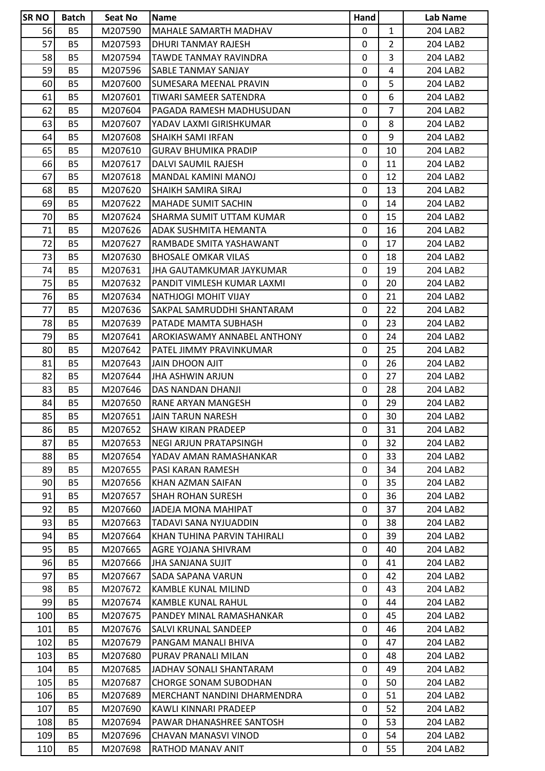| <b>SR NO</b> | <b>Batch</b> | Seat No | <b>Name</b>                     | Hand         |                | Lab Name |
|--------------|--------------|---------|---------------------------------|--------------|----------------|----------|
| 56           | <b>B5</b>    | M207590 | <b>MAHALE SAMARTH MADHAV</b>    | $\mathbf{0}$ | $\mathbf{1}$   | 204 LAB2 |
| 57           | <b>B5</b>    | M207593 | DHURI TANMAY RAJESH             | 0            | $\overline{2}$ | 204 LAB2 |
| 58           | <b>B5</b>    | M207594 | TAWDE TANMAY RAVINDRA           | $\mathbf 0$  | $\overline{3}$ | 204 LAB2 |
| 59           | <b>B5</b>    | M207596 | SABLE TANMAY SANJAY             | 0            | $\overline{4}$ | 204 LAB2 |
| 60           | <b>B5</b>    | M207600 | SUMESARA MEENAL PRAVIN          | $\mathbf 0$  | 5              | 204 LAB2 |
| 61           | <b>B5</b>    | M207601 | TIWARI SAMEER SATENDRA          | $\mathbf{0}$ | 6              | 204 LAB2 |
| 62           | <b>B5</b>    | M207604 | PAGADA RAMESH MADHUSUDAN        | 0            | $\overline{7}$ | 204 LAB2 |
| 63           | <b>B5</b>    | M207607 | YADAV LAXMI GIRISHKUMAR         | $\mathbf 0$  | 8              | 204 LAB2 |
| 64           | <b>B5</b>    | M207608 | <b>SHAIKH SAMI IRFAN</b>        | $\mathbf{0}$ | 9              | 204 LAB2 |
| 65           | <b>B5</b>    | M207610 | <b>GURAV BHUMIKA PRADIP</b>     | 0            | 10             | 204 LAB2 |
| 66           | <b>B5</b>    | M207617 | DALVI SAUMIL RAJESH             | 0            | 11             | 204 LAB2 |
| 67           | <b>B5</b>    | M207618 | MANDAL KAMINI MANOJ             | 0            | 12             | 204 LAB2 |
| 68           | <b>B5</b>    | M207620 | SHAIKH SAMIRA SIRAJ             | $\mathbf{0}$ | 13             | 204 LAB2 |
| 69           | <b>B5</b>    | M207622 | <b>MAHADE SUMIT SACHIN</b>      | 0            | 14             | 204 LAB2 |
| 70           | <b>B5</b>    | M207624 | <b>SHARMA SUMIT UTTAM KUMAR</b> | 0            | 15             | 204 LAB2 |
| 71           | <b>B5</b>    | M207626 | ADAK SUSHMITA HEMANTA           | 0            | 16             | 204 LAB2 |
| 72           | <b>B5</b>    | M207627 | RAMBADE SMITA YASHAWANT         | 0            | 17             | 204 LAB2 |
| 73           | <b>B5</b>    | M207630 | <b>BHOSALE OMKAR VILAS</b>      | 0            | 18             | 204 LAB2 |
| 74           | <b>B5</b>    | M207631 | JHA GAUTAMKUMAR JAYKUMAR        | 0            | 19             | 204 LAB2 |
| 75           | <b>B5</b>    | M207632 | PANDIT VIMLESH KUMAR LAXMI      | $\mathbf{0}$ | 20             | 204 LAB2 |
| 76           | <b>B5</b>    | M207634 | NATHJOGI MOHIT VIJAY            | 0            | 21             | 204 LAB2 |
| 77           | <b>B5</b>    | M207636 | SAKPAL SAMRUDDHI SHANTARAM      | $\mathbf 0$  | 22             | 204 LAB2 |
| 78           | <b>B5</b>    | M207639 | PATADE MAMTA SUBHASH            | 0            | 23             | 204 LAB2 |
| 79           | <b>B5</b>    | M207641 | AROKIASWAMY ANNABEL ANTHONY     | $\mathbf 0$  | 24             | 204 LAB2 |
| 80           | <b>B5</b>    | M207642 | PATEL JIMMY PRAVINKUMAR         | $\mathbf{0}$ | 25             | 204 LAB2 |
| 81           | <b>B5</b>    | M207643 | <b>JAIN DHOON AJIT</b>          | 0            | 26             | 204 LAB2 |
| 82           | <b>B5</b>    | M207644 | JHA ASHWIN ARJUN                | $\mathbf 0$  | 27             | 204 LAB2 |
| 83           | <b>B5</b>    | M207646 | DAS NANDAN DHANJI               | 0            | 28             | 204 LAB2 |
| 84           | <b>B5</b>    | M207650 | RANE ARYAN MANGESH              | 0            | 29             | 204 LAB2 |
| 85           | <b>B5</b>    | M207651 | JAIN TARUN NARESH               | $\mathbf{0}$ | 30             | 204 LAB2 |
| 86           | <b>B5</b>    | M207652 | <b>SHAW KIRAN PRADEEP</b>       | 0            | 31             | 204 LAB2 |
| 87           | <b>B5</b>    | M207653 | <b>NEGI ARJUN PRATAPSINGH</b>   | $\mathbf{0}$ | 32             | 204 LAB2 |
| 88           | <b>B5</b>    | M207654 | YADAV AMAN RAMASHANKAR          | 0            | 33             | 204 LAB2 |
| 89           | <b>B5</b>    | M207655 | PASI KARAN RAMESH               | $\mathbf{0}$ | 34             | 204 LAB2 |
| 90           | <b>B5</b>    | M207656 | KHAN AZMAN SAIFAN               | 0            | 35             | 204 LAB2 |
| 91           | <b>B5</b>    | M207657 | <b>SHAH ROHAN SURESH</b>        | 0            | 36             | 204 LAB2 |
| 92           | <b>B5</b>    | M207660 | JADEJA MONA MAHIPAT             | 0            | 37             | 204 LAB2 |
| 93           | <b>B5</b>    | M207663 | <b>TADAVI SANA NYJUADDIN</b>    | 0            | 38             | 204 LAB2 |
| 94           | <b>B5</b>    | M207664 | KHAN TUHINA PARVIN TAHIRALI     | $\mathbf{0}$ | 39             | 204 LAB2 |
| 95           | <b>B5</b>    | M207665 | AGRE YOJANA SHIVRAM             | 0            | 40             | 204 LAB2 |
| 96           | <b>B5</b>    | M207666 | JHA SANJANA SUJIT               | $\mathbf{0}$ | 41             | 204 LAB2 |
| 97           | <b>B5</b>    | M207667 | SADA SAPANA VARUN               | $\mathbf{0}$ | 42             | 204 LAB2 |
| 98           | <b>B5</b>    | M207672 | KAMBLE KUNAL MILIND             | 0            | 43             | 204 LAB2 |
| 99           | <b>B5</b>    | M207674 | KAMBLE KUNAL RAHUL              | $\mathbf{0}$ | 44             | 204 LAB2 |
| 100          | <b>B5</b>    | M207675 | PANDEY MINAL RAMASHANKAR        | 0            | 45             | 204 LAB2 |
| 101          | <b>B5</b>    | M207676 | SALVI KRUNAL SANDEEP            | 0            | 46             | 204 LAB2 |
|              |              |         |                                 |              |                |          |
| 102          | <b>B5</b>    | M207679 | PANGAM MANALI BHIVA             | 0            | 47             | 204 LAB2 |
| 103          | <b>B5</b>    | M207680 | PURAV PRANALI MILAN             | 0            | 48             | 204 LAB2 |
| 104          | <b>B5</b>    | M207685 | JADHAV SONALI SHANTARAM         | 0            | 49             | 204 LAB2 |
| 105          | <b>B5</b>    | M207687 | <b>CHORGE SONAM SUBODHAN</b>    | 0            | 50             | 204 LAB2 |
| 106          | <b>B5</b>    | M207689 | MERCHANT NANDINI DHARMENDRA     | $\mathbf{0}$ | 51             | 204 LAB2 |
| 107          | <b>B5</b>    | M207690 | KAWLI KINNARI PRADEEP           | 0            | 52             | 204 LAB2 |
| 108          | <b>B5</b>    | M207694 | PAWAR DHANASHREE SANTOSH        | $\mathbf{0}$ | 53             | 204 LAB2 |
| 109          | <b>B5</b>    | M207696 | CHAVAN MANASVI VINOD            | 0            | 54             | 204 LAB2 |
| 110          | <b>B5</b>    | M207698 | RATHOD MANAV ANIT               | 0            | 55             | 204 LAB2 |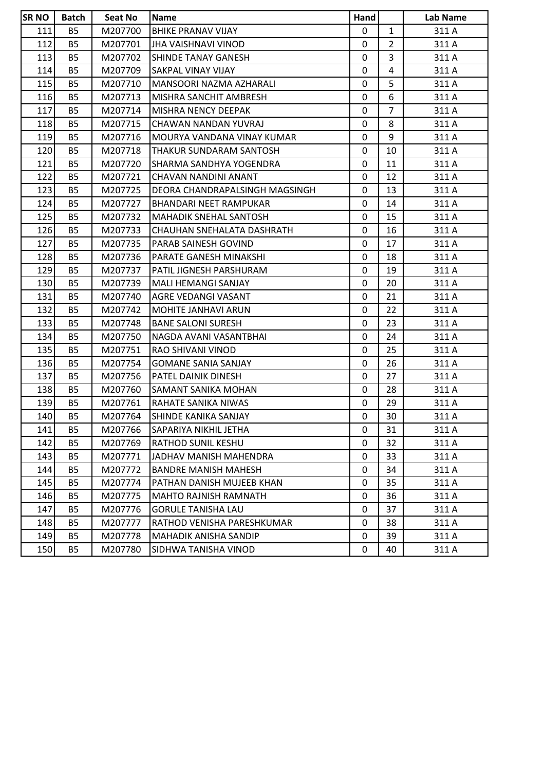| <b>SR NO</b> | <b>Batch</b> | <b>Seat No</b> | <b>Name</b>                    | Hand |                | Lab Name |
|--------------|--------------|----------------|--------------------------------|------|----------------|----------|
| 111          | <b>B5</b>    | M207700        | <b>BHIKE PRANAV VIJAY</b>      | 0    | $\mathbf{1}$   | 311 A    |
| 112          | <b>B5</b>    | M207701        | JHA VAISHNAVI VINOD            | 0    | $\overline{2}$ | 311 A    |
| 113          | <b>B5</b>    | M207702        | <b>SHINDE TANAY GANESH</b>     | 0    | 3              | 311 A    |
| 114          | <b>B5</b>    | M207709        | SAKPAL VINAY VIJAY             | 0    | 4              | 311 A    |
| 115          | <b>B5</b>    | M207710        | MANSOORI NAZMA AZHARALI        | 0    | 5              | 311 A    |
| 116          | <b>B5</b>    | M207713        | MISHRA SANCHIT AMBRESH         | 0    | 6              | 311 A    |
| 117          | <b>B5</b>    | M207714        | MISHRA NENCY DEEPAK            | 0    | $\overline{7}$ | 311 A    |
| 118          | <b>B5</b>    | M207715        | CHAWAN NANDAN YUVRAJ           | 0    | 8              | 311 A    |
| 119          | <b>B5</b>    | M207716        | MOURYA VANDANA VINAY KUMAR     | 0    | 9              | 311 A    |
| 120          | <b>B5</b>    | M207718        | THAKUR SUNDARAM SANTOSH        | 0    | 10             | 311 A    |
| 121          | <b>B5</b>    | M207720        | SHARMA SANDHYA YOGENDRA        | 0    | 11             | 311 A    |
| 122          | <b>B5</b>    | M207721        | CHAVAN NANDINI ANANT           | 0    | 12             | 311 A    |
| 123          | <b>B5</b>    | M207725        | DEORA CHANDRAPALSINGH MAGSINGH | 0    | 13             | 311 A    |
| 124          | <b>B5</b>    | M207727        | <b>BHANDARI NEET RAMPUKAR</b>  | 0    | 14             | 311 A    |
| 125          | <b>B5</b>    | M207732        | <b>MAHADIK SNEHAL SANTOSH</b>  | 0    | 15             | 311 A    |
| 126          | <b>B5</b>    | M207733        | CHAUHAN SNEHALATA DASHRATH     | 0    | 16             | 311 A    |
| 127          | <b>B5</b>    | M207735        | PARAB SAINESH GOVIND           | 0    | 17             | 311 A    |
| 128          | <b>B5</b>    | M207736        | PARATE GANESH MINAKSHI         | 0    | 18             | 311 A    |
| 129          | <b>B5</b>    | M207737        | PATIL JIGNESH PARSHURAM        | 0    | 19             | 311 A    |
| 130          | <b>B5</b>    | M207739        | MALI HEMANGI SANJAY            | 0    | 20             | 311 A    |
| 131          | <b>B5</b>    | M207740        | AGRE VEDANGI VASANT            | 0    | 21             | 311 A    |
| 132          | <b>B5</b>    | M207742        | <b>MOHITE JANHAVI ARUN</b>     | 0    | 22             | 311 A    |
| 133          | <b>B5</b>    | M207748        | <b>BANE SALONI SURESH</b>      | 0    | 23             | 311 A    |
| 134          | <b>B5</b>    | M207750        | NAGDA AVANI VASANTBHAI         | 0    | 24             | 311 A    |
| 135          | <b>B5</b>    | M207751        | RAO SHIVANI VINOD              | 0    | 25             | 311 A    |
| 136          | <b>B5</b>    | M207754        | <b>GOMANE SANIA SANJAY</b>     | 0    | 26             | 311 A    |
| 137          | <b>B5</b>    | M207756        | PATEL DAINIK DINESH            | 0    | 27             | 311 A    |
| 138          | <b>B5</b>    | M207760        | SAMANT SANIKA MOHAN            | 0    | 28             | 311 A    |
| 139          | <b>B5</b>    | M207761        | RAHATE SANIKA NIWAS            | 0    | 29             | 311 A    |
| 140          | <b>B5</b>    | M207764        | SHINDE KANIKA SANJAY           | 0    | 30             | 311 A    |
| 141          | <b>B5</b>    | M207766        | SAPARIYA NIKHIL JETHA          | 0    | 31             | 311 A    |
| 142          | <b>B5</b>    | M207769        | RATHOD SUNIL KESHU             | 0    | 32             | 311 A    |
| 143          | <b>B5</b>    | M207771        | JADHAV MANISH MAHENDRA         | 0    | 33             | 311 A    |
| 144          | <b>B5</b>    | M207772        | <b>BANDRE MANISH MAHESH</b>    | 0    | 34             | 311 A    |
| 145          | <b>B5</b>    | M207774        | PATHAN DANISH MUJEEB KHAN      | 0    | 35             | 311 A    |
| 146          | B5           | M207775        | <b>MAHTO RAJNISH RAMNATH</b>   | 0    | 36             | 311 A    |
| 147          | <b>B5</b>    | M207776        | <b>GORULE TANISHA LAU</b>      | 0    | 37             | 311 A    |
| 148          | <b>B5</b>    | M207777        | RATHOD VENISHA PARESHKUMAR     | 0    | 38             | 311 A    |
| 149          | <b>B5</b>    | M207778        | MAHADIK ANISHA SANDIP          | 0    | 39             | 311 A    |
| 150          | <b>B5</b>    | M207780        | SIDHWA TANISHA VINOD           | 0    | 40             | 311 A    |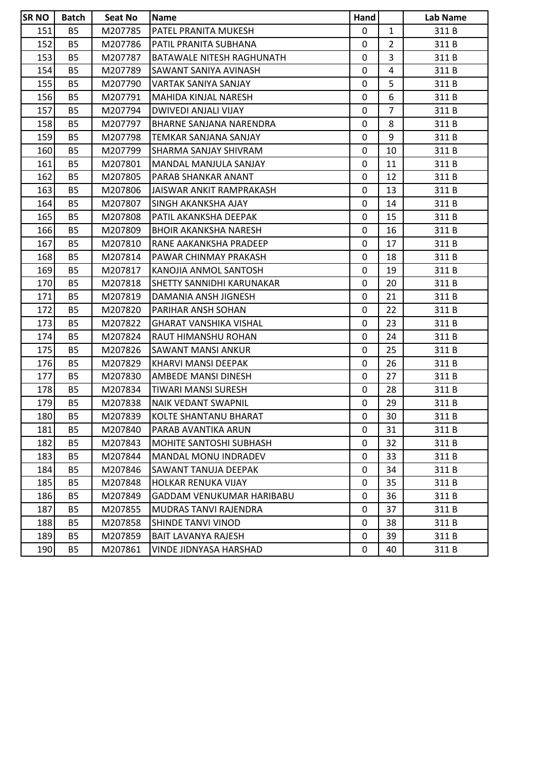| <b>SRNO</b> | <b>Batch</b> | <b>Seat No</b> | <b>Name</b>                    | Hand |                | Lab Name |
|-------------|--------------|----------------|--------------------------------|------|----------------|----------|
| 151         | <b>B5</b>    | M207785        | PATEL PRANITA MUKESH           | 0    | $\mathbf{1}$   | 311B     |
| 152         | <b>B5</b>    | M207786        | PATIL PRANITA SUBHANA          | 0    | $\overline{2}$ | 311B     |
| 153         | <b>B5</b>    | M207787        | BATAWALE NITESH RAGHUNATH      | 0    | 3              | 311B     |
| 154         | <b>B5</b>    | M207789        | SAWANT SANIYA AVINASH          | 0    | 4              | 311B     |
| 155         | <b>B5</b>    | M207790        | VARTAK SANIYA SANJAY           | 0    | 5              | 311B     |
| 156         | <b>B5</b>    | M207791        | MAHIDA KINJAL NARESH           | 0    | 6              | 311B     |
| 157         | <b>B5</b>    | M207794        | DWIVEDI ANJALI VIJAY           | 0    | $\overline{7}$ | 311B     |
| 158         | <b>B5</b>    | M207797        | <b>BHARNE SANJANA NARENDRA</b> | 0    | 8              | 311 B    |
| 159         | <b>B5</b>    | M207798        | TEMKAR SANJANA SANJAY          | 0    | 9              | 311B     |
| 160         | <b>B5</b>    | M207799        | SHARMA SANJAY SHIVRAM          | 0    | 10             | 311B     |
| 161         | <b>B5</b>    | M207801        | MANDAL MANJULA SANJAY          | 0    | 11             | 311B     |
| 162         | <b>B5</b>    | M207805        | PARAB SHANKAR ANANT            | 0    | 12             | 311B     |
| 163         | <b>B5</b>    | M207806        | JAISWAR ANKIT RAMPRAKASH       | 0    | 13             | 311B     |
| 164         | <b>B5</b>    | M207807        | SINGH AKANKSHA AJAY            | 0    | 14             | 311B     |
| 165         | <b>B5</b>    | M207808        | PATIL AKANKSHA DEEPAK          | 0    | 15             | 311B     |
| 166         | <b>B5</b>    | M207809        | <b>BHOIR AKANKSHA NARESH</b>   | 0    | 16             | 311 B    |
| 167         | <b>B5</b>    | M207810        | RANE AAKANKSHA PRADEEP         | 0    | 17             | 311B     |
| 168         | B5           | M207814        | PAWAR CHINMAY PRAKASH          | 0    | 18             | 311 B    |
| 169         | <b>B5</b>    | M207817        | KANOJIA ANMOL SANTOSH          | 0    | 19             | 311B     |
| 170         | <b>B5</b>    | M207818        | SHETTY SANNIDHI KARUNAKAR      | 0    | 20             | 311B     |
| 171         | <b>B5</b>    | M207819        | DAMANIA ANSH JIGNESH           | 0    | 21             | 311B     |
| 172         | <b>B5</b>    | M207820        | PARIHAR ANSH SOHAN             | 0    | 22             | 311B     |
| 173         | <b>B5</b>    | M207822        | <b>GHARAT VANSHIKA VISHAL</b>  | 0    | 23             | 311 B    |
| 174         | <b>B5</b>    | M207824        | RAUT HIMANSHU ROHAN            | 0    | 24             | 311B     |
| 175         | <b>B5</b>    | M207826        | SAWANT MANSI ANKUR             | 0    | 25             | 311B     |
| 176         | <b>B5</b>    | M207829        | KHARVI MANSI DEEPAK            | 0    | 26             | 311B     |
| 177         | <b>B5</b>    | M207830        | AMBEDE MANSI DINESH            | 0    | 27             | 311B     |
| 178         | <b>B5</b>    | M207834        | TIWARI MANSI SURESH            | 0    | 28             | 311B     |
| 179         | <b>B5</b>    | M207838        | NAIK VEDANT SWAPNIL            | 0    | 29             | 311B     |
| 180         | <b>B5</b>    | M207839        | KOLTE SHANTANU BHARAT          | 0    | 30             | 311 B    |
| 181         | <b>B5</b>    | M207840        | PARAB AVANTIKA ARUN            | 0    | 31             | 311B     |
| 182         | <b>B5</b>    | M207843        | <b>MOHITE SANTOSHI SUBHASH</b> | 0    | 32             | 311B     |
| 183         | <b>B5</b>    | M207844        | MANDAL MONU INDRADEV           | 0    | 33             | 311B     |
| 184         | <b>B5</b>    | M207846        | SAWANT TANUJA DEEPAK           | 0    | 34             | 311 B    |
| 185         | <b>B5</b>    | M207848        | HOLKAR RENUKA VIJAY            | 0    | 35             | 311 B    |
| 186         | B5           | M207849        | GADDAM VENUKUMAR HARIBABU      | 0    | 36             | 311B     |
| 187         | B5           | M207855        | <b>MUDRAS TANVI RAJENDRA</b>   | 0    | 37             | 311 B    |
| 188         | <b>B5</b>    | M207858        | <b>SHINDE TANVI VINOD</b>      | 0    | 38             | 311B     |
| 189         | <b>B5</b>    | M207859        | BAIT LAVANYA RAJESH            | 0    | 39             | 311 B    |
| 190         | <b>B5</b>    | M207861        | VINDE JIDNYASA HARSHAD         | 0    | 40             | 311 B    |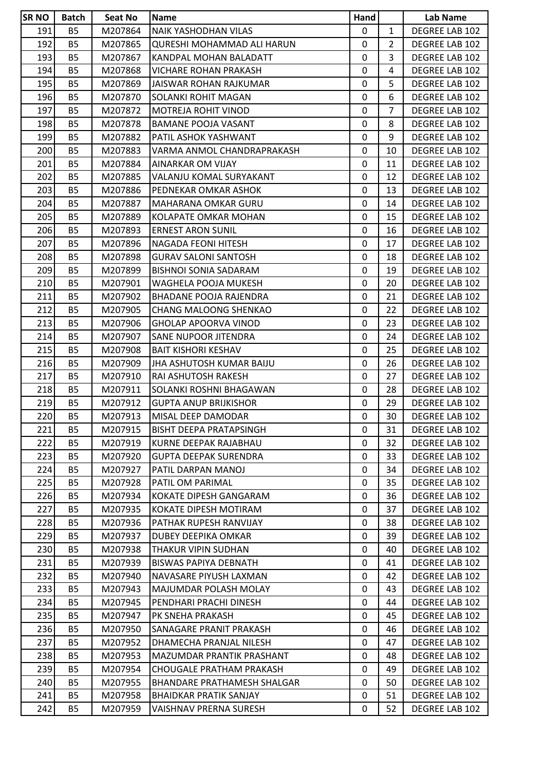| <b>SRNO</b> | <b>Batch</b> | Seat No | <b>Name</b>                   | Hand        |                | <b>Lab Name</b>       |
|-------------|--------------|---------|-------------------------------|-------------|----------------|-----------------------|
| 191         | <b>B5</b>    | M207864 | NAIK YASHODHAN VILAS          | 0           | $\mathbf{1}$   | DEGREE LAB 102        |
| 192         | <b>B5</b>    | M207865 | QURESHI MOHAMMAD ALI HARUN    | $\mathbf 0$ | $\overline{2}$ | DEGREE LAB 102        |
| 193         | <b>B5</b>    | M207867 | KANDPAL MOHAN BALADATT        | 0           | 3              | DEGREE LAB 102        |
| 194         | <b>B5</b>    | M207868 | VICHARE ROHAN PRAKASH         | $\mathbf 0$ | 4              | DEGREE LAB 102        |
| 195         | <b>B5</b>    | M207869 | JAISWAR ROHAN RAJKUMAR        | 0           | 5              | DEGREE LAB 102        |
| 196         | <b>B5</b>    | M207870 | SOLANKI ROHIT MAGAN           | $\mathbf 0$ | 6              | DEGREE LAB 102        |
| 197         | <b>B5</b>    | M207872 | <b>MOTREJA ROHIT VINOD</b>    | 0           | $\overline{7}$ | DEGREE LAB 102        |
| 198         | <b>B5</b>    | M207878 | <b>BAMANE POOJA VASANT</b>    | 0           | 8              | DEGREE LAB 102        |
| 199         | <b>B5</b>    | M207882 | PATIL ASHOK YASHWANT          | $\mathbf 0$ | 9              | DEGREE LAB 102        |
| 200         | <b>B5</b>    | M207883 | VARMA ANMOL CHANDRAPRAKASH    | 0           | 10             | DEGREE LAB 102        |
| 201         | <b>B5</b>    | M207884 | AINARKAR OM VIJAY             | $\mathbf 0$ | 11             | DEGREE LAB 102        |
| 202         | <b>B5</b>    | M207885 | VALANJU KOMAL SURYAKANT       | $\mathbf 0$ | 12             | DEGREE LAB 102        |
| 203         | <b>B5</b>    | M207886 | PEDNEKAR OMKAR ASHOK          | $\mathbf 0$ | 13             | DEGREE LAB 102        |
| 204         | <b>B5</b>    | M207887 | MAHARANA OMKAR GURU           | $\mathbf 0$ | 14             | DEGREE LAB 102        |
| 205         | <b>B5</b>    | M207889 | KOLAPATE OMKAR MOHAN          | $\mathbf 0$ | 15             | DEGREE LAB 102        |
| 206         | <b>B5</b>    | M207893 | <b>ERNEST ARON SUNIL</b>      | $\mathbf 0$ | 16             | DEGREE LAB 102        |
| 207         | B5           | M207896 | NAGADA FEONI HITESH           | 0           | 17             | <b>DEGREE LAB 102</b> |
| 208         | <b>B5</b>    | M207898 | <b>GURAV SALONI SANTOSH</b>   | $\mathbf 0$ | 18             | DEGREE LAB 102        |
| 209         | <b>B5</b>    | M207899 | <b>BISHNOI SONIA SADARAM</b>  | 0           | 19             | DEGREE LAB 102        |
| 210         | <b>B5</b>    | M207901 | WAGHELA POOJA MUKESH          | 0           | 20             | DEGREE LAB 102        |
| 211         | <b>B5</b>    | M207902 | <b>BHADANE POOJA RAJENDRA</b> | $\mathbf 0$ | 21             | DEGREE LAB 102        |
| 212         | <b>B5</b>    | M207905 | CHANG MALOONG SHENKAO         | 0           | 22             | DEGREE LAB 102        |
| 213         | <b>B5</b>    | M207906 | <b>GHOLAP APOORVA VINOD</b>   | $\mathbf 0$ | 23             | DEGREE LAB 102        |
| 214         | <b>B5</b>    | M207907 | SANE NUPOOR JITENDRA          | 0           | 24             | DEGREE LAB 102        |
| 215         | <b>B5</b>    | M207908 | <b>BAIT KISHORI KESHAV</b>    | $\mathbf 0$ | 25             | DEGREE LAB 102        |
| 216         | <b>B5</b>    | M207909 | JHA ASHUTOSH KUMAR BAIJU      | 0           | 26             | DEGREE LAB 102        |
| 217         | <b>B5</b>    | M207910 | RAI ASHUTOSH RAKESH           | 0           | 27             | DEGREE LAB 102        |
| 218         | <b>B5</b>    | M207911 | SOLANKI ROSHNI BHAGAWAN       | $\mathbf 0$ | 28             | DEGREE LAB 102        |
| 219         | <b>B5</b>    | M207912 | <b>GUPTA ANUP BRIJKISHOR</b>  | 0           | 29             | DEGREE LAB 102        |
| 220         | <b>B5</b>    | M207913 | MISAL DEEP DAMODAR            | $\mathbf 0$ | 30             | DEGREE LAB 102        |
| 221         | B5           | M207915 | BISHT DEEPA PRATAPSINGH       | 0           | 31             | DEGREE LAB 102        |
| 222         | <b>B5</b>    | M207919 | KURNE DEEPAK RAJABHAU         | 0           | 32             | DEGREE LAB 102        |
| 223         | B5           | M207920 | <b>GUPTA DEEPAK SURENDRA</b>  | 0           | 33             | DEGREE LAB 102        |
| 224         | <b>B5</b>    | M207927 | PATIL DARPAN MANOJ            | 0           | 34             | DEGREE LAB 102        |
| 225         | <b>B5</b>    | M207928 | PATIL OM PARIMAL              | 0           | 35             | DEGREE LAB 102        |
| 226         | B5           | M207934 | KOKATE DIPESH GANGARAM        | 0           | 36             | DEGREE LAB 102        |
| 227         | <b>B5</b>    | M207935 | KOKATE DIPESH MOTIRAM         | 0           | 37             | DEGREE LAB 102        |
| 228         | <b>B5</b>    | M207936 | PATHAK RUPESH RANVIJAY        | 0           | 38             | DEGREE LAB 102        |
| 229         | <b>B5</b>    | M207937 | DUBEY DEEPIKA OMKAR           | 0           | 39             | DEGREE LAB 102        |
| 230         | <b>B5</b>    | M207938 | THAKUR VIPIN SUDHAN           | 0           | 40             | DEGREE LAB 102        |
| 231         | <b>B5</b>    | M207939 | <b>BISWAS PAPIYA DEBNATH</b>  | 0           | 41             | DEGREE LAB 102        |
| 232         | <b>B5</b>    | M207940 | NAVASARE PIYUSH LAXMAN        | 0           | 42             | DEGREE LAB 102        |
| 233         | <b>B5</b>    | M207943 | MAJUMDAR POLASH MOLAY         | 0           | 43             | DEGREE LAB 102        |
| 234         | <b>B5</b>    | M207945 | PENDHARI PRACHI DINESH        | 0           | 44             | DEGREE LAB 102        |
| 235         | <b>B5</b>    | M207947 | PK SNEHA PRAKASH              | 0           | 45             | DEGREE LAB 102        |
| 236         | <b>B5</b>    | M207950 | SANAGARE PRANIT PRAKASH       | 0           | 46             | DEGREE LAB 102        |
| 237         | <b>B5</b>    | M207952 | DHAMECHA PRANJAL NILESH       | 0           | 47             | DEGREE LAB 102        |
| 238         | <b>B5</b>    | M207953 | MAZUMDAR PRANTIK PRASHANT     | 0           | 48             | DEGREE LAB 102        |
| 239         | <b>B5</b>    | M207954 | CHOUGALE PRATHAM PRAKASH      | 0           | 49             | DEGREE LAB 102        |
| 240         | <b>B5</b>    | M207955 | BHANDARE PRATHAMESH SHALGAR   | 0           | 50             | DEGREE LAB 102        |
| 241         | <b>B5</b>    | M207958 | <b>BHAIDKAR PRATIK SANJAY</b> | 0           | 51             | DEGREE LAB 102        |
| 242         | <b>B5</b>    | M207959 | VAISHNAV PRERNA SURESH        | 0           | 52             | DEGREE LAB 102        |
|             |              |         |                               |             |                |                       |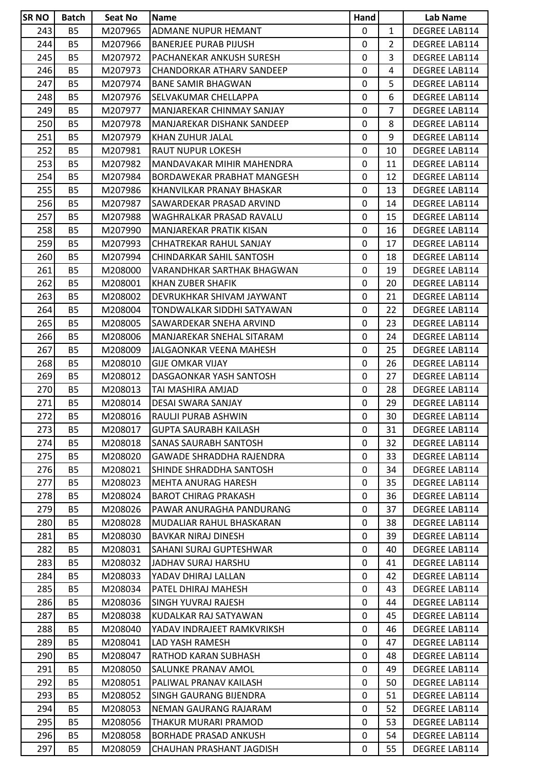| <b>SRNO</b> | <b>Batch</b> | <b>Seat No</b> | Name                         | Hand         |                | Lab Name             |
|-------------|--------------|----------------|------------------------------|--------------|----------------|----------------------|
| 243         | <b>B5</b>    | M207965        | ADMANE NUPUR HEMANT          | 0            | $\mathbf{1}$   | DEGREE LAB114        |
| 244         | <b>B5</b>    | M207966        | <b>BANERJEE PURAB PIJUSH</b> | $\mathbf 0$  | $\overline{2}$ | DEGREE LAB114        |
| 245         | <b>B5</b>    | M207972        | PACHANEKAR ANKUSH SURESH     | $\mathbf 0$  | 3              | DEGREE LAB114        |
| 246         | <b>B5</b>    | M207973        | CHANDORKAR ATHARV SANDEEP    | $\mathbf 0$  | 4              | DEGREE LAB114        |
| 247         | <b>B5</b>    | M207974        | <b>BANE SAMIR BHAGWAN</b>    | $\mathbf 0$  | 5              | DEGREE LAB114        |
| 248         | <b>B5</b>    | M207976        | SELVAKUMAR CHELLAPPA         | $\mathbf 0$  | 6              | DEGREE LAB114        |
| 249         | <b>B5</b>    | M207977        | MANJAREKAR CHINMAY SANJAY    | 0            | $\overline{7}$ | DEGREE LAB114        |
| 250         | <b>B5</b>    | M207978        | MANJAREKAR DISHANK SANDEEP   | $\mathbf 0$  | 8              | DEGREE LAB114        |
| 251         | <b>B5</b>    | M207979        | KHAN ZUHUR JALAL             | $\pmb{0}$    | 9              | DEGREE LAB114        |
| 252         | <b>B5</b>    | M207981        | RAUT NUPUR LOKESH            | 0            | 10             | DEGREE LAB114        |
| 253         | <b>B5</b>    | M207982        | MANDAVAKAR MIHIR MAHENDRA    | 0            | 11             | DEGREE LAB114        |
| 254         | <b>B5</b>    | M207984        | BORDAWEKAR PRABHAT MANGESH   | 0            | 12             | DEGREE LAB114        |
| 255         | <b>B5</b>    | M207986        | KHANVILKAR PRANAY BHASKAR    | 0            | 13             | DEGREE LAB114        |
| 256         | B5           | M207987        | SAWARDEKAR PRASAD ARVIND     | 0            | 14             | <b>DEGREE LAB114</b> |
| 257         | <b>B5</b>    | M207988        | WAGHRALKAR PRASAD RAVALU     | $\mathbf 0$  | 15             | <b>DEGREE LAB114</b> |
| 258         | <b>B5</b>    | M207990        | MANJAREKAR PRATIK KISAN      | $\mathbf 0$  | 16             | DEGREE LAB114        |
| 259         | <b>B5</b>    | M207993        | CHHATREKAR RAHUL SANJAY      | 0            | 17             | <b>DEGREE LAB114</b> |
| 260         | <b>B5</b>    | M207994        | CHINDARKAR SAHIL SANTOSH     | 0            | 18             | <b>DEGREE LAB114</b> |
| 261         | <b>B5</b>    | M208000        | VARANDHKAR SARTHAK BHAGWAN   | 0            | 19             | <b>DEGREE LAB114</b> |
| 262         | <b>B5</b>    | M208001        | KHAN ZUBER SHAFIK            | $\mathbf 0$  | 20             | <b>DEGREE LAB114</b> |
| 263         | <b>B5</b>    | M208002        | DEVRUKHKAR SHIVAM JAYWANT    | 0            | 21             | DEGREE LAB114        |
| 264         | <b>B5</b>    | M208004        | TONDWALKAR SIDDHI SATYAWAN   | $\mathbf 0$  | 22             | DEGREE LAB114        |
| 265         | <b>B5</b>    | M208005        | SAWARDEKAR SNEHA ARVIND      | $\mathbf 0$  | 23             | <b>DEGREE LAB114</b> |
| 266         | <b>B5</b>    | M208006        | MANJAREKAR SNEHAL SITARAM    | 0            | 24             | <b>DEGREE LAB114</b> |
| 267         | <b>B5</b>    | M208009        | JALGAONKAR VEENA MAHESH      | $\mathbf 0$  | 25             | DEGREE LAB114        |
| 268         | <b>B5</b>    | M208010        | <b>GIJE OMKAR VIJAY</b>      | 0            | 26             | DEGREE LAB114        |
| 269         | <b>B5</b>    | M208012        | DASGAONKAR YASH SANTOSH      | 0            | 27             | <b>DEGREE LAB114</b> |
| 270         | <b>B5</b>    | M208013        | TAI MASHIRA AMJAD            | 0            | 28             | DEGREE LAB114        |
| 271         | <b>B5</b>    | M208014        | DESAI SWARA SANJAY           | 0            | 29             | DEGREE LAB114        |
| 272         | <b>B5</b>    | M208016        | RAULJI PURAB ASHWIN          | 0            | 30             | DEGREE LAB114        |
| 273         | <b>B5</b>    | M208017        | <b>GUPTA SAURABH KAILASH</b> | 0            | 31             | DEGREE LAB114        |
| 274         | B5           | M208018        | SANAS SAURABH SANTOSH        | $\mathbf{0}$ | 32             | DEGREE LAB114        |
| 275         | <b>B5</b>    | M208020        | GAWADE SHRADDHA RAJENDRA     | 0            | 33             | DEGREE LAB114        |
| 276         | <b>B5</b>    | M208021        | SHINDE SHRADDHA SANTOSH      | 0            | 34             | DEGREE LAB114        |
| 277         | <b>B5</b>    | M208023        | MEHTA ANURAG HARESH          | 0            | 35             | DEGREE LAB114        |
| 278         | <b>B5</b>    | M208024        | <b>BAROT CHIRAG PRAKASH</b>  | 0            | 36             | <b>DEGREE LAB114</b> |
| 279         | <b>B5</b>    | M208026        | PAWAR ANURAGHA PANDURANG     | $\mathbf{0}$ | 37             | <b>DEGREE LAB114</b> |
| 280         | <b>B5</b>    | M208028        | MUDALIAR RAHUL BHASKARAN     | 0            | 38             | DEGREE LAB114        |
| 281         | <b>B5</b>    | M208030        | <b>BAVKAR NIRAJ DINESH</b>   | 0            | 39             | <b>DEGREE LAB114</b> |
| 282         | <b>B5</b>    | M208031        | SAHANI SURAJ GUPTESHWAR      | 0            | 40             | DEGREE LAB114        |
| 283         | <b>B5</b>    | M208032        | JADHAV SURAJ HARSHU          | 0            | 41             | DEGREE LAB114        |
| 284         | <b>B5</b>    | M208033        | YADAV DHIRAJ LALLAN          | 0            | 42             | <b>DEGREE LAB114</b> |
| 285         | <b>B5</b>    | M208034        | PATEL DHIRAJ MAHESH          | 0            | 43             | DEGREE LAB114        |
| 286         | <b>B5</b>    | M208036        | SINGH YUVRAJ RAJESH          | 0            | 44             | DEGREE LAB114        |
| 287         | <b>B5</b>    |                |                              | 0            | 45             |                      |
|             |              | M208038        | KUDALKAR RAJ SATYAWAN        |              |                | DEGREE LAB114        |
| 288         | B5           | M208040        | YADAV INDRAJEET RAMKVRIKSH   | 0            | 46             | <b>DEGREE LAB114</b> |
| 289         | <b>B5</b>    | M208041        | LAD YASH RAMESH              | 0            | 47             | DEGREE LAB114        |
| 290         | <b>B5</b>    | M208047        | RATHOD KARAN SUBHASH         | 0            | 48             | <b>DEGREE LAB114</b> |
| 291         | <b>B5</b>    | M208050        | SALUNKE PRANAV AMOL          | 0            | 49             | DEGREE LAB114        |
| 292         | <b>B5</b>    | M208051        | PALIWAL PRANAV KAILASH       | 0            | 50             | DEGREE LAB114        |
| 293         | <b>B5</b>    | M208052        | SINGH GAURANG BIJENDRA       | 0            | 51             | DEGREE LAB114        |
| 294         | <b>B5</b>    | M208053        | NEMAN GAURANG RAJARAM        | 0            | 52             | DEGREE LAB114        |
| 295         | <b>B5</b>    | M208056        | THAKUR MURARI PRAMOD         | $\mathbf{0}$ | 53             | DEGREE LAB114        |
| 296         | <b>B5</b>    | M208058        | <b>BORHADE PRASAD ANKUSH</b> | $\mathbf 0$  | 54             | DEGREE LAB114        |
| 297         | <b>B5</b>    | M208059        | CHAUHAN PRASHANT JAGDISH     | 0            | 55             | <b>DEGREE LAB114</b> |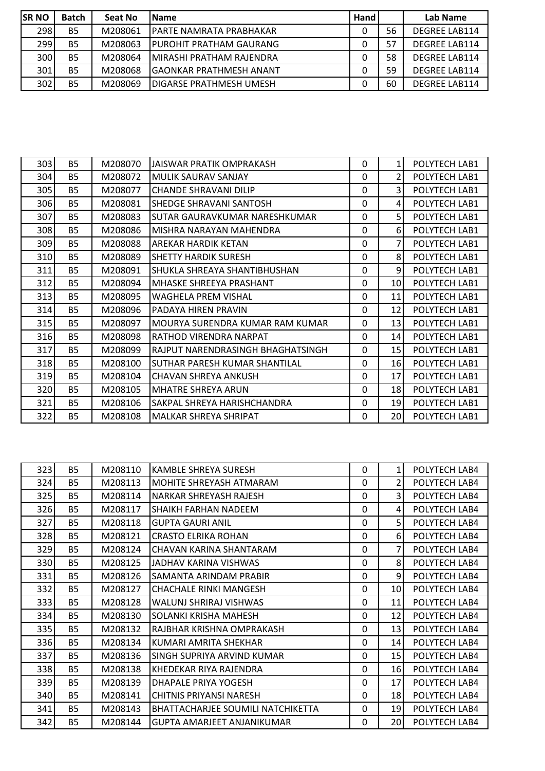| <b>SR NO</b> | <b>Batch</b> | Seat No | <b>Name</b>               | Hand |    | Lab Name             |
|--------------|--------------|---------|---------------------------|------|----|----------------------|
| 298          | <b>B5</b>    | M208061 | IPARTE NAMRATA PRABHAKAR  |      | 56 | <b>DEGREE LAB114</b> |
| 299          | <b>B5</b>    | M208063 | IPUROHIT PRATHAM GAURANG  |      | 57 | <b>DEGREE LAB114</b> |
| 300          | <b>B5</b>    | M208064 | IMIRASHI PRATHAM RAJENDRA |      | 58 | <b>DEGREE LAB114</b> |
| 301          | <b>B5</b>    | M208068 | lGAONKAR PRATHMESH ANANT  |      | 59 | <b>DEGREE LAB114</b> |
| 302          | <b>B5</b>    | M208069 | IDIGARSE PRATHMESH UMESH  |      | 60 | <b>DEGREE LAB114</b> |

| 303 | <b>B5</b> | M208070 | JAISWAR PRATIK OMPRAKASH          | $\Omega$ | 1               | POLYTECH LAB1 |
|-----|-----------|---------|-----------------------------------|----------|-----------------|---------------|
| 304 | <b>B5</b> | M208072 | IMULIK SAURAV SANJAY              | 0        | $\overline{2}$  | POLYTECH LAB1 |
| 305 | <b>B5</b> | M208077 | <b>CHANDE SHRAVANI DILIP</b>      | $\Omega$ | 3               | POLYTECH LAB1 |
| 306 | <b>B5</b> | M208081 | SHEDGE SHRAVANI SANTOSH           | 0        | 4               | POLYTECH LAB1 |
| 307 | <b>B5</b> | M208083 | ISUTAR GAURAVKUMAR NARESHKUMAR    | 0        | 5               | POLYTECH LAB1 |
| 308 | <b>B5</b> | M208086 | MISHRA NARAYAN MAHENDRA           | 0        | $6 \mid$        | POLYTECH LAB1 |
| 309 | <b>B5</b> | M208088 | IAREKAR HARDIK KETAN              | 0        | 7               | POLYTECH LAB1 |
| 310 | <b>B5</b> | M208089 | <b>SHETTY HARDIK SURESH</b>       | 0        | 8 <sup>1</sup>  | POLYTECH LAB1 |
| 311 | <b>B5</b> | M208091 | SHUKLA SHREAYA SHANTIBHUSHAN      | 0        | $\overline{9}$  | POLYTECH LAB1 |
| 312 | <b>B5</b> | M208094 | IMHASKE SHREEYA PRASHANT          | $\Omega$ | 10 <sup>1</sup> | POLYTECH LAB1 |
| 313 | <b>B5</b> | M208095 | <b>WAGHELA PREM VISHAL</b>        | $\Omega$ | 11              | POLYTECH LAB1 |
| 314 | <b>B5</b> | M208096 | PADAYA HIREN PRAVIN               | $\Omega$ | 12              | POLYTECH LAB1 |
| 315 | <b>B5</b> | M208097 | MOURYA SURENDRA KUMAR RAM KUMAR   | $\Omega$ | 13 <sup>1</sup> | POLYTECH LAB1 |
| 316 | <b>B5</b> | M208098 | IRATHOD VIRENDRA NARPAT           | $\Omega$ | 14              | POLYTECH LAB1 |
| 317 | <b>B5</b> | M208099 | RAJPUT NARENDRASINGH BHAGHATSINGH | $\Omega$ | 15 <sub>l</sub> | POLYTECH LAB1 |
| 318 | <b>B5</b> | M208100 | ISUTHAR PARESH KUMAR SHANTILAL    | 0        | 16              | POLYTECH LAB1 |
| 319 | <b>B5</b> | M208104 | CHAVAN SHREYA ANKUSH              | 0        | 17              | POLYTECH LAB1 |
| 320 | <b>B5</b> | M208105 | <b>I</b> MHATRE SHREYA ARUN       | 0        | 18              | POLYTECH LAB1 |
| 321 | <b>B5</b> | M208106 | SAKPAL SHREYA HARISHCHANDRA       | $\Omega$ | 19              | POLYTECH LAB1 |
| 322 | <b>B5</b> | M208108 | IMALKAR SHREYA SHRIPAT            | 0        | 20 <sup>1</sup> | POLYTECH LAB1 |

| 323 | <b>B5</b> | M208110 | <b>KAMBLE SHREYA SURESH</b>              | 0            | $1\vert$        | POLYTECH LAB4 |
|-----|-----------|---------|------------------------------------------|--------------|-----------------|---------------|
| 324 | <b>B5</b> | M208113 | <b>MOHITE SHREYASH ATMARAM</b>           | $\Omega$     | $\overline{2}$  | POLYTECH LAB4 |
| 325 | <b>B5</b> | M208114 | <b>NARKAR SHREYASH RAJESH</b>            | $\Omega$     | 3               | POLYTECH LAB4 |
| 326 | <b>B5</b> | M208117 | <b>SHAIKH FARHAN NADEEM</b>              | $\Omega$     | $\vert$         | POLYTECH LAB4 |
| 327 | <b>B5</b> | M208118 | <b>GUPTA GAURI ANIL</b>                  | $\Omega$     | 5 <sup>1</sup>  | POLYTECH LAB4 |
| 328 | <b>B5</b> | M208121 | <b>CRASTO ELRIKA ROHAN</b>               | $\mathbf 0$  | 6               | POLYTECH LAB4 |
| 329 | <b>B5</b> | M208124 | CHAVAN KARINA SHANTARAM                  | $\mathbf{0}$ | 7               | POLYTECH LAB4 |
| 330 | <b>B5</b> | M208125 | JADHAV KARINA VISHWAS                    | $\Omega$     | $\mathsf{8}$    | POLYTECH LAB4 |
| 331 | <b>B5</b> | M208126 | SAMANTA ARINDAM PRABIR                   | $\mathbf 0$  | 9               | POLYTECH LAB4 |
| 332 | <b>B5</b> | M208127 | CHACHALE RINKI MANGESH                   | $\mathbf{0}$ | 10 <sup>1</sup> | POLYTECH LAB4 |
| 333 | <b>B5</b> | M208128 | WALUNJ SHRIRAJ VISHWAS                   | 0            | 11              | POLYTECH LAB4 |
| 334 | <b>B5</b> | M208130 | <b>SOLANKI KRISHA MAHESH</b>             | $\Omega$     | 12              | POLYTECH LAB4 |
| 335 | <b>B5</b> | M208132 | RAJBHAR KRISHNA OMPRAKASH                | $\Omega$     | 13              | POLYTECH LAB4 |
| 336 | <b>B5</b> | M208134 | IKUMARI AMRITA SHEKHAR                   | 0            | 14              | POLYTECH LAB4 |
| 337 | <b>B5</b> | M208136 | SINGH SUPRIYA ARVIND KUMAR               | $\Omega$     | 15              | POLYTECH LAB4 |
| 338 | <b>B5</b> | M208138 | KHEDEKAR RIYA RAJENDRA                   | $\Omega$     | 16              | POLYTECH LAB4 |
| 339 | <b>B5</b> | M208139 | DHAPALE PRIYA YOGESH                     | $\mathbf{0}$ | 17              | POLYTECH LAB4 |
| 340 | <b>B5</b> | M208141 | CHITNIS PRIYANSI NARESH                  | $\Omega$     | 18 <sup>1</sup> | POLYTECH LAB4 |
| 341 | <b>B5</b> | M208143 | <b>BHATTACHARJEE SOUMILI NATCHIKETTA</b> | $\mathbf{0}$ | 19              | POLYTECH LAB4 |
| 342 | <b>B5</b> | M208144 | GUPTA AMARJEET ANJANIKUMAR               | 0            | 20 <sub>l</sub> | POLYTECH LAB4 |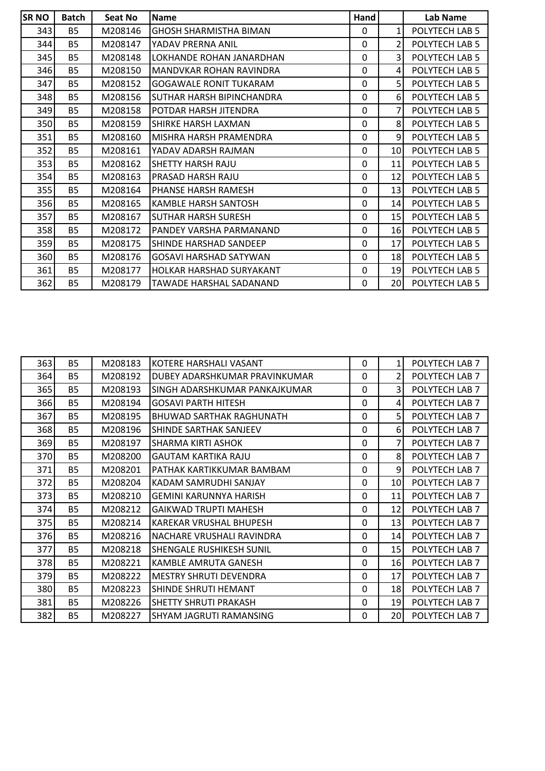| <b>SRNO</b> | <b>Batch</b> | Seat No | <b>Name</b>                   | Hand |                 | Lab Name       |
|-------------|--------------|---------|-------------------------------|------|-----------------|----------------|
| 343         | <b>B5</b>    | M208146 | <b>GHOSH SHARMISTHA BIMAN</b> | 0    | $\mathbf{1}$    | POLYTECH LAB 5 |
| 344         | <b>B5</b>    | M208147 | YADAV PRERNA ANIL             | 0    | 2               | POLYTECH LAB 5 |
| 345         | <b>B5</b>    | M208148 | LOKHANDE ROHAN JANARDHAN      | 0    | 3               | POLYTECH LAB 5 |
| 346         | <b>B5</b>    | M208150 | MANDVKAR ROHAN RAVINDRA       | 0    | 4               | POLYTECH LAB 5 |
| 347         | <b>B5</b>    | M208152 | <b>GOGAWALE RONIT TUKARAM</b> | 0    | 5               | POLYTECH LAB 5 |
| 348         | <b>B5</b>    | M208156 | SUTHAR HARSH BIPINCHANDRA     | 0    | 61              | POLYTECH LAB 5 |
| 349         | <b>B5</b>    | M208158 | POTDAR HARSH JITENDRA         | 0    | 7               | POLYTECH LAB 5 |
| 350         | <b>B5</b>    | M208159 | SHIRKE HARSH LAXMAN           | 0    | 8 <sup>1</sup>  | POLYTECH LAB 5 |
| 351         | <b>B5</b>    | M208160 | MISHRA HARSH PRAMENDRA        | 0    | 9               | POLYTECH LAB 5 |
| 352         | <b>B5</b>    | M208161 | YADAV ADARSH RAJMAN           | 0    | 10 <sup>1</sup> | POLYTECH LAB 5 |
| 353         | <b>B5</b>    | M208162 | <b>SHETTY HARSH RAJU</b>      | 0    | 11              | POLYTECH LAB 5 |
| 354         | <b>B5</b>    | M208163 | PRASAD HARSH RAJU             | 0    | 12              | POLYTECH LAB 5 |
| 355         | <b>B5</b>    | M208164 | PHANSE HARSH RAMESH           | 0    | 13              | POLYTECH LAB 5 |
| 356         | <b>B5</b>    | M208165 | KAMBLE HARSH SANTOSH          | 0    | 14              | POLYTECH LAB 5 |
| 357         | <b>B5</b>    | M208167 | <b>SUTHAR HARSH SURESH</b>    | 0    | 15 <sup>1</sup> | POLYTECH LAB 5 |
| 358         | <b>B5</b>    | M208172 | PANDEY VARSHA PARMANAND       | 0    | 16              | POLYTECH LAB 5 |
| 359         | <b>B5</b>    | M208175 | SHINDE HARSHAD SANDEEP        | 0    | 17 <sup>2</sup> | POLYTECH LAB 5 |
| 360         | <b>B5</b>    | M208176 | <b>GOSAVI HARSHAD SATYWAN</b> | 0    | 18              | POLYTECH LAB 5 |
| 361         | <b>B5</b>    | M208177 | HOLKAR HARSHAD SURYAKANT      | 0    | 19              | POLYTECH LAB 5 |
| 362         | <b>B5</b>    | M208179 | TAWADE HARSHAL SADANAND       | 0    | 20 <sub>l</sub> | POLYTECH LAB 5 |

| 363 | <b>B5</b> | M208183 | KOTERE HARSHALI VASANT          | 0            | $\mathbf{1}$    | POLYTECH LAB 7 |
|-----|-----------|---------|---------------------------------|--------------|-----------------|----------------|
| 364 | <b>B5</b> | M208192 | DUBEY ADARSHKUMAR PRAVINKUMAR   | 0            | $\overline{2}$  | POLYTECH LAB 7 |
| 365 | <b>B5</b> | M208193 | SINGH ADARSHKUMAR PANKAJKUMAR   | 0            | 3               | POLYTECH LAB 7 |
| 366 | <b>B5</b> | M208194 | <b>GOSAVI PARTH HITESH</b>      | 0            | $\vert$         | POLYTECH LAB 7 |
| 367 | <b>B5</b> | M208195 | <b>BHUWAD SARTHAK RAGHUNATH</b> | 0            | 5               | POLYTECH LAB 7 |
| 368 | <b>B5</b> | M208196 | SHINDE SARTHAK SANJEEV          | 0            | $6 \mid$        | POLYTECH LAB 7 |
| 369 | <b>B5</b> | M208197 | SHARMA KIRTI ASHOK              | 0            | 7               | POLYTECH LAB 7 |
| 370 | <b>B5</b> | M208200 | <b>GAUTAM KARTIKA RAJU</b>      | 0            | 8 <sup>1</sup>  | POLYTECH LAB 7 |
| 371 | <b>B5</b> | M208201 | PATHAK KARTIKKUMAR BAMBAM       | 0            | 9               | POLYTECH LAB 7 |
| 372 | <b>B5</b> | M208204 | KADAM SAMRUDHI SANJAY           | 0            | 10 <sup>1</sup> | POLYTECH LAB 7 |
| 373 | <b>B5</b> | M208210 | <b>GEMINI KARUNNYA HARISH</b>   | 0            | 11              | POLYTECH LAB 7 |
| 374 | <b>B5</b> | M208212 | <b>GAIKWAD TRUPTI MAHESH</b>    | 0            | 12              | POLYTECH LAB 7 |
| 375 | <b>B5</b> | M208214 | KAREKAR VRUSHAL BHUPESH         | 0            | 13              | POLYTECH LAB 7 |
| 376 | <b>B5</b> | M208216 | INACHARE VRUSHALI RAVINDRA      | 0            | 14              | POLYTECH LAB 7 |
| 377 | <b>B5</b> | M208218 | <b>SHENGALE RUSHIKESH SUNIL</b> | 0            | 15 <sup>1</sup> | POLYTECH LAB 7 |
| 378 | <b>B5</b> | M208221 | KAMBLE AMRUTA GANESH            | 0            | 16              | POLYTECH LAB 7 |
| 379 | <b>B5</b> | M208222 | <b>MESTRY SHRUTI DEVENDRA</b>   | $\mathbf{0}$ | 17              | POLYTECH LAB 7 |
| 380 | <b>B5</b> | M208223 | SHINDE SHRUTI HEMANT            | 0            | 18I             | POLYTECH LAB 7 |
| 381 | <b>B5</b> | M208226 | <b>SHETTY SHRUTI PRAKASH</b>    | 0            | 19 <sup>1</sup> | POLYTECH LAB 7 |
| 382 | <b>B5</b> | M208227 | SHYAM JAGRUTI RAMANSING         | 0            | 20              | POLYTECH LAB 7 |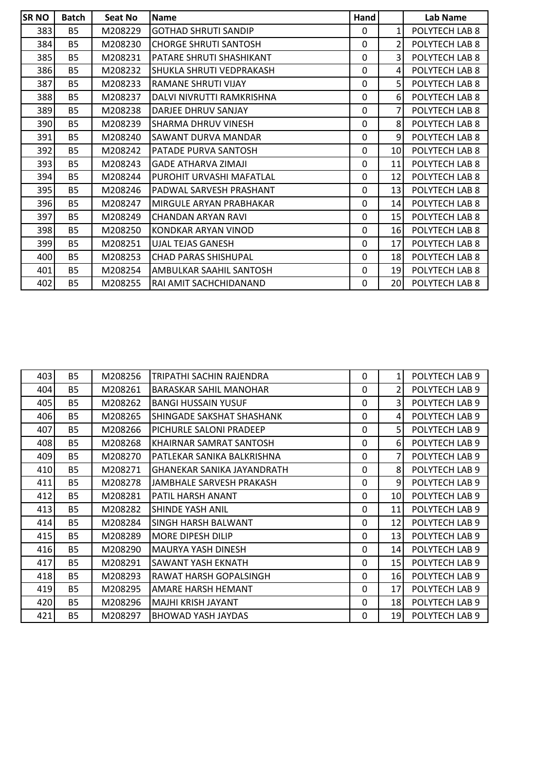| <b>SRNO</b> | <b>Batch</b> | Seat No | <b>Name</b>                  | Hand         |                 | Lab Name       |
|-------------|--------------|---------|------------------------------|--------------|-----------------|----------------|
| 383         | <b>B5</b>    | M208229 | <b>GOTHAD SHRUTI SANDIP</b>  | 0            | 1               | POLYTECH LAB 8 |
| 384         | <b>B5</b>    | M208230 | <b>CHORGE SHRUTI SANTOSH</b> | $\mathbf 0$  | $\overline{2}$  | POLYTECH LAB 8 |
| 385         | <b>B5</b>    | M208231 | PATARE SHRUTI SHASHIKANT     | $\mathbf{0}$ | 3               | POLYTECH LAB 8 |
| 386         | <b>B5</b>    | M208232 | SHUKLA SHRUTI VEDPRAKASH     | $\mathbf 0$  | 4               | POLYTECH LAB 8 |
| 387         | <b>B5</b>    | M208233 | RAMANE SHRUTI VIJAY          | $\mathbf{0}$ | 5 <sup>1</sup>  | POLYTECH LAB 8 |
| 388         | <b>B5</b>    | M208237 | DALVI NIVRUTTI RAMKRISHNA    | $\Omega$     | 6 <sup>1</sup>  | POLYTECH LAB 8 |
| 389         | <b>B5</b>    | M208238 | DARJEE DHRUV SANJAY          | $\mathbf{0}$ | 7               | POLYTECH LAB 8 |
| 390         | <b>B5</b>    | M208239 | SHARMA DHRUV VINESH          | $\Omega$     | 8 <sup>1</sup>  | POLYTECH LAB 8 |
| 391         | <b>B5</b>    | M208240 | SAWANT DURVA MANDAR          | $\Omega$     | 9               | POLYTECH LAB 8 |
| 392         | <b>B5</b>    | M208242 | PATADE PURVA SANTOSH         | $\Omega$     | 10 <sub>l</sub> | POLYTECH LAB 8 |
| 393         | <b>B5</b>    | M208243 | <b>GADE ATHARVA ZIMAJI</b>   | $\mathbf{0}$ | 11              | POLYTECH LAB 8 |
| 394         | <b>B5</b>    | M208244 | PUROHIT URVASHI MAFATLAL     | 0            | 12              | POLYTECH LAB 8 |
| 395         | <b>B5</b>    | M208246 | PADWAL SARVESH PRASHANT      | $\mathbf 0$  | 13              | POLYTECH LAB 8 |
| 396         | <b>B5</b>    | M208247 | MIRGULE ARYAN PRABHAKAR      | $\mathbf{0}$ | 14              | POLYTECH LAB 8 |
| 397         | <b>B5</b>    | M208249 | <b>CHANDAN ARYAN RAVI</b>    | $\Omega$     | 15              | POLYTECH LAB 8 |
| 398         | <b>B5</b>    | M208250 | KONDKAR ARYAN VINOD          | $\mathbf{0}$ | 16              | POLYTECH LAB 8 |
| 399         | <b>B5</b>    | M208251 | <b>UJAL TEJAS GANESH</b>     | $\mathbf{0}$ | 17              | POLYTECH LAB 8 |
| 400         | <b>B5</b>    | M208253 | <b>CHAD PARAS SHISHUPAL</b>  | $\mathbf 0$  | 18              | POLYTECH LAB 8 |
| 401         | <b>B5</b>    | M208254 | AMBULKAR SAAHIL SANTOSH      | 0            | 19              | POLYTECH LAB 8 |
| 402         | <b>B5</b>    | M208255 | RAI AMIT SACHCHIDANAND       | $\mathbf{0}$ | 20              | POLYTECH LAB 8 |

| 403  | <b>B5</b> | M208256 | TRIPATHI SACHIN RAJENDRA          | $\Omega$     | $1\vert$        | POLYTECH LAB 9 |
|------|-----------|---------|-----------------------------------|--------------|-----------------|----------------|
| 404  | <b>B5</b> | M208261 | BARASKAR SAHIL MANOHAR            | $\Omega$     | 2               | POLYTECH LAB 9 |
| 405  | <b>B5</b> | M208262 | <b>BANGI HUSSAIN YUSUF</b>        | 0            | 3               | POLYTECH LAB 9 |
| 406  | <b>B5</b> | M208265 | SHINGADE SAKSHAT SHASHANK         | 0            | 4               | POLYTECH LAB 9 |
| 407  | <b>B5</b> | M208266 | PICHURLE SALONI PRADEEP           | $\mathbf{0}$ | 5 <sup>1</sup>  | POLYTECH LAB 9 |
| 408  | <b>B5</b> | M208268 | KHAIRNAR SAMRAT SANTOSH           | $\Omega$     | 6 <sup>1</sup>  | POLYTECH LAB 9 |
| 409  | <b>B5</b> | M208270 | IPATLEKAR SANIKA BALKRISHNA       | $\Omega$     | 7               | POLYTECH LAB 9 |
| 410I | <b>B5</b> | M208271 | <b>GHANEKAR SANIKA JAYANDRATH</b> | 0            | 8 <sup>1</sup>  | POLYTECH LAB 9 |
| 411  | <b>B5</b> | M208278 | JAMBHALE SARVESH PRAKASH          | $\Omega$     | $\overline{9}$  | POLYTECH LAB 9 |
| 412  | <b>B5</b> | M208281 | <b>PATIL HARSH ANANT</b>          | 0            | 10 <sup>1</sup> | POLYTECH LAB 9 |
| 413  | <b>B5</b> | M208282 | <b>SHINDE YASH ANIL</b>           | 0            | 11              | POLYTECH LAB 9 |
| 414  | <b>B5</b> | M208284 | <b>SINGH HARSH BALWANT</b>        | 0            | 12              | POLYTECH LAB 9 |
| 415  | <b>B5</b> | M208289 | <b>MORE DIPESH DILIP</b>          | 0            | 13              | POLYTECH LAB 9 |
| 416  | <b>B5</b> | M208290 | <b>MAURYA YASH DINESH</b>         | 0            | 14              | POLYTECH LAB 9 |
| 417  | <b>B5</b> | M208291 | <b>SAWANT YASH EKNATH</b>         | $\Omega$     | 15 <sup>1</sup> | POLYTECH LAB 9 |
| 418  | <b>B5</b> | M208293 | IRAWAT HARSH GOPALSINGH           | $\Omega$     | 16              | POLYTECH LAB 9 |
| 419  | <b>B5</b> | M208295 | <b>AMARE HARSH HEMANT</b>         | 0            | 17 <sup>2</sup> | POLYTECH LAB 9 |
| 420  | <b>B5</b> | M208296 | MAJHI KRISH JAYANT                | 0            | 18 <sup>1</sup> | POLYTECH LAB 9 |
| 421  | <b>B5</b> | M208297 | BHOWAD YASH JAYDAS                | 0            | 19 <sup>1</sup> | POLYTECH LAB 9 |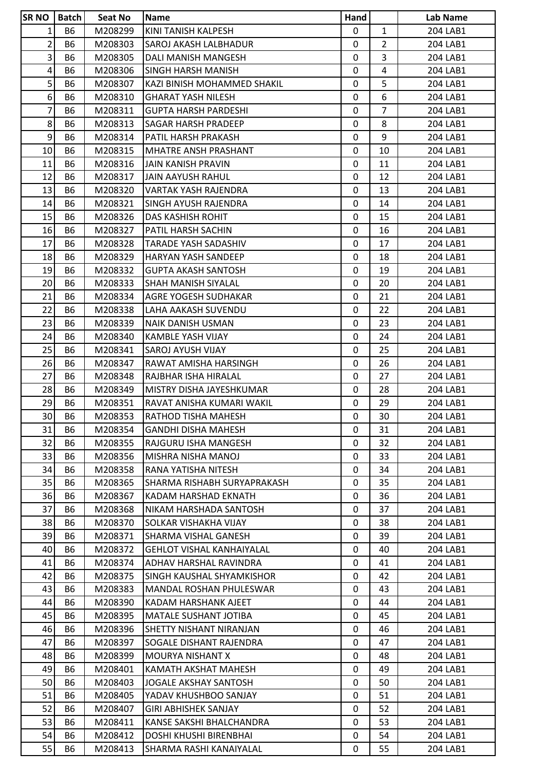| <b>SRNO</b>     | Batch     | Seat No | Name                                                    | Hand              |                | Lab Name |
|-----------------|-----------|---------|---------------------------------------------------------|-------------------|----------------|----------|
| 1               | <b>B6</b> | M208299 | KINI TANISH KALPESH                                     | $\mathbf{0}$      | $\mathbf{1}$   | 204 LAB1 |
| $\overline{2}$  | <b>B6</b> | M208303 | SAROJ AKASH LALBHADUR                                   | 0                 | $\overline{2}$ | 204 LAB1 |
| 3               | <b>B6</b> | M208305 | DALI MANISH MANGESH                                     | $\mathbf{0}$      | $\overline{3}$ | 204 LAB1 |
| $\vert 4 \vert$ | <b>B6</b> | M208306 | SINGH HARSH MANISH                                      | 0                 | $\overline{4}$ | 204 LAB1 |
| 5 <sup>1</sup>  | <b>B6</b> | M208307 | KAZI BINISH MOHAMMED SHAKIL                             | 0                 | 5              | 204 LAB1 |
| 6               | <b>B6</b> | M208310 | <b>GHARAT YASH NILESH</b>                               | 0                 | 6              | 204 LAB1 |
| 7               | <b>B6</b> | M208311 | <b>GUPTA HARSH PARDESHI</b>                             | 0                 | $\overline{7}$ | 204 LAB1 |
| 8 <sup>1</sup>  | <b>B6</b> | M208313 | SAGAR HARSH PRADEEP                                     | $\mathbf{0}$      | 8              | 204 LAB1 |
| 9 <sup>1</sup>  | <b>B6</b> | M208314 | PATIL HARSH PRAKASH                                     | 0                 | 9              | 204 LAB1 |
| 10              | <b>B6</b> | M208315 | <b>MHATRE ANSH PRASHANT</b>                             | 0                 | 10             | 204 LAB1 |
| 11              | <b>B6</b> | M208316 | JAIN KANISH PRAVIN                                      | 0                 | 11             | 204 LAB1 |
| 12              | B6        | M208317 | JAIN AAYUSH RAHUL                                       | 0                 | 12             | 204 LAB1 |
| 13              | <b>B6</b> | M208320 | VARTAK YASH RAJENDRA                                    | $\mathbf{0}$      | 13             | 204 LAB1 |
| 14              | <b>B6</b> | M208321 | SINGH AYUSH RAJENDRA                                    | 0                 | 14             | 204 LAB1 |
| 15              | <b>B6</b> | M208326 | DAS KASHISH ROHIT                                       | 0                 | 15             | 204 LAB1 |
| 16              | <b>B6</b> | M208327 | PATIL HARSH SACHIN                                      | 0                 | 16             | 204 LAB1 |
| 17              | <b>B6</b> | M208328 | TARADE YASH SADASHIV                                    | 0                 | 17             | 204 LAB1 |
| 18              | <b>B6</b> | M208329 | HARYAN YASH SANDEEP                                     | 0                 | 18             | 204 LAB1 |
| 19              | <b>B6</b> | M208332 | <b>GUPTA AKASH SANTOSH</b>                              | 0                 | 19             | 204 LAB1 |
| 20              | <b>B6</b> | M208333 | SHAH MANISH SIYALAL                                     | 0                 | 20             | 204 LAB1 |
| 21              | <b>B6</b> | M208334 | AGRE YOGESH SUDHAKAR                                    | 0                 | 21             | 204 LAB1 |
| 22              | <b>B6</b> | M208338 | LAHA AAKASH SUVENDU                                     | $\mathbf{0}$      | 22             | 204 LAB1 |
| 23              | <b>B6</b> | M208339 | <b>NAIK DANISH USMAN</b>                                | 0                 | 23             | 204 LAB1 |
| 24              | <b>B6</b> | M208340 | <b>KAMBLE YASH VIJAY</b>                                | 0                 | 24             | 204 LAB1 |
| 25              | <b>B6</b> | M208341 | SAROJ AYUSH VIJAY                                       | $\mathbf{0}$      | 25             | 204 LAB1 |
| 26              | <b>B6</b> | M208347 | RAWAT AMISHA HARSINGH                                   | 0                 | 26             | 204 LAB1 |
| 27              | <b>B6</b> | M208348 | RAJBHAR ISHA HIRALAL                                    | $\mathbf{0}$      | 27             | 204 LAB1 |
| 28              | <b>B6</b> | M208349 | MISTRY DISHA JAYESHKUMAR                                | 0                 | 28             | 204 LAB1 |
| 29              | <b>B6</b> | M208351 | RAVAT ANISHA KUMARI WAKIL                               | 0                 | 29             | 204 LAB1 |
| 30              | <b>B6</b> | M208353 | RATHOD TISHA MAHESH                                     | $\mathbf 0$       | 30             | 204 LAB1 |
| 31              | B6        | M208354 | <b>GANDHI DISHA MAHESH</b>                              | 0                 | 31             | 204 LAB1 |
| 32              | <b>B6</b> | M208355 | RAJGURU ISHA MANGESH                                    | $\mathbf{0}$      | 32             | 204 LAB1 |
| 33              | B6        | M208356 | <b>MISHRA NISHA MANOJ</b>                               | 0                 | 33             | 204 LAB1 |
| 34              | <b>B6</b> | M208358 | RANA YATISHA NITESH                                     | $\mathbf{0}$      | 34             | 204 LAB1 |
| 35              | <b>B6</b> | M208365 | SHARMA RISHABH SURYAPRAKASH                             | 0                 | 35             | 204 LAB1 |
| 36              | <b>B6</b> | M208367 | KADAM HARSHAD EKNATH                                    | 0                 | 36             | 204 LAB1 |
| 37              | <b>B6</b> | M208368 | NIKAM HARSHADA SANTOSH                                  | 0                 | 37             | 204 LAB1 |
| 38              | <b>B6</b> | M208370 | SOLKAR VISHAKHA VIJAY                                   | 0                 | 38             | 204 LAB1 |
| 39              | <b>B6</b> | M208371 | SHARMA VISHAL GANESH                                    | $\mathbf{0}$      | 39             | 204 LAB1 |
| 40              | B6        | M208372 | <b>GEHLOT VISHAL KANHAIYALAL</b>                        | 0                 | 40             | 204 LAB1 |
| 41              | <b>B6</b> | M208374 | ADHAV HARSHAL RAVINDRA                                  | $\mathbf{0}$      | 41             | 204 LAB1 |
| 42              | <b>B6</b> | M208375 | SINGH KAUSHAL SHYAMKISHOR                               | 0                 | 42             | 204 LAB1 |
| 43              | <b>B6</b> | M208383 | <b>MANDAL ROSHAN PHULESWAR</b>                          | 0                 | 43             | 204 LAB1 |
| 44              | <b>B6</b> | M208390 | KADAM HARSHANK AJEET                                    | $\mathbf{0}$      | 44             | 204 LAB1 |
| 45              | B6        | M208395 | <b>MATALE SUSHANT JOTIBA</b>                            | 0                 | 45             | 204 LAB1 |
| 46              | <b>B6</b> | M208396 | SHETTY NISHANT NIRANJAN                                 | 0                 | 46             | 204 LAB1 |
| 47              | <b>B6</b> | M208397 | SOGALE DISHANT RAJENDRA                                 | 0                 | 47             | 204 LAB1 |
| 48              | <b>B6</b> | M208399 | MOURYA NISHANT X                                        | 0                 | 48             | 204 LAB1 |
| 49              |           | M208401 | KAMATH AKSHAT MAHESH                                    | 0                 | 49             | 204 LAB1 |
|                 | B6        |         |                                                         |                   |                |          |
| 50              | <b>B6</b> | M208403 | <b>JOGALE AKSHAY SANTOSH</b>                            | 0<br>$\mathbf{0}$ | 50             | 204 LAB1 |
| 51              | <b>B6</b> | M208405 | YADAV KHUSHBOO SANJAY                                   |                   | 51             | 204 LAB1 |
| 52              | B6        | M208407 | <b>GIRI ABHISHEK SANJAY</b><br>KANSE SAKSHI BHALCHANDRA | 0<br>$\mathbf{0}$ | 52             | 204 LAB1 |
| 53              | <b>B6</b> | M208411 |                                                         |                   | 53             | 204 LAB1 |
| 54              | <b>B6</b> | M208412 | DOSHI KHUSHI BIRENBHAI                                  | 0                 | 54             | 204 LAB1 |
| 55              | <b>B6</b> | M208413 | SHARMA RASHI KANAIYALAL                                 | 0                 | 55             | 204 LAB1 |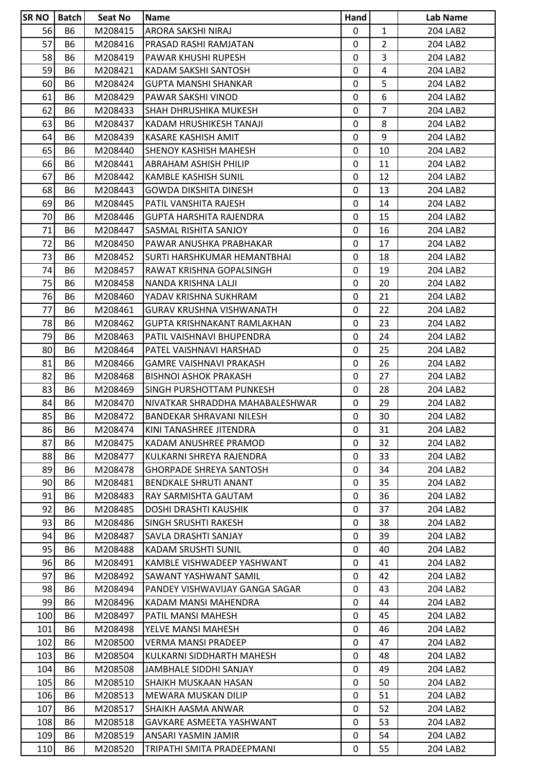| 56<br>$\mathbf{1}$<br><b>B6</b><br>M208415<br>ARORA SAKSHI NIRAJ<br>$\mathbf{0}$<br>204 LAB2<br>57<br>$\overline{2}$<br><b>B6</b><br>M208416<br>$\mathbf{0}$<br>204 LAB2<br>PRASAD RASHI RAMJATAN<br>$\overline{3}$<br>58<br><b>B6</b><br>$\mathbf 0$<br>M208419<br>PAWAR KHUSHI RUPESH<br>204 LAB2<br>59<br>$\overline{4}$<br><b>B6</b><br>0<br>M208421<br>KADAM SAKSHI SANTOSH<br>204 LAB2<br>5<br>60<br><b>B6</b><br>M208424<br>204 LAB2<br><b>GUPTA MANSHI SHANKAR</b><br>0<br>6<br>61<br><b>B6</b><br>0<br>204 LAB2<br>M208429<br>PAWAR SAKSHI VINOD<br>$\overline{7}$<br>62<br><b>B6</b><br>M208433<br>204 LAB2<br>ISHAH DHRUSHIKA MUKESH<br>0<br>8<br>63<br><b>B6</b><br>M208437<br>$\mathbf{0}$<br>204 LAB2<br>KADAM HRUSHIKESH TANAJI<br>9<br>64<br><b>B6</b><br>M208439<br>0<br>204 LAB2<br>KASARE KASHISH AMIT<br>65<br><b>B6</b><br>M208440<br><b>SHENOY KASHISH MAHESH</b><br>0<br>10<br>204 LAB2<br>66<br><b>B6</b><br>0<br>11<br>M208441<br>ABRAHAM ASHISH PHILIP<br>204 LAB2<br>67<br><b>B6</b><br>M208442<br>12<br>204 LAB2<br>KAMBLE KASHISH SUNIL<br>0<br>68<br><b>B6</b><br>$\mathbf{0}$<br>13<br>204 LAB2<br>M208443<br>GOWDA DIKSHITA DINESH<br>69<br><b>B6</b><br>M208445<br>PATIL VANSHITA RAJESH<br>0<br>14<br>204 LAB2<br>15<br><b>B6</b><br>$\mathbf 0$<br>204 LAB2<br>70<br>M208446<br><b>GUPTA HARSHITA RAJENDRA</b><br>71<br><b>B6</b><br>$\mathbf{0}$<br>16<br>204 LAB2<br>M208447<br>SASMAL RISHITA SANJOY<br>72<br><b>B6</b><br>17<br>M208450<br>PAWAR ANUSHKA PRABHAKAR<br>0<br>204 LAB2<br>73<br>18<br><b>B6</b><br>$\mathbf{0}$<br>204 LAB2<br>M208452<br>ISURTI HARSHKUMAR HEMANTBHAI<br>74<br>19<br>B6<br>M208457<br>RAWAT KRISHNA GOPALSINGH<br>0<br>204 LAB2<br>75<br><b>B6</b><br>0<br>20<br>204 LAB2<br>M208458<br>NANDA KRISHNA LALJI<br>76<br><b>B6</b><br>21<br>204 LAB2<br>M208460<br>YADAV KRISHNA SUKHRAM<br>0<br>77<br><b>B6</b><br>22<br>M208461<br><b>GURAV KRUSHNA VISHWANATH</b><br>0<br>204 LAB2<br>78<br><b>B6</b><br>0<br>23<br>204 LAB2<br>M208462<br>GUPTA KRISHNAKANT RAMLAKHAN<br>79<br><b>B6</b><br>M208463<br>24<br>PATIL VAISHNAVI BHUPENDRA<br>0<br>204 LAB2 |  |
|------------------------------------------------------------------------------------------------------------------------------------------------------------------------------------------------------------------------------------------------------------------------------------------------------------------------------------------------------------------------------------------------------------------------------------------------------------------------------------------------------------------------------------------------------------------------------------------------------------------------------------------------------------------------------------------------------------------------------------------------------------------------------------------------------------------------------------------------------------------------------------------------------------------------------------------------------------------------------------------------------------------------------------------------------------------------------------------------------------------------------------------------------------------------------------------------------------------------------------------------------------------------------------------------------------------------------------------------------------------------------------------------------------------------------------------------------------------------------------------------------------------------------------------------------------------------------------------------------------------------------------------------------------------------------------------------------------------------------------------------------------------------------------------------------------------------------------------------------------------------------------------------------------------------------------------------------------------------------------------------------------------------------------------------------------------------------------------------------------------------------|--|
|                                                                                                                                                                                                                                                                                                                                                                                                                                                                                                                                                                                                                                                                                                                                                                                                                                                                                                                                                                                                                                                                                                                                                                                                                                                                                                                                                                                                                                                                                                                                                                                                                                                                                                                                                                                                                                                                                                                                                                                                                                                                                                                              |  |
|                                                                                                                                                                                                                                                                                                                                                                                                                                                                                                                                                                                                                                                                                                                                                                                                                                                                                                                                                                                                                                                                                                                                                                                                                                                                                                                                                                                                                                                                                                                                                                                                                                                                                                                                                                                                                                                                                                                                                                                                                                                                                                                              |  |
|                                                                                                                                                                                                                                                                                                                                                                                                                                                                                                                                                                                                                                                                                                                                                                                                                                                                                                                                                                                                                                                                                                                                                                                                                                                                                                                                                                                                                                                                                                                                                                                                                                                                                                                                                                                                                                                                                                                                                                                                                                                                                                                              |  |
|                                                                                                                                                                                                                                                                                                                                                                                                                                                                                                                                                                                                                                                                                                                                                                                                                                                                                                                                                                                                                                                                                                                                                                                                                                                                                                                                                                                                                                                                                                                                                                                                                                                                                                                                                                                                                                                                                                                                                                                                                                                                                                                              |  |
|                                                                                                                                                                                                                                                                                                                                                                                                                                                                                                                                                                                                                                                                                                                                                                                                                                                                                                                                                                                                                                                                                                                                                                                                                                                                                                                                                                                                                                                                                                                                                                                                                                                                                                                                                                                                                                                                                                                                                                                                                                                                                                                              |  |
|                                                                                                                                                                                                                                                                                                                                                                                                                                                                                                                                                                                                                                                                                                                                                                                                                                                                                                                                                                                                                                                                                                                                                                                                                                                                                                                                                                                                                                                                                                                                                                                                                                                                                                                                                                                                                                                                                                                                                                                                                                                                                                                              |  |
|                                                                                                                                                                                                                                                                                                                                                                                                                                                                                                                                                                                                                                                                                                                                                                                                                                                                                                                                                                                                                                                                                                                                                                                                                                                                                                                                                                                                                                                                                                                                                                                                                                                                                                                                                                                                                                                                                                                                                                                                                                                                                                                              |  |
|                                                                                                                                                                                                                                                                                                                                                                                                                                                                                                                                                                                                                                                                                                                                                                                                                                                                                                                                                                                                                                                                                                                                                                                                                                                                                                                                                                                                                                                                                                                                                                                                                                                                                                                                                                                                                                                                                                                                                                                                                                                                                                                              |  |
|                                                                                                                                                                                                                                                                                                                                                                                                                                                                                                                                                                                                                                                                                                                                                                                                                                                                                                                                                                                                                                                                                                                                                                                                                                                                                                                                                                                                                                                                                                                                                                                                                                                                                                                                                                                                                                                                                                                                                                                                                                                                                                                              |  |
|                                                                                                                                                                                                                                                                                                                                                                                                                                                                                                                                                                                                                                                                                                                                                                                                                                                                                                                                                                                                                                                                                                                                                                                                                                                                                                                                                                                                                                                                                                                                                                                                                                                                                                                                                                                                                                                                                                                                                                                                                                                                                                                              |  |
|                                                                                                                                                                                                                                                                                                                                                                                                                                                                                                                                                                                                                                                                                                                                                                                                                                                                                                                                                                                                                                                                                                                                                                                                                                                                                                                                                                                                                                                                                                                                                                                                                                                                                                                                                                                                                                                                                                                                                                                                                                                                                                                              |  |
|                                                                                                                                                                                                                                                                                                                                                                                                                                                                                                                                                                                                                                                                                                                                                                                                                                                                                                                                                                                                                                                                                                                                                                                                                                                                                                                                                                                                                                                                                                                                                                                                                                                                                                                                                                                                                                                                                                                                                                                                                                                                                                                              |  |
|                                                                                                                                                                                                                                                                                                                                                                                                                                                                                                                                                                                                                                                                                                                                                                                                                                                                                                                                                                                                                                                                                                                                                                                                                                                                                                                                                                                                                                                                                                                                                                                                                                                                                                                                                                                                                                                                                                                                                                                                                                                                                                                              |  |
|                                                                                                                                                                                                                                                                                                                                                                                                                                                                                                                                                                                                                                                                                                                                                                                                                                                                                                                                                                                                                                                                                                                                                                                                                                                                                                                                                                                                                                                                                                                                                                                                                                                                                                                                                                                                                                                                                                                                                                                                                                                                                                                              |  |
|                                                                                                                                                                                                                                                                                                                                                                                                                                                                                                                                                                                                                                                                                                                                                                                                                                                                                                                                                                                                                                                                                                                                                                                                                                                                                                                                                                                                                                                                                                                                                                                                                                                                                                                                                                                                                                                                                                                                                                                                                                                                                                                              |  |
|                                                                                                                                                                                                                                                                                                                                                                                                                                                                                                                                                                                                                                                                                                                                                                                                                                                                                                                                                                                                                                                                                                                                                                                                                                                                                                                                                                                                                                                                                                                                                                                                                                                                                                                                                                                                                                                                                                                                                                                                                                                                                                                              |  |
|                                                                                                                                                                                                                                                                                                                                                                                                                                                                                                                                                                                                                                                                                                                                                                                                                                                                                                                                                                                                                                                                                                                                                                                                                                                                                                                                                                                                                                                                                                                                                                                                                                                                                                                                                                                                                                                                                                                                                                                                                                                                                                                              |  |
|                                                                                                                                                                                                                                                                                                                                                                                                                                                                                                                                                                                                                                                                                                                                                                                                                                                                                                                                                                                                                                                                                                                                                                                                                                                                                                                                                                                                                                                                                                                                                                                                                                                                                                                                                                                                                                                                                                                                                                                                                                                                                                                              |  |
|                                                                                                                                                                                                                                                                                                                                                                                                                                                                                                                                                                                                                                                                                                                                                                                                                                                                                                                                                                                                                                                                                                                                                                                                                                                                                                                                                                                                                                                                                                                                                                                                                                                                                                                                                                                                                                                                                                                                                                                                                                                                                                                              |  |
|                                                                                                                                                                                                                                                                                                                                                                                                                                                                                                                                                                                                                                                                                                                                                                                                                                                                                                                                                                                                                                                                                                                                                                                                                                                                                                                                                                                                                                                                                                                                                                                                                                                                                                                                                                                                                                                                                                                                                                                                                                                                                                                              |  |
|                                                                                                                                                                                                                                                                                                                                                                                                                                                                                                                                                                                                                                                                                                                                                                                                                                                                                                                                                                                                                                                                                                                                                                                                                                                                                                                                                                                                                                                                                                                                                                                                                                                                                                                                                                                                                                                                                                                                                                                                                                                                                                                              |  |
|                                                                                                                                                                                                                                                                                                                                                                                                                                                                                                                                                                                                                                                                                                                                                                                                                                                                                                                                                                                                                                                                                                                                                                                                                                                                                                                                                                                                                                                                                                                                                                                                                                                                                                                                                                                                                                                                                                                                                                                                                                                                                                                              |  |
|                                                                                                                                                                                                                                                                                                                                                                                                                                                                                                                                                                                                                                                                                                                                                                                                                                                                                                                                                                                                                                                                                                                                                                                                                                                                                                                                                                                                                                                                                                                                                                                                                                                                                                                                                                                                                                                                                                                                                                                                                                                                                                                              |  |
|                                                                                                                                                                                                                                                                                                                                                                                                                                                                                                                                                                                                                                                                                                                                                                                                                                                                                                                                                                                                                                                                                                                                                                                                                                                                                                                                                                                                                                                                                                                                                                                                                                                                                                                                                                                                                                                                                                                                                                                                                                                                                                                              |  |
| 25<br>80<br><b>B6</b><br>$\mathbf{0}$<br>M208464<br>PATEL VAISHNAVI HARSHAD<br>204 LAB2                                                                                                                                                                                                                                                                                                                                                                                                                                                                                                                                                                                                                                                                                                                                                                                                                                                                                                                                                                                                                                                                                                                                                                                                                                                                                                                                                                                                                                                                                                                                                                                                                                                                                                                                                                                                                                                                                                                                                                                                                                      |  |
| 81<br>26<br><b>B6</b><br>M208466<br>GAMRE VAISHNAVI PRAKASH<br>0<br>204 LAB2                                                                                                                                                                                                                                                                                                                                                                                                                                                                                                                                                                                                                                                                                                                                                                                                                                                                                                                                                                                                                                                                                                                                                                                                                                                                                                                                                                                                                                                                                                                                                                                                                                                                                                                                                                                                                                                                                                                                                                                                                                                 |  |
| 82<br>27<br><b>B6</b><br>$\mathbf{0}$<br>204 LAB2<br>M208468<br><b>BISHNOI ASHOK PRAKASH</b>                                                                                                                                                                                                                                                                                                                                                                                                                                                                                                                                                                                                                                                                                                                                                                                                                                                                                                                                                                                                                                                                                                                                                                                                                                                                                                                                                                                                                                                                                                                                                                                                                                                                                                                                                                                                                                                                                                                                                                                                                                 |  |
| 28<br>83<br><b>B6</b><br>M208469<br>SINGH PURSHOTTAM PUNKESH<br>0<br>204 LAB2                                                                                                                                                                                                                                                                                                                                                                                                                                                                                                                                                                                                                                                                                                                                                                                                                                                                                                                                                                                                                                                                                                                                                                                                                                                                                                                                                                                                                                                                                                                                                                                                                                                                                                                                                                                                                                                                                                                                                                                                                                                |  |
| 84<br><b>B6</b><br>M208470<br>NIVATKAR SHRADDHA MAHABALESHWAR<br>0<br>29<br>204 LAB2                                                                                                                                                                                                                                                                                                                                                                                                                                                                                                                                                                                                                                                                                                                                                                                                                                                                                                                                                                                                                                                                                                                                                                                                                                                                                                                                                                                                                                                                                                                                                                                                                                                                                                                                                                                                                                                                                                                                                                                                                                         |  |
| 85<br><b>B6</b><br>$\mathbf 0$<br>30<br>M208472<br>204 LAB2<br><b>BANDEKAR SHRAVANI NILESH</b>                                                                                                                                                                                                                                                                                                                                                                                                                                                                                                                                                                                                                                                                                                                                                                                                                                                                                                                                                                                                                                                                                                                                                                                                                                                                                                                                                                                                                                                                                                                                                                                                                                                                                                                                                                                                                                                                                                                                                                                                                               |  |
| 86<br>M208474<br>KINI TANASHREE JITENDRA<br>204 LAB2<br>B6<br>0<br>31                                                                                                                                                                                                                                                                                                                                                                                                                                                                                                                                                                                                                                                                                                                                                                                                                                                                                                                                                                                                                                                                                                                                                                                                                                                                                                                                                                                                                                                                                                                                                                                                                                                                                                                                                                                                                                                                                                                                                                                                                                                        |  |
| 87<br><b>B6</b><br>M208475<br>KADAM ANUSHREE PRAMOD<br>0<br>32<br>204 LAB2                                                                                                                                                                                                                                                                                                                                                                                                                                                                                                                                                                                                                                                                                                                                                                                                                                                                                                                                                                                                                                                                                                                                                                                                                                                                                                                                                                                                                                                                                                                                                                                                                                                                                                                                                                                                                                                                                                                                                                                                                                                   |  |
| 88<br><b>B6</b><br>M208477<br>KULKARNI SHREYA RAJENDRA<br>0<br>33<br>204 LAB2                                                                                                                                                                                                                                                                                                                                                                                                                                                                                                                                                                                                                                                                                                                                                                                                                                                                                                                                                                                                                                                                                                                                                                                                                                                                                                                                                                                                                                                                                                                                                                                                                                                                                                                                                                                                                                                                                                                                                                                                                                                |  |
| 89<br><b>B6</b><br>M208478<br><b>GHORPADE SHREYA SANTOSH</b><br>$\mathbf 0$<br>34<br>204 LAB2                                                                                                                                                                                                                                                                                                                                                                                                                                                                                                                                                                                                                                                                                                                                                                                                                                                                                                                                                                                                                                                                                                                                                                                                                                                                                                                                                                                                                                                                                                                                                                                                                                                                                                                                                                                                                                                                                                                                                                                                                                |  |
| 90<br><b>B6</b><br>0<br>35<br>204 LAB2<br>M208481<br><b>BENDKALE SHRUTI ANANT</b>                                                                                                                                                                                                                                                                                                                                                                                                                                                                                                                                                                                                                                                                                                                                                                                                                                                                                                                                                                                                                                                                                                                                                                                                                                                                                                                                                                                                                                                                                                                                                                                                                                                                                                                                                                                                                                                                                                                                                                                                                                            |  |
| 91<br><b>B6</b><br>M208483<br>RAY SARMISHTA GAUTAM<br>0<br>36<br>204 LAB2                                                                                                                                                                                                                                                                                                                                                                                                                                                                                                                                                                                                                                                                                                                                                                                                                                                                                                                                                                                                                                                                                                                                                                                                                                                                                                                                                                                                                                                                                                                                                                                                                                                                                                                                                                                                                                                                                                                                                                                                                                                    |  |
| 92<br><b>B6</b><br>M208485<br>$\mathbf{0}$<br>37<br>204 LAB2<br>DOSHI DRASHTI KAUSHIK                                                                                                                                                                                                                                                                                                                                                                                                                                                                                                                                                                                                                                                                                                                                                                                                                                                                                                                                                                                                                                                                                                                                                                                                                                                                                                                                                                                                                                                                                                                                                                                                                                                                                                                                                                                                                                                                                                                                                                                                                                        |  |
| 93<br><b>B6</b><br>M208486<br>SINGH SRUSHTI RAKESH<br>38<br>204 LAB2<br>0                                                                                                                                                                                                                                                                                                                                                                                                                                                                                                                                                                                                                                                                                                                                                                                                                                                                                                                                                                                                                                                                                                                                                                                                                                                                                                                                                                                                                                                                                                                                                                                                                                                                                                                                                                                                                                                                                                                                                                                                                                                    |  |
| 94<br><b>B6</b><br>M208487<br>SAVLA DRASHTI SANJAY<br>$\mathbf{0}$<br>39<br>204 LAB2                                                                                                                                                                                                                                                                                                                                                                                                                                                                                                                                                                                                                                                                                                                                                                                                                                                                                                                                                                                                                                                                                                                                                                                                                                                                                                                                                                                                                                                                                                                                                                                                                                                                                                                                                                                                                                                                                                                                                                                                                                         |  |
| 95<br><b>B6</b><br>0<br>40<br>204 LAB2<br>M208488<br>KADAM SRUSHTI SUNIL                                                                                                                                                                                                                                                                                                                                                                                                                                                                                                                                                                                                                                                                                                                                                                                                                                                                                                                                                                                                                                                                                                                                                                                                                                                                                                                                                                                                                                                                                                                                                                                                                                                                                                                                                                                                                                                                                                                                                                                                                                                     |  |
| 96<br><b>B6</b><br>M208491<br>KAMBLE VISHWADEEP YASHWANT<br>0<br>41<br>204 LAB2                                                                                                                                                                                                                                                                                                                                                                                                                                                                                                                                                                                                                                                                                                                                                                                                                                                                                                                                                                                                                                                                                                                                                                                                                                                                                                                                                                                                                                                                                                                                                                                                                                                                                                                                                                                                                                                                                                                                                                                                                                              |  |
| 97<br><b>B6</b><br>M208492<br>0<br>42<br>204 LAB2<br>SAWANT YASHWANT SAMIL                                                                                                                                                                                                                                                                                                                                                                                                                                                                                                                                                                                                                                                                                                                                                                                                                                                                                                                                                                                                                                                                                                                                                                                                                                                                                                                                                                                                                                                                                                                                                                                                                                                                                                                                                                                                                                                                                                                                                                                                                                                   |  |
| 98<br><b>B6</b><br>M208494<br>43<br>PANDEY VISHWAVIJAY GANGA SAGAR<br>0<br>204 LAB2                                                                                                                                                                                                                                                                                                                                                                                                                                                                                                                                                                                                                                                                                                                                                                                                                                                                                                                                                                                                                                                                                                                                                                                                                                                                                                                                                                                                                                                                                                                                                                                                                                                                                                                                                                                                                                                                                                                                                                                                                                          |  |
| 99<br><b>B6</b><br>$\mathbf{0}$<br>44<br>204 LAB2<br>M208496<br>KADAM MANSI MAHENDRA                                                                                                                                                                                                                                                                                                                                                                                                                                                                                                                                                                                                                                                                                                                                                                                                                                                                                                                                                                                                                                                                                                                                                                                                                                                                                                                                                                                                                                                                                                                                                                                                                                                                                                                                                                                                                                                                                                                                                                                                                                         |  |
| 100<br>45<br>204 LAB2<br>B6<br>M208497<br>PATIL MANSI MAHESH<br>0                                                                                                                                                                                                                                                                                                                                                                                                                                                                                                                                                                                                                                                                                                                                                                                                                                                                                                                                                                                                                                                                                                                                                                                                                                                                                                                                                                                                                                                                                                                                                                                                                                                                                                                                                                                                                                                                                                                                                                                                                                                            |  |
| 46<br><b>B6</b><br>$\mathbf{0}$<br>204 LAB2<br>101<br>M208498<br>YELVE MANSI MAHESH                                                                                                                                                                                                                                                                                                                                                                                                                                                                                                                                                                                                                                                                                                                                                                                                                                                                                                                                                                                                                                                                                                                                                                                                                                                                                                                                                                                                                                                                                                                                                                                                                                                                                                                                                                                                                                                                                                                                                                                                                                          |  |
| M208500<br>0<br>47<br>204 LAB2<br>102<br>B6<br>VERMA MANSI PRADEEP                                                                                                                                                                                                                                                                                                                                                                                                                                                                                                                                                                                                                                                                                                                                                                                                                                                                                                                                                                                                                                                                                                                                                                                                                                                                                                                                                                                                                                                                                                                                                                                                                                                                                                                                                                                                                                                                                                                                                                                                                                                           |  |
| 103<br><b>B6</b><br>M208504<br>KULKARNI SIDDHARTH MAHESH<br>0<br>48<br>204 LAB2                                                                                                                                                                                                                                                                                                                                                                                                                                                                                                                                                                                                                                                                                                                                                                                                                                                                                                                                                                                                                                                                                                                                                                                                                                                                                                                                                                                                                                                                                                                                                                                                                                                                                                                                                                                                                                                                                                                                                                                                                                              |  |
| <b>B6</b><br>0<br>49<br>204 LAB2<br>104<br>M208508<br>JAMBHALE SIDDHI SANJAY                                                                                                                                                                                                                                                                                                                                                                                                                                                                                                                                                                                                                                                                                                                                                                                                                                                                                                                                                                                                                                                                                                                                                                                                                                                                                                                                                                                                                                                                                                                                                                                                                                                                                                                                                                                                                                                                                                                                                                                                                                                 |  |
| 105<br>M208510<br><b>SHAIKH MUSKAAN HASAN</b><br>50<br>204 LAB2<br>B6<br>0                                                                                                                                                                                                                                                                                                                                                                                                                                                                                                                                                                                                                                                                                                                                                                                                                                                                                                                                                                                                                                                                                                                                                                                                                                                                                                                                                                                                                                                                                                                                                                                                                                                                                                                                                                                                                                                                                                                                                                                                                                                   |  |
| 0<br>51<br>204 LAB2<br>106<br>B6<br>M208513<br>MEWARA MUSKAN DILIP                                                                                                                                                                                                                                                                                                                                                                                                                                                                                                                                                                                                                                                                                                                                                                                                                                                                                                                                                                                                                                                                                                                                                                                                                                                                                                                                                                                                                                                                                                                                                                                                                                                                                                                                                                                                                                                                                                                                                                                                                                                           |  |
| 107<br>52<br>B6<br>M208517<br>SHAIKH AASMA ANWAR<br>0<br>204 LAB2                                                                                                                                                                                                                                                                                                                                                                                                                                                                                                                                                                                                                                                                                                                                                                                                                                                                                                                                                                                                                                                                                                                                                                                                                                                                                                                                                                                                                                                                                                                                                                                                                                                                                                                                                                                                                                                                                                                                                                                                                                                            |  |
| 53<br>204 LAB2<br>108<br><b>B6</b><br>M208518<br><b>GAVKARE ASMEETA YASHWANT</b><br>$\mathbf{0}$                                                                                                                                                                                                                                                                                                                                                                                                                                                                                                                                                                                                                                                                                                                                                                                                                                                                                                                                                                                                                                                                                                                                                                                                                                                                                                                                                                                                                                                                                                                                                                                                                                                                                                                                                                                                                                                                                                                                                                                                                             |  |
| 54<br>109<br><b>B6</b><br>M208519<br>0<br>204 LAB2<br>ANSARI YASMIN JAMIR                                                                                                                                                                                                                                                                                                                                                                                                                                                                                                                                                                                                                                                                                                                                                                                                                                                                                                                                                                                                                                                                                                                                                                                                                                                                                                                                                                                                                                                                                                                                                                                                                                                                                                                                                                                                                                                                                                                                                                                                                                                    |  |
| 55<br>110<br><b>B6</b><br>M208520<br>TRIPATHI SMITA PRADEEPMANI<br>204 LAB2<br>0                                                                                                                                                                                                                                                                                                                                                                                                                                                                                                                                                                                                                                                                                                                                                                                                                                                                                                                                                                                                                                                                                                                                                                                                                                                                                                                                                                                                                                                                                                                                                                                                                                                                                                                                                                                                                                                                                                                                                                                                                                             |  |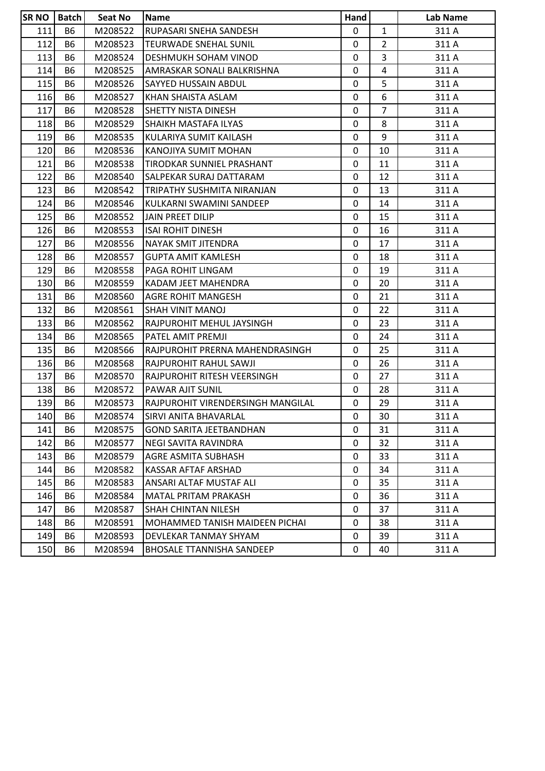| <b>SR NO</b> | <b>Batch</b> | Seat No | Name                              | Hand        |                | Lab Name |
|--------------|--------------|---------|-----------------------------------|-------------|----------------|----------|
| 111          | <b>B6</b>    | M208522 | RUPASARI SNEHA SANDESH            | $\mathbf 0$ | $\mathbf{1}$   | 311 A    |
| 112          | <b>B6</b>    | M208523 | <b>TEURWADE SNEHAL SUNIL</b>      | 0           | $\overline{2}$ | 311 A    |
| 113          | <b>B6</b>    | M208524 | <b>DESHMUKH SOHAM VINOD</b>       | 0           | 3              | 311 A    |
| 114          | <b>B6</b>    | M208525 | AMRASKAR SONALI BALKRISHNA        | 0           | 4              | 311 A    |
| 115          | <b>B6</b>    | M208526 | <b>SAYYED HUSSAIN ABDUL</b>       | 0           | 5              | 311 A    |
| 116          | <b>B6</b>    | M208527 | KHAN SHAISTA ASLAM                | 0           | 6              | 311 A    |
| 117          | <b>B6</b>    | M208528 | <b>SHETTY NISTA DINESH</b>        | 0           | $\overline{7}$ | 311 A    |
| 118          | <b>B6</b>    | M208529 | SHAIKH MASTAFA ILYAS              | 0           | 8              | 311 A    |
| 119          | <b>B6</b>    | M208535 | KULARIYA SUMIT KAILASH            | 0           | 9              | 311 A    |
| 120          | <b>B6</b>    | M208536 | KANOJIYA SUMIT MOHAN              | 0           | 10             | 311 A    |
| 121          | B6           | M208538 | TIRODKAR SUNNIEL PRASHANT         | 0           | 11             | 311 A    |
| 122          | <b>B6</b>    | M208540 | <b>SALPEKAR SURAJ DATTARAM</b>    | $\mathbf 0$ | 12             | 311 A    |
| 123          | <b>B6</b>    | M208542 | TRIPATHY SUSHMITA NIRANJAN        | 0           | 13             | 311 A    |
| 124          | <b>B6</b>    | M208546 | KULKARNI SWAMINI SANDEEP          | 0           | 14             | 311 A    |
| 125          | <b>B6</b>    | M208552 | JAIN PREET DILIP                  | $\mathbf 0$ | 15             | 311 A    |
| 126          | <b>B6</b>    | M208553 | <b>ISAI ROHIT DINESH</b>          | 0           | 16             | 311 A    |
| 127          | <b>B6</b>    | M208556 | NAYAK SMIT JITENDRA               | 0           | 17             | 311 A    |
| 128          | <b>B6</b>    | M208557 | <b>GUPTA AMIT KAMLESH</b>         | 0           | 18             | 311 A    |
| 129          | <b>B6</b>    | M208558 | PAGA ROHIT LINGAM                 | 0           | 19             | 311 A    |
| 130          | <b>B6</b>    | M208559 | KADAM JEET MAHENDRA               | $\mathbf 0$ | 20             | 311 A    |
| 131          | <b>B6</b>    | M208560 | <b>AGRE ROHIT MANGESH</b>         | 0           | 21             | 311 A    |
| 132          | <b>B6</b>    | M208561 | <b>SHAH VINIT MANOJ</b>           | 0           | 22             | 311 A    |
| 133          | <b>B6</b>    | M208562 | RAJPUROHIT MEHUL JAYSINGH         | 0           | 23             | 311 A    |
| 134          | <b>B6</b>    | M208565 | PATEL AMIT PREMJI                 | 0           | 24             | 311 A    |
| 135          | <b>B6</b>    | M208566 | RAJPUROHIT PRERNA MAHENDRASINGH   | 0           | 25             | 311 A    |
| 136          | <b>B6</b>    | M208568 | RAJPUROHIT RAHUL SAWJI            | 0           | 26             | 311 A    |
| 137          | <b>B6</b>    | M208570 | RAJPUROHIT RITESH VEERSINGH       | 0           | 27             | 311 A    |
| 138          | <b>B6</b>    | M208572 | PAWAR AJIT SUNIL                  | 0           | 28             | 311 A    |
| 139          | <b>B6</b>    | M208573 | RAJPUROHIT VIRENDERSINGH MANGILAL | 0           | 29             | 311 A    |
| 140          | <b>B6</b>    | M208574 | <b>SIRVI ANITA BHAVARLAL</b>      | 0           | 30             | 311 A    |
| 141          | <b>B6</b>    | M208575 | <b>GOND SARITA JEETBANDHAN</b>    | 0           | 31             | 311 A    |
| 142          | <b>B6</b>    | M208577 | NEGI SAVITA RAVINDRA              | 0           | 32             | 311 A    |
| 143          | B6           | M208579 | <b>AGRE ASMITA SUBHASH</b>        | 0           | 33             | 311 A    |
| 144          | <b>B6</b>    | M208582 | KASSAR AFTAF ARSHAD               | 0           | 34             | 311 A    |
| 145          | <b>B6</b>    | M208583 | ANSARI ALTAF MUSTAF ALI           | 0           | 35             | 311 A    |
| 146          | B6           | M208584 | <b>MATAL PRITAM PRAKASH</b>       | 0           | 36             | 311 A    |
| 147          | B6           | M208587 | <b>SHAH CHINTAN NILESH</b>        | 0           | 37             | 311 A    |
| 148          | <b>B6</b>    | M208591 | MOHAMMED TANISH MAIDEEN PICHAI    | 0           | 38             | 311 A    |
| 149          | <b>B6</b>    | M208593 | DEVLEKAR TANMAY SHYAM             | 0           | 39             | 311 A    |
| 150          | B6           | M208594 | <b>BHOSALE TTANNISHA SANDEEP</b>  | 0           | 40             | 311 A    |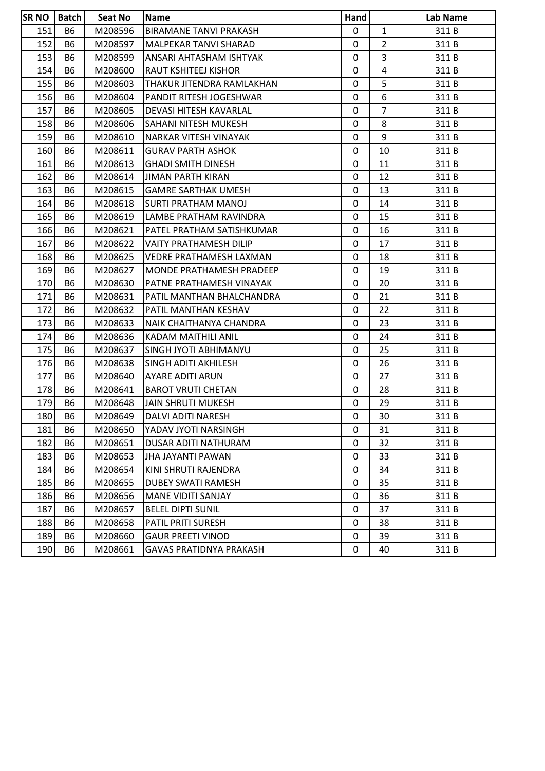| <b>SRNO</b> | Batch     | Seat No | <b>Name</b>                    | <b>Hand</b> |                | Lab Name |
|-------------|-----------|---------|--------------------------------|-------------|----------------|----------|
| 151         | <b>B6</b> | M208596 | <b>BIRAMANE TANVI PRAKASH</b>  | 0           | $\mathbf{1}$   | 311B     |
| 152         | <b>B6</b> | M208597 | MALPEKAR TANVI SHARAD          | 0           | $\overline{2}$ | 311B     |
| 153         | <b>B6</b> | M208599 | ANSARI AHTASHAM ISHTYAK        | $\mathbf 0$ | 3              | 311B     |
| 154         | <b>B6</b> | M208600 | <b>RAUT KSHITEEJ KISHOR</b>    | 0           | 4              | 311B     |
| 155         | <b>B6</b> | M208603 | THAKUR JITENDRA RAMLAKHAN      | $\mathbf 0$ | 5              | 311B     |
| 156         | <b>B6</b> | M208604 | PANDIT RITESH JOGESHWAR        | 0           | 6              | 311B     |
| 157         | <b>B6</b> | M208605 | DEVASI HITESH KAVARLAL         | 0           | $\overline{7}$ | 311B     |
| 158         | <b>B6</b> | M208606 | SAHANI NITESH MUKESH           | $\mathbf 0$ | 8              | 311B     |
| 159         | B6        | M208610 | <b>NARKAR VITESH VINAYAK</b>   | 0           | 9              | 311B     |
| 160         | <b>B6</b> | M208611 | <b>GURAV PARTH ASHOK</b>       | 0           | 10             | 311B     |
| 161         | <b>B6</b> | M208613 | <b>GHADI SMITH DINESH</b>      | 0           | 11             | 311B     |
| 162         | <b>B6</b> | M208614 | <b>JIMAN PARTH KIRAN</b>       | 0           | 12             | 311B     |
| 163         | <b>B6</b> | M208615 | <b>GAMRE SARTHAK UMESH</b>     | 0           | 13             | 311B     |
| 164         | <b>B6</b> | M208618 | <b>SURTI PRATHAM MANOJ</b>     | 0           | 14             | 311B     |
| 165         | <b>B6</b> | M208619 | LAMBE PRATHAM RAVINDRA         | 0           | 15             | 311 B    |
| 166         | <b>B6</b> | M208621 | PATEL PRATHAM SATISHKUMAR      | 0           | 16             | 311B     |
| 167         | <b>B6</b> | M208622 | <b>VAITY PRATHAMESH DILIP</b>  | 0           | 17             | 311B     |
| 168         | B6        | M208625 | <b>VEDRE PRATHAMESH LAXMAN</b> | 0           | 18             | 311B     |
| 169         | <b>B6</b> | M208627 | MONDE PRATHAMESH PRADEEP       | $\mathbf 0$ | 19             | 311B     |
| 170         | <b>B6</b> | M208630 | PATNE PRATHAMESH VINAYAK       | 0           | 20             | 311B     |
| 171         | <b>B6</b> | M208631 | PATIL MANTHAN BHALCHANDRA      | 0           | 21             | 311B     |
| 172         | <b>B6</b> | M208632 | IPATIL MANTHAN KESHAV          | $\mathbf 0$ | 22             | 311B     |
| 173         | <b>B6</b> | M208633 | NAIK CHAITHANYA CHANDRA        | 0           | 23             | 311B     |
| 174         | B6        | M208636 | KADAM MAITHILI ANIL            | 0           | 24             | 311B     |
| 175         | <b>B6</b> | M208637 | SINGH JYOTI ABHIMANYU          | 0           | 25             | 311B     |
| 176         | <b>B6</b> | M208638 | <b>SINGH ADITI AKHILESH</b>    | 0           | 26             | 311B     |
| 177         | <b>B6</b> | M208640 | <b>AYARE ADITI ARUN</b>        | 0           | 27             | 311 B    |
| 178         | <b>B6</b> | M208641 | <b>BAROT VRUTI CHETAN</b>      | 0           | 28             | 311B     |
| 179         | <b>B6</b> | M208648 | JAIN SHRUTI MUKESH             | $\Omega$    | 29             | 311B     |
| 180         | <b>B6</b> | M208649 | DALVI ADITI NARESH             | 0           | 30             | 311B     |
| 181         | <b>B6</b> | M208650 | YADAV JYOTI NARSINGH           | $\Omega$    | 31             | 311B     |
| 182         | B6        | M208651 | <b>DUSAR ADITI NATHURAM</b>    | 0           | 32             | 311 B    |
| 183         | <b>B6</b> | M208653 | <b>JHA JAYANTI PAWAN</b>       | 0           | 33             | 311B     |
| 184         | <b>B6</b> | M208654 | KINI SHRUTI RAJENDRA           | 0           | 34             | 311 B    |
| 185         | B6        | M208655 | <b>DUBEY SWATI RAMESH</b>      | 0           | 35             | 311B     |
| 186         | B6        | M208656 | <b>MANE VIDITI SANJAY</b>      | 0           | 36             | 311B     |
| 187         | B6        | M208657 | <b>BELEL DIPTI SUNIL</b>       | 0           | 37             | 311 B    |
| 188         | <b>B6</b> | M208658 | PATIL PRITI SURESH             | $\Omega$    | 38             | 311B     |
| 189         | <b>B6</b> | M208660 | <b>GAUR PREETI VINOD</b>       | 0           | 39             | 311B     |
| 190         | B6        | M208661 | <b>GAVAS PRATIDNYA PRAKASH</b> | 0           | 40             | 311B     |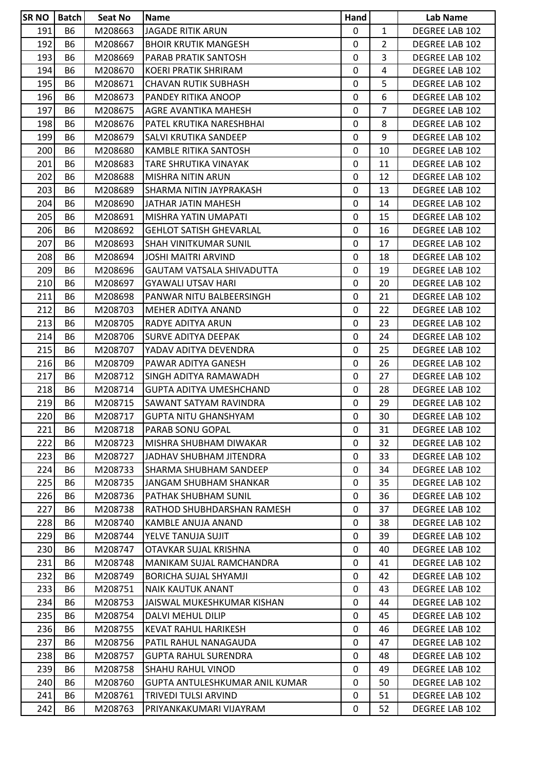| <b>SR NO</b> | Batch          | <b>Seat No</b> | <b>Name</b>                       | Hand        |                | Lab Name       |
|--------------|----------------|----------------|-----------------------------------|-------------|----------------|----------------|
| 191          | <b>B6</b>      | M208663        | <b>JAGADE RITIK ARUN</b>          | 0           | $\mathbf{1}$   | DEGREE LAB 102 |
| 192          | <b>B6</b>      | M208667        | <b>BHOIR KRUTIK MANGESH</b>       | $\mathbf 0$ | $\overline{2}$ | DEGREE LAB 102 |
| 193          | <b>B6</b>      | M208669        | PARAB PRATIK SANTOSH              | 0           | 3              | DEGREE LAB 102 |
| 194          | <b>B6</b>      | M208670        | KOERI PRATIK SHRIRAM              | $\mathbf 0$ | 4              | DEGREE LAB 102 |
| 195          | <b>B6</b>      | M208671        | <b>CHAVAN RUTIK SUBHASH</b>       | 0           | 5              | DEGREE LAB 102 |
| 196          | <b>B6</b>      | M208673        | PANDEY RITIKA ANOOP               | $\mathbf 0$ | 6              | DEGREE LAB 102 |
| 197          | B <sub>6</sub> | M208675        | AGRE AVANTIKA MAHESH              | $\mathbf 0$ | $\overline{7}$ | DEGREE LAB 102 |
| 198          | <b>B6</b>      | M208676        | PATEL KRUTIKA NARESHBHAI          | 0           | 8              | DEGREE LAB 102 |
| 199          | <b>B6</b>      | M208679        | SALVI KRUTIKA SANDEEP             | $\mathbf 0$ | 9              | DEGREE LAB 102 |
| 200          | B6             | M208680        | KAMBLE RITIKA SANTOSH             | 0           | 10             | DEGREE LAB 102 |
| 201          | <b>B6</b>      | M208683        | TARE SHRUTIKA VINAYAK             | $\mathbf 0$ | 11             | DEGREE LAB 102 |
| 202          | B <sub>6</sub> | M208688        | MISHRA NITIN ARUN                 | $\mathbf 0$ | 12             | DEGREE LAB 102 |
| 203          | <b>B6</b>      | M208689        | SHARMA NITIN JAYPRAKASH           | 0           | 13             | DEGREE LAB 102 |
| 204          | <b>B6</b>      | M208690        | JATHAR JATIN MAHESH               | $\mathbf 0$ | 14             | DEGREE LAB 102 |
| 205          | <b>B6</b>      | M208691        | MISHRA YATIN UMAPATI              | 0           | 15             | DEGREE LAB 102 |
| 206          | B6             | M208692        | <b>GEHLOT SATISH GHEVARLAL</b>    | 0           | 16             | DEGREE LAB 102 |
| 207          | B <sub>6</sub> | M208693        | SHAH VINITKUMAR SUNIL             | 0           | 17             | DEGREE LAB 102 |
| 208          | <b>B6</b>      | M208694        | JOSHI MAITRI ARVIND               | 0           | 18             | DEGREE LAB 102 |
| 209          | <b>B6</b>      | M208696        | GAUTAM VATSALA SHIVADUTTA         | 0           | 19             | DEGREE LAB 102 |
| 210          | <b>B6</b>      | M208697        | <b>GYAWALI UTSAV HARI</b>         | $\mathbf 0$ | 20             | DEGREE LAB 102 |
| 211          | <b>B6</b>      | M208698        | PANWAR NITU BALBEERSINGH          | $\mathbf 0$ | 21             | DEGREE LAB 102 |
| 212          | <b>B6</b>      | M208703        | MEHER ADITYA ANAND                | 0           | 22             | DEGREE LAB 102 |
| 213          | <b>B6</b>      | M208705        | RADYE ADITYA ARUN                 | 0           | 23             | DEGREE LAB 102 |
| 214          | <b>B6</b>      | M208706        | <b>SURVE ADITYA DEEPAK</b>        | 0           | 24             | DEGREE LAB 102 |
| 215          | <b>B6</b>      | M208707        | YADAV ADITYA DEVENDRA             | $\mathbf 0$ | 25             | DEGREE LAB 102 |
| 216          | <b>B6</b>      | M208709        | PAWAR ADITYA GANESH               | $\mathbf 0$ | 26             | DEGREE LAB 102 |
| 217          | <b>B6</b>      | M208712        | SINGH ADITYA RAMAWADH             | $\mathbf 0$ | 27             | DEGREE LAB 102 |
| 218          | <b>B6</b>      | M208714        | GUPTA ADITYA UMESHCHAND           | $\mathbf 0$ | 28             | DEGREE LAB 102 |
| 219          | B6             | M208715        | SAWANT SATYAM RAVINDRA            | $\mathbf 0$ | 29             | DEGREE LAB 102 |
| 220          | B <sub>6</sub> | M208717        | <b>GUPTA NITU GHANSHYAM</b>       | 0           | 30             | DEGREE LAB 102 |
| 221          | B6             | M208718        | PARAB SONU GOPAL                  | 0           | 31             | DEGREE LAB 102 |
| 222          | <b>B6</b>      | M208723        | MISHRA SHUBHAM DIWAKAR            | $\mathbf 0$ | 32             | DEGREE LAB 102 |
| 223          | B6             | M208727        | JADHAV SHUBHAM JITENDRA           | 0           | 33             | DEGREE LAB 102 |
| 224          | <b>B6</b>      | M208733        | <b>SHARMA SHUBHAM SANDEEP</b>     | 0           | 34             | DEGREE LAB 102 |
| 225          | <b>B6</b>      | M208735        | JANGAM SHUBHAM SHANKAR            | 0           | 35             | DEGREE LAB 102 |
| 226          | B6             | M208736        | PATHAK SHUBHAM SUNIL              | 0           | 36             | DEGREE LAB 102 |
| 227          | <b>B6</b>      | M208738        | <b>RATHOD SHUBHDARSHAN RAMESH</b> | $\mathbf 0$ | 37             | DEGREE LAB 102 |
| 228          | <b>B6</b>      | M208740        | KAMBLE ANUJA ANAND                | 0           | 38             | DEGREE LAB 102 |
| 229          | <b>B6</b>      | M208744        | YELVE TANUJA SUJIT                | 0           | 39             | DEGREE LAB 102 |
| 230          | <b>B6</b>      | M208747        | OTAVKAR SUJAL KRISHNA             | 0           | 40             | DEGREE LAB 102 |
| 231          | <b>B6</b>      | M208748        | MANIKAM SUJAL RAMCHANDRA          | $\mathbf 0$ | 41             | DEGREE LAB 102 |
| 232          | <b>B6</b>      | M208749        | BORICHA SUJAL SHYAMJI             | 0           | 42             | DEGREE LAB 102 |
| 233          | B6             | M208751        | <b>NAIK KAUTUK ANANT</b>          | 0           | 43             | DEGREE LAB 102 |
| 234          | <b>B6</b>      | M208753        | JAISWAL MUKESHKUMAR KISHAN        | 0           | 44             | DEGREE LAB 102 |
| 235          | B6             | M208754        | DALVI MEHUL DILIP                 | 0           | 45             | DEGREE LAB 102 |
| 236          | <b>B6</b>      | M208755        | <b>KEVAT RAHUL HARIKESH</b>       | $\mathbf 0$ | 46             | DEGREE LAB 102 |
| 237          | <b>B6</b>      | M208756        | PATIL RAHUL NANAGAUDA             | 0           | 47             | DEGREE LAB 102 |
| 238          | B6             | M208757        | <b>GUPTA RAHUL SURENDRA</b>       | 0           | 48             | DEGREE LAB 102 |
| 239          | <b>B6</b>      | M208758        | SHAHU RAHUL VINOD                 | 0           | 49             | DEGREE LAB 102 |
| 240          | <b>B6</b>      | M208760        | GUPTA ANTULESHKUMAR ANIL KUMAR    | 0           | 50             | DEGREE LAB 102 |
| 241          | <b>B6</b>      | M208761        | TRIVEDI TULSI ARVIND              | $\mathbf 0$ | 51             | DEGREE LAB 102 |
| 242          | <b>B6</b>      | M208763        | PRIYANKAKUMARI VIJAYRAM           | 0           | 52             | DEGREE LAB 102 |
|              |                |                |                                   |             |                |                |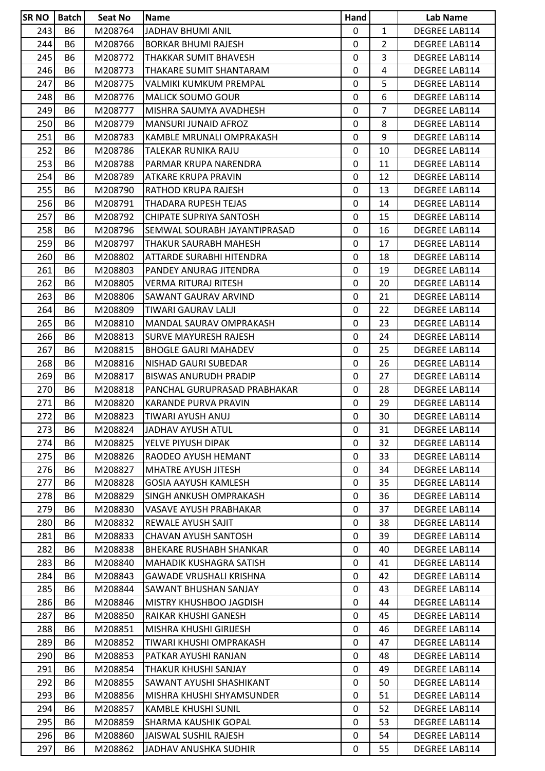| <b>SR NO</b> | <b>Batch</b>           | Seat No | <b>Name</b>                                      | Hand         |                | Lab Name                       |
|--------------|------------------------|---------|--------------------------------------------------|--------------|----------------|--------------------------------|
| 243          | <b>B6</b>              | M208764 | JADHAV BHUMI ANIL                                | $\mathbf{0}$ | $\mathbf{1}$   | <b>DEGREE LAB114</b>           |
| 244          | <b>B6</b>              | M208766 | <b>BORKAR BHUMI RAJESH</b>                       | 0            | $\overline{2}$ | DEGREE LAB114                  |
| 245          | <b>B6</b>              | M208772 | THAKKAR SUMIT BHAVESH                            | 0            | 3              | DEGREE LAB114                  |
| 246          | <b>B6</b>              | M208773 | THAKARE SUMIT SHANTARAM                          | 0            | 4              | DEGREE LAB114                  |
| 247          | <b>B6</b>              | M208775 | VALMIKI KUMKUM PREMPAL                           | $\mathbf 0$  | 5              | DEGREE LAB114                  |
| 248          | <b>B6</b>              | M208776 | <b>MALICK SOUMO GOUR</b>                         | 0            | 6              | DEGREE LAB114                  |
| 249          | B6                     | M208777 | MISHRA SAUMYA AVADHESH                           | 0            | 7              | DEGREE LAB114                  |
| 250          | <b>B6</b>              | M208779 | <b>MANSURI JUNAID AFROZ</b>                      | 0            | 8              | DEGREE LAB114                  |
| 251          | <b>B6</b>              | M208783 | KAMBLE MRUNALI OMPRAKASH                         | 0            | 9              | DEGREE LAB114                  |
| 252          | <b>B6</b>              | M208786 | TALEKAR RUNIKA RAJU                              | 0            | 10             | DEGREE LAB114                  |
| 253          | <b>B6</b>              | M208788 | PARMAR KRUPA NARENDRA                            | 0            | 11             | DEGREE LAB114                  |
| 254          | B6                     | M208789 | ATKARE KRUPA PRAVIN                              | $\mathbf 0$  | 12             | DEGREE LAB114                  |
| 255          | <b>B6</b>              | M208790 | <b>RATHOD KRUPA RAJESH</b>                       | $\mathbf 0$  | 13             | DEGREE LAB114                  |
| 256          | <b>B6</b>              | M208791 | THADARA RUPESH TEJAS                             | 0            | 14             | DEGREE LAB114                  |
| 257          | <b>B6</b>              | M208792 | CHIPATE SUPRIYA SANTOSH                          | 0            | 15             | DEGREE LAB114                  |
| 258          | <b>B6</b>              | M208796 | SEMWAL SOURABH JAYANTIPRASAD                     | 0            | 16             | DEGREE LAB114                  |
| 259          | <b>B6</b>              | M208797 | THAKUR SAURABH MAHESH                            | 0            | 17             | DEGREE LAB114                  |
| 260          | <b>B6</b>              | M208802 | ATTARDE SURABHI HITENDRA                         | $\mathbf 0$  | 18             | DEGREE LAB114                  |
| 261          | <b>B6</b>              | M208803 | PANDEY ANURAG JITENDRA                           | $\mathbf 0$  | 19             | DEGREE LAB114                  |
| 262          | <b>B6</b>              | M208805 | VERMA RITURAJ RITESH                             | 0            | 20             | DEGREE LAB114                  |
| 263          | <b>B6</b>              | M208806 | SAWANT GAURAV ARVIND                             | 0            | 21             | DEGREE LAB114                  |
| 264          | <b>B6</b>              | M208809 | TIWARI GAURAV LALJI                              | 0            | 22             | DEGREE LAB114                  |
| 265          | <b>B6</b>              | M208810 | MANDAL SAURAV OMPRAKASH                          | 0            | 23             | DEGREE LAB114                  |
| 266          | <b>B6</b>              | M208813 | <b>SURVE MAYURESH RAJESH</b>                     | $\mathbf 0$  | 24             | DEGREE LAB114                  |
| 267          | <b>B6</b>              | M208815 | <b>BHOGLE GAURI MAHADEV</b>                      | 0            | 25             | DEGREE LAB114                  |
| 268          | B6                     | M208816 | NISHAD GAURI SUBEDAR                             | 0            | 26             | DEGREE LAB114                  |
| 269          | <b>B6</b>              | M208817 | <b>BISWAS ANURUDH PRADIP</b>                     | 0            | 27             | DEGREE LAB114                  |
| 270          | B6                     | M208818 | PANCHAL GURUPRASAD PRABHAKAR                     | 0            | 28             | DEGREE LAB114                  |
| 271          | <b>B6</b>              | M208820 | <b>KARANDE PURVA PRAVIN</b>                      | $\mathbf 0$  | 29             | DEGREE LAB114                  |
| 272          | <b>B6</b>              | M208823 | TIWARI AYUSH ANUJ                                | 0            | 30             | <b>DEGREE LAB114</b>           |
| 273          | <b>B6</b>              | M208824 | JADHAV AYUSH ATUL                                | 0            | 31             | <b>DEGREE LAB114</b>           |
| 274          | <b>B6</b>              | M208825 | YELVE PIYUSH DIPAK                               | $\mathbf 0$  | 32             | DEGREE LAB114                  |
| 275          | <b>B6</b>              | M208826 | RAODEO AYUSH HEMANT                              | 0            | 33             | DEGREE LAB114                  |
| 276          | <b>B6</b>              | M208827 | MHATRE AYUSH JITESH                              | $\mathbf{0}$ | 34             | DEGREE LAB114                  |
| 277          | <b>B6</b>              | M208828 | GOSIA AAYUSH KAMLESH                             | 0            | 35             | DEGREE LAB114                  |
| 278          | <b>B6</b>              | M208829 | <b>SINGH ANKUSH OMPRAKASH</b>                    | 0            | 36             | DEGREE LAB114                  |
| 279          | <b>B6</b>              | M208830 | VASAVE AYUSH PRABHAKAR                           | 0            | 37             | DEGREE LAB114                  |
| 280          | <b>B6</b>              | M208832 | REWALE AYUSH SAJIT                               | 0            | 38             | DEGREE LAB114                  |
| 281          | <b>B6</b>              | M208833 | CHAVAN AYUSH SANTOSH                             | 0            | 39             | DEGREE LAB114                  |
| 282          | <b>B6</b>              | M208838 | <b>BHEKARE RUSHABH SHANKAR</b>                   | 0            | 40             | DEGREE LAB114                  |
| 283          | <b>B6</b>              | M208840 | <b>MAHADIK KUSHAGRA SATISH</b>                   | $\mathbf 0$  | 41             | DEGREE LAB114                  |
| 284          | <b>B6</b>              | M208843 | <b>GAWADE VRUSHALI KRISHNA</b>                   | 0            | 42             | DEGREE LAB114                  |
| 285          | <b>B6</b>              | M208844 | SAWANT BHUSHAN SANJAY                            | 0            | 43             | DEGREE LAB114                  |
| 286          | <b>B6</b>              | M208846 | MISTRY KHUSHBOO JAGDISH                          | 0            | 44             | DEGREE LAB114                  |
| 287          | <b>B6</b>              | M208850 | IRAIKAR KHUSHI GANESH                            | 0            | 45             | DEGREE LAB114                  |
| 288          | <b>B6</b>              | M208851 | MISHRA KHUSHI GIRIJESH                           | 0            | 46             | DEGREE LAB114                  |
| 289          | <b>B6</b>              | M208852 | TIWARI KHUSHI OMPRAKASH                          | 0            | 47             | DEGREE LAB114                  |
| 290          | <b>B6</b>              | M208853 | PATKAR AYUSHI RANJAN                             | 0            | 48             | DEGREE LAB114                  |
| 291          | <b>B6</b>              | M208854 |                                                  | 0            | 49             | DEGREE LAB114                  |
|              |                        |         | THAKUR KHUSHI SANJAY<br>SAWANT AYUSHI SHASHIKANT | $\mathbf 0$  | 50             | DEGREE LAB114                  |
| 292<br>293   | <b>B6</b><br><b>B6</b> | M208855 |                                                  | 0            | 51             |                                |
|              |                        | M208856 | MISHRA KHUSHI SHYAMSUNDER                        |              |                | DEGREE LAB114                  |
| 294          | <b>B6</b>              | M208857 | <b>KAMBLE KHUSHI SUNIL</b>                       | 0<br>0       | 52             | DEGREE LAB114<br>DEGREE LAB114 |
| 295          | <b>B6</b>              | M208859 | SHARMA KAUSHIK GOPAL                             |              | 53             |                                |
| 296          | <b>B6</b>              | M208860 | JAISWAL SUSHIL RAJESH                            | 0            | 54             | DEGREE LAB114                  |
| 297          | <b>B6</b>              | M208862 | JADHAV ANUSHKA SUDHIR                            | 0            | 55             | DEGREE LAB114                  |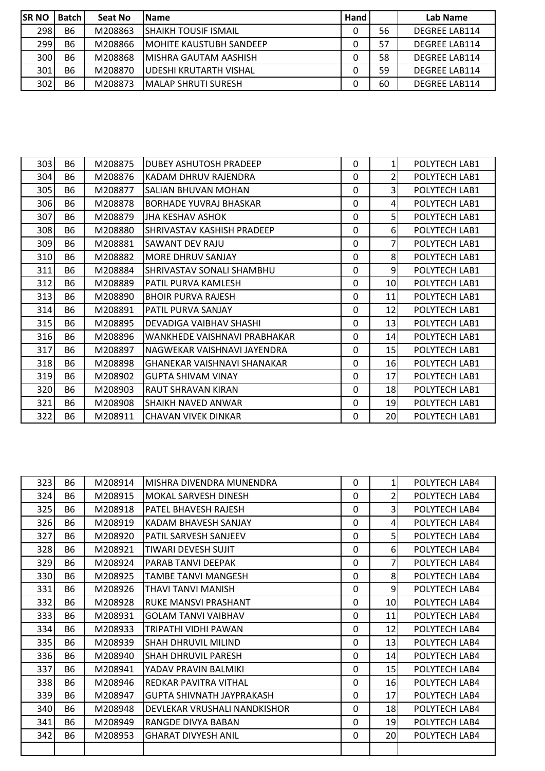| <b>SR NO</b> | <b>Batch</b> | Seat No | <b>IName</b>                   | Hand |    | Lab Name             |
|--------------|--------------|---------|--------------------------------|------|----|----------------------|
| 298          | <b>B6</b>    | M208863 | <b>SHAIKH TOUSIF ISMAIL</b>    |      | 56 | <b>DEGREE LAB114</b> |
| 299          | <b>B6</b>    | M208866 | <b>MOHITE KAUSTUBH SANDEEP</b> |      | 57 | <b>DEGREE LAB114</b> |
| 300          | <b>B6</b>    | M208868 | <b>IMISHRA GAUTAM AASHISH</b>  |      | 58 | <b>DEGREE LAB114</b> |
| 301          | <b>B6</b>    | M208870 | UDESHI KRUTARTH VISHAL         |      | 59 | <b>DEGREE LAB114</b> |
| 302          | <b>B6</b>    | M208873 | <b>IMALAP SHRUTI SURESH</b>    |      | 60 | <b>DEGREE LAB114</b> |

| 303 | <b>B6</b> | M208875 | <b>DUBEY ASHUTOSH PRADEEP</b>      | $\Omega$ | $\mathbf{1}$    | POLYTECH LAB1 |
|-----|-----------|---------|------------------------------------|----------|-----------------|---------------|
| 304 | <b>B6</b> | M208876 | IKADAM DHRUV RAJENDRA              | $\Omega$ | 2               | POLYTECH LAB1 |
| 305 | <b>B6</b> | M208877 | SALIAN BHUVAN MOHAN                | $\Omega$ | $\overline{3}$  | POLYTECH LAB1 |
| 306 | <b>B6</b> | M208878 | <b>BORHADE YUVRAJ BHASKAR</b>      | $\Omega$ | 4               | POLYTECH LAB1 |
| 307 | <b>B6</b> | M208879 | JHA KESHAV ASHOK                   | $\Omega$ | 5               | POLYTECH LAB1 |
| 308 | <b>B6</b> | M208880 | ISHRIVASTAV KASHISH PRADEEP        | $\Omega$ | 6 <sup>1</sup>  | POLYTECH LAB1 |
| 309 | <b>B6</b> | M208881 | ISAWANT DEV RAJU                   | 0        | 7               | POLYTECH LAB1 |
| 310 | <b>B6</b> | M208882 | <b>I</b> MORE DHRUV SANJAY         | $\Omega$ | 8 <sup>1</sup>  | POLYTECH LAB1 |
| 311 | <b>B6</b> | M208884 | ISHRIVASTAV SONALI SHAMBHU         | $\Omega$ | 9               | POLYTECH LAB1 |
| 312 | <b>B6</b> | M208889 | PATIL PURVA KAMLESH                | 0        | 10              | POLYTECH LAB1 |
| 313 | <b>B6</b> | M208890 | <b>BHOIR PURVA RAJESH</b>          | $\Omega$ | 11              | POLYTECH LAB1 |
| 314 | <b>B6</b> | M208891 | <b>PATIL PURVA SANJAY</b>          | 0        | 12              | POLYTECH LAB1 |
| 315 | <b>B6</b> | M208895 | IDEVADIGA VAIBHAV SHASHI           | $\Omega$ | 13              | POLYTECH LAB1 |
| 316 | <b>B6</b> | M208896 | WANKHEDE VAISHNAVI PRABHAKAR       | $\Omega$ | 14 <sup>1</sup> | POLYTECH LAB1 |
| 317 | <b>B6</b> | M208897 | NAGWEKAR VAISHNAVI JAYENDRA        | $\Omega$ | 15              | POLYTECH LAB1 |
| 318 | <b>B6</b> | M208898 | <b>GHANEKAR VAISHNAVI SHANAKAR</b> | $\Omega$ | 16              | POLYTECH LAB1 |
| 319 | <b>B6</b> | M208902 | <b>GUPTA SHIVAM VINAY</b>          | $\Omega$ | 17              | POLYTECH LAB1 |
| 320 | <b>B6</b> | M208903 | IRAUT SHRAVAN KIRAN                | $\Omega$ | 18 <sup>l</sup> | POLYTECH LAB1 |
| 321 | <b>B6</b> | M208908 | ISHAIKH NAVED ANWAR                | 0        | 19              | POLYTECH LAB1 |
| 322 | <b>B6</b> | M208911 | CHAVAN VIVEK DINKAR                | $\Omega$ | 20              | POLYTECH LAB1 |

| 323 | <b>B6</b> | M208914 | MISHRA DIVENDRA MUNENDRA     | 0        | $\mathbf{1}$    | POLYTECH LAB4 |
|-----|-----------|---------|------------------------------|----------|-----------------|---------------|
| 324 | <b>B6</b> | M208915 | <b>MOKAL SARVESH DINESH</b>  | 0        | 2               | POLYTECH LAB4 |
| 325 | <b>B6</b> | M208918 | PATEL BHAVESH RAJESH         | $\Omega$ | 3               | POLYTECH LAB4 |
| 326 | <b>B6</b> | M208919 | KADAM BHAVESH SANJAY         | 0        | $\overline{4}$  | POLYTECH LAB4 |
| 327 | <b>B6</b> | M208920 | PATIL SARVESH SANJEEV        | 0        | 5               | POLYTECH LAB4 |
| 328 | <b>B6</b> | M208921 | TIWARI DEVESH SUJIT          | $\Omega$ | 6               | POLYTECH LAB4 |
| 329 | <b>B6</b> | M208924 | PARAB TANVI DEEPAK           | 0        | 7               | POLYTECH LAB4 |
| 330 | <b>B6</b> | M208925 | <b>TAMBE TANVI MANGESH</b>   | $\Omega$ | 8               | POLYTECH LAB4 |
| 331 | <b>B6</b> | M208926 | THAVI TANVI MANISH           | 0        | 9               | POLYTECH LAB4 |
| 332 | <b>B6</b> | M208928 | <b>RUKE MANSVI PRASHANT</b>  | $\Omega$ | 10 <sup>1</sup> | POLYTECH LAB4 |
| 333 | <b>B6</b> | M208931 | <b>GOLAM TANVI VAIBHAV</b>   | $\Omega$ | 11              | POLYTECH LAB4 |
| 334 | <b>B6</b> | M208933 | TRIPATHI VIDHI PAWAN         | $\Omega$ | 12              | POLYTECH LAB4 |
| 335 | <b>B6</b> | M208939 | SHAH DHRUVIL MILIND          | $\Omega$ | 13              | POLYTECH LAB4 |
| 336 | <b>B6</b> | M208940 | SHAH DHRUVIL PARESH          | 0        | 14              | POLYTECH LAB4 |
| 337 | <b>B6</b> | M208941 | YADAV PRAVIN BALMIKI         | 0        | 15              | POLYTECH LAB4 |
| 338 | <b>B6</b> | M208946 | REDKAR PAVITRA VITHAL        | $\Omega$ | 16              | POLYTECH LAB4 |
| 339 | <b>B6</b> | M208947 | GUPTA SHIVNATH JAYPRAKASH    | $\Omega$ | 17              | POLYTECH LAB4 |
| 340 | <b>B6</b> | M208948 | DEVLEKAR VRUSHALI NANDKISHOR | 0        | 18              | POLYTECH LAB4 |
| 341 | <b>B6</b> | M208949 | RANGDE DIVYA BABAN           | 0        | 19              | POLYTECH LAB4 |
| 342 | <b>B6</b> | M208953 | <b>GHARAT DIVYESH ANIL</b>   | 0        | 20              | POLYTECH LAB4 |
|     |           |         |                              |          |                 |               |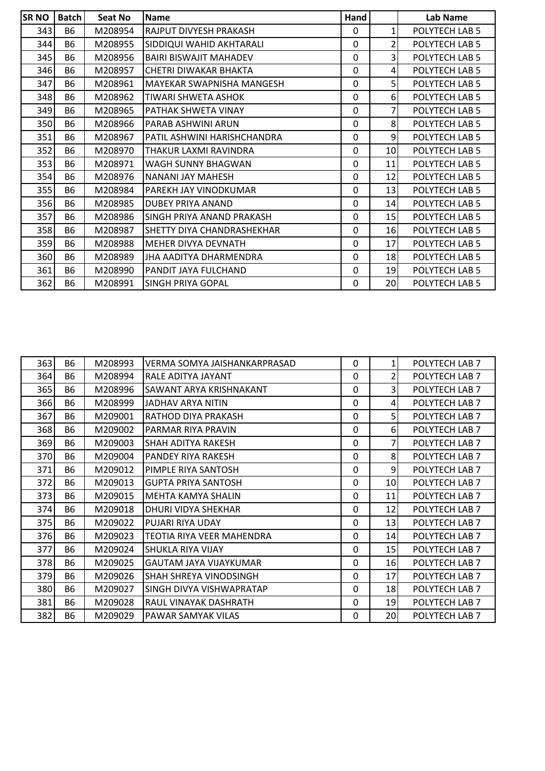| <b>SRNO</b> | <b>Batch</b> | Seat No | <b>Name</b>                      | Hand        |                | Lab Name       |
|-------------|--------------|---------|----------------------------------|-------------|----------------|----------------|
| 343         | <b>B6</b>    | M208954 | RAJPUT DIVYESH PRAKASH           | $\Omega$    | $\mathbf{1}$   | POLYTECH LAB 5 |
| 344         | <b>B6</b>    | M208955 | SIDDIQUI WAHID AKHTARALI         | $\mathbf 0$ | $\overline{2}$ | POLYTECH LAB 5 |
| 345         | <b>B6</b>    | M208956 | <b>BAIRI BISWAJIT MAHADEV</b>    | $\Omega$    | 3              | POLYTECH LAB 5 |
| 346         | <b>B6</b>    | M208957 | CHETRI DIWAKAR BHAKTA            | $\Omega$    | 4              | POLYTECH LAB 5 |
| 347         | <b>B6</b>    | M208961 | <b>MAYEKAR SWAPNISHA MANGESH</b> | $\Omega$    | 5              | POLYTECH LAB 5 |
| 348         | <b>B6</b>    | M208962 | TIWARI SHWETA ASHOK              | 0           | 6              | POLYTECH LAB 5 |
| 349         | <b>B6</b>    | M208965 | <b>PATHAK SHWETA VINAY</b>       | 0           | 7              | POLYTECH LAB 5 |
| 350         | <b>B6</b>    | M208966 | PARAB ASHWINI ARUN               | 0           | 8              | POLYTECH LAB 5 |
| 351         | <b>B6</b>    | M208967 | PATIL ASHWINI HARISHCHANDRA      | $\mathbf 0$ | 9              | POLYTECH LAB 5 |
| 352         | <b>B6</b>    | M208970 | THAKUR LAXMI RAVINDRA            | 0           | 10             | POLYTECH LAB 5 |
| 353         | <b>B6</b>    | M208971 | WAGH SUNNY BHAGWAN               | 0           | 11             | POLYTECH LAB 5 |
| 354         | <b>B6</b>    | M208976 | INANANI JAY MAHESH               | $\Omega$    | 12             | POLYTECH LAB 5 |
| 355         | <b>B6</b>    | M208984 | PAREKH JAY VINODKUMAR            | 0           | 13             | POLYTECH LAB 5 |
| 356         | <b>B6</b>    | M208985 | <b>DUBEY PRIYA ANAND</b>         | $\Omega$    | 14             | POLYTECH LAB 5 |
| 357         | <b>B6</b>    | M208986 | ISINGH PRIYA ANAND PRAKASH       | $\Omega$    | 15             | POLYTECH LAB 5 |
| 358         | <b>B6</b>    | M208987 | ISHETTY DIYA CHANDRASHEKHAR      | $\Omega$    | 16             | POLYTECH LAB 5 |
| 359         | <b>B6</b>    | M208988 | IMEHER DIVYA DEVNATH             | $\Omega$    | 17             | POLYTECH LAB 5 |
| 360         | <b>B6</b>    | M208989 | <b>JHA AADITYA DHARMENDRA</b>    | $\Omega$    | 18             | POLYTECH LAB 5 |
| 361         | <b>B6</b>    | M208990 | PANDIT JAYA FULCHAND             | $\Omega$    | 19             | POLYTECH LAB 5 |
| 362         | <b>B6</b>    | M208991 | <b>SINGH PRIYA GOPAL</b>         | $\Omega$    | 20             | POLYTECH LAB 5 |

| 363 | <b>B6</b> | M208993 | VERMA SOMYA JAISHANKARPRASAD  | 0        | 1   | POLYTECH LAB 7 |
|-----|-----------|---------|-------------------------------|----------|-----|----------------|
| 364 | <b>B6</b> | M208994 | RALE ADITYA JAYANT            | 0        | 2   | POLYTECH LAB 7 |
| 365 | <b>B6</b> | M208996 | SAWANT ARYA KRISHNAKANT       | 0        | 3   | POLYTECH LAB 7 |
| 366 | <b>B6</b> | M208999 | JADHAV ARYA NITIN             | 0        | 4   | POLYTECH LAB 7 |
| 367 | <b>B6</b> | M209001 | RATHOD DIYA PRAKASH           | 0        | 5   | POLYTECH LAB 7 |
| 368 | <b>B6</b> | M209002 | PARMAR RIYA PRAVIN            | 0        | 6   | POLYTECH LAB 7 |
| 369 | <b>B6</b> | M209003 | <b>SHAH ADITYA RAKESH</b>     | 0        | 7   | POLYTECH LAB 7 |
| 370 | <b>B6</b> | M209004 | PANDEY RIYA RAKESH            | 0        | 8   | POLYTECH LAB 7 |
| 371 | <b>B6</b> | M209012 | PIMPLE RIYA SANTOSH           | 0        | 9   | POLYTECH LAB 7 |
| 372 | <b>B6</b> | M209013 | <b>GUPTA PRIYA SANTOSH</b>    | 0        | 10I | POLYTECH LAB 7 |
| 373 | <b>B6</b> | M209015 | MEHTA KAMYA SHALIN            | $\Omega$ | 11  | POLYTECH LAB 7 |
| 374 | <b>B6</b> | M209018 | DHURI VIDYA SHEKHAR           | 0        | 12  | POLYTECH LAB 7 |
| 375 | <b>B6</b> | M209022 | PUJARI RIYA UDAY              | 0        | 13  | POLYTECH LAB 7 |
| 376 | <b>B6</b> | M209023 | TEOTIA RIYA VEER MAHENDRA     | 0        | 14  | POLYTECH LAB 7 |
| 377 | <b>B6</b> | M209024 | SHUKLA RIYA VIJAY             | 0        | 15  | POLYTECH LAB 7 |
| 378 | <b>B6</b> | M209025 | GAUTAM JAYA VIJAYKUMAR        | $\Omega$ | 16  | POLYTECH LAB 7 |
| 379 | <b>B6</b> | M209026 | <b>SHAH SHREYA VINODSINGH</b> | 0        | 17  | POLYTECH LAB 7 |
| 380 | <b>B6</b> | M209027 | SINGH DIVYA VISHWAPRATAP      | 0        | 18  | POLYTECH LAB 7 |
| 381 | <b>B6</b> | M209028 | RAUL VINAYAK DASHRATH         | 0        | 19  | POLYTECH LAB 7 |
| 382 | <b>B6</b> | M209029 | <b>PAWAR SAMYAK VILAS</b>     | 0        | 20  | POLYTECH LAB 7 |